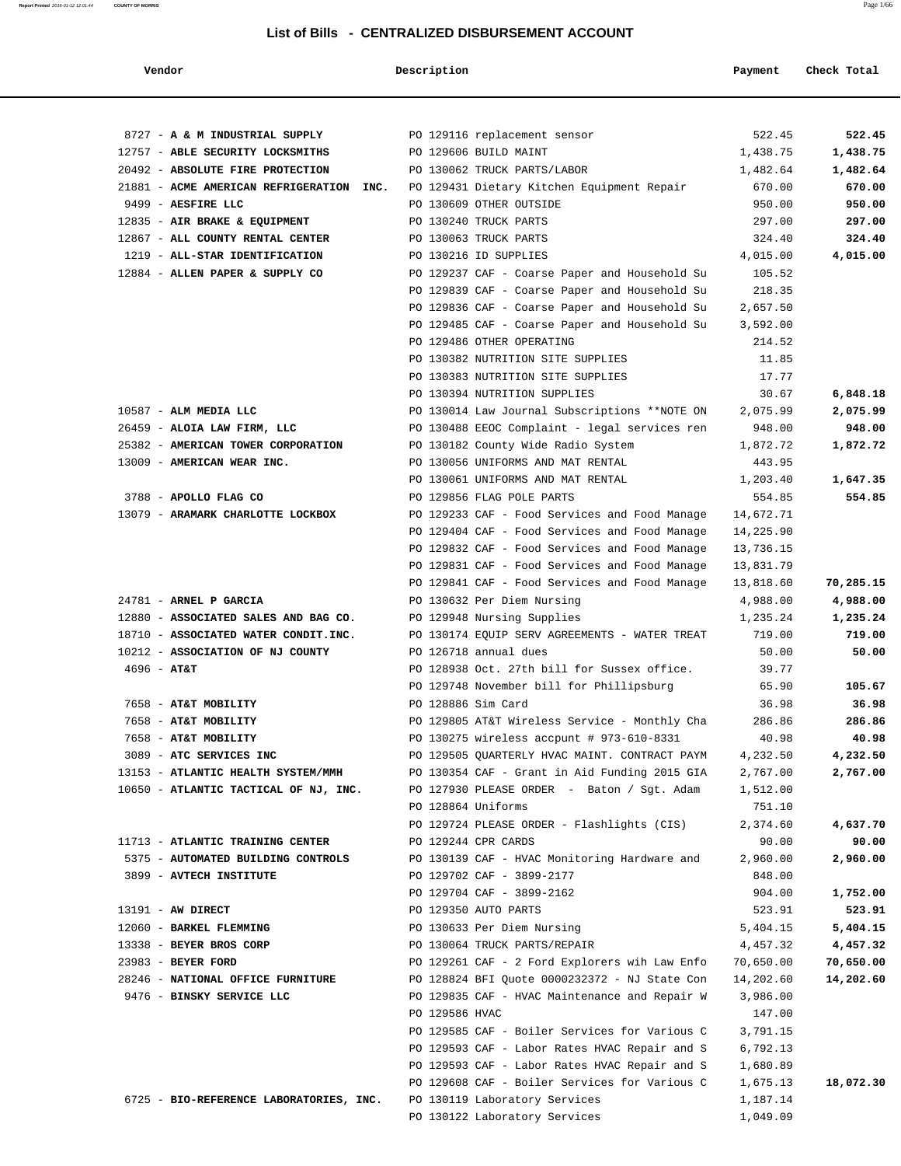**Report Printed** 2016-01-12 12:01:44 **COUNTY OF MORRIS** Page 1/66

| Vendor                                                           | Description        |                                                                         | Payment            | Check Total |
|------------------------------------------------------------------|--------------------|-------------------------------------------------------------------------|--------------------|-------------|
|                                                                  |                    |                                                                         |                    |             |
|                                                                  |                    |                                                                         |                    |             |
| 8727 - A & M INDUSTRIAL SUPPLY                                   |                    | PO 129116 replacement sensor                                            | 522.45             | 522.45      |
| 12757 - ABLE SECURITY LOCKSMITHS                                 |                    | PO 129606 BUILD MAINT                                                   | 1,438.75           | 1,438.75    |
| 20492 - ABSOLUTE FIRE PROTECTION                                 |                    | PO 130062 TRUCK PARTS/LABOR                                             | 1,482.64           | 1,482.64    |
| 21881 - ACME AMERICAN REFRIGERATION INC.                         |                    | PO 129431 Dietary Kitchen Equipment Repair                              | 670.00             | 670.00      |
| 9499 - AESFIRE LLC                                               |                    | PO 130609 OTHER OUTSIDE                                                 | 950.00             | 950.00      |
| 12835 - AIR BRAKE & EQUIPMENT                                    |                    | PO 130240 TRUCK PARTS                                                   | 297.00             | 297.00      |
| 12867 - ALL COUNTY RENTAL CENTER                                 |                    | PO 130063 TRUCK PARTS                                                   | 324.40             | 324.40      |
| 1219 - ALL-STAR IDENTIFICATION                                   |                    | PO 130216 ID SUPPLIES                                                   | 4,015.00           | 4,015.00    |
| 12884 - ALLEN PAPER & SUPPLY CO                                  |                    | PO 129237 CAF - Coarse Paper and Household Su                           | 105.52             |             |
|                                                                  |                    | PO 129839 CAF - Coarse Paper and Household Su                           | 218.35             |             |
|                                                                  |                    | PO 129836 CAF - Coarse Paper and Household Su                           | 2,657.50           |             |
|                                                                  |                    | PO 129485 CAF - Coarse Paper and Household Su                           | 3,592.00           |             |
|                                                                  |                    | PO 129486 OTHER OPERATING                                               | 214.52             |             |
|                                                                  |                    | PO 130382 NUTRITION SITE SUPPLIES                                       | 11.85              |             |
|                                                                  |                    | PO 130383 NUTRITION SITE SUPPLIES                                       | 17.77              |             |
|                                                                  |                    | PO 130394 NUTRITION SUPPLIES                                            | 30.67              | 6,848.18    |
| 10587 - ALM MEDIA LLC                                            |                    | PO 130014 Law Journal Subscriptions **NOTE ON                           | 2,075.99           | 2,075.99    |
| 26459 - ALOIA LAW FIRM, LLC                                      |                    | PO 130488 EEOC Complaint - legal services ren                           | 948.00             | 948.00      |
| 25382 - AMERICAN TOWER CORPORATION<br>13009 - AMERICAN WEAR INC. |                    | PO 130182 County Wide Radio System<br>PO 130056 UNIFORMS AND MAT RENTAL | 1,872.72<br>443.95 | 1,872.72    |
|                                                                  |                    | PO 130061 UNIFORMS AND MAT RENTAL                                       | 1,203.40           | 1,647.35    |
| 3788 - APOLLO FLAG CO                                            |                    | PO 129856 FLAG POLE PARTS                                               | 554.85             | 554.85      |
| 13079 - ARAMARK CHARLOTTE LOCKBOX                                |                    | PO 129233 CAF - Food Services and Food Manage                           | 14,672.71          |             |
|                                                                  |                    | PO 129404 CAF - Food Services and Food Manage                           | 14,225.90          |             |
|                                                                  |                    | PO 129832 CAF - Food Services and Food Manage                           | 13,736.15          |             |
|                                                                  |                    | PO 129831 CAF - Food Services and Food Manage                           | 13,831.79          |             |
|                                                                  |                    | PO 129841 CAF - Food Services and Food Manage                           | 13,818.60          | 70,285.15   |
| 24781 - ARNEL P GARCIA                                           |                    | PO 130632 Per Diem Nursing                                              | 4,988.00           | 4,988.00    |
| 12880 - ASSOCIATED SALES AND BAG CO.                             |                    | PO 129948 Nursing Supplies                                              | 1,235.24           | 1,235.24    |
| 18710 - ASSOCIATED WATER CONDIT.INC.                             |                    | PO 130174 EQUIP SERV AGREEMENTS - WATER TREAT                           | 719.00             | 719.00      |
| 10212 - ASSOCIATION OF NJ COUNTY                                 |                    | PO 126718 annual dues                                                   | 50.00              | 50.00       |
| $4696 - AT&T$                                                    |                    | PO 128938 Oct. 27th bill for Sussex office.                             | 39.77              |             |
|                                                                  |                    | PO 129748 November bill for Phillipsburg                                | 65.90              | 105.67      |
| 7658 - AT&T MOBILITY                                             | PO 128886 Sim Card |                                                                         | 36.98              | 36.98       |
| 7658 - AT&T MOBILITY                                             |                    | PO 129805 AT&T Wireless Service - Monthly Cha                           | 286.86             | 286.86      |
| 7658 - AT&T MOBILITY                                             |                    | PO 130275 wireless accpunt # 973-610-8331                               | 40.98              | 40.98       |
| 3089 - ATC SERVICES INC                                          |                    | PO 129505 QUARTERLY HVAC MAINT. CONTRACT PAYM                           | 4,232.50           | 4,232.50    |
| 13153 - ATLANTIC HEALTH SYSTEM/MMH                               |                    | PO 130354 CAF - Grant in Aid Funding 2015 GIA                           | 2,767.00           | 2,767.00    |
| 10650 - ATLANTIC TACTICAL OF NJ, INC.                            |                    | PO 127930 PLEASE ORDER - Baton / Sgt. Adam                              | 1,512.00           |             |
|                                                                  | PO 128864 Uniforms |                                                                         | 751.10             |             |
|                                                                  |                    | PO 129724 PLEASE ORDER - Flashlights (CIS)                              | 2,374.60           | 4,637.70    |
| 11713 - ATLANTIC TRAINING CENTER                                 |                    | PO 129244 CPR CARDS                                                     | 90.00              | 90.00       |
| 5375 - AUTOMATED BUILDING CONTROLS                               |                    | PO 130139 CAF - HVAC Monitoring Hardware and                            | 2,960.00           | 2,960.00    |
| 3899 - AVTECH INSTITUTE                                          |                    | PO 129702 CAF - 3899-2177                                               | 848.00             |             |
|                                                                  |                    | PO 129704 CAF - 3899-2162                                               | 904.00             | 1,752.00    |
| $13191$ - AW DIRECT                                              |                    | PO 129350 AUTO PARTS                                                    | 523.91             | 523.91      |
| 12060 - BARKEL FLEMMING                                          |                    | PO 130633 Per Diem Nursing                                              | 5,404.15           | 5,404.15    |
| 13338 - BEYER BROS CORP                                          |                    | PO 130064 TRUCK PARTS/REPAIR                                            | 4,457.32           | 4,457.32    |
| 23983 - BEYER FORD                                               |                    | PO 129261 CAF - 2 Ford Explorers wih Law Enfo                           | 70,650.00          | 70,650.00   |
| 28246 - NATIONAL OFFICE FURNITURE                                |                    | PO 128824 BFI Quote 0000232372 - NJ State Con                           | 14,202.60          | 14,202.60   |
| 9476 - BINSKY SERVICE LLC                                        |                    | PO 129835 CAF - HVAC Maintenance and Repair W                           | 3,986.00           |             |
|                                                                  | PO 129586 HVAC     |                                                                         | 147.00             |             |
|                                                                  |                    | PO 129585 CAF - Boiler Services for Various C                           | 3,791.15           |             |
|                                                                  |                    | PO 129593 CAF - Labor Rates HVAC Repair and S                           | 6,792.13           |             |
|                                                                  |                    | PO 129593 CAF - Labor Rates HVAC Repair and S                           | 1,680.89           |             |
|                                                                  |                    | PO 129608 CAF - Boiler Services for Various C                           | 1,675.13           | 18,072.30   |
| 6725 - BIO-REFERENCE LABORATORIES, INC.                          |                    | PO 130119 Laboratory Services                                           | 1,187.14           |             |
|                                                                  |                    | PO 130122 Laboratory Services                                           | 1,049.09           |             |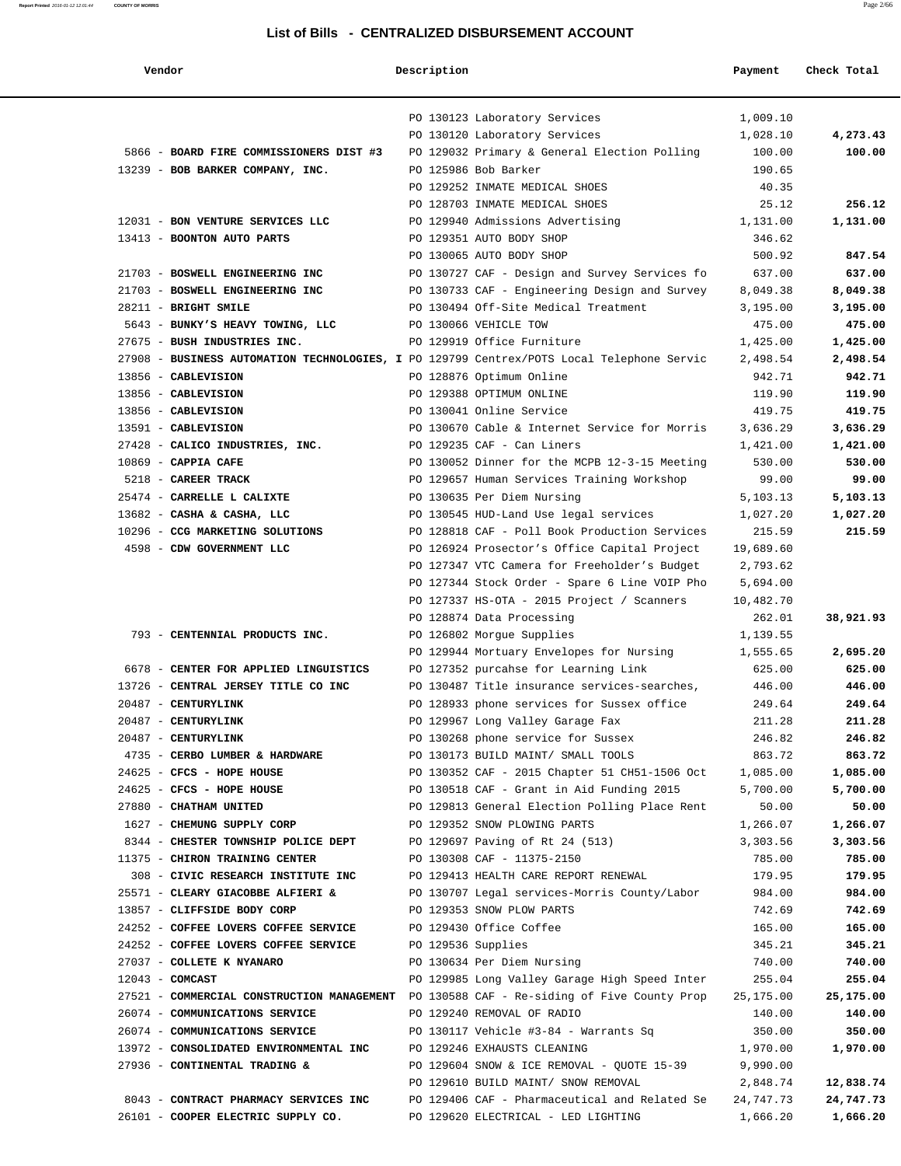| Vendor                                                                                                                                | Description        |                                                        | Payment            | Check Total         |
|---------------------------------------------------------------------------------------------------------------------------------------|--------------------|--------------------------------------------------------|--------------------|---------------------|
|                                                                                                                                       |                    |                                                        |                    |                     |
|                                                                                                                                       |                    | PO 130123 Laboratory Services                          | 1,009.10           |                     |
|                                                                                                                                       |                    | PO 130120 Laboratory Services                          | 1,028.10           | 4,273.43            |
| 5866 - BOARD FIRE COMMISSIONERS DIST #3                                                                                               |                    | PO 129032 Primary & General Election Polling           | 100.00             | 100.00              |
| 13239 - BOB BARKER COMPANY, INC.                                                                                                      |                    | PO 125986 Bob Barker                                   | 190.65             |                     |
|                                                                                                                                       |                    | PO 129252 INMATE MEDICAL SHOES                         | 40.35              |                     |
|                                                                                                                                       |                    | PO 128703 INMATE MEDICAL SHOES                         | 25.12              | 256.12              |
| 12031 - BON VENTURE SERVICES LLC                                                                                                      |                    | PO 129940 Admissions Advertising                       | 1,131.00           | 1,131.00            |
| 13413 - BOONTON AUTO PARTS                                                                                                            |                    | PO 129351 AUTO BODY SHOP                               | 346.62             |                     |
|                                                                                                                                       |                    | PO 130065 AUTO BODY SHOP                               | 500.92             | 847.54              |
| 21703 - BOSWELL ENGINEERING INC                                                                                                       |                    | PO 130727 CAF - Design and Survey Services fo          | 637.00             | 637.00              |
| 21703 - BOSWELL ENGINEERING INC                                                                                                       |                    | PO 130733 CAF - Engineering Design and Survey          | 8,049.38           | 8,049.38            |
| 28211 - BRIGHT SMILE                                                                                                                  |                    | PO 130494 Off-Site Medical Treatment                   | 3,195.00           | 3,195.00            |
| 5643 - BUNKY'S HEAVY TOWING, LLC                                                                                                      |                    | PO 130066 VEHICLE TOW                                  | 475.00             | 475.00              |
| 27675 - BUSH INDUSTRIES INC.                                                                                                          |                    | PO 129919 Office Furniture                             | 1,425.00           | 1,425.00            |
| 27908 - BUSINESS AUTOMATION TECHNOLOGIES, I PO 129799 Centrex/POTS Local Telephone Servic                                             |                    |                                                        | 2,498.54           | 2,498.54            |
| 13856 - CABLEVISION                                                                                                                   |                    | PO 128876 Optimum Online                               | 942.71             | 942.71              |
| 13856 - CABLEVISION                                                                                                                   |                    | PO 129388 OPTIMUM ONLINE                               | 119.90             | 119.90              |
| 13856 - CABLEVISION                                                                                                                   |                    | PO 130041 Online Service                               | 419.75             | 419.75              |
| 13591 - CABLEVISION                                                                                                                   |                    | PO 130670 Cable & Internet Service for Morris          | 3,636.29           | 3,636.29            |
| 27428 - CALICO INDUSTRIES, INC.                                                                                                       |                    | PO 129235 CAF - Can Liners                             | 1,421.00           | 1,421.00            |
| $10869$ - CAPPIA CAFE                                                                                                                 |                    | PO 130052 Dinner for the MCPB 12-3-15 Meeting          | 530.00             | 530.00              |
| 5218 - CAREER TRACK                                                                                                                   |                    | PO 129657 Human Services Training Workshop             | 99.00              | 99.00               |
| 25474 - CARRELLE L CALIXTE                                                                                                            |                    | PO 130635 Per Diem Nursing                             | 5,103.13           | 5,103.13            |
| 13682 - CASHA & CASHA, LLC                                                                                                            |                    | PO 130545 HUD-Land Use legal services                  | 1,027.20           | 1,027.20            |
| 10296 - CCG MARKETING SOLUTIONS                                                                                                       |                    | PO 128818 CAF - Poll Book Production Services          | 215.59             | 215.59              |
| 4598 - CDW GOVERNMENT LLC                                                                                                             |                    | PO 126924 Prosector's Office Capital Project           | 19,689.60          |                     |
|                                                                                                                                       |                    | PO 127347 VTC Camera for Freeholder's Budget           | 2,793.62           |                     |
|                                                                                                                                       |                    | PO 127344 Stock Order - Spare 6 Line VOIP Pho          | 5,694.00           |                     |
|                                                                                                                                       |                    | PO 127337 HS-OTA - 2015 Project / Scanners             | 10,482.70          |                     |
|                                                                                                                                       |                    | PO 128874 Data Processing                              | 262.01             | 38,921.93           |
| 793 - CENTENNIAL PRODUCTS INC.                                                                                                        |                    | PO 126802 Morgue Supplies                              | 1,139.55           |                     |
|                                                                                                                                       |                    | PO 129944 Mortuary Envelopes for Nursing               | 1,555.65           | 2,695.20            |
| 6678 - CENTER FOR APPLIED LINGUISTICS                                                                                                 |                    | PO 127352 purcahse for Learning Link                   | 625.00             | 625.00              |
| 13726 - CENTRAL JERSEY TITLE CO INC                                                                                                   |                    | PO 130487 Title insurance services-searches,           | 446.00             | 446.00              |
| 20487 - CENTURYLINK                                                                                                                   |                    | PO 128933 phone services for Sussex office             | 249.64             | 249.64              |
| 20487 - CENTURYLINK                                                                                                                   |                    | PO 129967 Long Valley Garage Fax                       | 211.28             | 211.28              |
| 20487 - CENTURYLINK<br>4735 - CERBO LUMBER & HARDWARE PO 130173 BUILD MAINT/ SMALL TOOLS 863.72                                       |                    | PO 130268 phone service for Sussex                     | 246.82             | 246.82              |
|                                                                                                                                       |                    | PO 130352 CAF - 2015 Chapter 51 CH51-1506 Oct 1,085.00 |                    | 863.72              |
| 24625 - CFCS - HOPE HOUSE                                                                                                             |                    |                                                        |                    | 1,085.00            |
| $24625$ - CFCS - HOPE HOUSE $26130518$ CAF - Grant in Aid Funding 2015                                                                |                    |                                                        | 5,700.00           | 5,700.00            |
| 27880 - CHATHAM UNITED                                                                                                                |                    | PO 129813 General Election Polling Place Rent          | 50.00              | 50.00               |
| 1627 - CHEMUNG SUPPLY CORP                                                                                                            |                    | PO 129352 SNOW PLOWING PARTS                           | 1,266.07           | 1,266.07            |
| 8344 - CHESTER TOWNSHIP POLICE DEPT PO 129697 Paving of Rt 24 (513)                                                                   |                    |                                                        | 3,303.56           | 3,303.56            |
| 11375 - CHIRON TRAINING CENTER                                                                                                        |                    | PO 130308 CAF - 11375-2150                             | 785.00             | 785.00              |
| 308 - CIVIC RESEARCH INSTITUTE INC PO 129413 HEALTH CARE REPORT RENEWAL                                                               |                    |                                                        | 179.95             | 179.95              |
| 25571 - CLEARY GIACOBBE ALFIERI & PO 130707 Legal services-Morris County/Labor 984.00                                                 |                    | PO 129353 SNOW PLOW PARTS                              |                    | 984.00              |
| 13857 - CLIFFSIDE BODY CORP                                                                                                           |                    |                                                        | 742.69             | 742.69              |
| 24252 - COFFEE LOVERS COFFEE SERVICE                                                                                                  |                    | PO 129430 Office Coffee                                | 165.00             | 165.00              |
| 24252 - COFFEE LOVERS COFFEE SERVICE                                                                                                  | PO 129536 Supplies |                                                        | 345.21             | 345.21              |
| 27037 - COLLETE K NYANARO                                                                                                             |                    | PO 130634 Per Diem Nursing                             | 740.00             | 740.00              |
| $12043$ - COMCAST                                                                                                                     |                    | PO 129985 Long Valley Garage High Speed Inter          | 255.04             | 255.04<br>25,175.00 |
| 27521 - COMMERCIAL CONSTRUCTION MANAGEMENT PO 130588 CAF - Re-siding of Five County Prop 25, 175.00<br>26074 - COMMUNICATIONS SERVICE |                    | PO 129240 REMOVAL OF RADIO                             | 140.00             | 140.00              |
| 26074 - COMMUNICATIONS SERVICE                                                                                                        |                    |                                                        |                    | 350.00              |
| 13972 - CONSOLIDATED ENVIRONMENTAL INC PO 129246 EXHAUSTS CLEANING                                                                    |                    | PO 130117 Vehicle #3-84 - Warrants Sq                  | 350.00<br>1,970.00 | 1,970.00            |
| 27936 - CONTINENTAL TRADING &                                                                                                         |                    | PO 129604 SNOW & ICE REMOVAL - QUOTE 15-39             | 9,990.00           |                     |
|                                                                                                                                       |                    | PO 129610 BUILD MAINT/ SNOW REMOVAL                    | 2,848.74           | 12,838.74           |
| 8043 - CONTRACT PHARMACY SERVICES INC                                                                                                 |                    | PO 129406 CAF - Pharmaceutical and Related Se          | 24,747.73          | 24,747.73           |
| 26101 - COOPER ELECTRIC SUPPLY CO.                                                                                                    |                    | PO 129620 ELECTRICAL - LED LIGHTING                    | 1,666.20           | 1,666.20            |
|                                                                                                                                       |                    |                                                        |                    |                     |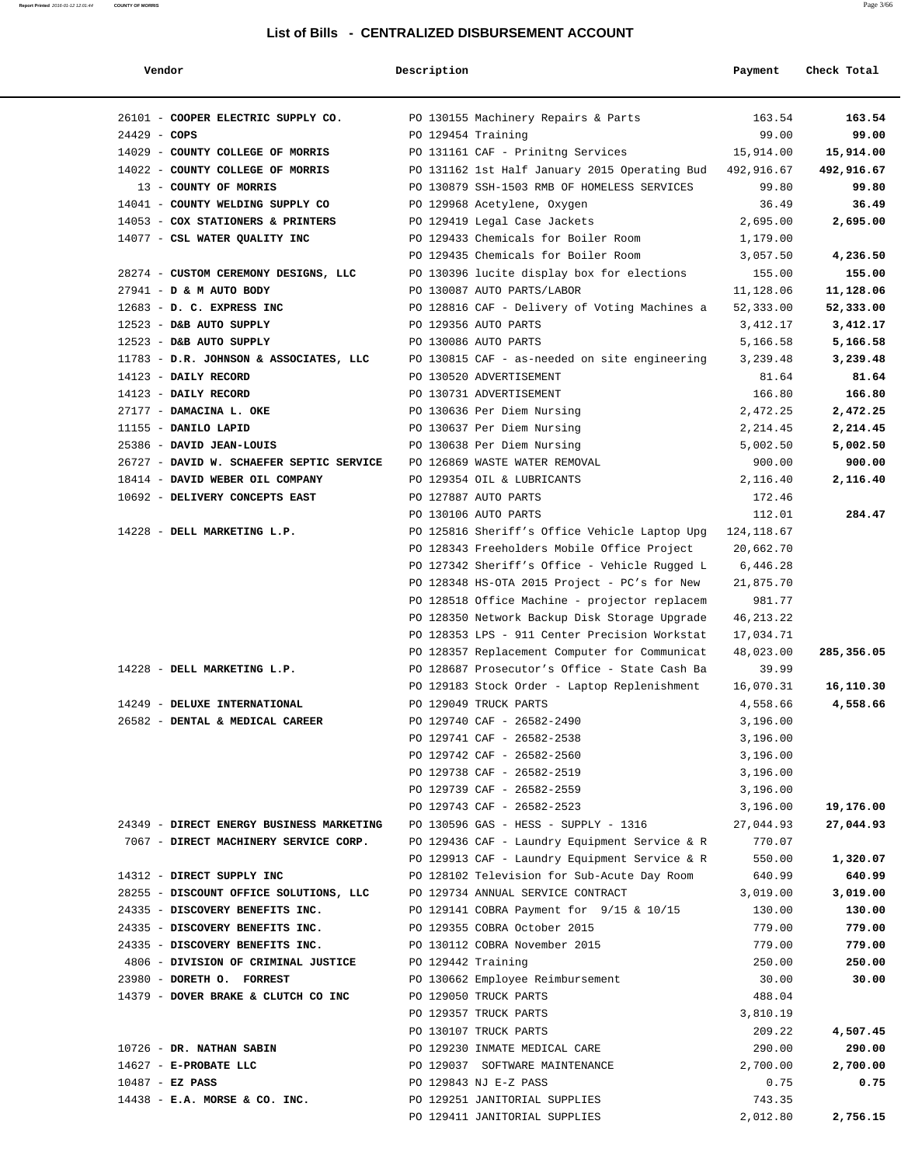| Vendor                                   | Description        |                                               | Payment     | Check Total |
|------------------------------------------|--------------------|-----------------------------------------------|-------------|-------------|
| 26101 - COOPER ELECTRIC SUPPLY CO.       |                    | PO 130155 Machinery Repairs & Parts           | 163.54      | 163.54      |
| $24429 - COPS$                           | PO 129454 Training |                                               | 99.00       | 99.00       |
| 14029 - COUNTY COLLEGE OF MORRIS         |                    | PO 131161 CAF - Prinitng Services             | 15,914.00   | 15,914.00   |
| 14022 - COUNTY COLLEGE OF MORRIS         |                    | PO 131162 1st Half January 2015 Operating Bud | 492,916.67  | 492,916.67  |
| 13 - COUNTY OF MORRIS                    |                    | PO 130879 SSH-1503 RMB OF HOMELESS SERVICES   | 99.80       | 99.80       |
| 14041 - COUNTY WELDING SUPPLY CO         |                    | PO 129968 Acetylene, Oxygen                   | 36.49       | 36.49       |
| 14053 - COX STATIONERS & PRINTERS        |                    | PO 129419 Legal Case Jackets                  | 2,695.00    | 2,695.00    |
| 14077 - CSL WATER QUALITY INC            |                    | PO 129433 Chemicals for Boiler Room           | 1,179.00    |             |
|                                          |                    | PO 129435 Chemicals for Boiler Room           | 3,057.50    | 4,236.50    |
| 28274 - CUSTOM CEREMONY DESIGNS, LLC     |                    | PO 130396 lucite display box for elections    | 155.00      | 155.00      |
| 27941 - D & M AUTO BODY                  |                    | PO 130087 AUTO PARTS/LABOR                    | 11,128.06   | 11,128.06   |
| 12683 - D. C. EXPRESS INC                |                    | PO 128816 CAF - Delivery of Voting Machines a | 52,333.00   | 52,333.00   |
| 12523 - D&B AUTO SUPPLY                  |                    | PO 129356 AUTO PARTS                          | 3,412.17    | 3,412.17    |
| 12523 - D&B AUTO SUPPLY                  |                    | PO 130086 AUTO PARTS                          | 5,166.58    | 5,166.58    |
| 11783 - D.R. JOHNSON & ASSOCIATES, LLC   |                    | PO 130815 CAF - as-needed on site engineering | 3,239.48    | 3,239.48    |
| 14123 - DAILY RECORD                     |                    | PO 130520 ADVERTISEMENT                       | 81.64       | 81.64       |
| 14123 - DAILY RECORD                     |                    | PO 130731 ADVERTISEMENT                       | 166.80      | 166.80      |
| 27177 - DAMACINA L. OKE                  |                    | PO 130636 Per Diem Nursing                    | 2,472.25    | 2,472.25    |
| 11155 - DANILO LAPID                     |                    | PO 130637 Per Diem Nursing                    | 2,214.45    | 2,214.45    |
| 25386 - DAVID JEAN-LOUIS                 |                    | PO 130638 Per Diem Nursing                    | 5,002.50    | 5,002.50    |
| 26727 - DAVID W. SCHAEFER SEPTIC SERVICE |                    | PO 126869 WASTE WATER REMOVAL                 | 900.00      | 900.00      |
| 18414 - DAVID WEBER OIL COMPANY          |                    | PO 129354 OIL & LUBRICANTS                    | 2,116.40    | 2,116.40    |
| 10692 - DELIVERY CONCEPTS EAST           |                    | PO 127887 AUTO PARTS                          | 172.46      |             |
|                                          |                    | PO 130106 AUTO PARTS                          | 112.01      | 284.47      |
| 14228 - DELL MARKETING L.P.              |                    | PO 125816 Sheriff's Office Vehicle Laptop Upg | 124,118.67  |             |
|                                          |                    | PO 128343 Freeholders Mobile Office Project   | 20,662.70   |             |
|                                          |                    | PO 127342 Sheriff's Office - Vehicle Rugged L | 6,446.28    |             |
|                                          |                    | PO 128348 HS-OTA 2015 Project - PC's for New  | 21,875.70   |             |
|                                          |                    | PO 128518 Office Machine - projector replacem | 981.77      |             |
|                                          |                    | PO 128350 Network Backup Disk Storage Upgrade | 46, 213. 22 |             |
|                                          |                    | PO 128353 LPS - 911 Center Precision Workstat | 17,034.71   |             |
|                                          |                    | PO 128357 Replacement Computer for Communicat | 48,023.00   | 285,356.05  |
| 14228 - DELL MARKETING L.P.              |                    | PO 128687 Prosecutor's Office - State Cash Ba | 39.99       |             |
|                                          |                    | PO 129183 Stock Order - Laptop Replenishment  | 16,070.31   | 16,110.30   |
| 14249 - DELUXE INTERNATIONAL             |                    | PO 129049 TRUCK PARTS                         | 4,558.66    | 4,558.66    |
| 26582 - DENTAL & MEDICAL CAREER          |                    | PO 129740 CAF - 26582-2490                    | 3,196.00    |             |
|                                          |                    | PO 129741 CAF - 26582-2538                    | 3,196.00    |             |
|                                          |                    | PO 129742 CAF - 26582-2560                    | 3,196.00    |             |
|                                          |                    | PO 129738 CAF - 26582-2519                    | 3,196.00    |             |
|                                          |                    | PO 129739 CAF - 26582-2559                    | 3,196.00    |             |
|                                          |                    | PO 129743 CAF - 26582-2523                    | 3,196.00    | 19,176.00   |
| 24349 - DIRECT ENERGY BUSINESS MARKETING |                    | PO 130596 GAS - HESS - SUPPLY - 1316          | 27,044.93   | 27,044.93   |
| 7067 - DIRECT MACHINERY SERVICE CORP.    |                    | PO 129436 CAF - Laundry Equipment Service & R | 770.07      |             |
|                                          |                    | PO 129913 CAF - Laundry Equipment Service & R | 550.00      | 1,320.07    |
| 14312 - DIRECT SUPPLY INC                |                    | PO 128102 Television for Sub-Acute Day Room   | 640.99      | 640.99      |
| 28255 - DISCOUNT OFFICE SOLUTIONS, LLC   |                    | PO 129734 ANNUAL SERVICE CONTRACT             | 3,019.00    | 3,019.00    |
| 24335 - DISCOVERY BENEFITS INC.          |                    | PO 129141 COBRA Payment for 9/15 & 10/15      | 130.00      | 130.00      |
| 24335 - DISCOVERY BENEFITS INC.          |                    | PO 129355 COBRA October 2015                  | 779.00      | 779.00      |
| 24335 - DISCOVERY BENEFITS INC.          |                    | PO 130112 COBRA November 2015                 | 779.00      | 779.00      |
| 4806 - DIVISION OF CRIMINAL JUSTICE      | PO 129442 Training |                                               | 250.00      | 250.00      |
| 23980 - DORETH O. FORREST                |                    | PO 130662 Employee Reimbursement              | 30.00       | 30.00       |
| 14379 - DOVER BRAKE & CLUTCH CO INC      |                    | PO 129050 TRUCK PARTS                         | 488.04      |             |
|                                          |                    | PO 129357 TRUCK PARTS                         | 3,810.19    |             |
|                                          |                    | PO 130107 TRUCK PARTS                         | 209.22      | 4,507.45    |
| 10726 - DR. NATHAN SABIN                 |                    | PO 129230 INMATE MEDICAL CARE                 | 290.00      | 290.00      |
| 14627 - E-PROBATE LLC                    |                    | PO 129037 SOFTWARE MAINTENANCE                | 2,700.00    | 2,700.00    |
| $10487 - EZ$ PASS                        |                    | PO 129843 NJ E-Z PASS                         | 0.75        | 0.75        |
| $14438$ - E.A. MORSE & CO. INC.          |                    | PO 129251 JANITORIAL SUPPLIES                 | 743.35      |             |
|                                          |                    | PO 129411 JANITORIAL SUPPLIES                 | 2,012.80    | 2,756.15    |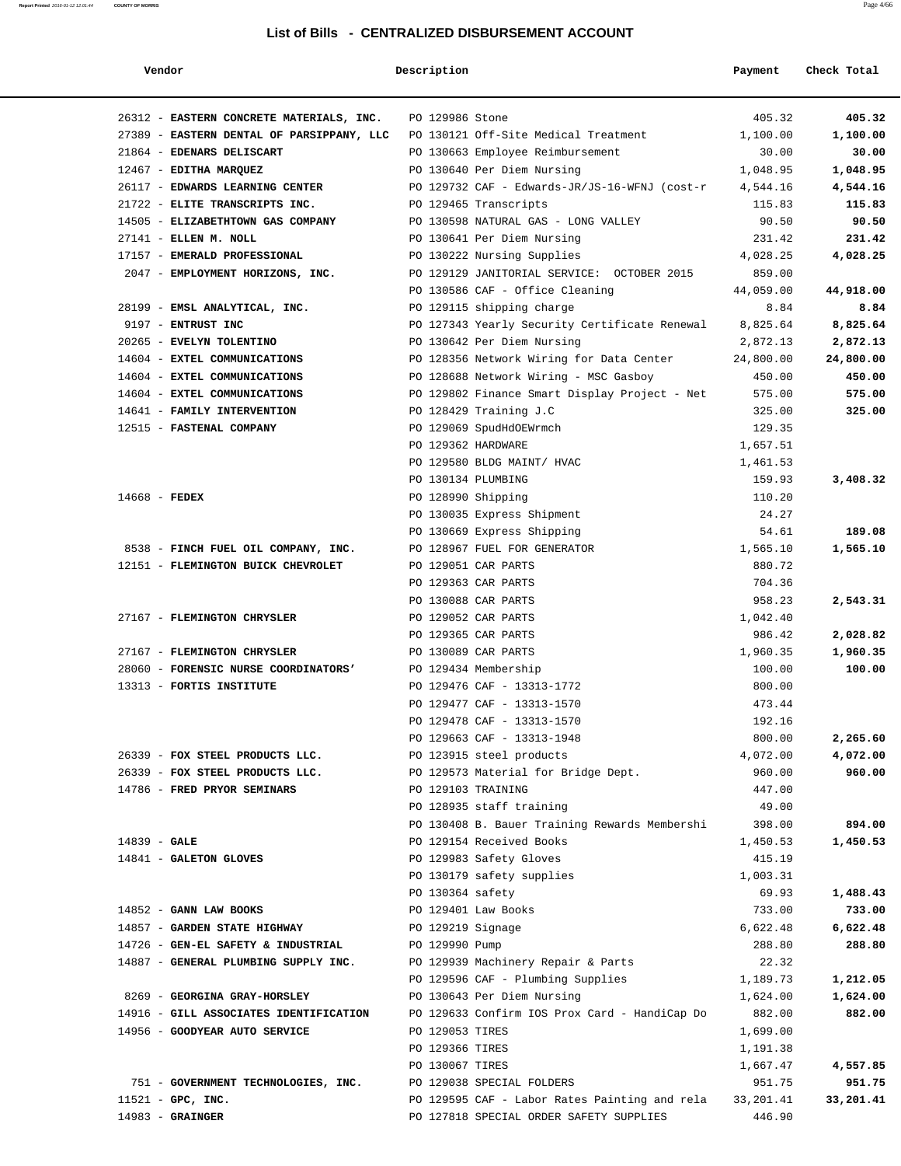| Vendor                                    | Description        |                                               | Payment   | Check Total |
|-------------------------------------------|--------------------|-----------------------------------------------|-----------|-------------|
|                                           |                    |                                               |           |             |
| 26312 - EASTERN CONCRETE MATERIALS, INC.  | PO 129986 Stone    |                                               | 405.32    | 405.32      |
| 27389 - EASTERN DENTAL OF PARSIPPANY, LLC |                    | PO 130121 Off-Site Medical Treatment          | 1,100.00  | 1,100.00    |
| 21864 - EDENARS DELISCART                 |                    | PO 130663 Employee Reimbursement              | 30.00     | 30.00       |
| 12467 - EDITHA MARQUEZ                    |                    | PO 130640 Per Diem Nursing                    | 1,048.95  | 1,048.95    |
| 26117 - EDWARDS LEARNING CENTER           |                    | PO 129732 CAF - Edwards-JR/JS-16-WFNJ (cost-r | 4,544.16  | 4,544.16    |
| 21722 - ELITE TRANSCRIPTS INC.            |                    | PO 129465 Transcripts                         | 115.83    | 115.83      |
| 14505 - ELIZABETHTOWN GAS COMPANY         |                    | PO 130598 NATURAL GAS - LONG VALLEY           | 90.50     | 90.50       |
| 27141 - ELLEN M. NOLL                     |                    | PO 130641 Per Diem Nursing                    | 231.42    | 231.42      |
| 17157 - EMERALD PROFESSIONAL              |                    | PO 130222 Nursing Supplies                    | 4,028.25  | 4,028.25    |
| 2047 - EMPLOYMENT HORIZONS, INC.          |                    | PO 129129 JANITORIAL SERVICE: OCTOBER 2015    | 859.00    |             |
|                                           |                    | PO 130586 CAF - Office Cleaning               | 44,059.00 | 44,918.00   |
| 28199 - EMSL ANALYTICAL, INC.             |                    | PO 129115 shipping charge                     | 8.84      | 8.84        |
| 9197 - ENTRUST INC                        |                    | PO 127343 Yearly Security Certificate Renewal | 8,825.64  | 8,825.64    |
| 20265 - EVELYN TOLENTINO                  |                    | PO 130642 Per Diem Nursing                    | 2,872.13  | 2,872.13    |
| 14604 - EXTEL COMMUNICATIONS              |                    | PO 128356 Network Wiring for Data Center      | 24,800.00 | 24,800.00   |
| 14604 - EXTEL COMMUNICATIONS              |                    | PO 128688 Network Wiring - MSC Gasboy         | 450.00    | 450.00      |
| 14604 - EXTEL COMMUNICATIONS              |                    | PO 129802 Finance Smart Display Project - Net | 575.00    | 575.00      |
| 14641 - FAMILY INTERVENTION               |                    | PO 128429 Training J.C                        | 325.00    | 325.00      |
| 12515 - FASTENAL COMPANY                  |                    | PO 129069 SpudHdOEWrmch                       | 129.35    |             |
|                                           | PO 129362 HARDWARE |                                               | 1,657.51  |             |
|                                           |                    | PO 129580 BLDG MAINT/ HVAC                    | 1,461.53  |             |
|                                           | PO 130134 PLUMBING |                                               | 159.93    | 3,408.32    |
| $14668$ - FEDEX                           | PO 128990 Shipping |                                               | 110.20    |             |
|                                           |                    | PO 130035 Express Shipment                    | 24.27     |             |
|                                           |                    | PO 130669 Express Shipping                    | 54.61     | 189.08      |
| 8538 - FINCH FUEL OIL COMPANY, INC.       |                    | PO 128967 FUEL FOR GENERATOR                  | 1,565.10  | 1,565.10    |
| 12151 - FLEMINGTON BUICK CHEVROLET        |                    | PO 129051 CAR PARTS                           | 880.72    |             |
|                                           |                    | PO 129363 CAR PARTS                           | 704.36    |             |
|                                           |                    | PO 130088 CAR PARTS                           | 958.23    | 2,543.31    |
| 27167 - FLEMINGTON CHRYSLER               |                    | PO 129052 CAR PARTS                           | 1,042.40  |             |
|                                           |                    | PO 129365 CAR PARTS                           | 986.42    | 2,028.82    |
| 27167 - FLEMINGTON CHRYSLER               |                    | PO 130089 CAR PARTS                           | 1,960.35  | 1,960.35    |
| 28060 - FORENSIC NURSE COORDINATORS'      |                    | PO 129434 Membership                          | 100.00    | 100.00      |
| 13313 - FORTIS INSTITUTE                  |                    | PO 129476 CAF - 13313-1772                    | 800.00    |             |
|                                           |                    | PO 129477 CAF - 13313-1570                    | 473.44    |             |
|                                           |                    | PO 129478 CAF - 13313-1570                    | 192.16    |             |
|                                           |                    | PO 129663 CAF - 13313-1948                    | 800.00    | 2,265.60    |
| 26339 - FOX STEEL PRODUCTS LLC.           |                    | PO 123915 steel products                      | 4,072.00  | 4,072.00    |
| 26339 - FOX STEEL PRODUCTS LLC.           |                    | PO 129573 Material for Bridge Dept.           | 960.00    | 960.00      |
| 14786 - FRED PRYOR SEMINARS               | PO 129103 TRAINING |                                               | 447.00    |             |
|                                           |                    | PO 128935 staff training                      | 49.00     |             |
|                                           |                    | PO 130408 B. Bauer Training Rewards Membershi | 398.00    | 894.00      |
| $14839 - GALE$                            |                    | PO 129154 Received Books                      | 1,450.53  | 1,450.53    |
| 14841 - GALETON GLOVES                    |                    | PO 129983 Safety Gloves                       | 415.19    |             |
|                                           |                    | PO 130179 safety supplies                     | 1,003.31  |             |
|                                           | PO 130364 safety   |                                               | 69.93     | 1,488.43    |
| 14852 - GANN LAW BOOKS                    |                    | PO 129401 Law Books                           | 733.00    | 733.00      |
| 14857 - GARDEN STATE HIGHWAY              | PO 129219 Signage  |                                               | 6,622.48  | 6,622.48    |
| 14726 - GEN-EL SAFETY & INDUSTRIAL        | PO 129990 Pump     |                                               | 288.80    | 288.80      |
| 14887 - GENERAL PLUMBING SUPPLY INC.      |                    | PO 129939 Machinery Repair & Parts            | 22.32     |             |
|                                           |                    | PO 129596 CAF - Plumbing Supplies             | 1,189.73  | 1,212.05    |
| 8269 - GEORGINA GRAY-HORSLEY              |                    | PO 130643 Per Diem Nursing                    | 1,624.00  | 1,624.00    |
| 14916 - GILL ASSOCIATES IDENTIFICATION    |                    | PO 129633 Confirm IOS Prox Card - HandiCap Do | 882.00    | 882.00      |
| 14956 - GOODYEAR AUTO SERVICE             | PO 129053 TIRES    |                                               | 1,699.00  |             |
|                                           | PO 129366 TIRES    |                                               | 1,191.38  |             |
|                                           | PO 130067 TIRES    |                                               | 1,667.47  | 4,557.85    |
| 751 - GOVERNMENT TECHNOLOGIES, INC.       |                    | PO 129038 SPECIAL FOLDERS                     | 951.75    | 951.75      |
| $11521$ - GPC, INC.                       |                    | PO 129595 CAF - Labor Rates Painting and rela | 33,201.41 | 33,201.41   |
| $14983$ - GRAINGER                        |                    | PO 127818 SPECIAL ORDER SAFETY SUPPLIES       | 446.90    |             |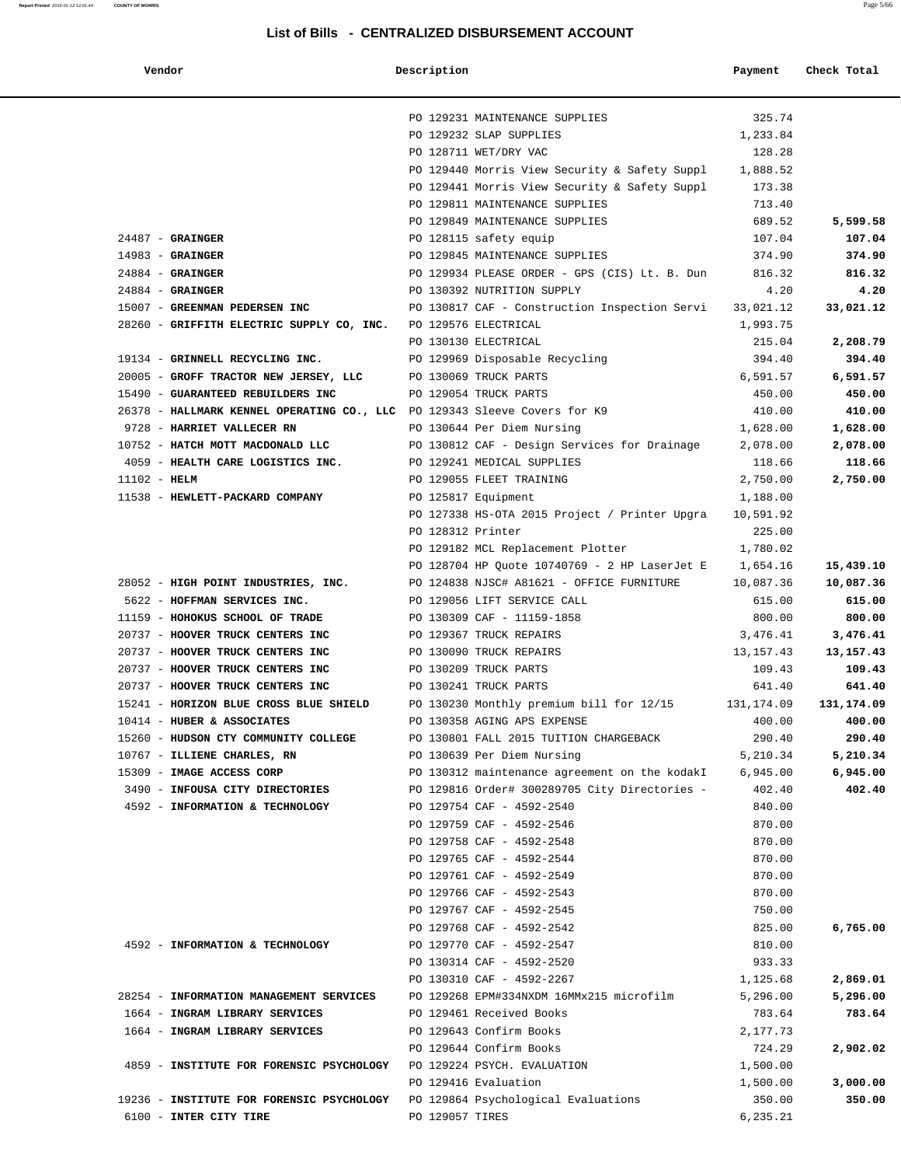| Vendor                                                                        | Description       |                                                                         | Payment              | Check Total          |
|-------------------------------------------------------------------------------|-------------------|-------------------------------------------------------------------------|----------------------|----------------------|
|                                                                               |                   |                                                                         |                      |                      |
|                                                                               |                   | PO 129231 MAINTENANCE SUPPLIES                                          | 325.74               |                      |
|                                                                               |                   | PO 129232 SLAP SUPPLIES                                                 | 1,233.84             |                      |
|                                                                               |                   | PO 128711 WET/DRY VAC                                                   | 128.28               |                      |
|                                                                               |                   | PO 129440 Morris View Security & Safety Suppl                           | 1,888.52             |                      |
|                                                                               |                   | PO 129441 Morris View Security & Safety Suppl                           | 173.38               |                      |
|                                                                               |                   | PO 129811 MAINTENANCE SUPPLIES                                          | 713.40               |                      |
|                                                                               |                   | PO 129849 MAINTENANCE SUPPLIES                                          | 689.52               | 5,599.58             |
| $24487 -$ GRAINGER                                                            |                   | PO 128115 safety equip                                                  | 107.04               | 107.04               |
| $14983$ - GRAINGER                                                            |                   | PO 129845 MAINTENANCE SUPPLIES                                          | 374.90               | 374.90               |
| $24884$ - GRAINGER                                                            |                   | PO 129934 PLEASE ORDER - GPS (CIS) Lt. B. Dun 816.32                    |                      | 816.32               |
| $24884$ - GRAINGER                                                            |                   | PO 130392 NUTRITION SUPPLY                                              | 4.20                 | 4.20                 |
| 15007 - GREENMAN PEDERSEN INC                                                 |                   | PO 130817 CAF - Construction Inspection Servi 33,021.12                 |                      | 33,021.12            |
| 28260 - GRIFFITH ELECTRIC SUPPLY CO, INC. PO 129576 ELECTRICAL                |                   |                                                                         | 1,993.75             |                      |
|                                                                               |                   | PO 130130 ELECTRICAL                                                    | 215.04               | 2,208.79             |
| 19134 - GRINNELL RECYCLING INC.                                               |                   | PO 129969 Disposable Recycling                                          | 394.40               | 394.40               |
| 20005 - GROFF TRACTOR NEW JERSEY, LLC                                         |                   | PO 130069 TRUCK PARTS                                                   | 6,591.57             | 6,591.57             |
| 15490 - GUARANTEED REBUILDERS INC                                             |                   | PO 129054 TRUCK PARTS                                                   | 450.00               | 450.00               |
| 26378 - HALLMARK KENNEL OPERATING CO., LLC PO 129343 Sleeve Covers for K9     |                   |                                                                         | 410.00               | 410.00               |
| 9728 - HARRIET VALLECER RN                                                    |                   | PO 130644 Per Diem Nursing                                              | 1,628.00             | 1,628.00             |
| 10752 - HATCH MOTT MACDONALD LLC                                              |                   | PO 130812 CAF - Design Services for Drainage                            | 2,078.00             | 2,078.00             |
| 4059 - HEALTH CARE LOGISTICS INC.                                             |                   | PO 129241 MEDICAL SUPPLIES                                              | 118.66               | 118.66               |
| $11102 - HELM$                                                                |                   | PO 129055 FLEET TRAINING                                                | 2,750.00             | 2,750.00             |
| 11538 - HEWLETT-PACKARD COMPANY                                               |                   | PO 125817 Equipment                                                     | 1,188.00             |                      |
|                                                                               |                   | PO 127338 HS-OTA 2015 Project / Printer Upgra                           | 10,591.92            |                      |
|                                                                               | PO 128312 Printer |                                                                         | 225.00               |                      |
|                                                                               |                   | PO 129182 MCL Replacement Plotter                                       | 1,780.02             |                      |
|                                                                               |                   | PO 128704 HP Quote 10740769 - 2 HP LaserJet E                           | 1,654.16             | 15,439.10            |
| 28052 - HIGH POINT INDUSTRIES, INC.                                           |                   | PO 124838 NJSC# A81621 - OFFICE FURNITURE                               | 10,087.36            | 10,087.36            |
| 5622 - HOFFMAN SERVICES INC.                                                  |                   | PO 129056 LIFT SERVICE CALL                                             | 615.00               | 615.00               |
| 11159 - HOHOKUS SCHOOL OF TRADE                                               |                   | PO 130309 CAF - 11159-1858                                              | 800.00               | 800.00               |
| 20737 - HOOVER TRUCK CENTERS INC                                              |                   | PO 129367 TRUCK REPAIRS                                                 | 3,476.41             | 3,476.41             |
| 20737 - HOOVER TRUCK CENTERS INC                                              |                   | PO 130090 TRUCK REPAIRS                                                 | 13,157.43            | 13,157.43            |
| 20737 - HOOVER TRUCK CENTERS INC                                              |                   | PO 130209 TRUCK PARTS                                                   | 109.43               | 109.43               |
| 20737 - HOOVER TRUCK CENTERS INC<br>15241 - HORIZON BLUE CROSS BLUE SHIELD    |                   | PO 130241 TRUCK PARTS                                                   | 641.40               | 641.40               |
| 10414 - HUBER & ASSOCIATES                                                    |                   | PO 130230 Monthly premium bill for 12/15<br>PO 130358 AGING APS EXPENSE | 131,174.09<br>400.00 | 131,174.09<br>400.00 |
| 15260 - HUDSON CTY COMMUNITY COLLEGE                                          |                   | PO 130801 FALL 2015 TUITION CHARGEBACK                                  | 290.40               | 290.40               |
| 10767 - ILLIENE CHARLES, RN                                                   |                   | PO 130639 Per Diem Nursing                                              | 5,210.34             | 5,210.34             |
| 15309 - IMAGE ACCESS CORP                                                     |                   | PO 130312 maintenance agreement on the kodakI                           | 6,945.00             | 6,945.00             |
| 3490 - INFOUSA CITY DIRECTORIES                                               |                   | PO 129816 Order# 300289705 City Directories -                           | 402.40               | 402.40               |
| 4592 - INFORMATION & TECHNOLOGY                                               |                   | PO 129754 CAF - 4592-2540                                               | 840.00               |                      |
|                                                                               |                   | PO 129759 CAF - 4592-2546                                               | 870.00               |                      |
|                                                                               |                   | PO 129758 CAF - 4592-2548                                               | 870.00               |                      |
|                                                                               |                   | PO 129765 CAF - 4592-2544                                               | 870.00               |                      |
|                                                                               |                   | PO 129761 CAF - 4592-2549                                               | 870.00               |                      |
|                                                                               |                   | PO 129766 CAF - 4592-2543                                               | 870.00               |                      |
|                                                                               |                   | PO 129767 CAF - 4592-2545                                               | 750.00               |                      |
|                                                                               |                   | PO 129768 CAF - 4592-2542                                               | 825.00               | 6,765.00             |
| 4592 - INFORMATION & TECHNOLOGY                                               |                   | PO 129770 CAF - 4592-2547                                               | 810.00               |                      |
|                                                                               |                   | PO 130314 CAF - 4592-2520                                               | 933.33               |                      |
|                                                                               |                   | PO 130310 CAF - 4592-2267                                               | 1,125.68             | 2,869.01             |
| 28254 - INFORMATION MANAGEMENT SERVICES                                       |                   | PO 129268 EPM#334NXDM 16MMx215 microfilm                                | 5,296.00             | 5,296.00             |
| 1664 - INGRAM LIBRARY SERVICES                                                |                   | PO 129461 Received Books                                                | 783.64               | 783.64               |
| 1664 - INGRAM LIBRARY SERVICES                                                |                   | PO 129643 Confirm Books                                                 | 2,177.73             |                      |
|                                                                               |                   | PO 129644 Confirm Books                                                 | 724.29               | 2,902.02             |
| 4859 - INSTITUTE FOR FORENSIC PSYCHOLOGY PO 129224 PSYCH. EVALUATION          |                   |                                                                         | 1,500.00             |                      |
|                                                                               |                   | PO 129416 Evaluation                                                    | 1,500.00             | 3,000.00             |
| 19236 - INSTITUTE FOR FORENSIC PSYCHOLOGY PO 129864 Psychological Evaluations |                   |                                                                         | 350.00               | 350.00               |
| 6100 - INTER CITY TIRE                                                        | PO 129057 TIRES   |                                                                         | 6,235.21             |                      |
|                                                                               |                   |                                                                         |                      |                      |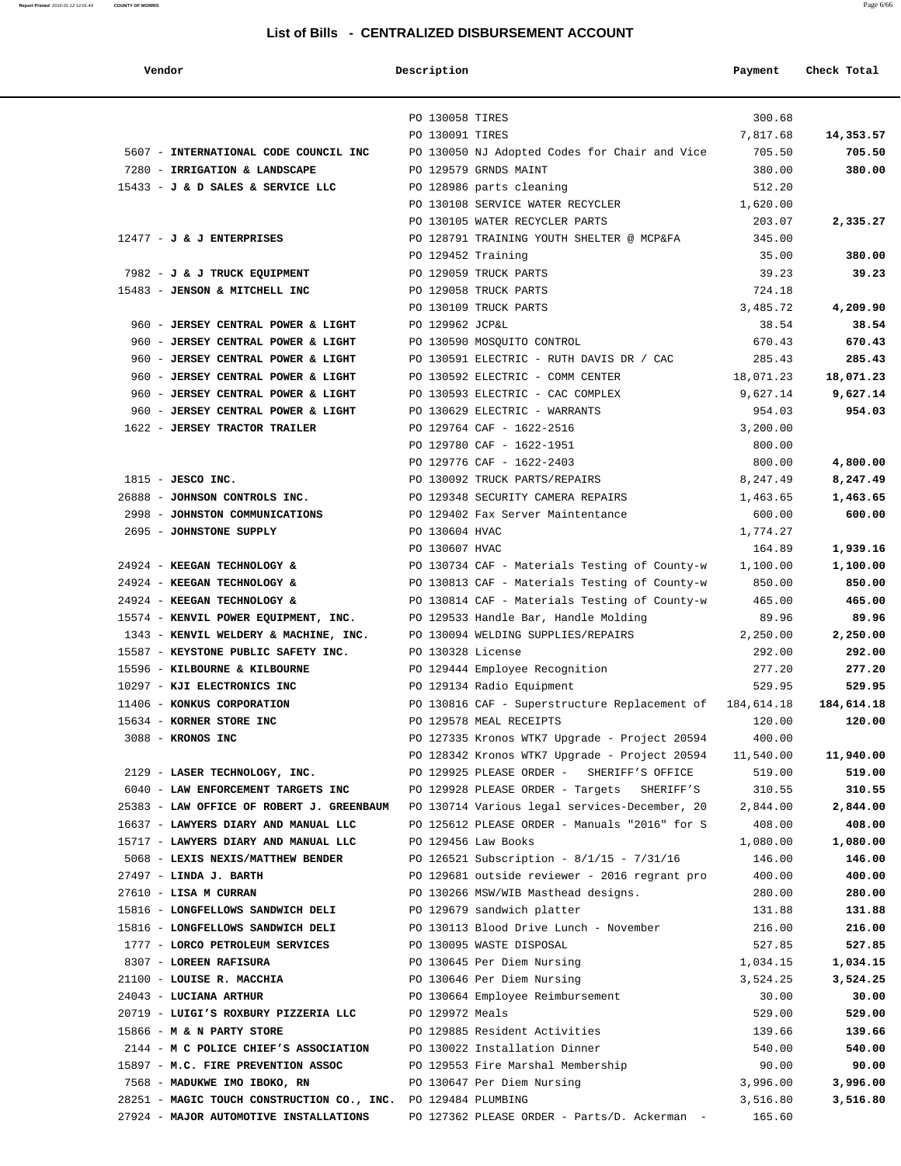| Vendor |  |  |
|--------|--|--|
|        |  |  |

| Vendor                                                                       | Description        |                                                                                                | Payment              | Check Total          |
|------------------------------------------------------------------------------|--------------------|------------------------------------------------------------------------------------------------|----------------------|----------------------|
|                                                                              |                    |                                                                                                |                      |                      |
|                                                                              | PO 130058 TIRES    |                                                                                                | 300.68               |                      |
|                                                                              | PO 130091 TIRES    |                                                                                                | 7,817.68             | 14,353.57            |
| 5607 - INTERNATIONAL CODE COUNCIL INC                                        |                    | PO 130050 NJ Adopted Codes for Chair and Vice                                                  | 705.50               | 705.50               |
| 7280 - IRRIGATION & LANDSCAPE                                                |                    | PO 129579 GRNDS MAINT                                                                          | 380.00               | 380.00               |
| 15433 - J & D SALES & SERVICE LLC                                            |                    | PO 128986 parts cleaning                                                                       | 512.20               |                      |
|                                                                              |                    | PO 130108 SERVICE WATER RECYCLER                                                               | 1,620.00             |                      |
|                                                                              |                    | PO 130105 WATER RECYCLER PARTS                                                                 | 203.07               | 2,335.27             |
| $12477 - J$ & J ENTERPRISES                                                  |                    | PO 128791 TRAINING YOUTH SHELTER @ MCP&FA                                                      | 345.00               |                      |
|                                                                              | PO 129452 Training |                                                                                                | 35.00                | 380.00               |
| 7982 - J & J TRUCK EQUIPMENT                                                 |                    | PO 129059 TRUCK PARTS                                                                          | 39.23                | 39.23                |
| 15483 - JENSON & MITCHELL INC                                                |                    | PO 129058 TRUCK PARTS                                                                          | 724.18               |                      |
|                                                                              |                    | PO 130109 TRUCK PARTS                                                                          | 3,485.72             | 4,209.90             |
| 960 - JERSEY CENTRAL POWER & LIGHT                                           | PO 129962 JCP&L    |                                                                                                | 38.54                | 38.54                |
| 960 - JERSEY CENTRAL POWER & LIGHT                                           |                    | PO 130590 MOSQUITO CONTROL                                                                     | 670.43               | 670.43               |
| 960 - JERSEY CENTRAL POWER & LIGHT                                           |                    | PO 130591 ELECTRIC - RUTH DAVIS DR / CAC                                                       | 285.43               | 285.43               |
| 960 - JERSEY CENTRAL POWER & LIGHT                                           |                    | PO 130592 ELECTRIC - COMM CENTER                                                               | 18,071.23            | 18,071.23            |
| 960 - JERSEY CENTRAL POWER & LIGHT                                           |                    | PO 130593 ELECTRIC - CAC COMPLEX                                                               | 9,627.14             | 9,627.14             |
| 960 - JERSEY CENTRAL POWER & LIGHT                                           |                    | PO 130629 ELECTRIC - WARRANTS                                                                  | 954.03               | 954.03               |
| 1622 - JERSEY TRACTOR TRAILER                                                |                    | PO 129764 CAF - 1622-2516                                                                      | 3,200.00             |                      |
|                                                                              |                    | PO 129780 CAF - 1622-1951                                                                      | 800.00               |                      |
| $1815$ - JESCO INC.                                                          |                    | PO 129776 CAF - 1622-2403<br>PO 130092 TRUCK PARTS/REPAIRS                                     | 800.00               | 4,800.00             |
| 26888 - JOHNSON CONTROLS INC.                                                |                    | PO 129348 SECURITY CAMERA REPAIRS                                                              | 8,247.49<br>1,463.65 | 8,247.49<br>1,463.65 |
| 2998 - JOHNSTON COMMUNICATIONS                                               |                    | PO 129402 Fax Server Maintentance                                                              | 600.00               | 600.00               |
| 2695 - JOHNSTONE SUPPLY                                                      | PO 130604 HVAC     |                                                                                                | 1,774.27             |                      |
|                                                                              | PO 130607 HVAC     |                                                                                                | 164.89               | 1,939.16             |
| 24924 - KEEGAN TECHNOLOGY &                                                  |                    | PO 130734 CAF - Materials Testing of County-w                                                  | 1,100.00             | 1,100.00             |
| 24924 - KEEGAN TECHNOLOGY &                                                  |                    | PO 130813 CAF - Materials Testing of County-w                                                  | 850.00               | 850.00               |
| 24924 - KEEGAN TECHNOLOGY &                                                  |                    | PO 130814 CAF - Materials Testing of County-w                                                  | 465.00               | 465.00               |
| 15574 - KENVIL POWER EQUIPMENT, INC.                                         |                    | PO 129533 Handle Bar, Handle Molding                                                           | 89.96                | 89.96                |
| 1343 - KENVIL WELDERY & MACHINE, INC.                                        |                    | PO 130094 WELDING SUPPLIES/REPAIRS                                                             | 2,250.00             | 2,250.00             |
| 15587 - KEYSTONE PUBLIC SAFETY INC.                                          | PO 130328 License  |                                                                                                | 292.00               | 292.00               |
| 15596 - KILBOURNE & KILBOURNE                                                |                    | PO 129444 Employee Recognition                                                                 | 277.20               | 277.20               |
| 10297 - KJI ELECTRONICS INC                                                  |                    | PO 129134 Radio Equipment                                                                      | 529.95               | 529.95               |
| 11406 - KONKUS CORPORATION                                                   |                    | PO 130816 CAF - Superstructure Replacement of 184,614.18                                       |                      | 184,614.18           |
| 15634 - KORNER STORE INC                                                     |                    | PO 129578 MEAL RECEIPTS                                                                        | 120.00               | 120.00               |
| 3088 - KRONOS INC                                                            |                    | PO 127335 Kronos WTK7 Upgrade - Project 20594                                                  | 400.00               |                      |
|                                                                              |                    | PO 128342 Kronos WTK7 Upgrade - Project 20594                                                  | 11,540.00            | 11,940.00            |
| 2129 - LASER TECHNOLOGY, INC.                                                |                    | PO 129925 PLEASE ORDER - SHERIFF'S OFFICE                                                      | 519.00               | 519.00               |
| 6040 - LAW ENFORCEMENT TARGETS INC                                           |                    | PO 129928 PLEASE ORDER - Targets SHERIFF'S                                                     | 310.55               | 310.55               |
| 25383 - LAW OFFICE OF ROBERT J. GREENBAUM                                    |                    | PO 130714 Various legal services-December, 20<br>PO 125612 PLEASE ORDER - Manuals "2016" for S | 2,844.00<br>408.00   | 2,844.00<br>408.00   |
| 16637 - LAWYERS DIARY AND MANUAL LLC<br>15717 - LAWYERS DIARY AND MANUAL LLC |                    | PO 129456 Law Books                                                                            | 1,080.00             | 1,080.00             |
| 5068 - LEXIS NEXIS/MATTHEW BENDER                                            |                    | PO 126521 Subscription - 8/1/15 - 7/31/16                                                      | 146.00               | 146.00               |
| $27497$ - LINDA J. BARTH                                                     |                    | PO 129681 outside reviewer - 2016 regrant pro                                                  | 400.00               | 400.00               |
| 27610 - LISA M CURRAN                                                        |                    | PO 130266 MSW/WIB Masthead designs.                                                            | 280.00               | 280.00               |
| 15816 - LONGFELLOWS SANDWICH DELI                                            |                    | PO 129679 sandwich platter                                                                     | 131.88               | 131.88               |
| 15816 - LONGFELLOWS SANDWICH DELI                                            |                    | PO 130113 Blood Drive Lunch - November                                                         | 216.00               | 216.00               |
| 1777 - LORCO PETROLEUM SERVICES                                              |                    | PO 130095 WASTE DISPOSAL                                                                       | 527.85               | 527.85               |
| 8307 - LOREEN RAFISURA                                                       |                    | PO 130645 Per Diem Nursing                                                                     | 1,034.15             | 1,034.15             |
| 21100 - LOUISE R. MACCHIA                                                    |                    | PO 130646 Per Diem Nursing                                                                     | 3,524.25             | 3,524.25             |
| 24043 - LUCIANA ARTHUR                                                       |                    | PO 130664 Employee Reimbursement                                                               | 30.00                | 30.00                |
| 20719 - LUIGI'S ROXBURY PIZZERIA LLC                                         | PO 129972 Meals    |                                                                                                | 529.00               | 529.00               |
| 15866 - M & N PARTY STORE                                                    |                    | PO 129885 Resident Activities                                                                  | 139.66               | 139.66               |
| 2144 - M C POLICE CHIEF'S ASSOCIATION                                        |                    | PO 130022 Installation Dinner                                                                  | 540.00               | 540.00               |
| 15897 - M.C. FIRE PREVENTION ASSOC                                           |                    | PO 129553 Fire Marshal Membership                                                              | 90.00                | 90.00                |
| 7568 - MADUKWE IMO IBOKO, RN                                                 |                    | PO 130647 Per Diem Nursing                                                                     | 3,996.00             | 3,996.00             |
| 28251 - MAGIC TOUCH CONSTRUCTION CO., INC. PO 129484 PLUMBING                |                    |                                                                                                | 3,516.80             | 3,516.80             |
| 27924 - MAJOR AUTOMOTIVE INSTALLATIONS                                       |                    | PO 127362 PLEASE ORDER - Parts/D. Ackerman -                                                   | 165.60               |                      |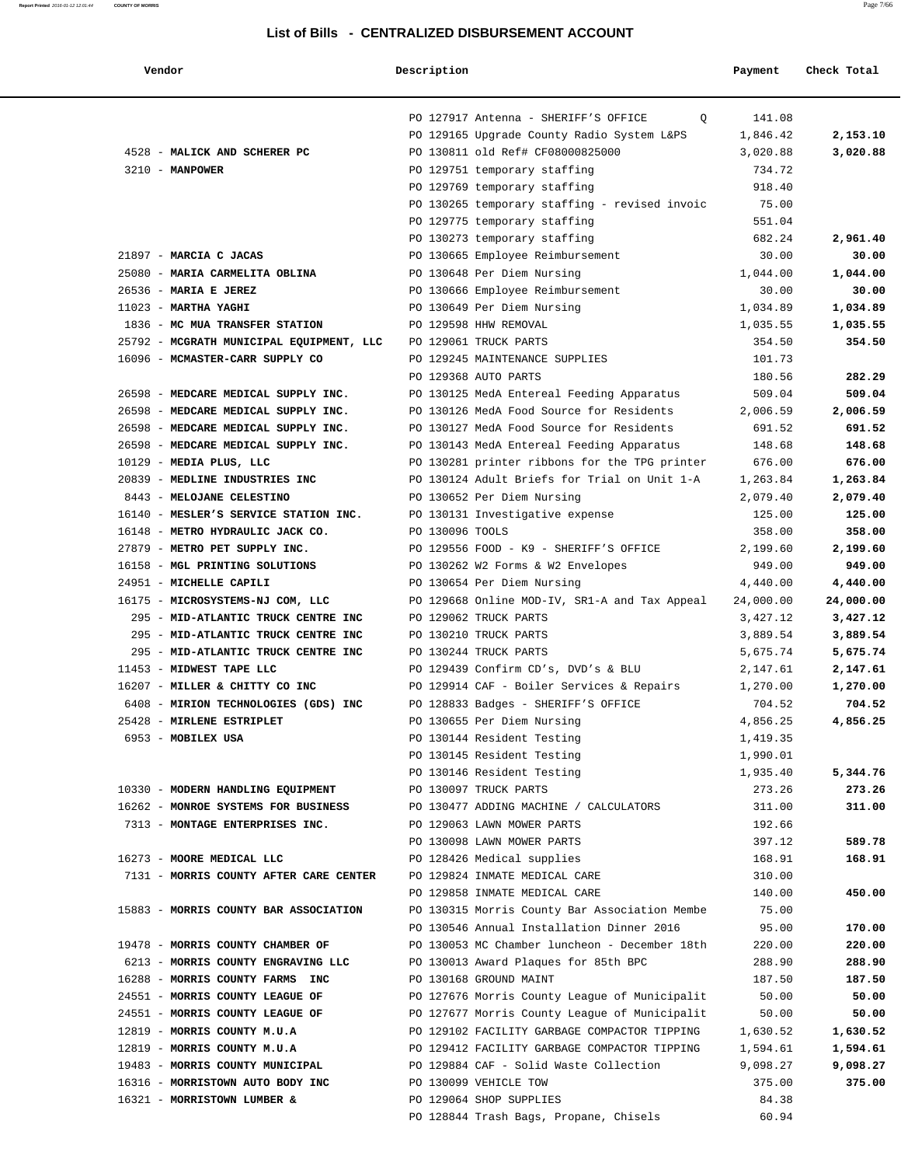**Description** Payment Check Total

|--|--|

|                                                                     | PO 127917 Antenna - SHERIFF'S OFFICE<br>$\circ$                                  | 141.08               |                      |
|---------------------------------------------------------------------|----------------------------------------------------------------------------------|----------------------|----------------------|
|                                                                     | PO 129165 Upgrade County Radio System L&PS                                       | 1,846.42             | 2,153.10             |
| 4528 - MALICK AND SCHERER PC<br>$3210 - MANPOWER$                   | PO 130811 old Ref# CF08000825000                                                 | 3,020.88             | 3,020.88             |
|                                                                     | PO 129751 temporary staffing<br>PO 129769 temporary staffing                     | 734.72<br>918.40     |                      |
|                                                                     | PO 130265 temporary staffing - revised invoic                                    | 75.00                |                      |
|                                                                     | PO 129775 temporary staffing                                                     | 551.04               |                      |
|                                                                     | PO 130273 temporary staffing                                                     | 682.24               | 2,961.40             |
| 21897 - MARCIA C JACAS                                              | PO 130665 Employee Reimbursement                                                 | 30.00                | 30.00                |
| 25080 - MARIA CARMELITA OBLINA                                      | PO 130648 Per Diem Nursing                                                       | 1,044.00             | 1,044.00             |
| 26536 - MARIA E JEREZ                                               | PO 130666 Employee Reimbursement                                                 | 30.00                | 30.00                |
| $11023$ - MARTHA YAGHI                                              | PO 130649 Per Diem Nursing                                                       | 1,034.89             | 1,034.89             |
| 1836 - MC MUA TRANSFER STATION                                      | PO 129598 HHW REMOVAL                                                            | 1,035.55             | 1,035.55             |
| 25792 - MCGRATH MUNICIPAL EQUIPMENT, LLC                            | PO 129061 TRUCK PARTS                                                            | 354.50               | 354.50               |
| 16096 - MCMASTER-CARR SUPPLY CO                                     | PO 129245 MAINTENANCE SUPPLIES                                                   | 101.73               |                      |
|                                                                     | PO 129368 AUTO PARTS                                                             | 180.56               | 282.29               |
| 26598 - MEDCARE MEDICAL SUPPLY INC.                                 | PO 130125 MedA Entereal Feeding Apparatus                                        | 509.04               | 509.04               |
| 26598 - MEDCARE MEDICAL SUPPLY INC.                                 | PO 130126 MedA Food Source for Residents                                         | 2,006.59             | 2,006.59             |
| 26598 - MEDCARE MEDICAL SUPPLY INC.                                 | PO 130127 MedA Food Source for Residents                                         | 691.52               | 691.52               |
| 26598 - MEDCARE MEDICAL SUPPLY INC.                                 | PO 130143 MedA Entereal Feeding Apparatus                                        | 148.68               | 148.68               |
| 10129 - MEDIA PLUS, LLC                                             | PO 130281 printer ribbons for the TPG printer                                    | 676.00               | 676.00               |
| 20839 - MEDLINE INDUSTRIES INC                                      | PO 130124 Adult Briefs for Trial on Unit 1-A                                     | 1,263.84             | 1,263.84             |
| 8443 - MELOJANE CELESTINO                                           | PO 130652 Per Diem Nursing                                                       | 2,079.40             | 2,079.40             |
| 16140 - MESLER'S SERVICE STATION INC.                               | PO 130131 Investigative expense                                                  | 125.00               | 125.00               |
| 16148 - METRO HYDRAULIC JACK CO.                                    | PO 130096 TOOLS                                                                  | 358.00               | 358.00               |
| 27879 - METRO PET SUPPLY INC.                                       | PO 129556 FOOD - K9 - SHERIFF'S OFFICE                                           | 2,199.60             | 2,199.60             |
| 16158 - MGL PRINTING SOLUTIONS                                      | PO 130262 W2 Forms & W2 Envelopes                                                | 949.00               | 949.00               |
| 24951 - MICHELLE CAPILI                                             | PO 130654 Per Diem Nursing                                                       | 4,440.00             | 4,440.00             |
| 16175 - MICROSYSTEMS-NJ COM, LLC                                    | PO 129668 Online MOD-IV, SR1-A and Tax Appeal                                    | 24,000.00            | 24,000.00            |
| 295 - MID-ATLANTIC TRUCK CENTRE INC                                 | PO 129062 TRUCK PARTS                                                            | 3,427.12             | 3,427.12             |
| 295 - MID-ATLANTIC TRUCK CENTRE INC                                 | PO 130210 TRUCK PARTS                                                            | 3,889.54             | 3,889.54             |
| 295 - MID-ATLANTIC TRUCK CENTRE INC<br>11453 - MIDWEST TAPE LLC     | PO 130244 TRUCK PARTS                                                            | 5,675.74<br>2,147.61 | 5,675.74             |
| 16207 - MILLER & CHITTY CO INC                                      | PO 129439 Confirm CD's, DVD's & BLU<br>PO 129914 CAF - Boiler Services & Repairs | 1,270.00             | 2,147.61<br>1,270.00 |
| 6408 - MIRION TECHNOLOGIES (GDS) INC                                | PO 128833 Badges - SHERIFF'S OFFICE                                              | 704.52               | 704.52               |
| 25428 - MIRLENE ESTRIPLET                                           | PO 130655 Per Diem Nursing                                                       | 4,856.25             | 4,856.25             |
| 6953 - MOBILEX USA                                                  | PO 130144 Resident Testing                                                       | 1,419.35             |                      |
|                                                                     | PO 130145 Resident Testing                                                       | 1,990.01             |                      |
|                                                                     | PO 130146 Resident Testing                                                       | 1,935.40             | 5,344.76             |
| 10330 - MODERN HANDLING EQUIPMENT                                   | PO 130097 TRUCK PARTS                                                            | 273.26               | 273.26               |
| 16262 - MONROE SYSTEMS FOR BUSINESS                                 | PO 130477 ADDING MACHINE / CALCULATORS                                           | 311.00               | 311.00               |
| 7313 - MONTAGE ENTERPRISES INC.                                     | PO 129063 LAWN MOWER PARTS                                                       | 192.66               |                      |
|                                                                     | PO 130098 LAWN MOWER PARTS                                                       | 397.12               | 589.78               |
| 16273 - MOORE MEDICAL LLC                                           | PO 128426 Medical supplies                                                       | 168.91               | 168.91               |
| 7131 - MORRIS COUNTY AFTER CARE CENTER                              | PO 129824 INMATE MEDICAL CARE                                                    | 310.00               |                      |
|                                                                     | PO 129858 INMATE MEDICAL CARE                                                    | 140.00               | 450.00               |
| 15883 - MORRIS COUNTY BAR ASSOCIATION                               | PO 130315 Morris County Bar Association Membe                                    | 75.00                |                      |
|                                                                     | PO 130546 Annual Installation Dinner 2016                                        | 95.00                | 170.00               |
| 19478 - MORRIS COUNTY CHAMBER OF                                    | PO 130053 MC Chamber luncheon - December 18th                                    | 220.00               | 220.00               |
| 6213 - MORRIS COUNTY ENGRAVING LLC                                  | PO 130013 Award Plaques for 85th BPC                                             | 288.90               | 288.90               |
| 16288 - MORRIS COUNTY FARMS INC                                     | PO 130168 GROUND MAINT                                                           | 187.50               | 187.50               |
| 24551 - MORRIS COUNTY LEAGUE OF                                     | PO 127676 Morris County League of Municipalit                                    | 50.00                | 50.00                |
| 24551 - MORRIS COUNTY LEAGUE OF                                     | PO 127677 Morris County League of Municipalit                                    | 50.00                | 50.00                |
| 12819 - MORRIS COUNTY M.U.A                                         | PO 129102 FACILITY GARBAGE COMPACTOR TIPPING                                     | 1,630.52             | 1,630.52             |
| 12819 - MORRIS COUNTY M.U.A                                         | PO 129412 FACILITY GARBAGE COMPACTOR TIPPING                                     | 1,594.61             | 1,594.61             |
| 19483 - MORRIS COUNTY MUNICIPAL<br>16316 - MORRISTOWN AUTO BODY INC | PO 129884 CAF - Solid Waste Collection<br>PO 130099 VEHICLE TOW                  | 9,098.27<br>375.00   | 9,098.27<br>375.00   |
| 16321 - MORRISTOWN LUMBER &                                         | PO 129064 SHOP SUPPLIES                                                          | 84.38                |                      |
|                                                                     | PO 128844 Trash Bags, Propane, Chisels                                           | 60.94                |                      |
|                                                                     |                                                                                  |                      |                      |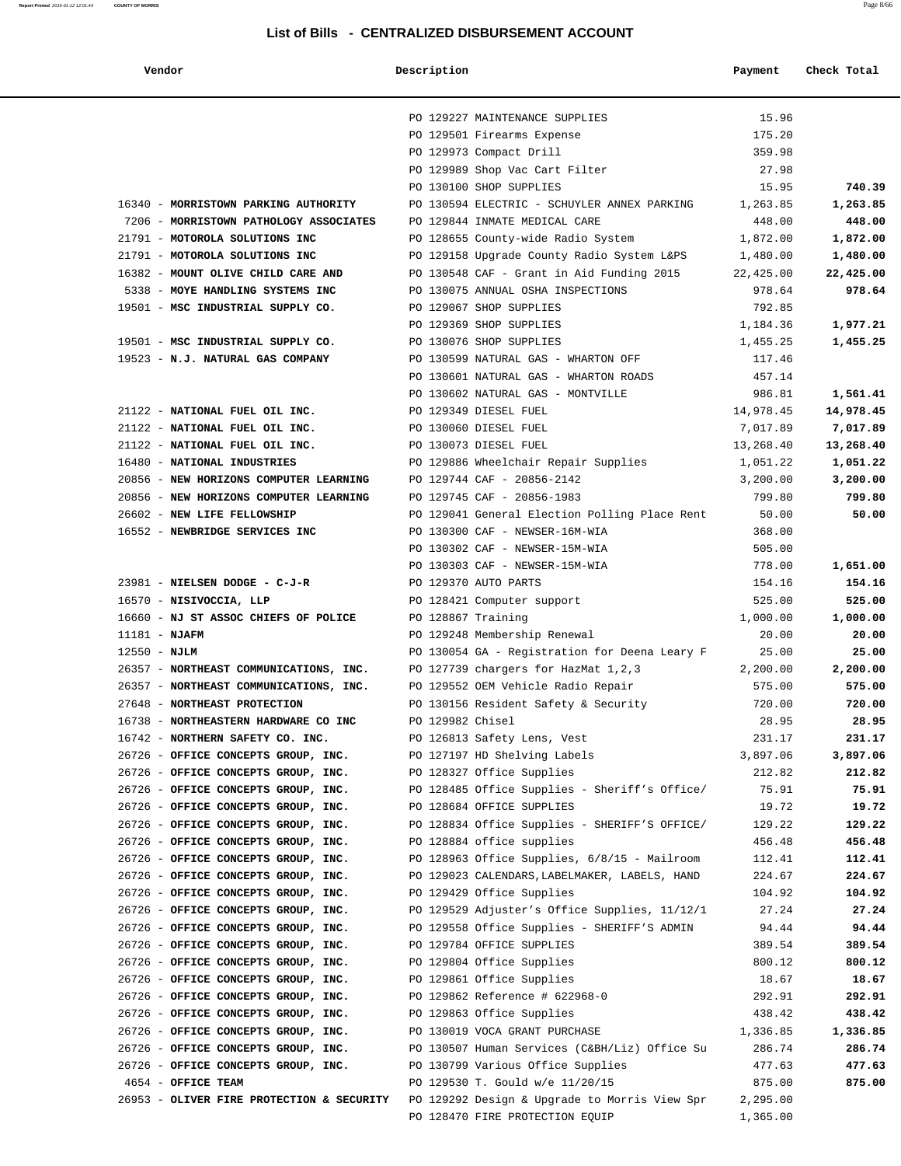**Vendor Description Payment Check Total**

|                                                                            | PO 129227 MAINTENANCE SUPPLIES                                                          | 15.96                                          |
|----------------------------------------------------------------------------|-----------------------------------------------------------------------------------------|------------------------------------------------|
|                                                                            | PO 129501 Firearms Expense                                                              | 175.20                                         |
|                                                                            | PO 129973 Compact Drill                                                                 | 359.98                                         |
|                                                                            | PO 129989 Shop Vac Cart Filter                                                          | 27.98                                          |
|                                                                            | PO 130100 SHOP SUPPLIES                                                                 | 15.95<br>740.39                                |
| 16340 - MORRISTOWN PARKING AUTHORITY                                       | PO 130594 ELECTRIC - SCHUYLER ANNEX PARKING 1,263.85                                    | 1,263.85                                       |
| 7206 - MORRISTOWN PATHOLOGY ASSOCIATES                                     | PO 129844 INMATE MEDICAL CARE                                                           | 448.00<br>448.00                               |
| 21791 - MOTOROLA SOLUTIONS INC<br>21791 - MOTOROLA SOLUTIONS INC           | PO 128655 County-wide Radio System                                                      | 1,872.00<br>1,872.00                           |
| 16382 - MOUNT OLIVE CHILD CARE AND                                         | PO 129158 Upgrade County Radio System L&PS<br>PO 130548 CAF - Grant in Aid Funding 2015 | 1,480.00<br>1,480.00<br>22,425.00<br>22,425.00 |
| 5338 - MOYE HANDLING SYSTEMS INC                                           | PO 130075 ANNUAL OSHA INSPECTIONS                                                       | 978.64<br>978.64                               |
| 19501 - MSC INDUSTRIAL SUPPLY CO.                                          | PO 129067 SHOP SUPPLIES                                                                 | 792.85                                         |
|                                                                            | PO 129369 SHOP SUPPLIES                                                                 | 1,977.21<br>1,184.36                           |
| 19501 - MSC INDUSTRIAL SUPPLY CO.                                          | PO 130076 SHOP SUPPLIES                                                                 | 1,455.25<br>1,455.25                           |
| 19523 - N.J. NATURAL GAS COMPANY                                           | PO 130599 NATURAL GAS - WHARTON OFF                                                     | 117.46                                         |
|                                                                            | PO 130601 NATURAL GAS - WHARTON ROADS                                                   | 457.14                                         |
|                                                                            | PO 130602 NATURAL GAS - MONTVILLE                                                       | 986.81<br>1,561.41                             |
| 21122 - NATIONAL FUEL OIL INC.                                             | PO 129349 DIESEL FUEL                                                                   | 14,978.45<br>14,978.45                         |
| 21122 - NATIONAL FUEL OIL INC.                                             | PO 130060 DIESEL FUEL                                                                   | 7,017.89<br>7,017.89                           |
| 21122 - NATIONAL FUEL OIL INC.                                             | PO 130073 DIESEL FUEL                                                                   | 13,268.40<br>13,268.40                         |
| 16480 - NATIONAL INDUSTRIES                                                | PO 129886 Wheelchair Repair Supplies                                                    | 1,051.22<br>1,051.22                           |
| 20856 - NEW HORIZONS COMPUTER LEARNING                                     | PO 129744 CAF - 20856-2142                                                              | 3,200.00<br>3,200.00                           |
| 20856 - NEW HORIZONS COMPUTER LEARNING                                     | PO 129745 CAF - 20856-1983                                                              | 799.80<br>799.80                               |
| 26602 - NEW LIFE FELLOWSHIP<br>16552 - NEWBRIDGE SERVICES INC              | PO 129041 General Election Polling Place Rent<br>PO 130300 CAF - NEWSER-16M-WIA         | 50.00<br>50.00<br>368.00                       |
|                                                                            | PO 130302 CAF - NEWSER-15M-WIA                                                          | 505.00                                         |
|                                                                            | PO 130303 CAF - NEWSER-15M-WIA                                                          | 778.00<br>1,651.00                             |
| 23981 - NIELSEN DODGE - C-J-R                                              | PO 129370 AUTO PARTS                                                                    | 154.16<br>154.16                               |
| 16570 - NISIVOCCIA, LLP                                                    | PO 128421 Computer support                                                              | 525.00<br>525.00                               |
| 16660 - NJ ST ASSOC CHIEFS OF POLICE                                       | PO 128867 Training                                                                      | 1,000.00<br>1,000.00                           |
| $11181 - NJAFM$                                                            | PO 129248 Membership Renewal                                                            | 20.00<br>20.00                                 |
| $12550 - NJLM$                                                             | PO 130054 GA - Registration for Deena Leary F                                           | 25.00<br>25.00                                 |
| 26357 - NORTHEAST COMMUNICATIONS, INC.                                     | PO 127739 chargers for HazMat 1,2,3                                                     | 2,200.00<br>2,200.00                           |
| 26357 - NORTHEAST COMMUNICATIONS, INC.                                     | PO 129552 OEM Vehicle Radio Repair                                                      | 575.00<br>575.00                               |
| 27648 - NORTHEAST PROTECTION                                               | PO 130156 Resident Safety & Security                                                    | 720.00<br>720.00                               |
| 16738 - NORTHEASTERN HARDWARE CO INC                                       | PO 129982 Chisel                                                                        | 28.95<br>28.95                                 |
| 16742 - NORTHERN SAFETY CO. INC.                                           | PO 126813 Safety Lens, Vest                                                             | 231.17<br>231.17                               |
| 26726 - OFFICE CONCEPTS GROUP, INC.                                        | PO 127197 HD Shelving Labels                                                            | 3,897.06<br>3,897.06                           |
| 26726 - OFFICE CONCEPTS GROUP, INC.                                        | PO 128327 Office Supplies                                                               | 212.82<br>212.82                               |
| 26726 - OFFICE CONCEPTS GROUP, INC.<br>26726 - OFFICE CONCEPTS GROUP, INC. | PO 128485 Office Supplies - Sheriff's Office/<br>PO 128684 OFFICE SUPPLIES              | 75.91<br>75.91<br>19.72<br>19.72               |
| 26726 - OFFICE CONCEPTS GROUP, INC.                                        | PO 128834 Office Supplies - SHERIFF'S OFFICE/                                           | 129.22<br>129.22                               |
| 26726 - OFFICE CONCEPTS GROUP, INC.                                        | PO 128884 office supplies                                                               | 456.48<br>456.48                               |
| 26726 - OFFICE CONCEPTS GROUP, INC.                                        | PO 128963 Office Supplies, 6/8/15 - Mailroom                                            | 112.41<br>112.41                               |
| 26726 - OFFICE CONCEPTS GROUP, INC.                                        | PO 129023 CALENDARS, LABELMAKER, LABELS, HAND                                           | 224.67<br>224.67                               |
| 26726 - OFFICE CONCEPTS GROUP, INC.                                        | PO 129429 Office Supplies                                                               | 104.92<br>104.92                               |
| 26726 - OFFICE CONCEPTS GROUP, INC.                                        | PO 129529 Adjuster's Office Supplies, 11/12/1                                           | 27.24<br>27.24                                 |
| 26726 - OFFICE CONCEPTS GROUP, INC.                                        | PO 129558 Office Supplies - SHERIFF'S ADMIN                                             | 94.44<br>94.44                                 |
| 26726 - OFFICE CONCEPTS GROUP, INC.                                        | PO 129784 OFFICE SUPPLIES                                                               | 389.54<br>389.54                               |
| 26726 - OFFICE CONCEPTS GROUP, INC.                                        | PO 129804 Office Supplies                                                               | 800.12<br>800.12                               |
| 26726 - OFFICE CONCEPTS GROUP, INC.                                        | PO 129861 Office Supplies                                                               | 18.67<br>18.67                                 |
| 26726 - OFFICE CONCEPTS GROUP, INC.                                        | PO 129862 Reference # 622968-0                                                          | 292.91<br>292.91                               |
| 26726 - OFFICE CONCEPTS GROUP, INC.                                        | PO 129863 Office Supplies                                                               | 438.42<br>438.42                               |
| 26726 - OFFICE CONCEPTS GROUP, INC.                                        | PO 130019 VOCA GRANT PURCHASE                                                           | 1,336.85<br>1,336.85                           |
| 26726 - OFFICE CONCEPTS GROUP, INC.                                        | PO 130507 Human Services (C&BH/Liz) Office Su                                           | 286.74<br>286.74                               |
| 26726 - OFFICE CONCEPTS GROUP, INC.<br>4654 - OFFICE TEAM                  | PO 130799 Various Office Supplies<br>PO 129530 T. Gould w/e 11/20/15                    | 477.63<br>477.63<br>875.00<br>875.00           |
| 26953 - OLIVER FIRE PROTECTION & SECURITY                                  | PO 129292 Design & Upgrade to Morris View Spr                                           | 2,295.00                                       |
|                                                                            | PO 128470 FIRE PROTECTION EQUIP                                                         | 1,365.00                                       |
|                                                                            |                                                                                         |                                                |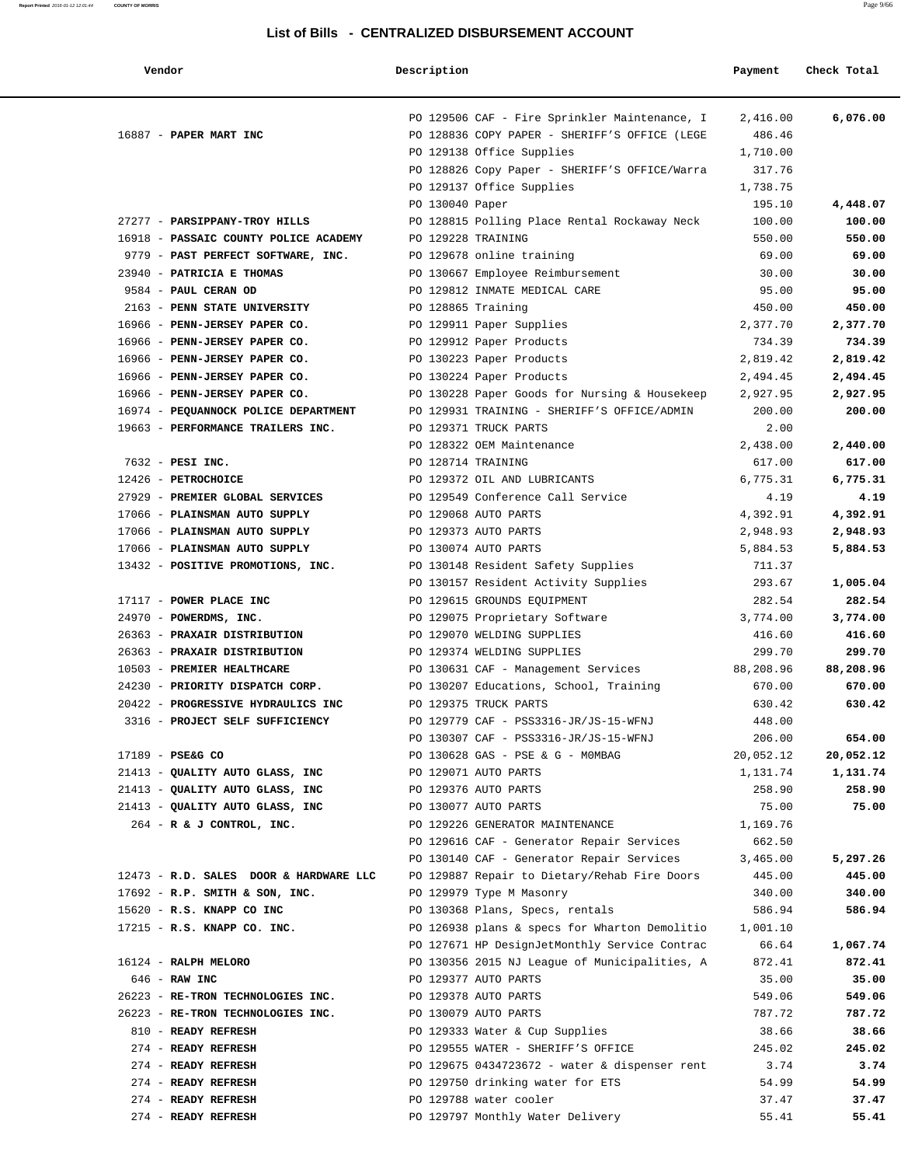#### **List of Bills - CENTRALIZED DISBURSEMENT ACCOUNT**

 **Vendor Description Payment Check Total**

|                                                                 | PO 129506 CAF - Fire Sprinkler Maintenance, I<br>2,416.00                  | 6,076.00        |
|-----------------------------------------------------------------|----------------------------------------------------------------------------|-----------------|
| 16887 - PAPER MART INC                                          | PO 128836 COPY PAPER - SHERIFF'S OFFICE (LEGE<br>486.46                    |                 |
|                                                                 | PO 129138 Office Supplies<br>1,710.00                                      |                 |
|                                                                 | PO 128826 Copy Paper - SHERIFF'S OFFICE/Warra<br>317.76                    |                 |
|                                                                 | PO 129137 Office Supplies<br>1,738.75                                      |                 |
|                                                                 | PO 130040 Paper<br>195.10                                                  | 4,448.07        |
| 27277 - PARSIPPANY-TROY HILLS                                   | PO 128815 Polling Place Rental Rockaway Neck<br>100.00                     | 100.00          |
| 16918 - PASSAIC COUNTY POLICE ACADEMY                           | PO 129228 TRAINING<br>550.00                                               | 550.00<br>69.00 |
| 9779 - PAST PERFECT SOFTWARE, INC.<br>23940 - PATRICIA E THOMAS | 69.00<br>PO 129678 online training<br>30.00                                | 30.00           |
| 9584 - PAUL CERAN OD                                            | PO 130667 Employee Reimbursement<br>PO 129812 INMATE MEDICAL CARE<br>95.00 | 95.00           |
| 2163 - PENN STATE UNIVERSITY                                    | PO 128865 Training<br>450.00                                               | 450.00          |
| 16966 - PENN-JERSEY PAPER CO.                                   | PO 129911 Paper Supplies<br>2,377.70                                       | 2,377.70        |
| 16966 - PENN-JERSEY PAPER CO.                                   | PO 129912 Paper Products<br>734.39                                         | 734.39          |
| 16966 - PENN-JERSEY PAPER CO.                                   | PO 130223 Paper Products<br>2,819.42                                       | 2,819.42        |
| 16966 - PENN-JERSEY PAPER CO.                                   | PO 130224 Paper Products<br>2,494.45                                       | 2,494.45        |
| 16966 - PENN-JERSEY PAPER CO.                                   | PO 130228 Paper Goods for Nursing & Housekeep<br>2,927.95                  | 2,927.95        |
| 16974 - PEQUANNOCK POLICE DEPARTMENT                            | PO 129931 TRAINING - SHERIFF'S OFFICE/ADMIN<br>200.00                      | 200.00          |
| 19663 - PERFORMANCE TRAILERS INC.                               | PO 129371 TRUCK PARTS<br>2.00                                              |                 |
|                                                                 | PO 128322 OEM Maintenance<br>2,438.00                                      | 2,440.00        |
| 7632 - PESI INC.                                                | PO 128714 TRAINING<br>617.00                                               | 617.00          |
| 12426 - PETROCHOICE                                             | PO 129372 OIL AND LUBRICANTS<br>6,775.31                                   | 6,775.31        |
| 27929 - PREMIER GLOBAL SERVICES                                 | PO 129549 Conference Call Service<br>4.19                                  | 4.19            |
| 17066 - PLAINSMAN AUTO SUPPLY                                   | PO 129068 AUTO PARTS<br>4,392.91                                           | 4,392.91        |
| 17066 - PLAINSMAN AUTO SUPPLY                                   | PO 129373 AUTO PARTS<br>2,948.93                                           | 2,948.93        |
| 17066 - PLAINSMAN AUTO SUPPLY                                   | PO 130074 AUTO PARTS<br>5,884.53                                           | 5,884.53        |
| 13432 - POSITIVE PROMOTIONS, INC.                               | PO 130148 Resident Safety Supplies<br>711.37                               |                 |
|                                                                 | PO 130157 Resident Activity Supplies<br>293.67                             | 1,005.04        |
| 17117 - POWER PLACE INC                                         | PO 129615 GROUNDS EQUIPMENT<br>282.54                                      | 282.54          |
| 24970 - POWERDMS, INC.                                          | PO 129075 Proprietary Software<br>3,774.00                                 | 3,774.00        |
| 26363 - PRAXAIR DISTRIBUTION                                    | PO 129070 WELDING SUPPLIES<br>416.60                                       | 416.60          |
| 26363 - PRAXAIR DISTRIBUTION                                    | PO 129374 WELDING SUPPLIES<br>299.70                                       | 299.70          |
| 10503 - PREMIER HEALTHCARE                                      | PO 130631 CAF - Management Services<br>88,208.96                           | 88,208.96       |
| 24230 - PRIORITY DISPATCH CORP.                                 | PO 130207 Educations, School, Training<br>670.00                           | 670.00          |
| 20422 - PROGRESSIVE HYDRAULICS INC                              | PO 129375 TRUCK PARTS<br>630.42                                            | 630.42          |
| 3316 - PROJECT SELF SUFFICIENCY                                 | PO 129779 CAF - PSS3316-JR/JS-15-WFNJ<br>448.00                            |                 |
|                                                                 | PO 130307 CAF - PSS3316-JR/JS-15-WFNJ<br>206.00                            | 654.00          |
| 17189 - PSE&G CO                                                | PO 130628 GAS - PSE & G - MOMBAG<br>20,052.12                              | 20,052.12       |
| 21413 - QUALITY AUTO GLASS, INC                                 | PO 129071 AUTO PARTS<br>1,131.74                                           | 1,131.74        |
| 21413 - QUALITY AUTO GLASS, INC                                 | PO 129376 AUTO PARTS<br>258.90                                             | 258.90          |
| 21413 - QUALITY AUTO GLASS, INC                                 | PO 130077 AUTO PARTS<br>75.00                                              | 75.00           |
| 264 - R & J CONTROL, INC.                                       | PO 129226 GENERATOR MAINTENANCE<br>1,169.76                                |                 |
|                                                                 | PO 129616 CAF - Generator Repair Services<br>662.50                        |                 |
|                                                                 | PO 130140 CAF - Generator Repair Services<br>3,465.00                      | 5,297.26        |
| 12473 - R.D. SALES DOOR & HARDWARE LLC                          | PO 129887 Repair to Dietary/Rehab Fire Doors<br>445.00                     | 445.00          |
| $17692$ - R.P. SMITH & SON, INC.                                | PO 129979 Type M Masonry<br>340.00                                         | 340.00          |
| 15620 - R.S. KNAPP CO INC                                       | PO 130368 Plans, Specs, rentals<br>586.94                                  | 586.94          |
| $17215$ - R.S. KNAPP CO. INC.                                   | PO 126938 plans & specs for Wharton Demolitio<br>1,001.10                  |                 |
|                                                                 | PO 127671 HP DesignJetMonthly Service Contrac<br>66.64                     | 1,067.74        |
| 16124 - RALPH MELORO                                            | PO 130356 2015 NJ League of Municipalities, A<br>872.41                    | 872.41          |
| $646$ - RAW INC                                                 | PO 129377 AUTO PARTS<br>35.00                                              | 35.00           |
| 26223 - RE-TRON TECHNOLOGIES INC.                               | PO 129378 AUTO PARTS<br>549.06                                             | 549.06          |
| 26223 - RE-TRON TECHNOLOGIES INC.                               | PO 130079 AUTO PARTS<br>787.72                                             | 787.72          |
| 810 - READY REFRESH                                             | PO 129333 Water & Cup Supplies<br>38.66                                    | 38.66           |
| 274 - READY REFRESH                                             | PO 129555 WATER - SHERIFF'S OFFICE<br>245.02                               | 245.02          |
| 274 - READY REFRESH                                             | PO 129675 0434723672 - water & dispenser rent<br>3.74                      | 3.74            |
| 274 - READY REFRESH                                             | PO 129750 drinking water for ETS<br>54.99                                  | 54.99           |
| 274 - READY REFRESH<br>274 - READY REFRESH                      | PO 129788 water cooler<br>37.47                                            | 37.47           |
|                                                                 | PO 129797 Monthly Water Delivery<br>55.41                                  | 55.41           |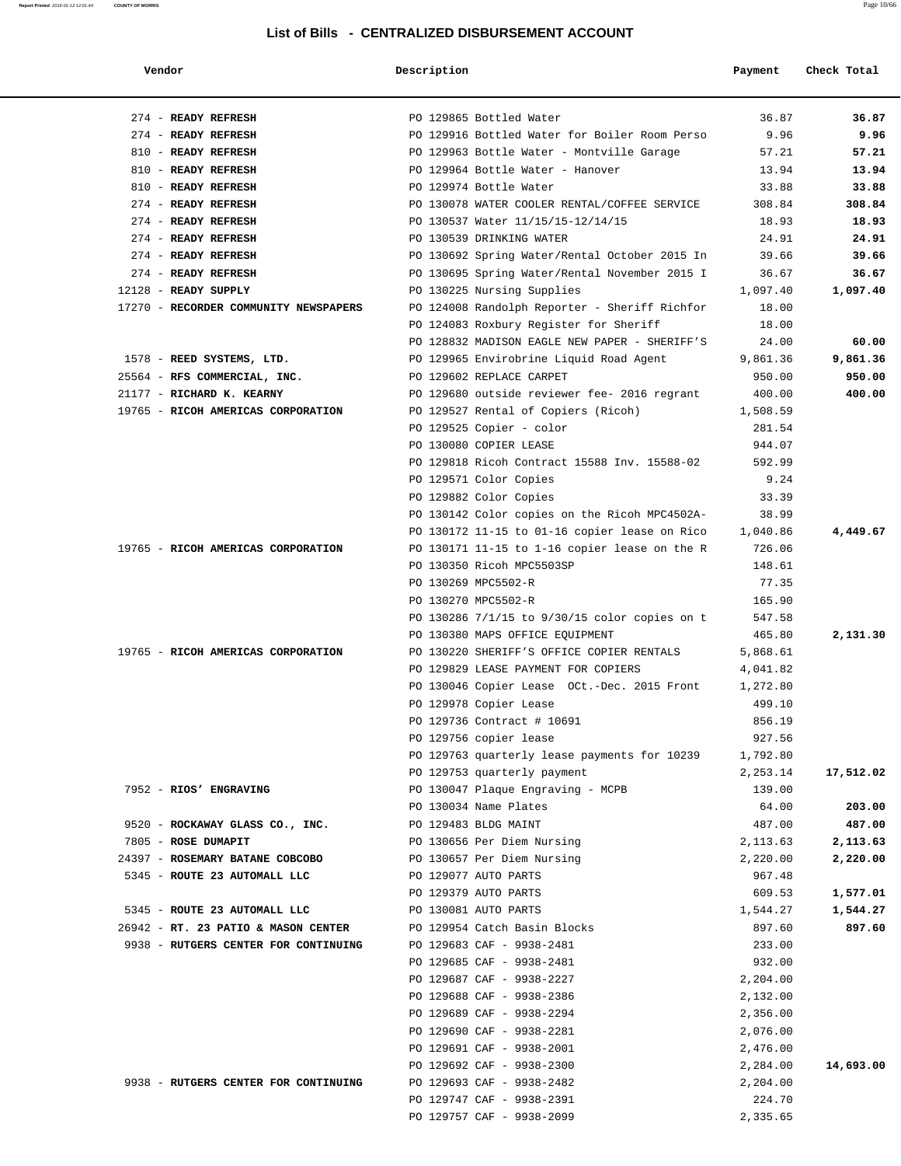| Vendor                                | Description |                                                    | Payment  | Check Total |
|---------------------------------------|-------------|----------------------------------------------------|----------|-------------|
| 274 - READY REFRESH                   |             | PO 129865 Bottled Water                            | 36.87    | 36.87       |
| 274 - READY REFRESH                   |             | PO 129916 Bottled Water for Boiler Room Perso      | 9.96     | 9.96        |
| 810 - READY REFRESH                   |             | PO 129963 Bottle Water - Montville Garage          | 57.21    | 57.21       |
| 810 - READY REFRESH                   |             | PO 129964 Bottle Water - Hanover                   | 13.94    | 13.94       |
| 810 - READY REFRESH                   |             | PO 129974 Bottle Water                             | 33.88    | 33.88       |
| 274 - READY REFRESH                   |             | PO 130078 WATER COOLER RENTAL/COFFEE SERVICE       | 308.84   | 308.84      |
| 274 - READY REFRESH                   |             | PO 130537 Water 11/15/15-12/14/15                  | 18.93    | 18.93       |
| 274 - READY REFRESH                   |             | PO 130539 DRINKING WATER                           | 24.91    | 24.91       |
| 274 - READY REFRESH                   |             | PO 130692 Spring Water/Rental October 2015 In      | 39.66    | 39.66       |
| 274 - READY REFRESH                   |             | PO 130695 Spring Water/Rental November 2015 I      | 36.67    | 36.67       |
| 12128 - READY SUPPLY                  |             | PO 130225 Nursing Supplies                         | 1,097.40 | 1,097.40    |
| 17270 - RECORDER COMMUNITY NEWSPAPERS |             | PO 124008 Randolph Reporter - Sheriff Richfor      | 18.00    |             |
|                                       |             | PO 124083 Roxbury Register for Sheriff             | 18.00    |             |
|                                       |             | PO 128832 MADISON EAGLE NEW PAPER - SHERIFF'S      | 24.00    | 60.00       |
| 1578 - REED SYSTEMS, LTD.             |             | PO 129965 Envirobrine Liquid Road Agent            | 9,861.36 | 9,861.36    |
| 25564 - RFS COMMERCIAL, INC.          |             | PO 129602 REPLACE CARPET                           | 950.00   | 950.00      |
| 21177 - RICHARD K. KEARNY             |             | PO 129680 outside reviewer fee- 2016 regrant       | 400.00   | 400.00      |
| 19765 - RICOH AMERICAS CORPORATION    |             | PO 129527 Rental of Copiers (Ricoh)                | 1,508.59 |             |
|                                       |             |                                                    | 281.54   |             |
|                                       |             | PO 129525 Copier - color<br>PO 130080 COPIER LEASE |          |             |
|                                       |             |                                                    | 944.07   |             |
|                                       |             | PO 129818 Ricoh Contract 15588 Inv. 15588-02       | 592.99   |             |
|                                       |             | PO 129571 Color Copies                             | 9.24     |             |
|                                       |             | PO 129882 Color Copies                             | 33.39    |             |
|                                       |             | PO 130142 Color copies on the Ricoh MPC4502A-      | 38.99    |             |
|                                       |             | PO 130172 11-15 to 01-16 copier lease on Rico      | 1,040.86 | 4,449.67    |
| 19765 - RICOH AMERICAS CORPORATION    |             | PO 130171 11-15 to 1-16 copier lease on the R      | 726.06   |             |
|                                       |             | PO 130350 Ricoh MPC5503SP                          | 148.61   |             |
|                                       |             | PO 130269 MPC5502-R                                | 77.35    |             |
|                                       |             | PO 130270 MPC5502-R                                | 165.90   |             |
|                                       |             | PO 130286 7/1/15 to 9/30/15 color copies on t      | 547.58   |             |
|                                       |             | PO 130380 MAPS OFFICE EQUIPMENT                    | 465.80   | 2,131.30    |
| 19765 - RICOH AMERICAS CORPORATION    |             | PO 130220 SHERIFF'S OFFICE COPIER RENTALS          | 5,868.61 |             |
|                                       |             | PO 129829 LEASE PAYMENT FOR COPIERS                | 4,041.82 |             |
|                                       |             | PO 130046 Copier Lease OCt.-Dec. 2015 Front        | 1,272.80 |             |
|                                       |             | PO 129978 Copier Lease                             | 499.10   |             |
|                                       |             | PO 129736 Contract # 10691                         | 856.19   |             |
|                                       |             | PO 129756 copier lease                             | 927.56   |             |
|                                       |             | PO 129763 quarterly lease payments for 10239       | 1,792.80 |             |
|                                       |             | PO 129753 quarterly payment                        | 2,253.14 | 17,512.02   |
| 7952 - RIOS' ENGRAVING                |             | PO 130047 Plaque Engraving - MCPB                  | 139.00   |             |
|                                       |             | PO 130034 Name Plates                              | 64.00    | 203.00      |
| 9520 - ROCKAWAY GLASS CO., INC.       |             | PO 129483 BLDG MAINT                               | 487.00   | 487.00      |
| 7805 - ROSE DUMAPIT                   |             | PO 130656 Per Diem Nursing                         | 2,113.63 | 2,113.63    |
| 24397 - ROSEMARY BATANE COBCOBO       |             | PO 130657 Per Diem Nursing                         | 2,220.00 | 2,220.00    |
| 5345 - ROUTE 23 AUTOMALL LLC          |             | PO 129077 AUTO PARTS                               | 967.48   |             |
|                                       |             | PO 129379 AUTO PARTS                               | 609.53   | 1,577.01    |
| 5345 - ROUTE 23 AUTOMALL LLC          |             | PO 130081 AUTO PARTS                               | 1,544.27 | 1,544.27    |
| 26942 - RT. 23 PATIO & MASON CENTER   |             | PO 129954 Catch Basin Blocks                       | 897.60   | 897.60      |
| 9938 - RUTGERS CENTER FOR CONTINUING  |             | PO 129683 CAF - 9938-2481                          | 233.00   |             |
|                                       |             |                                                    |          |             |
|                                       |             | PO 129685 CAF - 9938-2481                          | 932.00   |             |
|                                       |             | PO 129687 CAF - 9938-2227                          | 2,204.00 |             |
|                                       |             | PO 129688 CAF - 9938-2386                          | 2,132.00 |             |
|                                       |             | PO 129689 CAF - 9938-2294                          | 2,356.00 |             |
|                                       |             | PO 129690 CAF - 9938-2281                          | 2,076.00 |             |
|                                       |             | PO 129691 CAF - 9938-2001                          | 2,476.00 |             |
|                                       |             | PO 129692 CAF - 9938-2300                          | 2,284.00 | 14,693.00   |
| 9938 - RUTGERS CENTER FOR CONTINUING  |             | PO 129693 CAF - 9938-2482                          | 2,204.00 |             |
|                                       |             | PO 129747 CAF - 9938-2391                          | 224.70   |             |
|                                       |             | PO 129757 CAF - 9938-2099                          | 2,335.65 |             |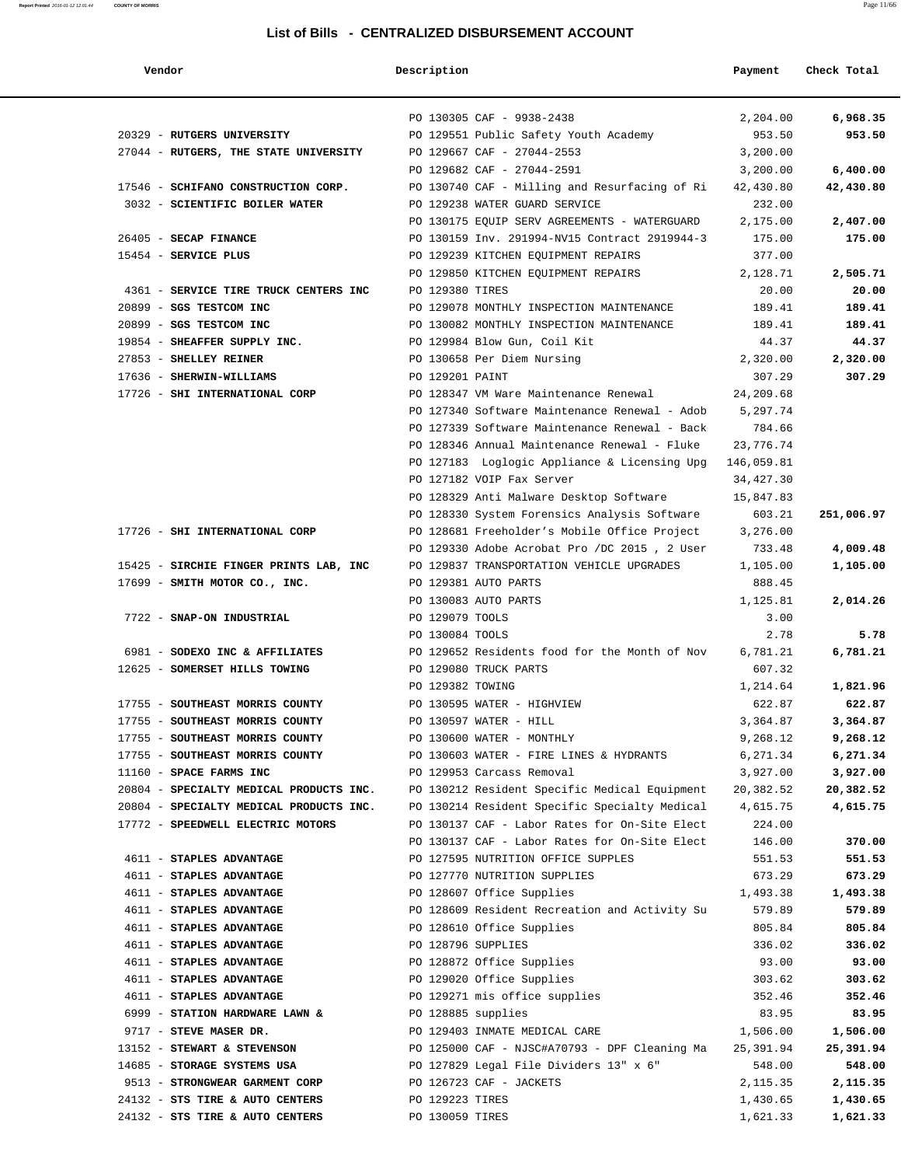| Vendor                                                          | Description        |                                               | Payment            | Check Total      |
|-----------------------------------------------------------------|--------------------|-----------------------------------------------|--------------------|------------------|
|                                                                 |                    | PO 130305 CAF - 9938-2438                     | 2,204.00           | 6,968.35         |
| 20329 - RUTGERS UNIVERSITY                                      |                    | PO 129551 Public Safety Youth Academy         | 953.50             | 953.50           |
| 27044 - RUTGERS, THE STATE UNIVERSITY                           |                    | PO 129667 CAF - 27044-2553                    | 3,200.00           |                  |
|                                                                 |                    | PO 129682 CAF - 27044-2591                    | 3,200.00           | 6,400.00         |
| 17546 - SCHIFANO CONSTRUCTION CORP.                             |                    | PO 130740 CAF - Milling and Resurfacing of Ri | 42,430.80          | 42,430.80        |
| 3032 - SCIENTIFIC BOILER WATER                                  |                    | PO 129238 WATER GUARD SERVICE                 | 232.00             |                  |
|                                                                 |                    | PO 130175 EQUIP SERV AGREEMENTS - WATERGUARD  | 2,175.00           | 2,407.00         |
| 26405 - SECAP FINANCE                                           |                    | PO 130159 Inv. 291994-NV15 Contract 2919944-3 | 175.00             | 175.00           |
| 15454 - SERVICE PLUS                                            |                    | PO 129239 KITCHEN EQUIPMENT REPAIRS           | 377.00             |                  |
|                                                                 |                    | PO 129850 KITCHEN EQUIPMENT REPAIRS           | 2,128.71           | 2,505.71         |
| 4361 - SERVICE TIRE TRUCK CENTERS INC                           | PO 129380 TIRES    |                                               | 20.00              | 20.00            |
| 20899 - SGS TESTCOM INC                                         |                    | PO 129078 MONTHLY INSPECTION MAINTENANCE      | 189.41             | 189.41           |
| 20899 - SGS TESTCOM INC                                         |                    | PO 130082 MONTHLY INSPECTION MAINTENANCE      | 189.41             | 189.41           |
| 19854 - SHEAFFER SUPPLY INC.                                    |                    | PO 129984 Blow Gun, Coil Kit                  | 44.37              | 44.37            |
| 27853 - SHELLEY REINER                                          |                    | PO 130658 Per Diem Nursing                    | 2,320.00           | 2,320.00         |
| 17636 - SHERWIN-WILLIAMS                                        | PO 129201 PAINT    |                                               | 307.29             | 307.29           |
| 17726 - SHI INTERNATIONAL CORP                                  |                    | PO 128347 VM Ware Maintenance Renewal         | 24,209.68          |                  |
|                                                                 |                    | PO 127340 Software Maintenance Renewal - Adob | 5,297.74           |                  |
|                                                                 |                    | PO 127339 Software Maintenance Renewal - Back | 784.66             |                  |
|                                                                 |                    | PO 128346 Annual Maintenance Renewal - Fluke  | 23,776.74          |                  |
|                                                                 |                    | PO 127183 Loglogic Appliance & Licensing Upg  | 146,059.81         |                  |
|                                                                 |                    | PO 127182 VOIP Fax Server                     | 34, 427.30         |                  |
|                                                                 |                    | PO 128329 Anti Malware Desktop Software       | 15,847.83          |                  |
|                                                                 |                    | PO 128330 System Forensics Analysis Software  | 603.21             | 251,006.97       |
| 17726 - SHI INTERNATIONAL CORP                                  |                    | PO 128681 Freeholder's Mobile Office Project  | 3,276.00           |                  |
|                                                                 |                    | PO 129330 Adobe Acrobat Pro /DC 2015, 2 User  | 733.48             | 4,009.48         |
| 15425 - SIRCHIE FINGER PRINTS LAB, INC                          |                    | PO 129837 TRANSPORTATION VEHICLE UPGRADES     | 1,105.00           | 1,105.00         |
| 17699 - SMITH MOTOR CO., INC.                                   |                    | PO 129381 AUTO PARTS                          | 888.45             |                  |
|                                                                 |                    | PO 130083 AUTO PARTS                          | 1,125.81           | 2,014.26         |
| 7722 - SNAP-ON INDUSTRIAL                                       | PO 129079 TOOLS    |                                               | 3.00               |                  |
|                                                                 | PO 130084 TOOLS    | PO 129652 Residents food for the Month of Nov | 2.78               | 5.78<br>6,781.21 |
| 6981 - SODEXO INC & AFFILIATES<br>12625 - SOMERSET HILLS TOWING |                    | PO 129080 TRUCK PARTS                         | 6,781.21<br>607.32 |                  |
|                                                                 | PO 129382 TOWING   |                                               | 1,214.64           | 1,821.96         |
| 17755 - SOUTHEAST MORRIS COUNTY                                 |                    | PO 130595 WATER - HIGHVIEW                    | 622.87             | 622.87           |
| 17755 - SOUTHEAST MORRIS COUNTY                                 |                    | PO 130597 WATER - HILL                        | 3,364.87           | 3,364.87         |
| 17755 - SOUTHEAST MORRIS COUNTY                                 |                    | PO 130600 WATER - MONTHLY                     | 9,268.12           | 9,268.12         |
| 17755 - SOUTHEAST MORRIS COUNTY                                 |                    | PO 130603 WATER - FIRE LINES & HYDRANTS       | 6,271.34           | 6,271.34         |
| 11160 - SPACE FARMS INC                                         |                    | PO 129953 Carcass Removal                     | 3,927.00           | 3,927.00         |
| 20804 - SPECIALTY MEDICAL PRODUCTS INC.                         |                    | PO 130212 Resident Specific Medical Equipment | 20,382.52          | 20,382.52        |
| 20804 - SPECIALTY MEDICAL PRODUCTS INC.                         |                    | PO 130214 Resident Specific Specialty Medical | 4,615.75           | 4,615.75         |
| 17772 - SPEEDWELL ELECTRIC MOTORS                               |                    | PO 130137 CAF - Labor Rates for On-Site Elect | 224.00             |                  |
|                                                                 |                    | PO 130137 CAF - Labor Rates for On-Site Elect | 146.00             | 370.00           |
| 4611 - STAPLES ADVANTAGE                                        |                    | PO 127595 NUTRITION OFFICE SUPPLES            | 551.53             | 551.53           |
| 4611 - STAPLES ADVANTAGE                                        |                    | PO 127770 NUTRITION SUPPLIES                  | 673.29             | 673.29           |
| 4611 - STAPLES ADVANTAGE                                        |                    | PO 128607 Office Supplies                     | 1,493.38           | 1,493.38         |
| 4611 - STAPLES ADVANTAGE                                        |                    | PO 128609 Resident Recreation and Activity Su | 579.89             | 579.89           |
| 4611 - STAPLES ADVANTAGE                                        |                    | PO 128610 Office Supplies                     | 805.84             | 805.84           |
| 4611 - STAPLES ADVANTAGE                                        | PO 128796 SUPPLIES |                                               | 336.02             | 336.02           |
| 4611 - STAPLES ADVANTAGE                                        |                    | PO 128872 Office Supplies                     | 93.00              | 93.00            |
| 4611 - STAPLES ADVANTAGE                                        |                    | PO 129020 Office Supplies                     | 303.62             | 303.62           |
| 4611 - STAPLES ADVANTAGE                                        |                    | PO 129271 mis office supplies                 | 352.46             | 352.46           |
| 6999 - STATION HARDWARE LAWN &                                  | PO 128885 supplies |                                               | 83.95              | 83.95            |
| 9717 - STEVE MASER DR.                                          |                    | PO 129403 INMATE MEDICAL CARE                 | 1,506.00           | 1,506.00         |
| 13152 - STEWART & STEVENSON                                     |                    | PO 125000 CAF - NJSC#A70793 - DPF Cleaning Ma | 25,391.94          | 25,391.94        |
| 14685 - STORAGE SYSTEMS USA                                     |                    | PO 127829 Legal File Dividers 13" x 6"        | 548.00             | 548.00           |
| 9513 - STRONGWEAR GARMENT CORP                                  |                    | PO 126723 CAF - JACKETS                       | 2,115.35           | 2,115.35         |
| 24132 - STS TIRE & AUTO CENTERS                                 | PO 129223 TIRES    |                                               | 1,430.65           | 1,430.65         |
| 24132 - STS TIRE & AUTO CENTERS                                 | PO 130059 TIRES    |                                               | 1,621.33           | 1,621.33         |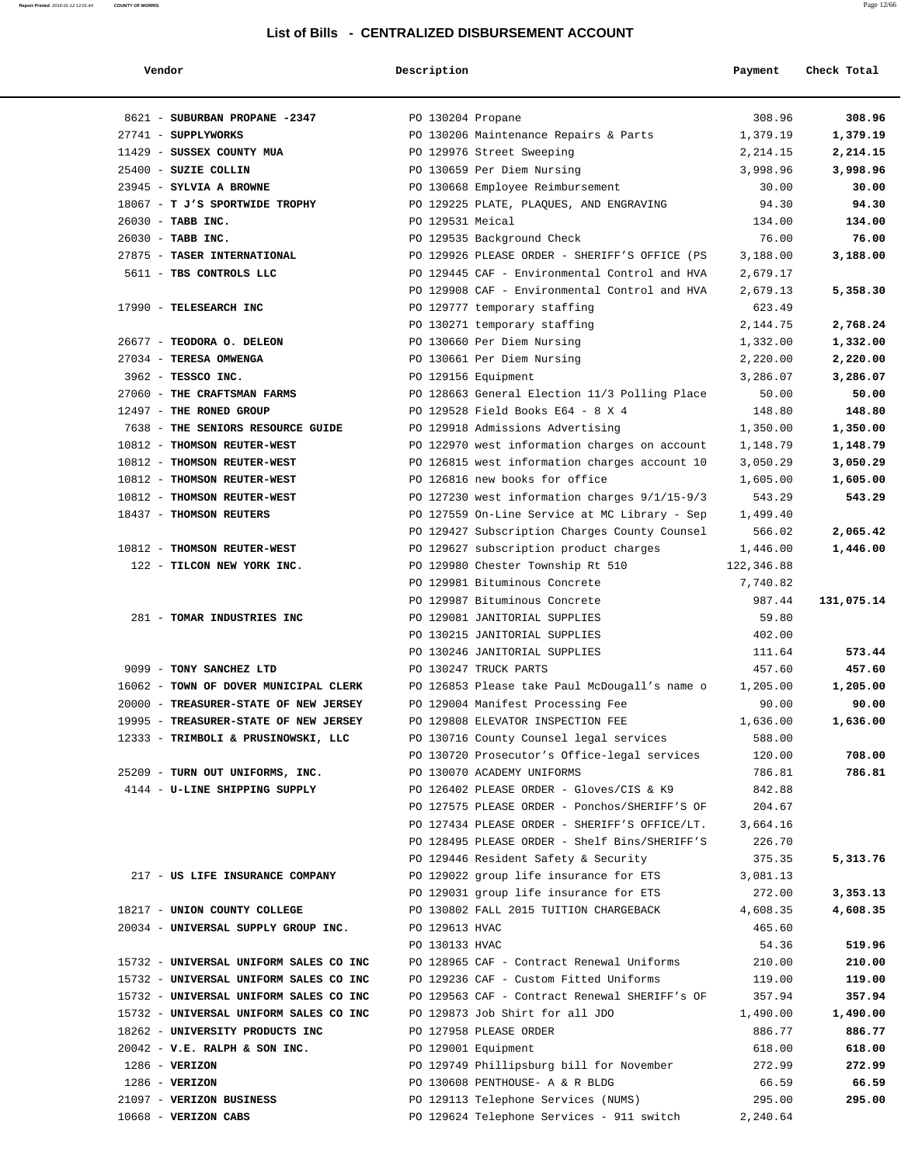| Vendor                                 | Description       |                                                                    | Payment                | Check Total |
|----------------------------------------|-------------------|--------------------------------------------------------------------|------------------------|-------------|
| 8621 - SUBURBAN PROPANE -2347          | PO 130204 Propane |                                                                    | 308.96                 | 308.96      |
| 27741 - SUPPLYWORKS                    |                   | PO 130206 Maintenance Repairs & Parts                              | 1,379.19               | 1,379.19    |
| 11429 - SUSSEX COUNTY MUA              |                   | PO 129976 Street Sweeping                                          | 2,214.15               | 2,214.15    |
| 25400 - SUZIE COLLIN                   |                   | PO 130659 Per Diem Nursing                                         | 3,998.96               | 3,998.96    |
| 23945 - SYLVIA A BROWNE                |                   | PO 130668 Employee Reimbursement                                   | 30.00                  | 30.00       |
| 18067 - T J'S SPORTWIDE TROPHY         |                   | PO 129225 PLATE, PLAQUES, AND ENGRAVING                            | 94.30                  | 94.30       |
| 26030 - TABB INC.                      | PO 129531 Meical  |                                                                    | 134.00                 | 134.00      |
| 26030 - TABB INC.                      |                   | PO 129535 Background Check                                         | 76.00                  | 76.00       |
| 27875 - TASER INTERNATIONAL            |                   | PO 129926 PLEASE ORDER - SHERIFF'S OFFICE (PS                      | 3,188.00               | 3,188.00    |
| 5611 - TBS CONTROLS LLC                |                   | PO 129445 CAF - Environmental Control and HVA                      | 2,679.17               |             |
|                                        |                   | PO 129908 CAF - Environmental Control and HVA                      | 2,679.13               | 5,358.30    |
| 17990 - TELESEARCH INC                 |                   | PO 129777 temporary staffing                                       | 623.49                 |             |
|                                        |                   | PO 130271 temporary staffing                                       | 2,144.75               | 2,768.24    |
| 26677 - TEODORA O. DELEON              |                   | PO 130660 Per Diem Nursing                                         | 1,332.00               | 1,332.00    |
| 27034 - TERESA OMWENGA                 |                   | PO 130661 Per Diem Nursing                                         | 2,220.00               | 2,220.00    |
| 3962 - TESSCO INC.                     |                   | PO 129156 Equipment                                                | 3,286.07               | 3,286.07    |
| 27060 - THE CRAFTSMAN FARMS            |                   | PO 128663 General Election 11/3 Polling Place                      | 50.00                  | 50.00       |
| 12497 - THE RONED GROUP                |                   | PO 129528 Field Books E64 - 8 X 4                                  | 148.80                 | 148.80      |
| 7638 - THE SENIORS RESOURCE GUIDE      |                   | PO 129918 Admissions Advertising                                   | 1,350.00               | 1,350.00    |
| 10812 - THOMSON REUTER-WEST            |                   | PO 122970 west information charges on account                      | 1,148.79               | 1,148.79    |
| 10812 - THOMSON REUTER-WEST            |                   | PO 126815 west information charges account 10                      | 3,050.29               | 3,050.29    |
| 10812 - THOMSON REUTER-WEST            |                   | PO 126816 new books for office                                     | 1,605.00               | 1,605.00    |
| 10812 - THOMSON REUTER-WEST            |                   | PO 127230 west information charges 9/1/15-9/3                      | 543.29                 | 543.29      |
| 18437 - THOMSON REUTERS                |                   | PO 127559 On-Line Service at MC Library - Sep                      | 1,499.40               |             |
|                                        |                   | PO 129427 Subscription Charges County Counsel                      | 566.02                 | 2,065.42    |
| 10812 - THOMSON REUTER-WEST            |                   | PO 129627 subscription product charges                             | 1,446.00               | 1,446.00    |
| 122 - TILCON NEW YORK INC.             |                   | PO 129980 Chester Township Rt 510<br>PO 129981 Bituminous Concrete | 122,346.88<br>7,740.82 |             |
|                                        |                   | PO 129987 Bituminous Concrete                                      | 987.44                 | 131,075.14  |
| 281 - TOMAR INDUSTRIES INC             |                   | PO 129081 JANITORIAL SUPPLIES                                      | 59.80                  |             |
|                                        |                   | PO 130215 JANITORIAL SUPPLIES                                      | 402.00                 |             |
|                                        |                   | PO 130246 JANITORIAL SUPPLIES                                      | 111.64                 | 573.44      |
| 9099 - TONY SANCHEZ LTD                |                   | PO 130247 TRUCK PARTS                                              | 457.60                 | 457.60      |
| 16062 - TOWN OF DOVER MUNICIPAL CLERK  |                   | PO 126853 Please take Paul McDougall's name o                      | 1,205.00               | 1,205.00    |
| 20000 - TREASURER-STATE OF NEW JERSEY  |                   | PO 129004 Manifest Processing Fee                                  | 90.00                  | 90.00       |
| 19995 - TREASURER-STATE OF NEW JERSEY  |                   | PO 129808 ELEVATOR INSPECTION FEE                                  | 1,636.00               | 1,636.00    |
| 12333 - TRIMBOLI & PRUSINOWSKI, LLC    |                   | PO 130716 County Counsel legal services                            | 588.00                 |             |
|                                        |                   | PO 130720 Prosecutor's Office-legal services                       | 120.00                 | 708.00      |
| 25209 - TURN OUT UNIFORMS, INC.        |                   | PO 130070 ACADEMY UNIFORMS                                         | 786.81                 | 786.81      |
| 4144 - U-LINE SHIPPING SUPPLY          |                   | PO 126402 PLEASE ORDER - Gloves/CIS & K9                           | 842.88                 |             |
|                                        |                   | PO 127575 PLEASE ORDER - Ponchos/SHERIFF'S OF                      | 204.67                 |             |
|                                        |                   | PO 127434 PLEASE ORDER - SHERIFF'S OFFICE/LT.                      | 3,664.16               |             |
|                                        |                   | PO 128495 PLEASE ORDER - Shelf Bins/SHERIFF'S                      | 226.70                 |             |
|                                        |                   | PO 129446 Resident Safety & Security                               | 375.35                 | 5,313.76    |
| 217 - US LIFE INSURANCE COMPANY        |                   | PO 129022 group life insurance for ETS                             | 3,081.13               |             |
|                                        |                   | PO 129031 group life insurance for ETS                             | 272.00                 | 3,353.13    |
| 18217 - UNION COUNTY COLLEGE           |                   | PO 130802 FALL 2015 TUITION CHARGEBACK                             | 4,608.35               | 4,608.35    |
| 20034 - UNIVERSAL SUPPLY GROUP INC.    | PO 129613 HVAC    |                                                                    | 465.60                 |             |
|                                        | PO 130133 HVAC    |                                                                    | 54.36                  | 519.96      |
| 15732 - UNIVERSAL UNIFORM SALES CO INC |                   | PO 128965 CAF - Contract Renewal Uniforms                          | 210.00                 | 210.00      |
| 15732 - UNIVERSAL UNIFORM SALES CO INC |                   | PO 129236 CAF - Custom Fitted Uniforms                             | 119.00                 | 119.00      |
| 15732 - UNIVERSAL UNIFORM SALES CO INC |                   | PO 129563 CAF - Contract Renewal SHERIFF's OF                      | 357.94                 | 357.94      |
| 15732 - UNIVERSAL UNIFORM SALES CO INC |                   | PO 129873 Job Shirt for all JDO                                    | 1,490.00               | 1,490.00    |
| 18262 - UNIVERSITY PRODUCTS INC        |                   | PO 127958 PLEASE ORDER                                             | 886.77                 | 886.77      |
| $20042$ - V.E. RALPH & SON INC.        |                   | PO 129001 Equipment                                                | 618.00                 | 618.00      |
| $1286$ - VERIZON                       |                   | PO 129749 Phillipsburg bill for November                           | 272.99                 | 272.99      |
| $1286$ - VERIZON                       |                   | PO 130608 PENTHOUSE- A & R BLDG                                    | 66.59                  | 66.59       |
| 21097 - VERIZON BUSINESS               |                   | PO 129113 Telephone Services (NUMS)                                | 295.00                 | 295.00      |
| 10668 - VERIZON CABS                   |                   | PO 129624 Telephone Services - 911 switch                          | 2,240.64               |             |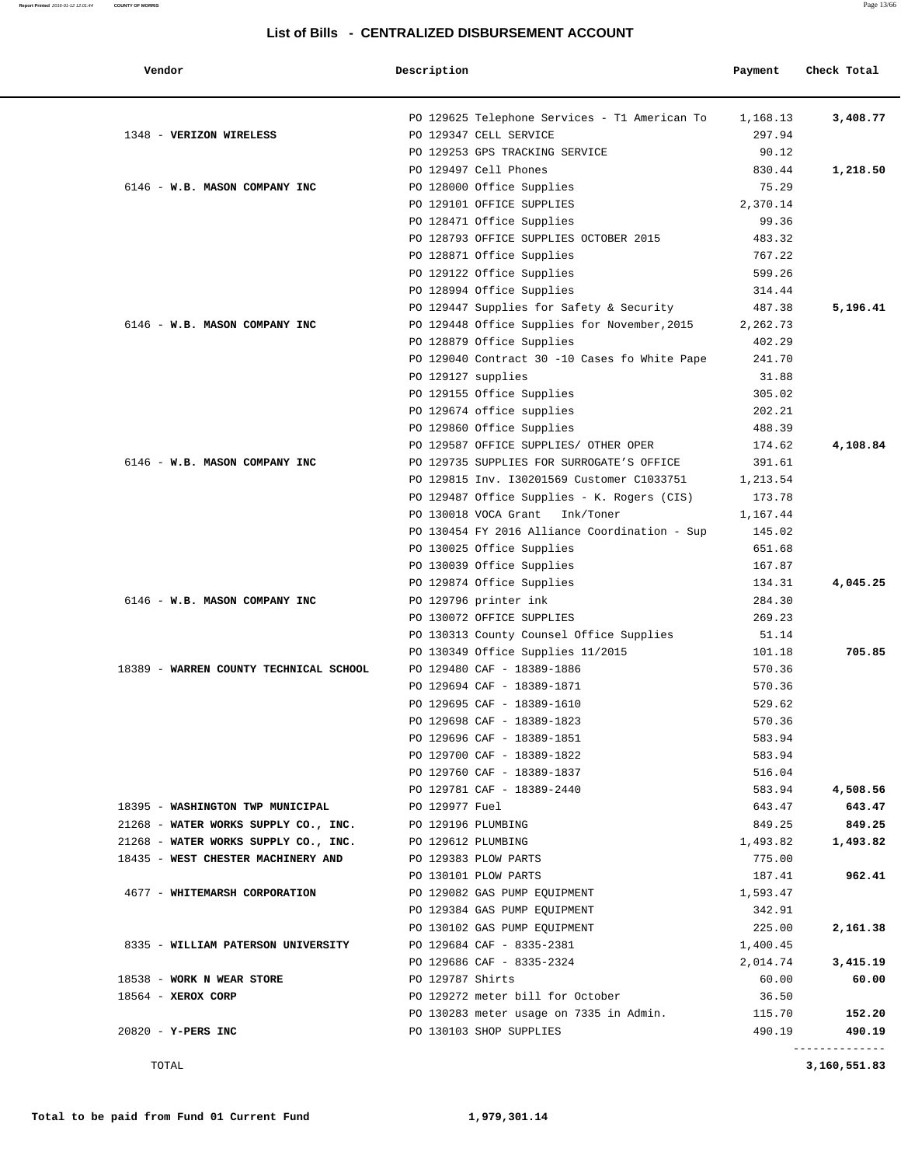| Vendor                                 | Description        |                                                          | Payment  | Check Total |
|----------------------------------------|--------------------|----------------------------------------------------------|----------|-------------|
|                                        |                    | PO 129625 Telephone Services - T1 American To            | 1,168.13 | 3,408.77    |
| 1348 - VERIZON WIRELESS                |                    | PO 129347 CELL SERVICE                                   | 297.94   |             |
|                                        |                    | PO 129253 GPS TRACKING SERVICE                           | 90.12    |             |
|                                        |                    | PO 129497 Cell Phones                                    | 830.44   | 1,218.50    |
| 6146 - W.B. MASON COMPANY INC          |                    | PO 128000 Office Supplies                                | 75.29    |             |
|                                        |                    | PO 129101 OFFICE SUPPLIES                                | 2,370.14 |             |
|                                        |                    | PO 128471 Office Supplies                                | 99.36    |             |
|                                        |                    | PO 128793 OFFICE SUPPLIES OCTOBER 2015                   | 483.32   |             |
|                                        |                    | PO 128871 Office Supplies                                | 767.22   |             |
|                                        |                    | PO 129122 Office Supplies                                | 599.26   |             |
|                                        |                    | PO 128994 Office Supplies                                | 314.44   |             |
|                                        |                    | PO 129447 Supplies for Safety & Security                 | 487.38   | 5,196.41    |
| 6146 - W.B. MASON COMPANY INC          |                    | PO 129448 Office Supplies for November, 2015             | 2,262.73 |             |
|                                        |                    | PO 128879 Office Supplies                                | 402.29   |             |
|                                        |                    | PO 129040 Contract 30 -10 Cases fo White Pape            | 241.70   |             |
|                                        | PO 129127 supplies |                                                          | 31.88    |             |
|                                        |                    | PO 129155 Office Supplies                                | 305.02   |             |
|                                        |                    | PO 129674 office supplies                                | 202.21   |             |
|                                        |                    | PO 129860 Office Supplies                                | 488.39   |             |
|                                        |                    | PO 129587 OFFICE SUPPLIES/ OTHER OPER                    | 174.62   | 4,108.84    |
| 6146 - W.B. MASON COMPANY INC          |                    | PO 129735 SUPPLIES FOR SURROGATE'S OFFICE                | 391.61   |             |
|                                        |                    | PO 129815 Inv. I30201569 Customer C1033751               | 1,213.54 |             |
|                                        |                    | PO 129487 Office Supplies - K. Rogers (CIS)              | 173.78   |             |
|                                        |                    | PO 130018 VOCA Grant<br>Ink/Toner                        | 1,167.44 |             |
|                                        |                    | PO 130454 FY 2016 Alliance Coordination - Sup            | 145.02   |             |
|                                        |                    | PO 130025 Office Supplies                                | 651.68   |             |
|                                        |                    | PO 130039 Office Supplies                                | 167.87   |             |
|                                        |                    | PO 129874 Office Supplies                                | 134.31   | 4,045.25    |
| 6146 - W.B. MASON COMPANY INC          |                    | PO 129796 printer ink                                    | 284.30   |             |
|                                        |                    | PO 130072 OFFICE SUPPLIES                                | 269.23   |             |
|                                        |                    | PO 130313 County Counsel Office Supplies                 | 51.14    |             |
|                                        |                    | PO 130349 Office Supplies 11/2015                        | 101.18   | 705.85      |
| 18389 - WARREN COUNTY TECHNICAL SCHOOL |                    | PO 129480 CAF - 18389-1886                               | 570.36   |             |
|                                        |                    | PO 129694 CAF - 18389-1871                               | 570.36   |             |
|                                        |                    | PO 129695 CAF - 18389-1610                               | 529.62   |             |
|                                        |                    | PO 129698 CAF - 18389-1823                               | 570.36   |             |
|                                        |                    |                                                          |          |             |
|                                        |                    | PO 129696 CAF - 18389-1851                               | 583.94   |             |
|                                        |                    | PO 129700 CAF - 18389-1822                               | 583.94   |             |
|                                        |                    | PO 129760 CAF - 18389-1837<br>PO 129781 CAF - 18389-2440 | 516.04   |             |
|                                        |                    |                                                          | 583.94   | 4,508.56    |
| 18395 - WASHINGTON TWP MUNICIPAL       | PO 129977 Fuel     |                                                          | 643.47   | 643.47      |
| 21268 - WATER WORKS SUPPLY CO., INC.   | PO 129196 PLUMBING |                                                          | 849.25   | 849.25      |
| 21268 - WATER WORKS SUPPLY CO., INC.   | PO 129612 PLUMBING |                                                          | 1,493.82 | 1,493.82    |
| 18435 - WEST CHESTER MACHINERY AND     |                    | PO 129383 PLOW PARTS                                     | 775.00   |             |
|                                        |                    | PO 130101 PLOW PARTS                                     | 187.41   | 962.41      |
| 4677 - WHITEMARSH CORPORATION          |                    | PO 129082 GAS PUMP EQUIPMENT                             | 1,593.47 |             |
|                                        |                    | PO 129384 GAS PUMP EQUIPMENT                             | 342.91   |             |
|                                        |                    | PO 130102 GAS PUMP EQUIPMENT                             | 225.00   | 2,161.38    |
| 8335 - WILLIAM PATERSON UNIVERSITY     |                    | PO 129684 CAF - 8335-2381                                | 1,400.45 |             |
|                                        |                    | PO 129686 CAF - 8335-2324                                | 2,014.74 | 3,415.19    |
| 18538 - WORK N WEAR STORE              | PO 129787 Shirts   |                                                          | 60.00    | 60.00       |
| $18564$ - XEROX CORP                   |                    | PO 129272 meter bill for October                         | 36.50    |             |
|                                        |                    | PO 130283 meter usage on 7335 in Admin.                  | 115.70   | 152.20      |
| 20820 - Y-PERS INC                     |                    | PO 130103 SHOP SUPPLIES                                  | 490.19   | 490.19      |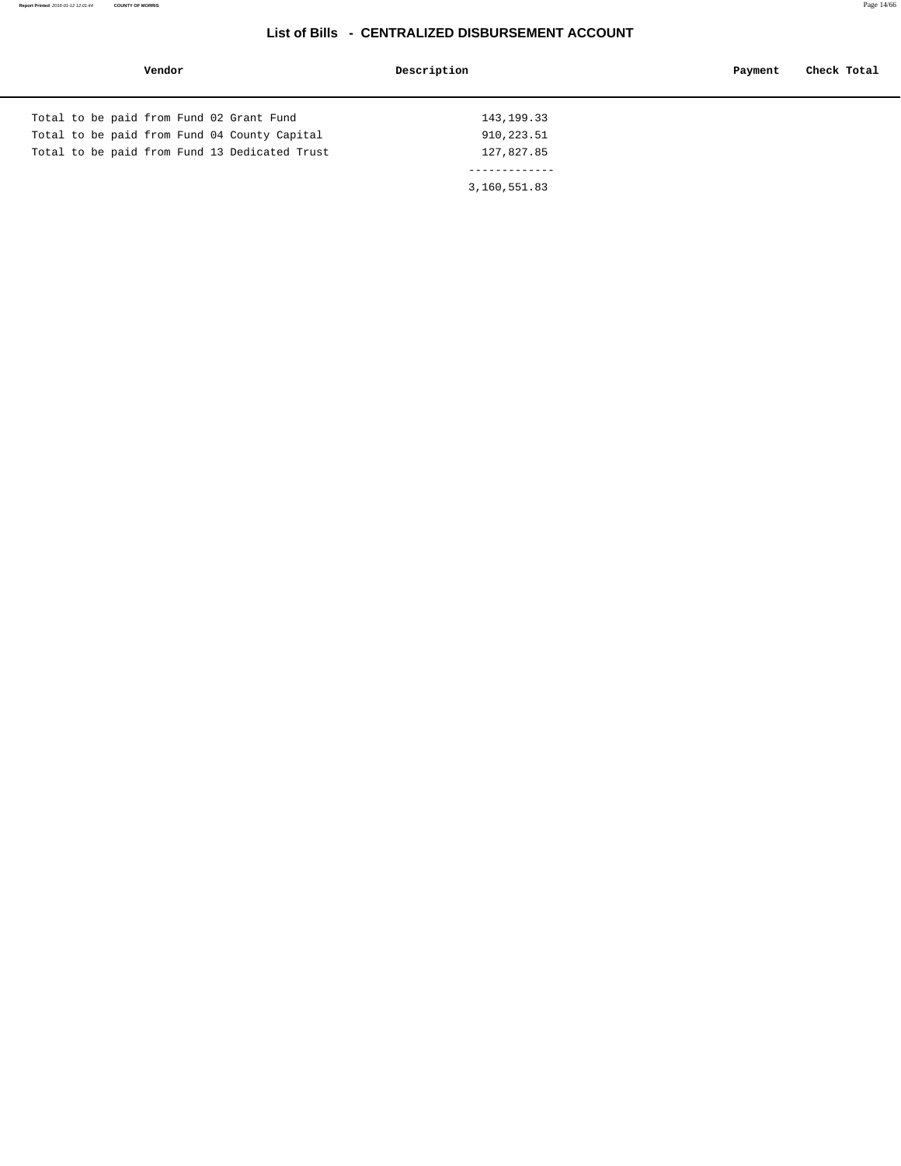#### **Report Printed** 2016-01-12 12:01:44 **COUNTY OF MORRIS** Page 14/66

| Vendor                                        | Description  | Check Total<br>Payment |
|-----------------------------------------------|--------------|------------------------|
|                                               |              |                        |
| Total to be paid from Fund 02 Grant Fund      | 143, 199. 33 |                        |
| Total to be paid from Fund 04 County Capital  | 910,223.51   |                        |
| Total to be paid from Fund 13 Dedicated Trust | 127,827.85   |                        |
|                                               |              |                        |
|                                               | 3,160,551.83 |                        |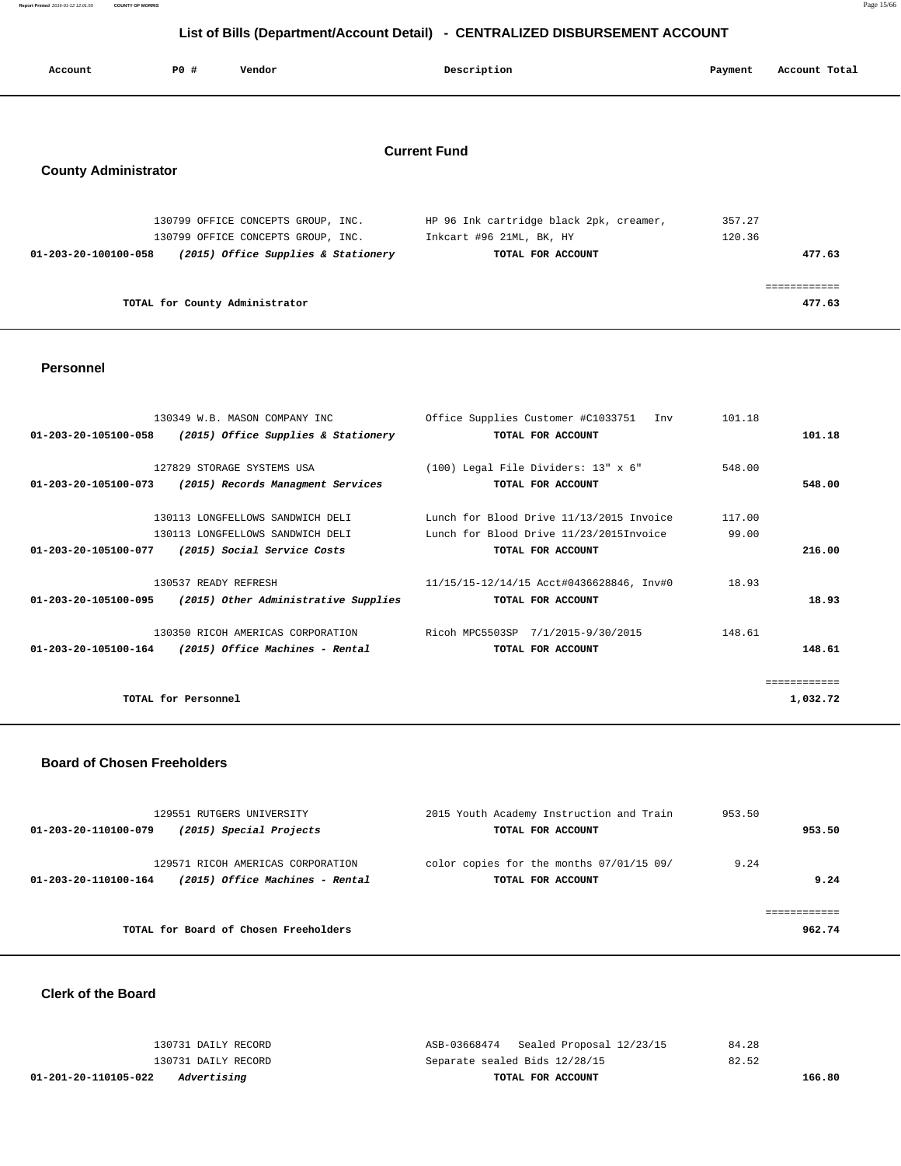**Report Printed** 2016-01-12 12:01:55 **COUNTY OF MORRIS** Page 15/66

#### **List of Bills (Department/Account Detail) - CENTRALIZED DISBURSEMENT ACCOUNT**

| Account |                             | P0 # | Vendor                              | Description                             | Payment | Account Total |
|---------|-----------------------------|------|-------------------------------------|-----------------------------------------|---------|---------------|
|         |                             |      |                                     |                                         |         |               |
|         |                             |      |                                     | <b>Current Fund</b>                     |         |               |
|         | <b>County Administrator</b> |      |                                     |                                         |         |               |
|         |                             |      | 130799 OFFICE CONCEPTS GROUP, INC.  | HP 96 Ink cartridge black 2pk, creamer, | 357.27  |               |
|         |                             |      | 130799 OFFICE CONCEPTS GROUP, INC.  | Inkcart #96 21ML, BK, HY                | 120.36  |               |
|         | 01-203-20-100100-058        |      | (2015) Office Supplies & Stationery | TOTAL FOR ACCOUNT                       |         | 477.63        |
|         |                             |      |                                     |                                         |         |               |
|         |                             |      |                                     |                                         |         |               |

============

**TOTAL for County Administrator 477.63**

 **Personnel** 

|                      | 130349 W.B. MASON COMPANY INC                               | Office Supplies Customer #C1033751 Inv   | 101.18 |              |
|----------------------|-------------------------------------------------------------|------------------------------------------|--------|--------------|
| 01-203-20-105100-058 | (2015) Office Supplies & Stationery                         | TOTAL FOR ACCOUNT                        |        | 101.18       |
|                      |                                                             |                                          |        |              |
|                      | 127829 STORAGE SYSTEMS USA                                  | (100) Legal File Dividers: 13" x 6"      | 548.00 |              |
| 01-203-20-105100-073 | (2015) Records Managment Services                           | TOTAL FOR ACCOUNT                        |        | 548.00       |
|                      |                                                             |                                          |        |              |
|                      | 130113 LONGFELLOWS SANDWICH DELI                            | Lunch for Blood Drive 11/13/2015 Invoice | 117.00 |              |
|                      | 130113 LONGFELLOWS SANDWICH DELI                            | Lunch for Blood Drive 11/23/2015Invoice  | 99.00  |              |
| 01-203-20-105100-077 | (2015) Social Service Costs                                 | TOTAL FOR ACCOUNT                        |        | 216.00       |
|                      | 130537 READY REFRESH                                        | 11/15/15-12/14/15 Acct#0436628846, Inv#0 | 18.93  |              |
|                      |                                                             |                                          |        |              |
|                      | $01-203-20-105100-095$ (2015) Other Administrative Supplies | TOTAL FOR ACCOUNT                        |        | 18.93        |
|                      | 130350 RICOH AMERICAS CORPORATION                           | Ricoh MPC5503SP 7/1/2015-9/30/2015       | 148.61 |              |
| 01-203-20-105100-164 | (2015) Office Machines - Rental                             | TOTAL FOR ACCOUNT                        |        | 148.61       |
|                      |                                                             |                                          |        | ============ |
|                      |                                                             |                                          |        |              |
|                      | TOTAL for Personnel                                         |                                          |        | 1,032.72     |
|                      |                                                             |                                          |        |              |

#### **Board of Chosen Freeholders**

| 129551 RUTGERS UNIVERSITY<br>(2015) Special Projects<br>01-203-20-110100-079                 | 2015 Youth Academy Instruction and Train<br>TOTAL FOR ACCOUNT | 953.50<br>953.50 |
|----------------------------------------------------------------------------------------------|---------------------------------------------------------------|------------------|
| 129571 RICOH AMERICAS CORPORATION<br>(2015) Office Machines - Rental<br>01-203-20-110100-164 | color copies for the months 07/01/15 09/<br>TOTAL FOR ACCOUNT | 9.24<br>9.24     |
| TOTAL for Board of Chosen Freeholders                                                        |                                                               | 962.74           |

 **Clerk of the Board** 

| 01-201-20-110105-022<br>Advertising | TOTAL FOR ACCOUNT                     | 166.80 |
|-------------------------------------|---------------------------------------|--------|
| 130731 DAILY RECORD                 | Separate sealed Bids 12/28/15         | 82.52  |
| 130731 DAILY RECORD                 | ASB-03668474 Sealed Proposal 12/23/15 | 84.28  |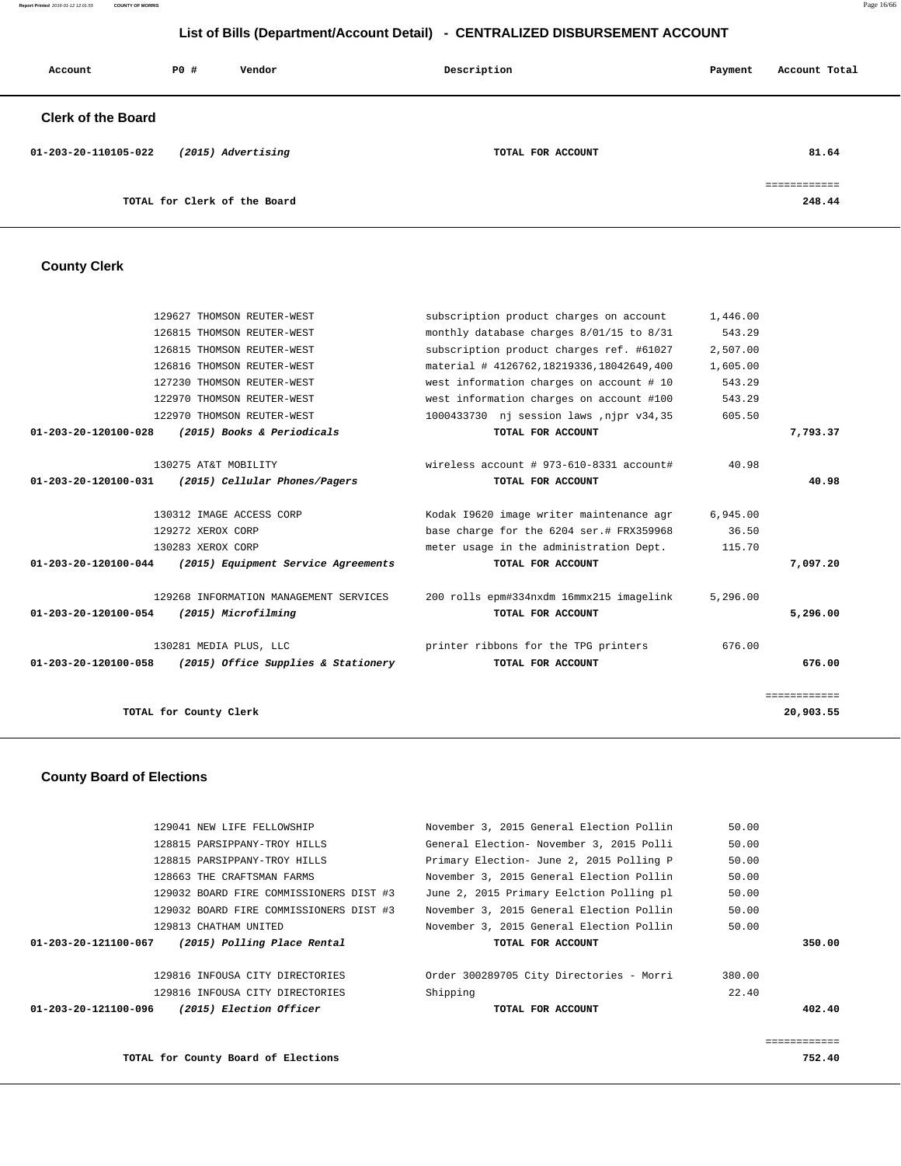**Report Printed** 2016-01-12 12:01:55 **COUNTY OF MORRIS** Page 16/66

#### **List of Bills (Department/Account Detail) - CENTRALIZED DISBURSEMENT ACCOUNT**

| Account                   | PO# | Vendor                       | Description       | Payment | Account Total          |
|---------------------------|-----|------------------------------|-------------------|---------|------------------------|
| <b>Clerk of the Board</b> |     |                              |                   |         |                        |
| 01-203-20-110105-022      |     | (2015) Advertising           | TOTAL FOR ACCOUNT |         | 81.64                  |
|                           |     | TOTAL for Clerk of the Board |                   |         | ------------<br>248.44 |

#### **County Clerk**

|                                | 129627 THOMSON REUTER-WEST                                 | subscription product charges on account  | 1,446.00 |              |
|--------------------------------|------------------------------------------------------------|------------------------------------------|----------|--------------|
|                                | 126815 THOMSON REUTER-WEST                                 | monthly database charges 8/01/15 to 8/31 | 543.29   |              |
|                                | 126815 THOMSON REUTER-WEST                                 | subscription product charges ref. #61027 | 2,507.00 |              |
|                                | 126816 THOMSON REUTER-WEST                                 | material # 4126762,18219336,18042649,400 | 1,605.00 |              |
|                                | 127230 THOMSON REUTER-WEST                                 | west information charges on account # 10 | 543.29   |              |
|                                | 122970 THOMSON REUTER-WEST                                 | west information charges on account #100 | 543.29   |              |
|                                | 122970 THOMSON REUTER-WEST                                 | 1000433730 nj session laws , njpr v34,35 | 605.50   |              |
| $01 - 203 - 20 - 120100 - 028$ | (2015) Books & Periodicals                                 | TOTAL FOR ACCOUNT                        |          | 7,793.37     |
|                                |                                                            |                                          |          |              |
|                                | 130275 AT&T MOBILITY                                       | wireless account # 973-610-8331 account# | 40.98    |              |
| 01-203-20-120100-031           | (2015) Cellular Phones/Pagers                              | TOTAL FOR ACCOUNT                        |          | 40.98        |
|                                |                                                            |                                          |          |              |
|                                | 130312 IMAGE ACCESS CORP                                   | Kodak 19620 image writer maintenance agr | 6,945.00 |              |
|                                | 129272 XEROX CORP                                          | base charge for the 6204 ser.# FRX359968 | 36.50    |              |
|                                | 130283 XEROX CORP                                          | meter usage in the administration Dept.  | 115.70   |              |
|                                | $01-203-20-120100-044$ (2015) Equipment Service Agreements | TOTAL FOR ACCOUNT                        |          | 7,097.20     |
|                                |                                                            |                                          |          |              |
|                                | 129268 INFORMATION MANAGEMENT SERVICES                     | 200 rolls epm#334nxdm 16mmx215 imagelink | 5,296.00 |              |
| 01-203-20-120100-054           | (2015) Microfilming                                        | TOTAL FOR ACCOUNT                        |          | 5,296.00     |
|                                | 130281 MEDIA PLUS, LLC                                     | printer ribbons for the TPG printers     | 676.00   |              |
| 01-203-20-120100-058           | (2015) Office Supplies & Stationery                        | TOTAL FOR ACCOUNT                        |          | 676.00       |
|                                |                                                            |                                          |          |              |
|                                |                                                            |                                          |          | ============ |
|                                | TOTAL for County Clerk                                     |                                          |          | 20,903.55    |
|                                |                                                            |                                          |          |              |

#### **County Board of Elections**

| 129041 NEW LIFE FELLOWSHIP                          | November 3, 2015 General Election Pollin | 50.00        |
|-----------------------------------------------------|------------------------------------------|--------------|
| 128815 PARSIPPANY-TROY HILLS                        | General Election- November 3, 2015 Polli | 50.00        |
| 128815 PARSIPPANY-TROY HILLS                        | Primary Election- June 2, 2015 Polling P | 50.00        |
| 128663 THE CRAFTSMAN FARMS                          | November 3, 2015 General Election Pollin | 50.00        |
| 129032 BOARD FIRE COMMISSIONERS DIST #3             | June 2, 2015 Primary Eelction Polling pl | 50.00        |
| 129032 BOARD FIRE COMMISSIONERS DIST #3             | November 3, 2015 General Election Pollin | 50.00        |
| 129813 CHATHAM UNITED                               | November 3, 2015 General Election Pollin | 50.00        |
| (2015) Polling Place Rental<br>01-203-20-121100-067 | TOTAL FOR ACCOUNT                        | 350.00       |
|                                                     |                                          |              |
| 129816 INFOUSA CITY DIRECTORIES                     | Order 300289705 City Directories - Morri | 380.00       |
| 129816 INFOUSA CITY DIRECTORIES                     | Shipping                                 | 22.40        |
| (2015) Election Officer<br>01-203-20-121100-096     | TOTAL FOR ACCOUNT                        | 402.40       |
|                                                     |                                          |              |
|                                                     |                                          | ============ |
| TOTAL for County Board of Elections                 |                                          | 752.40       |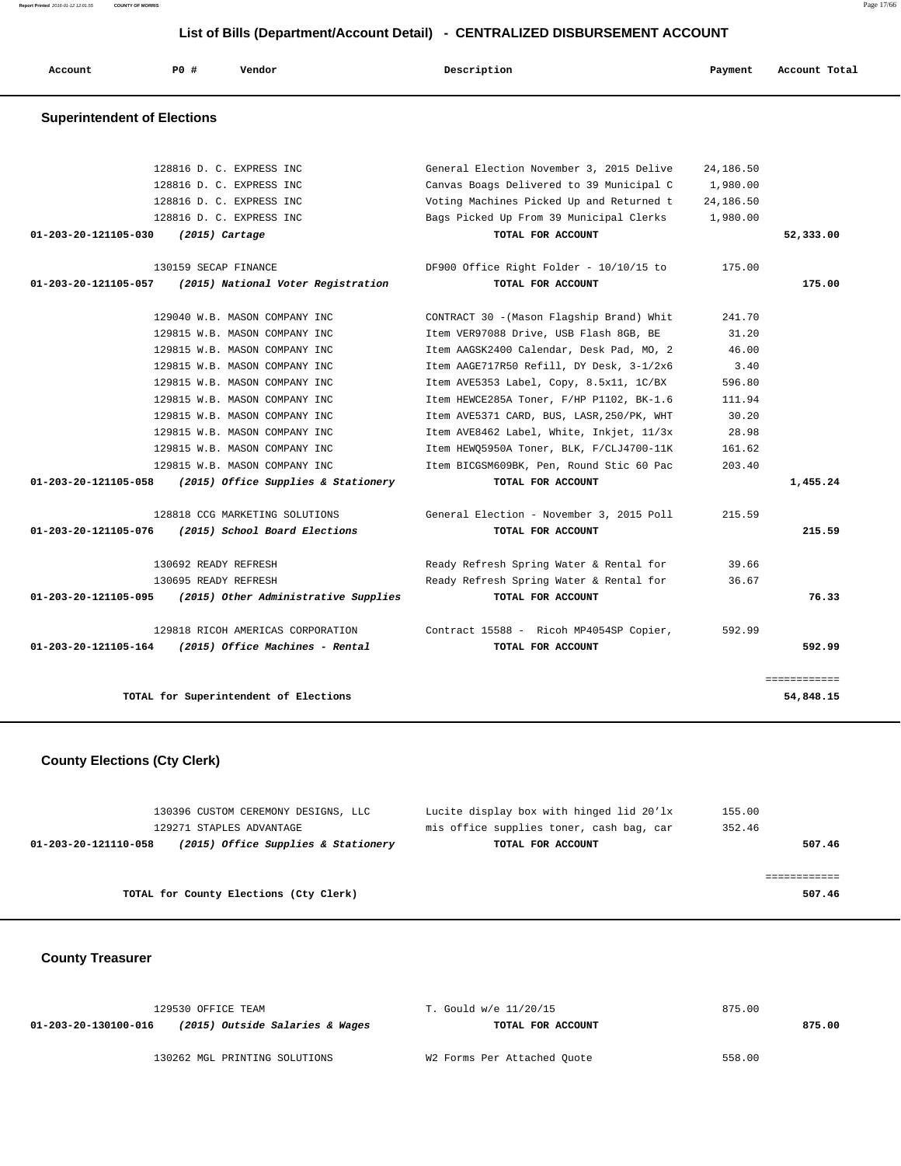**Report Printed** 2016-01-12 12:01:55 **COUNTY OF MORRIS** Page 17/66

#### **List of Bills (Department/Account Detail) - CENTRALIZED DISBURSEMENT ACCOUNT**

| or Bins (Bepartment/Account Betail) |             |                                                             |                                           |           |               |
|-------------------------------------|-------------|-------------------------------------------------------------|-------------------------------------------|-----------|---------------|
| Account                             | <b>PO #</b> | Vendor                                                      | Description                               | Payment   | Account Total |
| <b>Superintendent of Elections</b>  |             |                                                             |                                           |           |               |
|                                     |             |                                                             |                                           |           |               |
|                                     |             | 128816 D. C. EXPRESS INC                                    | General Election November 3, 2015 Delive  | 24,186.50 |               |
|                                     |             | 128816 D. C. EXPRESS INC                                    | Canvas Boags Delivered to 39 Municipal C  | 1,980.00  |               |
|                                     |             | 128816 D. C. EXPRESS INC                                    | Voting Machines Picked Up and Returned t  | 24,186.50 |               |
|                                     |             | 128816 D. C. EXPRESS INC                                    | Bags Picked Up From 39 Municipal Clerks   | 1,980.00  |               |
| 01-203-20-121105-030                |             | $(2015)$ Cartage                                            | TOTAL FOR ACCOUNT                         |           | 52,333.00     |
|                                     |             | 130159 SECAP FINANCE                                        | DF900 Office Right Folder - 10/10/15 to   | 175.00    |               |
| 01-203-20-121105-057                |             | (2015) National Voter Registration                          | TOTAL FOR ACCOUNT                         |           | 175.00        |
|                                     |             | 129040 W.B. MASON COMPANY INC                               | CONTRACT 30 - (Mason Flagship Brand) Whit | 241.70    |               |
|                                     |             | 129815 W.B. MASON COMPANY INC                               | Item VER97088 Drive, USB Flash 8GB, BE    | 31.20     |               |
|                                     |             | 129815 W.B. MASON COMPANY INC                               | Item AAGSK2400 Calendar, Desk Pad, MO, 2  | 46.00     |               |
|                                     |             | 129815 W.B. MASON COMPANY INC                               | Item AAGE717R50 Refill, DY Desk, 3-1/2x6  | 3.40      |               |
|                                     |             | 129815 W.B. MASON COMPANY INC                               | Item AVE5353 Label, Copy, 8.5x11, 1C/BX   | 596.80    |               |
|                                     |             | 129815 W.B. MASON COMPANY INC                               | Item HEWCE285A Toner, F/HP P1102, BK-1.6  | 111.94    |               |
|                                     |             | 129815 W.B. MASON COMPANY INC                               | Item AVE5371 CARD, BUS, LASR, 250/PK, WHT | 30.20     |               |
|                                     |             | 129815 W.B. MASON COMPANY INC                               | Item AVE8462 Label, White, Inkjet, 11/3x  | 28.98     |               |
|                                     |             | 129815 W.B. MASON COMPANY INC                               | Item HEWQ5950A Toner, BLK, F/CLJ4700-11K  | 161.62    |               |
|                                     |             | 129815 W.B. MASON COMPANY INC                               | Item BICGSM609BK, Pen, Round Stic 60 Pac  | 203.40    |               |
| 01-203-20-121105-058                |             | (2015) Office Supplies & Stationery                         | TOTAL FOR ACCOUNT                         |           | 1,455.24      |
|                                     |             | 128818 CCG MARKETING SOLUTIONS                              | General Election - November 3, 2015 Poll  | 215.59    |               |
| 01-203-20-121105-076                |             | (2015) School Board Elections                               | TOTAL FOR ACCOUNT                         |           | 215.59        |
|                                     |             | 130692 READY REFRESH                                        | Ready Refresh Spring Water & Rental for   | 39.66     |               |
|                                     |             | 130695 READY REFRESH                                        | Ready Refresh Spring Water & Rental for   | 36.67     |               |
|                                     |             | $01-203-20-121105-095$ (2015) Other Administrative Supplies | TOTAL FOR ACCOUNT                         |           | 76.33         |
|                                     |             | 129818 RICOH AMERICAS CORPORATION                           | Contract 15588 - Ricoh MP4054SP Copier,   | 592.99    |               |
| 01-203-20-121105-164                |             | (2015) Office Machines - Rental                             | TOTAL FOR ACCOUNT                         |           | 592.99        |
|                                     |             |                                                             |                                           |           | ============  |
|                                     |             | TOTAL for Superintendent of Elections                       |                                           |           | 54,848.15     |

#### **County Elections (Cty Clerk)**

|                      | 130396 CUSTOM CEREMONY DESIGNS, LLC    | Lucite display box with hinged lid 20'lx | 155.00 |
|----------------------|----------------------------------------|------------------------------------------|--------|
|                      | 129271 STAPLES ADVANTAGE               | mis office supplies toner, cash bag, car | 352.46 |
| 01-203-20-121110-058 | (2015) Office Supplies & Stationery    | TOTAL FOR ACCOUNT                        | 507.46 |
|                      |                                        |                                          |        |
|                      |                                        |                                          |        |
|                      | TOTAL for County Elections (Cty Clerk) |                                          | 507.46 |
|                      |                                        |                                          |        |

 **County Treasurer** 

| 129530 OFFICE TEAM                                      | T. Gould w/e 11/20/15       | 875.00 |
|---------------------------------------------------------|-----------------------------|--------|
| (2015) Outside Salaries & Wages<br>01-203-20-130100-016 | TOTAL FOR ACCOUNT           | 875.00 |
|                                                         |                             |        |
| 130262 MGL PRINTING SOLUTIONS                           | W2 Forms Per Attached Quote | 558.00 |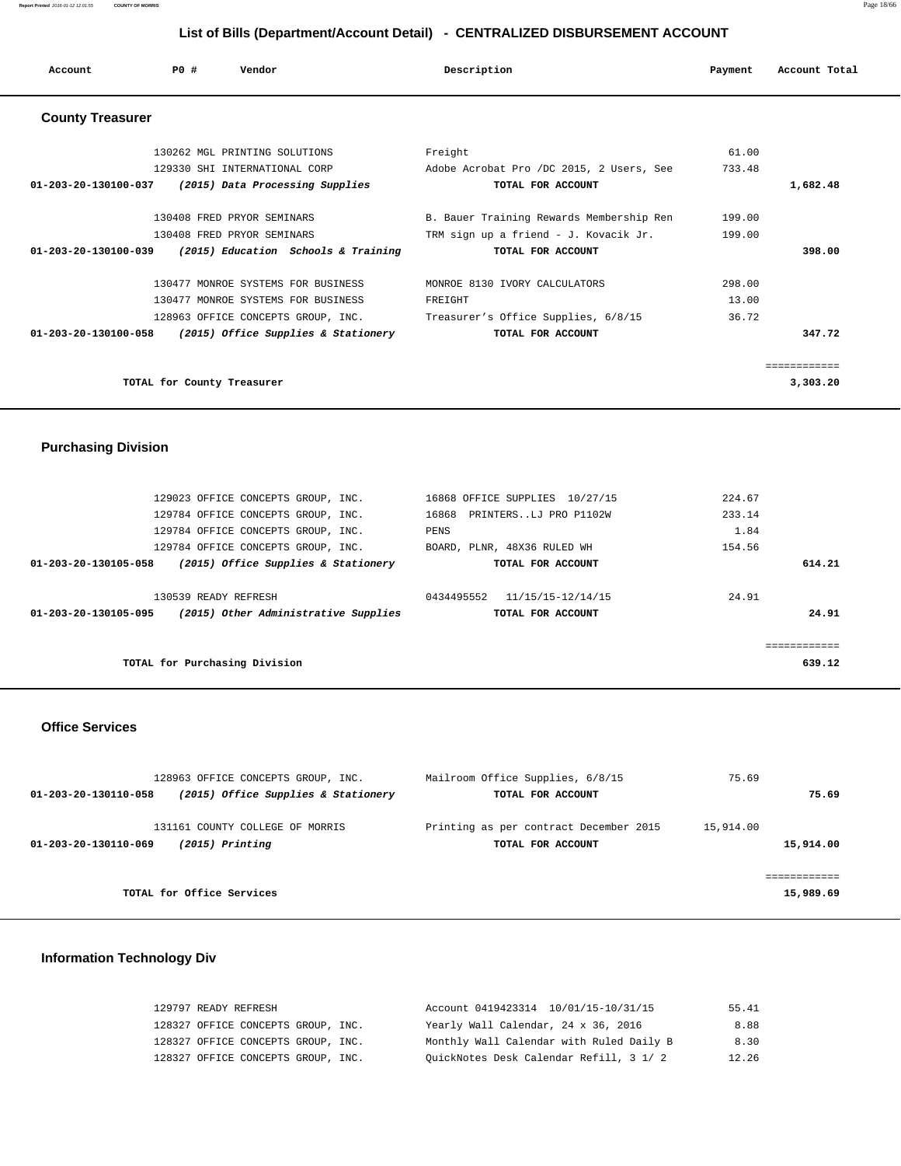| Account                                              | PO#                           | Vendor |                                                            | Description |                                          | Payment | Account Total |
|------------------------------------------------------|-------------------------------|--------|------------------------------------------------------------|-------------|------------------------------------------|---------|---------------|
| <b>County Treasurer</b>                              |                               |        |                                                            |             |                                          |         |               |
|                                                      | 130262 MGL PRINTING SOLUTIONS |        |                                                            | Freight     |                                          | 61.00   |               |
|                                                      | 129330 SHI INTERNATIONAL CORP |        |                                                            |             | Adobe Acrobat Pro /DC 2015, 2 Users, See | 733.48  |               |
| 01-203-20-130100-037 (2015) Data Processing Supplies |                               |        |                                                            |             | TOTAL FOR ACCOUNT                        |         | 1,682.48      |
|                                                      | 130408 FRED PRYOR SEMINARS    |        |                                                            |             | B. Bauer Training Rewards Membership Ren | 199.00  |               |
|                                                      | 130408 FRED PRYOR SEMINARS    |        |                                                            |             | TRM sign up a friend - J. Kovacik Jr.    | 199.00  |               |
|                                                      |                               |        | $01-203-20-130100-039$ (2015) Education Schools & Training |             | TOTAL FOR ACCOUNT                        |         | 398.00        |
|                                                      |                               |        | 130477 MONROE SYSTEMS FOR BUSINESS                         |             | MONROE 8130 IVORY CALCULATORS            | 298.00  |               |
|                                                      |                               |        | 130477 MONROE SYSTEMS FOR BUSINESS                         | FREIGHT     |                                          | 13.00   |               |
|                                                      |                               |        | 128963 OFFICE CONCEPTS GROUP, INC.                         |             | Treasurer's Office Supplies, 6/8/15      | 36.72   |               |
|                                                      |                               |        | $01-203-20-130100-058$ (2015) Office Supplies & Stationery |             | TOTAL FOR ACCOUNT                        |         | 347.72        |
|                                                      |                               |        |                                                            |             |                                          |         | ===========   |
|                                                      | TOTAL for County Treasurer    |        |                                                            |             |                                          |         | 3,303.20      |

#### **Purchasing Division**

| 129023 OFFICE CONCEPTS GROUP, INC.                           | 16868 OFFICE SUPPLIES 10/27/15  | 224.67 |
|--------------------------------------------------------------|---------------------------------|--------|
| 129784 OFFICE CONCEPTS GROUP, INC.                           | PRINTERSLJ PRO P1102W<br>16868  | 233.14 |
| 129784 OFFICE CONCEPTS GROUP, INC.                           | PENS                            | 1.84   |
| 129784 OFFICE CONCEPTS GROUP, INC.                           | BOARD, PLNR, 48X36 RULED WH     | 154.56 |
| (2015) Office Supplies & Stationery<br>01-203-20-130105-058  | TOTAL FOR ACCOUNT               | 614.21 |
|                                                              |                                 |        |
| 130539 READY REFRESH                                         | 0434495552<br>11/15/15-12/14/15 | 24.91  |
| (2015) Other Administrative Supplies<br>01-203-20-130105-095 | TOTAL FOR ACCOUNT               | 24.91  |
|                                                              |                                 |        |
|                                                              |                                 |        |
| TOTAL for Purchasing Division                                |                                 | 639.12 |

#### **Office Services**

| 128963 OFFICE CONCEPTS GROUP, INC.                                           | Mailroom Office Supplies, 6/8/15                            | 75.69                  |
|------------------------------------------------------------------------------|-------------------------------------------------------------|------------------------|
| (2015) Office Supplies & Stationery<br>01-203-20-130110-058                  | TOTAL FOR ACCOUNT                                           | 75.69                  |
| 131161 COUNTY COLLEGE OF MORRIS<br>$(2015)$ Printing<br>01-203-20-130110-069 | Printing as per contract December 2015<br>TOTAL FOR ACCOUNT | 15,914.00<br>15,914.00 |
|                                                                              |                                                             |                        |
| TOTAL for Office Services                                                    |                                                             | 15,989.69              |

#### **Information Technology Div**

| 129797 READY REFRESH               | Account 0419423314 10/01/15-10/31/15     | 55.41 |
|------------------------------------|------------------------------------------|-------|
| 128327 OFFICE CONCEPTS GROUP, INC. | Yearly Wall Calendar, 24 x 36, 2016      | 8.88  |
| 128327 OFFICE CONCEPTS GROUP, INC. | Monthly Wall Calendar with Ruled Daily B | 8.30  |
| 128327 OFFICE CONCEPTS GROUP, INC. | QuickNotes Desk Calendar Refill, 3 1/ 2  | 12.26 |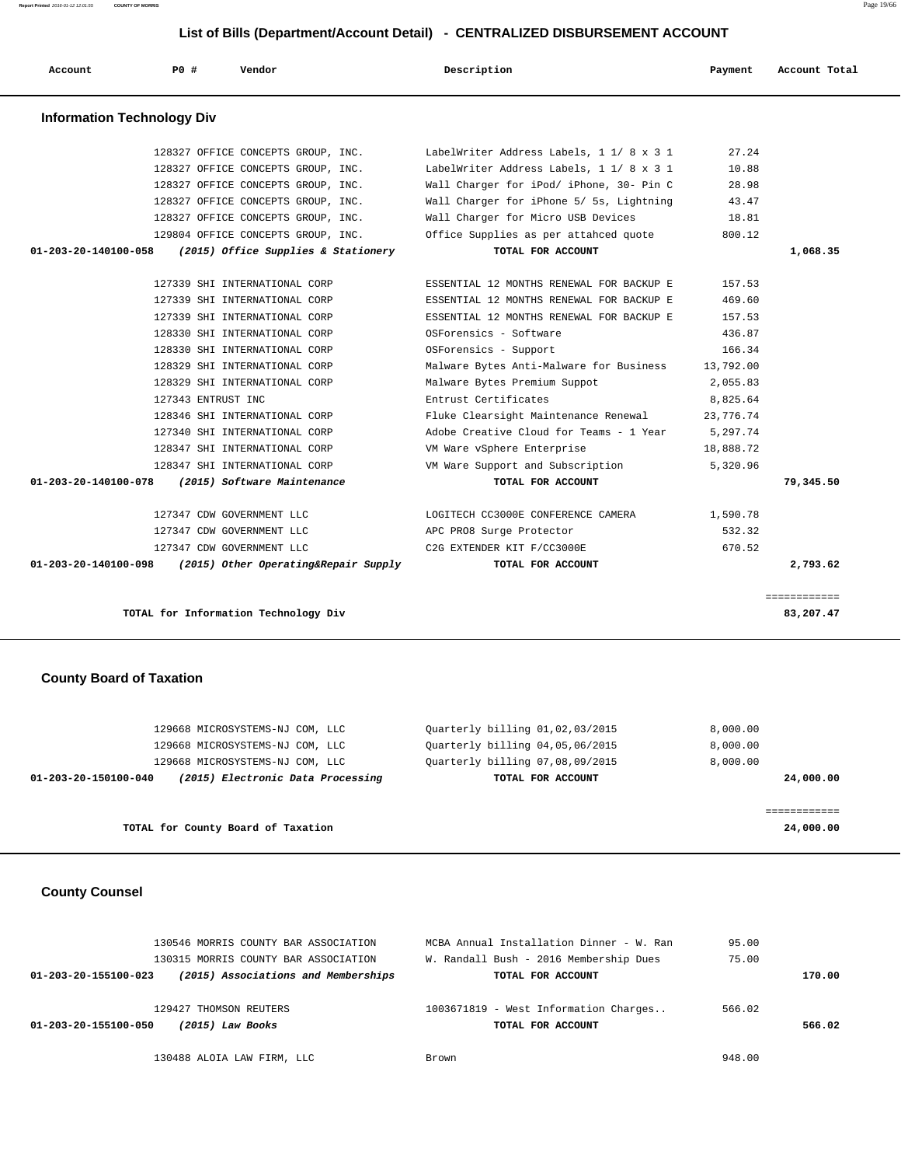**Report Printed** 2016-01-12 12:01:55 **COUNTY OF MORRIS** Page 19/66

| Account                           | PO#                | Vendor                               | Description                              | Payment   | Account Total |
|-----------------------------------|--------------------|--------------------------------------|------------------------------------------|-----------|---------------|
| <b>Information Technology Div</b> |                    |                                      |                                          |           |               |
|                                   |                    | 128327 OFFICE CONCEPTS GROUP, INC.   | LabelWriter Address Labels, 1 1/ 8 x 3 1 | 27.24     |               |
|                                   |                    | 128327 OFFICE CONCEPTS GROUP, INC.   | LabelWriter Address Labels, 1 1/ 8 x 3 1 | 10.88     |               |
|                                   |                    | 128327 OFFICE CONCEPTS GROUP, INC.   | Wall Charger for iPod/ iPhone, 30- Pin C | 28.98     |               |
|                                   |                    | 128327 OFFICE CONCEPTS GROUP, INC.   | Wall Charger for iPhone 5/ 5s, Lightning | 43.47     |               |
|                                   |                    | 128327 OFFICE CONCEPTS GROUP, INC.   | Wall Charger for Micro USB Devices       | 18.81     |               |
|                                   |                    | 129804 OFFICE CONCEPTS GROUP, INC.   | Office Supplies as per attahced quote    | 800.12    |               |
| 01-203-20-140100-058              |                    | (2015) Office Supplies & Stationery  | TOTAL FOR ACCOUNT                        |           | 1,068.35      |
|                                   |                    |                                      |                                          |           |               |
|                                   |                    | 127339 SHI INTERNATIONAL CORP        | ESSENTIAL 12 MONTHS RENEWAL FOR BACKUP E | 157.53    |               |
|                                   |                    | 127339 SHI INTERNATIONAL CORP        | ESSENTIAL 12 MONTHS RENEWAL FOR BACKUP E | 469.60    |               |
|                                   |                    | 127339 SHI INTERNATIONAL CORP        | ESSENTIAL 12 MONTHS RENEWAL FOR BACKUP E | 157.53    |               |
|                                   |                    | 128330 SHI INTERNATIONAL CORP        | OSForensics - Software                   | 436.87    |               |
|                                   |                    | 128330 SHI INTERNATIONAL CORP        | OSForensics - Support                    | 166.34    |               |
|                                   |                    | 128329 SHI INTERNATIONAL CORP        | Malware Bytes Anti-Malware for Business  | 13,792.00 |               |
|                                   |                    | 128329 SHI INTERNATIONAL CORP        | Malware Bytes Premium Suppot             | 2,055.83  |               |
|                                   | 127343 ENTRUST INC |                                      | Entrust Certificates                     | 8,825.64  |               |
|                                   |                    | 128346 SHI INTERNATIONAL CORP        | Fluke Clearsight Maintenance Renewal     | 23,776.74 |               |
|                                   |                    | 127340 SHI INTERNATIONAL CORP        | Adobe Creative Cloud for Teams - 1 Year  | 5,297.74  |               |
|                                   |                    | 128347 SHI INTERNATIONAL CORP        | VM Ware vSphere Enterprise               | 18,888.72 |               |
|                                   |                    | 128347 SHI INTERNATIONAL CORP        | VM Ware Support and Subscription         | 5,320.96  |               |
| 01-203-20-140100-078              |                    | (2015) Software Maintenance          | TOTAL FOR ACCOUNT                        |           | 79,345.50     |
|                                   |                    | 127347 CDW GOVERNMENT LLC            | LOGITECH CC3000E CONFERENCE CAMERA       | 1,590.78  |               |
|                                   |                    | 127347 CDW GOVERNMENT LLC            | APC PRO8 Surge Protector                 | 532.32    |               |
|                                   |                    | 127347 CDW GOVERNMENT LLC            | C2G EXTENDER KIT F/CC3000E               | 670.52    |               |
| 01-203-20-140100-098              |                    | (2015) Other Operating&Repair Supply | TOTAL FOR ACCOUNT                        |           | 2,793.62      |

**TOTAL for Information Technology Div 83,207.47**

#### **County Board of Taxation**

| TOTAL for County Board of Taxation                        |                                 | 24,000,00 |
|-----------------------------------------------------------|---------------------------------|-----------|
|                                                           |                                 |           |
| (2015) Electronic Data Processing<br>01-203-20-150100-040 | TOTAL FOR ACCOUNT               | 24,000.00 |
| 129668 MICROSYSTEMS-NJ COM, LLC                           | Ouarterly billing 07,08,09/2015 | 8,000.00  |
| 129668 MICROSYSTEMS-NJ COM, LLC                           | Ouarterly billing 04,05,06/2015 | 8,000.00  |
| 129668 MICROSYSTEMS-NJ COM, LLC                           | Ouarterly billing 01,02,03/2015 | 8,000.00  |

============

#### **County Counsel**

| 130546 MORRIS COUNTY BAR ASSOCIATION<br>130315 MORRIS COUNTY BAR ASSOCIATION | MCBA Annual Installation Dinner - W. Ran<br>W. Randall Bush - 2016 Membership Dues | 95.00<br>75.00 |        |
|------------------------------------------------------------------------------|------------------------------------------------------------------------------------|----------------|--------|
| (2015) Associations and Memberships<br>01-203-20-155100-023                  | TOTAL FOR ACCOUNT                                                                  |                | 170.00 |
| 129427 THOMSON REUTERS                                                       | 1003671819 - West Information Charges                                              | 566.02         |        |
| 01-203-20-155100-050<br>(2015) Law Books                                     | TOTAL FOR ACCOUNT                                                                  |                | 566.02 |
| 130488 ALOIA LAW FIRM, LLC                                                   | Brown                                                                              | 948.00         |        |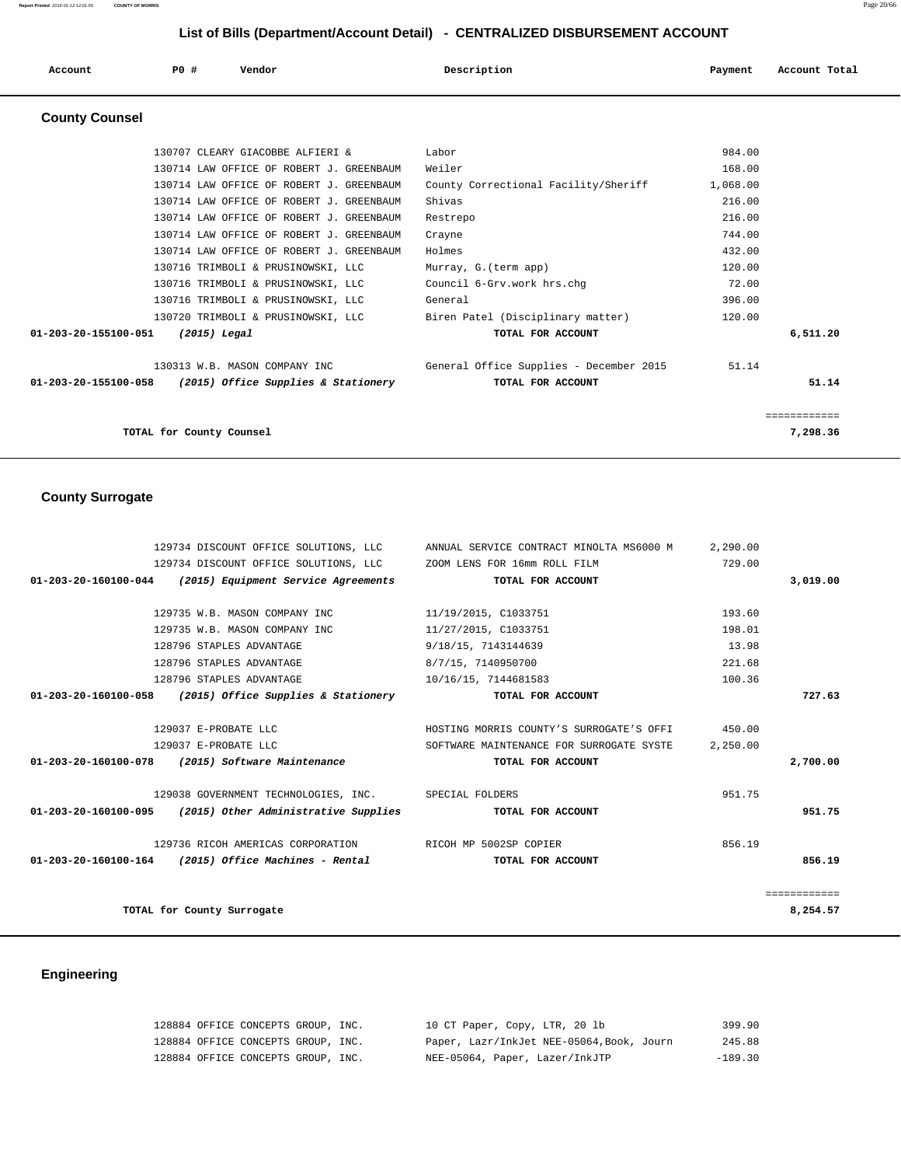|                       | LIST OF BIIIS (DEPARTIMENTACCOUNT DETAIL) - CENTRALIZED DISBURSEMENT ACCOUNT |                                          |                                         |          |               |  |
|-----------------------|------------------------------------------------------------------------------|------------------------------------------|-----------------------------------------|----------|---------------|--|
| Account               | PO#                                                                          | Vendor                                   | Description                             | Payment  | Account Total |  |
| <b>County Counsel</b> |                                                                              |                                          |                                         |          |               |  |
|                       |                                                                              | 130707 CLEARY GIACOBBE ALFIERI &         | Labor                                   | 984.00   |               |  |
|                       |                                                                              | 130714 LAW OFFICE OF ROBERT J. GREENBAUM | Weiler                                  | 168.00   |               |  |
|                       |                                                                              | 130714 LAW OFFICE OF ROBERT J. GREENBAUM | County Correctional Facility/Sheriff    | 1,068.00 |               |  |
|                       |                                                                              | 130714 LAW OFFICE OF ROBERT J. GREENBAUM | Shivas                                  | 216.00   |               |  |
|                       |                                                                              | 130714 LAW OFFICE OF ROBERT J. GREENBAUM | Restrepo                                | 216.00   |               |  |
|                       |                                                                              | 130714 LAW OFFICE OF ROBERT J. GREENBAUM | Crayne                                  | 744.00   |               |  |
|                       |                                                                              | 130714 LAW OFFICE OF ROBERT J. GREENBAUM | Holmes                                  | 432.00   |               |  |
|                       |                                                                              | 130716 TRIMBOLI & PRUSINOWSKI, LLC       | Murray, G. (term app)                   | 120.00   |               |  |
|                       |                                                                              | 130716 TRIMBOLI & PRUSINOWSKI, LLC       | Council 6-Grv.work hrs.chq              | 72.00    |               |  |
|                       |                                                                              | 130716 TRIMBOLI & PRUSINOWSKI, LLC       | General                                 | 396.00   |               |  |
|                       |                                                                              | 130720 TRIMBOLI & PRUSINOWSKI, LLC       | Biren Patel (Disciplinary matter)       | 120.00   |               |  |
| 01-203-20-155100-051  | $(2015)$ Legal                                                               |                                          | TOTAL FOR ACCOUNT                       |          | 6,511.20      |  |
|                       |                                                                              | 130313 W.B. MASON COMPANY INC            | General Office Supplies - December 2015 | 51.14    |               |  |
| 01-203-20-155100-058  |                                                                              | (2015) Office Supplies & Stationery      | TOTAL FOR ACCOUNT                       |          | 51.14         |  |

============

**TOTAL for County Counsel 7,298.36**

# **County Surrogate**

|              | 2,290.00 | 129734 DISCOUNT OFFICE SOLUTIONS, LLC ANNUAL SERVICE CONTRACT MINOLTA MS6000 M |                                                                    |  |
|--------------|----------|--------------------------------------------------------------------------------|--------------------------------------------------------------------|--|
|              | 729.00   |                                                                                | 129734 DISCOUNT OFFICE SOLUTIONS, LLC ZOOM LENS FOR 16mm ROLL FILM |  |
| 3,019.00     |          | TOTAL FOR ACCOUNT                                                              | $01-203-20-160100-044$ (2015) Equipment Service Agreements         |  |
|              |          |                                                                                |                                                                    |  |
|              | 193.60   | 11/19/2015, C1033751                                                           | 129735 W.B. MASON COMPANY INC                                      |  |
|              | 198.01   | 11/27/2015, C1033751                                                           | 129735 W.B. MASON COMPANY INC                                      |  |
|              | 13.98    | 9/18/15, 7143144639                                                            | 128796 STAPLES ADVANTAGE                                           |  |
|              | 221.68   | 8/7/15, 7140950700                                                             | 128796 STAPLES ADVANTAGE                                           |  |
|              | 100.36   | 10/16/15, 7144681583                                                           | 128796 STAPLES ADVANTAGE                                           |  |
| 727.63       |          | TOTAL FOR ACCOUNT                                                              | $01-203-20-160100-058$ (2015) Office Supplies & Stationery         |  |
|              |          | HOSTING MORRIS COUNTY'S SURROGATE'S OFFI 450.00                                | 129037 E-PROBATE LLC                                               |  |
|              | 2,250.00 | SOFTWARE MAINTENANCE FOR SURROGATE SYSTE                                       | 129037 E-PROBATE LLC                                               |  |
| 2,700.00     |          | TOTAL FOR ACCOUNT                                                              | 01-203-20-160100-078 (2015) Software Maintenance                   |  |
|              | 951.75   |                                                                                | 129038 GOVERNMENT TECHNOLOGIES, INC. SPECIAL FOLDERS               |  |
| 951.75       |          | TOTAL FOR ACCOUNT                                                              | $01-203-20-160100-095$ (2015) Other Administrative Supplies        |  |
|              | 856.19   |                                                                                | 129736 RICOH AMERICAS CORPORATION RICOH MP 5002SP COPIER           |  |
| 856.19       |          | TOTAL FOR ACCOUNT                                                              | $01-203-20-160100-164$ (2015) Office Machines - Rental             |  |
| ============ |          |                                                                                |                                                                    |  |
| 8,254.57     |          |                                                                                | TOTAL for County Surrogate                                         |  |
|              |          |                                                                                |                                                                    |  |

# **Engineering**

| 128884 OFFICE CONCEPTS GROUP, INC. |  | 10 CT Paper, Copy, LTR, 20 lb             | 399.90    |
|------------------------------------|--|-------------------------------------------|-----------|
| 128884 OFFICE CONCEPTS GROUP, INC. |  | Paper, Lazr/InkJet NEE-05064, Book, Journ | 245.88    |
| 128884 OFFICE CONCEPTS GROUP, INC. |  | NEE-05064, Paper, Lazer/InkJTP            | $-189.30$ |

**Report Printed** 2016-01-12 12:01:55 **COUNTY OF MORRIS** Page 20/66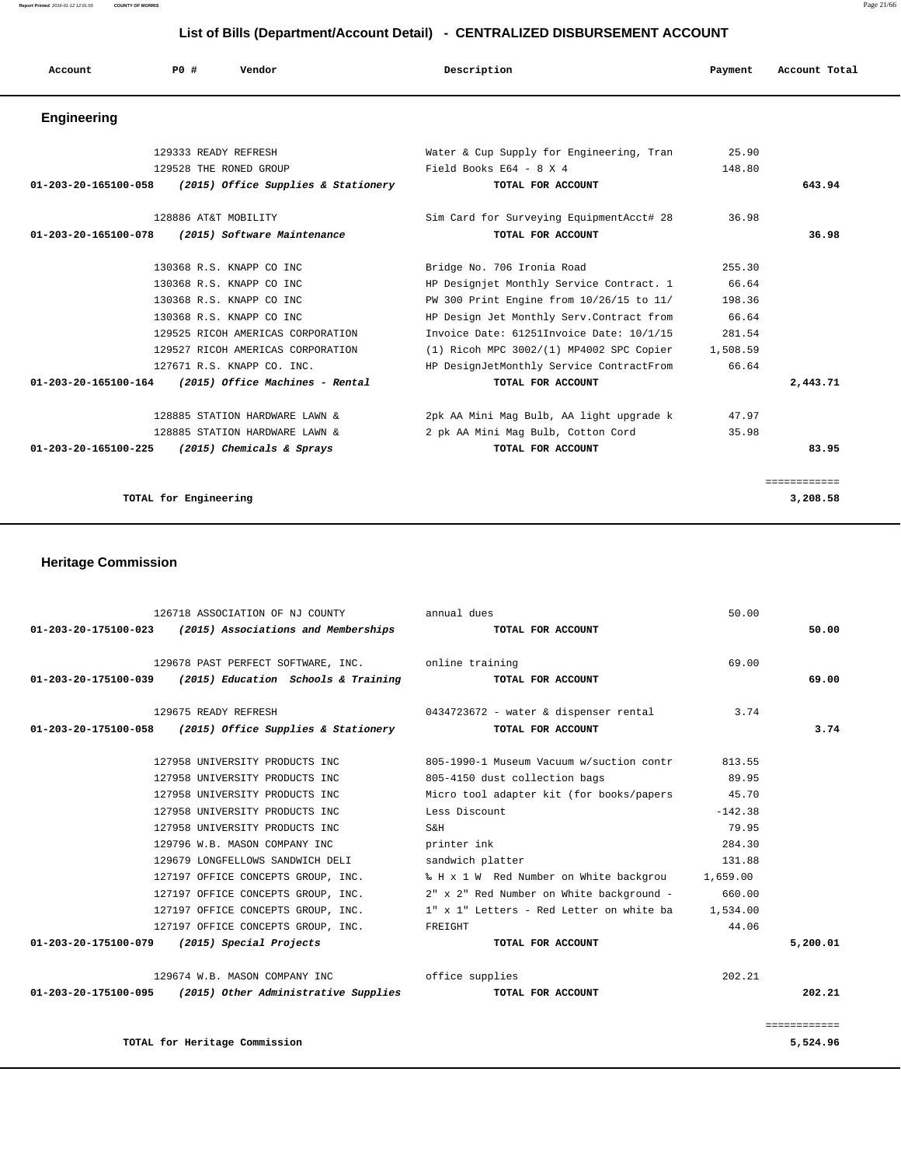**Report Printed** 2016-01-12 12:01:55 **COUNTY OF MORRIS** Page 21/66

#### **List of Bills (Department/Account Detail) - CENTRALIZED DISBURSEMENT ACCOUNT**

| Account              | <b>PO #</b>           | Vendor                                                   | Description                               | Payment  | Account Total |
|----------------------|-----------------------|----------------------------------------------------------|-------------------------------------------|----------|---------------|
| <b>Engineering</b>   |                       |                                                          |                                           |          |               |
|                      |                       | 129333 READY REFRESH                                     | Water & Cup Supply for Engineering, Tran  | 25.90    |               |
|                      |                       | 129528 THE RONED GROUP                                   | Field Books E64 - 8 X 4                   | 148.80   |               |
|                      |                       | 01-203-20-165100-058 (2015) Office Supplies & Stationery | TOTAL FOR ACCOUNT                         |          | 643.94        |
|                      |                       | 128886 AT&T MOBILITY                                     | Sim Card for Surveying EquipmentAcct# 28  | 36.98    |               |
|                      |                       | 01-203-20-165100-078 (2015) Software Maintenance         | TOTAL FOR ACCOUNT                         |          | 36.98         |
|                      |                       | 130368 R.S. KNAPP CO INC                                 | Bridge No. 706 Ironia Road                | 255.30   |               |
|                      |                       | 130368 R.S. KNAPP CO INC                                 | HP Designjet Monthly Service Contract. 1  | 66.64    |               |
|                      |                       | 130368 R.S. KNAPP CO INC                                 | PW 300 Print Engine from 10/26/15 to 11/  | 198.36   |               |
|                      |                       | 130368 R.S. KNAPP CO INC                                 | HP Design Jet Monthly Serv. Contract from | 66.64    |               |
|                      |                       | 129525 RICOH AMERICAS CORPORATION                        | Invoice Date: 61251Invoice Date: 10/1/15  | 281.54   |               |
|                      |                       | 129527 RICOH AMERICAS CORPORATION                        | (1) Ricoh MPC 3002/(1) MP4002 SPC Copier  | 1,508.59 |               |
|                      |                       | 127671 R.S. KNAPP CO. INC.                               | HP DesignJetMonthly Service ContractFrom  | 66.64    |               |
|                      |                       | 01-203-20-165100-164 (2015) Office Machines - Rental     | TOTAL FOR ACCOUNT                         |          | 2,443.71      |
|                      |                       | 128885 STATION HARDWARE LAWN &                           | 2pk AA Mini Mag Bulb, AA light upgrade k  | 47.97    |               |
|                      |                       | 128885 STATION HARDWARE LAWN &                           | 2 pk AA Mini Mag Bulb, Cotton Cord        | 35.98    |               |
| 01-203-20-165100-225 |                       | (2015) Chemicals & Sprays                                | TOTAL FOR ACCOUNT                         |          | 83.95         |
|                      |                       |                                                          |                                           |          | ============  |
|                      | TOTAL for Engineering |                                                          |                                           |          | 3,208.58      |

#### **Heritage Commission**

| 126718 ASSOCIATION OF NJ COUNTY                             | annual dues                                    | 50.00     |              |
|-------------------------------------------------------------|------------------------------------------------|-----------|--------------|
| $01-203-20-175100-023$ (2015) Associations and Memberships  | TOTAL FOR ACCOUNT                              |           | 50.00        |
| 129678 PAST PERFECT SOFTWARE, INC. The online training      |                                                | 69.00     |              |
| $01-203-20-175100-039$ (2015) Education Schools & Training  | TOTAL FOR ACCOUNT                              |           | 69.00        |
| 129675 READY REFRESH                                        | 0434723672 - water & dispenser rental          | 3.74      |              |
| $01-203-20-175100-058$ (2015) Office Supplies & Stationery  | TOTAL FOR ACCOUNT                              |           | 3.74         |
| 127958 UNIVERSITY PRODUCTS INC                              | 805-1990-1 Museum Vacuum w/suction contr       | 813.55    |              |
| 127958 UNIVERSITY PRODUCTS INC                              | 805-4150 dust collection bags                  | 89.95     |              |
| 127958 UNIVERSITY PRODUCTS INC                              | Micro tool adapter kit (for books/papers 45.70 |           |              |
| 127958 UNIVERSITY PRODUCTS INC                              | Less Discount                                  | $-142.38$ |              |
| 127958 UNIVERSITY PRODUCTS INC                              | $S\&H$                                         | 79.95     |              |
| 129796 W.B. MASON COMPANY INC                               | printer ink                                    | 284.30    |              |
| 129679 LONGFELLOWS SANDWICH DELI                            | sandwich platter                               | 131.88    |              |
| 127197 OFFICE CONCEPTS GROUP, INC.                          | % H x 1 W Red Number on White backgrou         | 1,659.00  |              |
| 127197 OFFICE CONCEPTS GROUP, INC.                          | 2" x 2" Red Number on White background -       | 660.00    |              |
| 127197 OFFICE CONCEPTS GROUP, INC.                          | 1" x 1" Letters - Red Letter on white ba       | 1,534.00  |              |
| 127197 OFFICE CONCEPTS GROUP, INC.                          | FREIGHT                                        | 44.06     |              |
| 01-203-20-175100-079 (2015) Special Projects                | TOTAL FOR ACCOUNT                              |           | 5,200.01     |
| 129674 W.B. MASON COMPANY INC 6ffice supplies               |                                                | 202.21    |              |
| $01-203-20-175100-095$ (2015) Other Administrative Supplies | TOTAL FOR ACCOUNT                              |           | 202.21       |
|                                                             |                                                |           | ============ |
| TOTAL for Heritage Commission                               |                                                |           | 5,524.96     |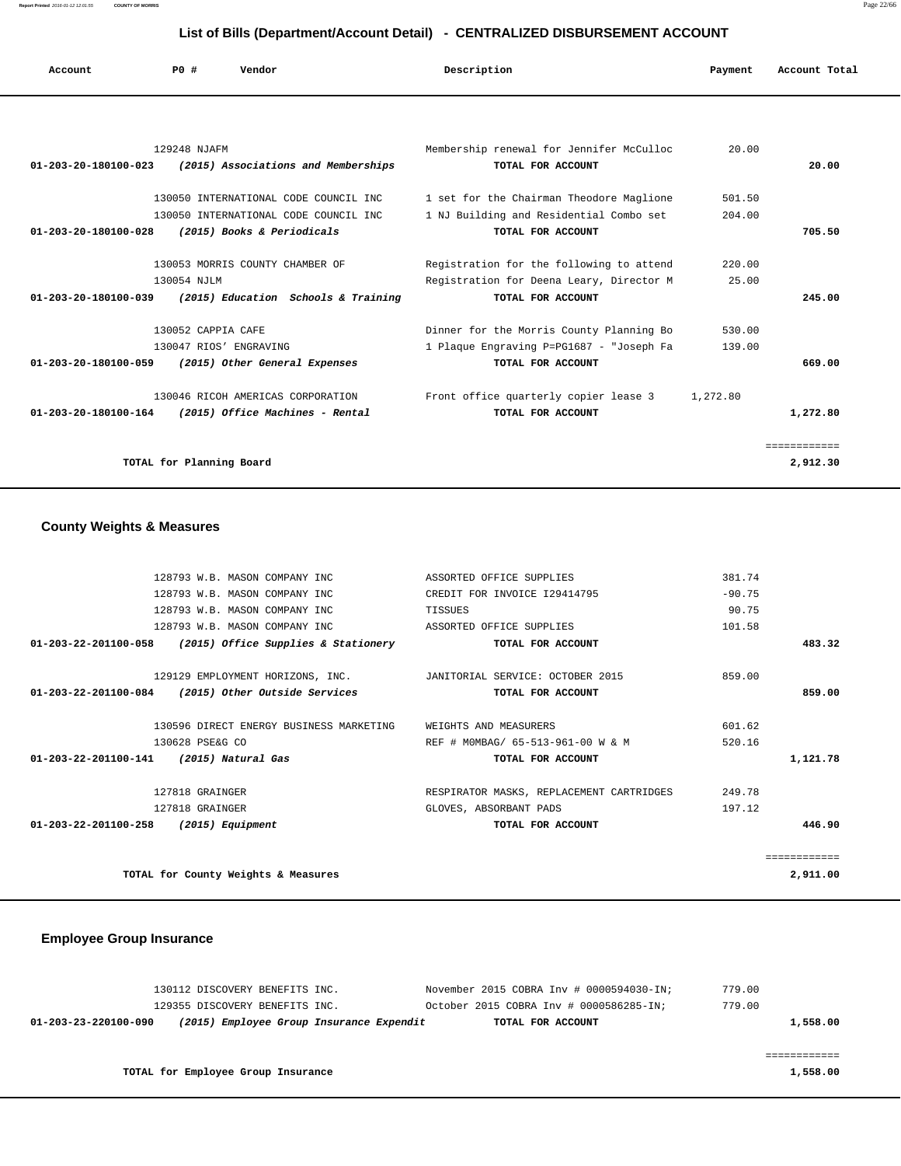**Report Printed** 2016-01-12 12:01:55 **COUNTY OF MORRIS** Page 22/66

#### **List of Bills (Department/Account Detail) - CENTRALIZED DISBURSEMENT ACCOUNT**

| Account                        | P0#                      | Vendor                                | Description                                     | Payment  | Account Total |
|--------------------------------|--------------------------|---------------------------------------|-------------------------------------------------|----------|---------------|
|                                |                          |                                       |                                                 |          |               |
|                                | 129248 NJAFM             |                                       | Membership renewal for Jennifer McCulloc        | 20.00    |               |
| $01 - 203 - 20 - 180100 - 023$ |                          | (2015) Associations and Memberships   | TOTAL FOR ACCOUNT                               |          | 20.00         |
|                                |                          | 130050 INTERNATIONAL CODE COUNCIL INC | 1 set for the Chairman Theodore Maglione        | 501.50   |               |
|                                |                          | 130050 INTERNATIONAL CODE COUNCIL INC | 1 NJ Building and Residential Combo set         | 204.00   |               |
| $01 - 203 - 20 - 180100 - 028$ |                          | (2015) Books & Periodicals            | TOTAL FOR ACCOUNT                               |          | 705.50        |
|                                |                          |                                       |                                                 |          |               |
|                                |                          | 130053 MORRIS COUNTY CHAMBER OF       | Registration for the following to attend        | 220.00   |               |
|                                | 130054 NJLM              |                                       | Registration for Deena Leary, Director M        | 25.00    |               |
| $01 - 203 - 20 - 180100 - 039$ |                          | (2015) Education Schools & Training   | TOTAL FOR ACCOUNT                               |          | 245.00        |
|                                | 130052 CAPPIA CAFE       |                                       | Dinner for the Morris County Planning Bo        | 530.00   |               |
|                                |                          | 130047 RIOS' ENGRAVING                | 1 Plaque Engraving P=PG1687 - "Joseph Fa        | 139.00   |               |
| 01-203-20-180100-059           |                          | (2015) Other General Expenses         | TOTAL FOR ACCOUNT                               |          | 669.00        |
|                                |                          | 130046 RICOH AMERICAS CORPORATION     | Front office quarterly copier lease $\hat{a}$ 3 | 1,272.80 |               |
| 01-203-20-180100-164           |                          | (2015) Office Machines - Rental       | TOTAL FOR ACCOUNT                               |          | 1,272.80      |
|                                |                          |                                       |                                                 |          | ============  |
|                                | TOTAL for Planning Board |                                       |                                                 |          | 2,912.30      |

#### **County Weights & Measures**

|              | 381.74   | ASSORTED OFFICE SUPPLIES                 | 128793 W.B. MASON COMPANY INC                                     |                                         |  |  |
|--------------|----------|------------------------------------------|-------------------------------------------------------------------|-----------------------------------------|--|--|
|              | $-90.75$ | CREDIT FOR INVOICE 129414795             | 128793 W.B. MASON COMPANY INC                                     |                                         |  |  |
|              | 90.75    | TISSUES                                  | 128793 W.B. MASON COMPANY INC                                     |                                         |  |  |
|              | 101.58   | ASSORTED OFFICE SUPPLIES                 | 128793 W.B. MASON COMPANY INC                                     |                                         |  |  |
| 483.32       |          | TOTAL FOR ACCOUNT                        | $01-203-22-201100-058$ (2015) Office Supplies & Stationery        |                                         |  |  |
|              | 859.00   |                                          | 129129 EMPLOYMENT HORIZONS, INC. JANITORIAL SERVICE: OCTOBER 2015 |                                         |  |  |
| 859.00       |          | TOTAL FOR ACCOUNT                        | 01-203-22-201100-084 (2015) Other Outside Services                |                                         |  |  |
|              | 601.62   | WEIGHTS AND MEASURERS                    | 130596 DIRECT ENERGY BUSINESS MARKETING                           |                                         |  |  |
|              | 520.16   | REF # MOMBAG/ 65-513-961-00 W & M        | 130628 PSE&G CO                                                   |                                         |  |  |
| 1,121.78     |          | TOTAL FOR ACCOUNT                        |                                                                   | 01-203-22-201100-141 (2015) Natural Gas |  |  |
|              | 249.78   | RESPIRATOR MASKS, REPLACEMENT CARTRIDGES | 127818 GRAINGER                                                   |                                         |  |  |
|              | 197.12   | GLOVES, ABSORBANT PADS                   | 127818 GRAINGER                                                   |                                         |  |  |
| 446.90       |          | TOTAL FOR ACCOUNT                        |                                                                   | 01-203-22-201100-258 (2015) Equipment   |  |  |
| ------------ |          |                                          |                                                                   |                                         |  |  |
| 2,911.00     |          | TOTAL for County Weights & Measures      |                                                                   |                                         |  |  |

#### **Employee Group Insurance**

|                      | 130112 DISCOVERY BENEFITS INC.           |  | November 2015 COBRA Inv # 0000594030-IN; | 779.00 |          |
|----------------------|------------------------------------------|--|------------------------------------------|--------|----------|
|                      | 129355 DISCOVERY BENEFITS INC.           |  | October 2015 COBRA Inv # 0000586285-IN;  | 779.00 |          |
| 01-203-23-220100-090 | (2015) Employee Group Insurance Expendit |  | TOTAL FOR ACCOUNT                        |        | 1,558.00 |
|                      |                                          |  |                                          |        |          |
|                      |                                          |  |                                          |        |          |
|                      | TOTAL for Employee Group Insurance       |  |                                          |        | 1,558.00 |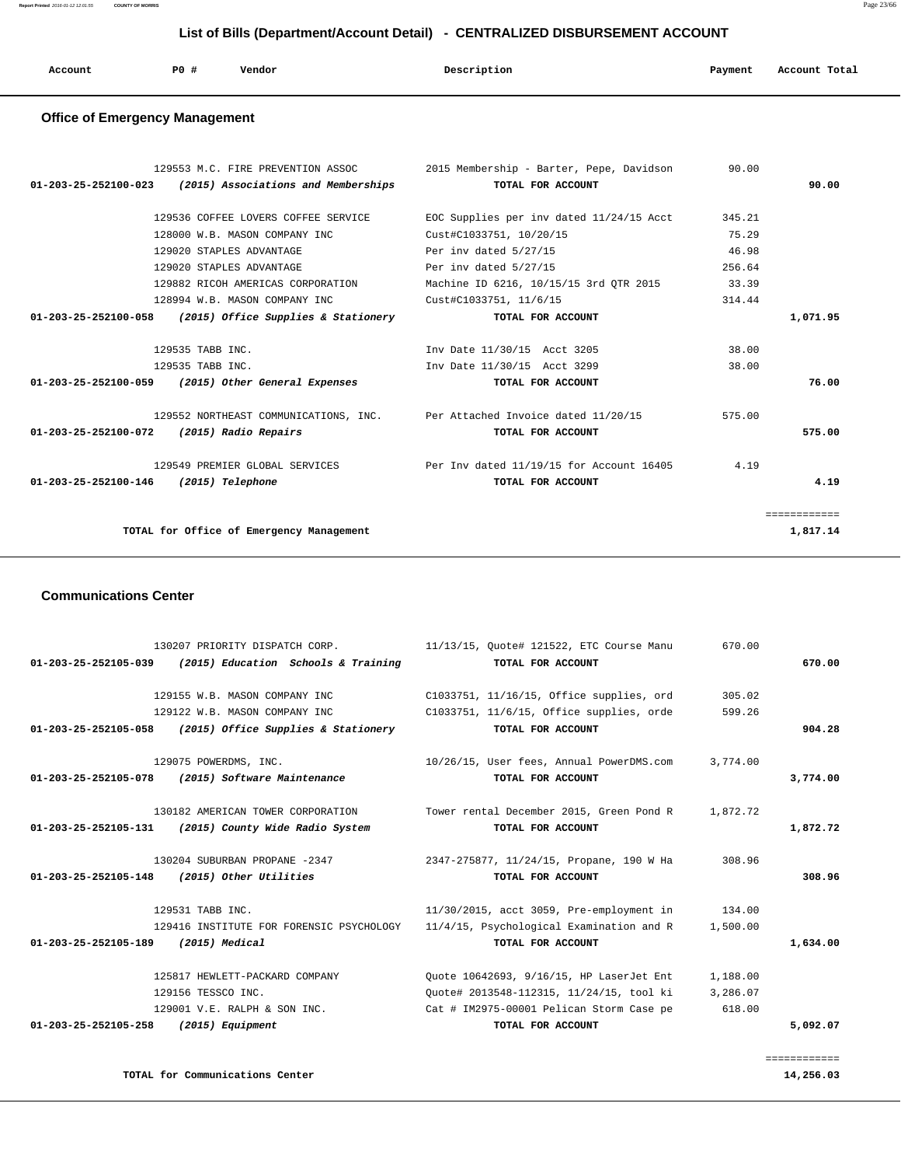**Report Printed** 2016-01-12 12:01:55 **COUNTY OF MORRIS** Page 23/66

#### **List of Bills (Department/Account Detail) - CENTRALIZED DISBURSEMENT ACCOUNT**

| Account<br>. | P0# | Vendor<br>. | Description<br>. | Payment<br>$\sim$ $\sim$ | Account Total<br>.<br>. |
|--------------|-----|-------------|------------------|--------------------------|-------------------------|
|              |     |             |                  |                          |                         |

#### **Office of Emergency Management**

|                                                            | 129553 M.C. FIRE PREVENTION ASSOC 2015 Membership - Barter, Pepe, Davidson | 90.00  |              |
|------------------------------------------------------------|----------------------------------------------------------------------------|--------|--------------|
| $01-203-25-252100-023$ (2015) Associations and Memberships | TOTAL FOR ACCOUNT                                                          |        | 90.00        |
| 129536 COFFEE LOVERS COFFEE SERVICE                        | EOC Supplies per inv dated 11/24/15 Acct                                   | 345.21 |              |
| 128000 W.B. MASON COMPANY INC                              | Cust#C1033751, 10/20/15                                                    | 75.29  |              |
| 129020 STAPLES ADVANTAGE                                   | Per inv dated 5/27/15                                                      | 46.98  |              |
| 129020 STAPLES ADVANTAGE                                   | Per inv dated 5/27/15                                                      | 256.64 |              |
| 129882 RICOH AMERICAS CORPORATION                          | Machine ID 6216, 10/15/15 3rd OTR 2015                                     | 33.39  |              |
| 128994 W.B. MASON COMPANY INC                              | Cust#C1033751, 11/6/15                                                     | 314.44 |              |
| $01-203-25-252100-058$ (2015) Office Supplies & Stationery | TOTAL FOR ACCOUNT                                                          |        | 1,071.95     |
|                                                            |                                                                            |        |              |
| 129535 TABB INC.                                           | Inv Date 11/30/15 Acct 3205                                                | 38.00  |              |
| 129535 TABB INC.                                           | Inv Date 11/30/15 Acct 3299                                                | 38.00  |              |
| 01-203-25-252100-059 (2015) Other General Expenses         | TOTAL FOR ACCOUNT                                                          |        | 76.00        |
|                                                            | 129552 NORTHEAST COMMUNICATIONS, INC. Per Attached Invoice dated 11/20/15  | 575.00 |              |
|                                                            | TOTAL FOR ACCOUNT                                                          |        | 575.00       |
| 01-203-25-252100-072 (2015) Radio Repairs                  |                                                                            |        |              |
|                                                            | 129549 PREMIER GLOBAL SERVICES Per Inv dated 11/19/15 for Account 16405    | 4.19   |              |
| 01-203-25-252100-146 (2015) Telephone                      | TOTAL FOR ACCOUNT                                                          |        | 4.19         |
|                                                            |                                                                            |        |              |
|                                                            |                                                                            |        | ============ |
| TOTAL for Office of Emergency Management                   |                                                                            |        | 1,817.14     |
|                                                            |                                                                            |        |              |

#### **Communications Center**

|                                     | 130207 PRIORITY DISPATCH CORP.                             | 11/13/15, Quote# 121522, ETC Course Manu             | 670.00   |              |
|-------------------------------------|------------------------------------------------------------|------------------------------------------------------|----------|--------------|
|                                     | $01-203-25-252105-039$ (2015) Education Schools & Training | TOTAL FOR ACCOUNT                                    |          | 670.00       |
|                                     | 129155 W.B. MASON COMPANY INC                              | C1033751, 11/16/15, Office supplies, ord             | 305.02   |              |
|                                     | 129122 W.B. MASON COMPANY INC                              | C1033751, 11/6/15, Office supplies, orde             | 599.26   |              |
|                                     | $01-203-25-252105-058$ (2015) Office Supplies & Stationery | TOTAL FOR ACCOUNT                                    |          | 904.28       |
|                                     | 129075 POWERDMS, INC.                                      | 10/26/15, User fees, Annual PowerDMS.com             | 3,774.00 |              |
|                                     | 01-203-25-252105-078 (2015) Software Maintenance           | TOTAL FOR ACCOUNT                                    |          | 3,774.00     |
|                                     | 130182 AMERICAN TOWER CORPORATION                          | Tower rental December 2015, Green Pond R             | 1,872.72 |              |
| 01-203-25-252105-131                | (2015) County Wide Radio System                            | TOTAL FOR ACCOUNT                                    |          | 1,872.72     |
|                                     | 130204 SUBURBAN PROPANE -2347                              | 2347-275877, 11/24/15, Propane, 190 W Ha             | 308.96   |              |
|                                     | 01-203-25-252105-148 (2015) Other Utilities                | TOTAL FOR ACCOUNT                                    |          | 308.96       |
|                                     | 129531 TABB INC.                                           | 11/30/2015, acct 3059, Pre-employment in 134.00      |          |              |
|                                     | 129416 INSTITUTE FOR FORENSIC PSYCHOLOGY                   | $11/4/15$ , Psychological Examination and R 1,500.00 |          |              |
| 01-203-25-252105-189 (2015) Medical |                                                            | TOTAL FOR ACCOUNT                                    |          | 1,634.00     |
|                                     | 125817 HEWLETT-PACKARD COMPANY                             | Ouote 10642693, 9/16/15, HP LaserJet Ent             | 1,188.00 |              |
|                                     | 129156 TESSCO INC.                                         | Ouote# 2013548-112315, 11/24/15, tool ki             | 3,286.07 |              |
|                                     | 129001 V.E. RALPH & SON INC.                               | Cat # IM2975-00001 Pelican Storm Case pe             | 618.00   |              |
| 01-203-25-252105-258                | (2015) Equipment                                           | TOTAL FOR ACCOUNT                                    |          | 5,092.07     |
|                                     |                                                            |                                                      |          |              |
|                                     |                                                            |                                                      |          | ============ |

**TOTAL for Communications Center 14,256.03**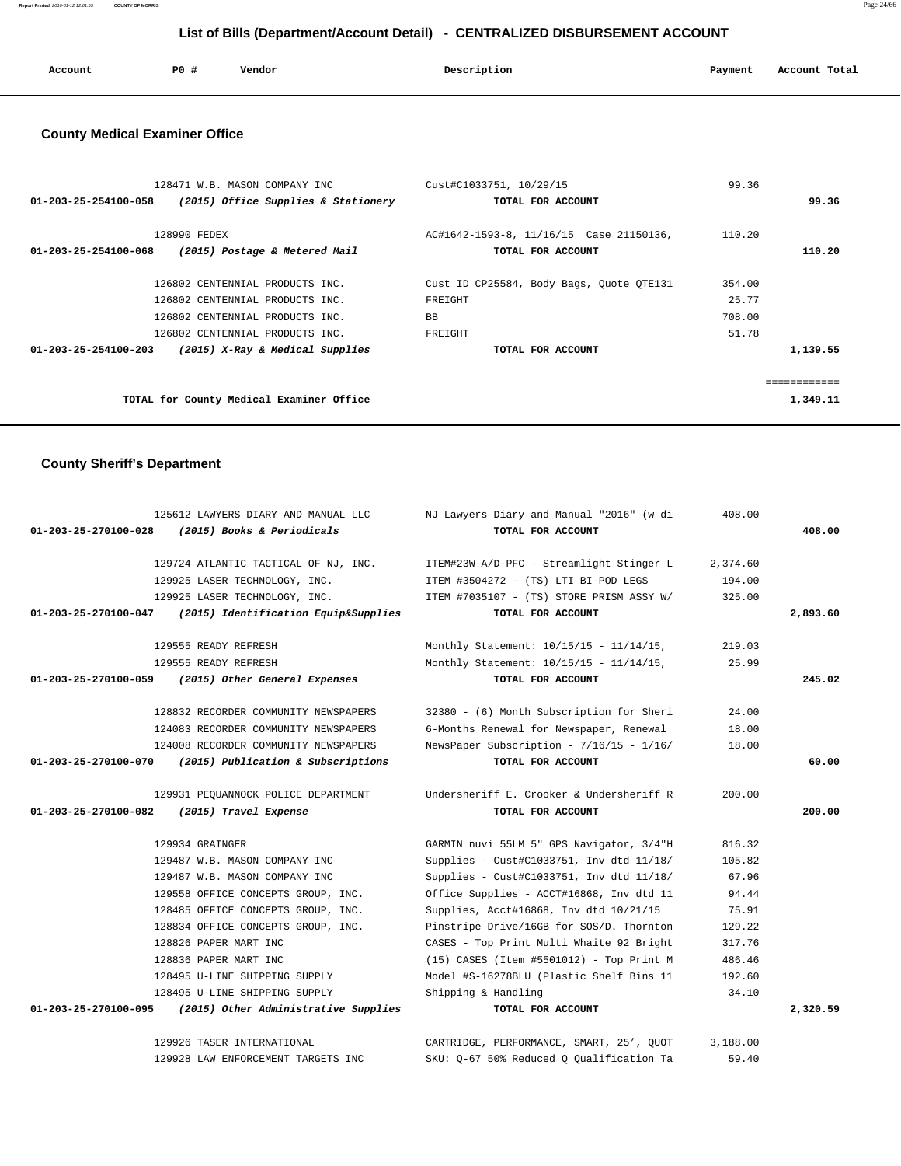| Account | P0 # | Vendor | Description | Payment | Account Total<br>.<br>. |
|---------|------|--------|-------------|---------|-------------------------|
|         |      |        |             |         |                         |

#### **County Medical Examiner Office**

| 128471 W.B. MASON COMPANY INC                                     | Cust#C1033751, 10/29/15                  | 99.36  |          |
|-------------------------------------------------------------------|------------------------------------------|--------|----------|
| (2015) Office Supplies & Stationery<br>01-203-25-254100-058       | TOTAL FOR ACCOUNT                        |        | 99.36    |
| 128990 FEDEX                                                      | AC#1642-1593-8, 11/16/15 Case 21150136,  | 110.20 |          |
| 01-203-25-254100-068<br>(2015) Postage & Metered Mail             | TOTAL FOR ACCOUNT                        |        | 110.20   |
| 126802 CENTENNIAL PRODUCTS INC.                                   | Cust ID CP25584, Body Bags, Quote QTE131 | 354.00 |          |
| 126802 CENTENNIAL PRODUCTS INC.                                   | FREIGHT                                  | 25.77  |          |
| 126802 CENTENNIAL PRODUCTS INC.                                   | <b>BB</b>                                | 708.00 |          |
| 126802 CENTENNIAL PRODUCTS INC.                                   | FREIGHT                                  | 51.78  |          |
| $01 - 203 - 25 - 254100 - 203$<br>(2015) X-Ray & Medical Supplies | TOTAL FOR ACCOUNT                        |        | 1,139.55 |
|                                                                   |                                          |        |          |
|                                                                   |                                          |        |          |
| TOTAL for County Medical Examiner Office                          |                                          |        | 1,349.11 |

#### **County Sheriff's Department**

|                      | 125612 LAWYERS DIARY AND MANUAL LLC                       | NJ Lawyers Diary and Manual "2016" (w di | 408.00   |          |
|----------------------|-----------------------------------------------------------|------------------------------------------|----------|----------|
| 01-203-25-270100-028 | (2015) Books & Periodicals                                | TOTAL FOR ACCOUNT                        |          | 408.00   |
|                      | 129724 ATLANTIC TACTICAL OF NJ, INC.                      | ITEM#23W-A/D-PFC - Streamlight Stinger L | 2,374.60 |          |
|                      | 129925 LASER TECHNOLOGY, INC.                             | ITEM #3504272 - (TS) LTI BI-POD LEGS     | 194.00   |          |
|                      | 129925 LASER TECHNOLOGY, INC.                             | ITEM #7035107 - (TS) STORE PRISM ASSY W/ | 325.00   |          |
| 01-203-25-270100-047 | (2015) Identification Equip&Supplies                      | TOTAL FOR ACCOUNT                        |          | 2,893.60 |
|                      | 129555 READY REFRESH                                      | Monthly Statement: 10/15/15 - 11/14/15,  | 219.03   |          |
|                      | 129555 READY REFRESH                                      | Monthly Statement: 10/15/15 - 11/14/15,  | 25.99    |          |
|                      | 01-203-25-270100-059 (2015) Other General Expenses        | TOTAL FOR ACCOUNT                        |          | 245.02   |
|                      | 128832 RECORDER COMMUNITY NEWSPAPERS                      | 32380 - (6) Month Subscription for Sheri | 24.00    |          |
|                      | 124083 RECORDER COMMUNITY NEWSPAPERS                      | 6-Months Renewal for Newspaper, Renewal  | 18.00    |          |
|                      | 124008 RECORDER COMMUNITY NEWSPAPERS                      | NewsPaper Subscription - 7/16/15 - 1/16/ | 18.00    |          |
| 01-203-25-270100-070 | (2015) Publication & Subscriptions                        | TOTAL FOR ACCOUNT                        |          | 60.00    |
|                      | 129931 PEQUANNOCK POLICE DEPARTMENT                       | Undersheriff E. Crooker & Undersheriff R | 200.00   |          |
|                      | 01-203-25-270100-082 (2015) Travel Expense                | TOTAL FOR ACCOUNT                        |          | 200.00   |
|                      | 129934 GRAINGER                                           | GARMIN nuvi 55LM 5" GPS Navigator, 3/4"H | 816.32   |          |
|                      | 129487 W.B. MASON COMPANY INC                             | Supplies - Cust#C1033751, Inv dtd 11/18/ | 105.82   |          |
|                      | 129487 W.B. MASON COMPANY INC                             | Supplies - Cust#C1033751, Inv dtd 11/18/ | 67.96    |          |
|                      | 129558 OFFICE CONCEPTS GROUP, INC.                        | Office Supplies - ACCT#16868, Inv dtd 11 | 94.44    |          |
|                      | 128485 OFFICE CONCEPTS GROUP, INC.                        | Supplies, Acct#16868, Inv dtd 10/21/15   | 75.91    |          |
|                      | 128834 OFFICE CONCEPTS GROUP, INC.                        | Pinstripe Drive/16GB for SOS/D. Thornton | 129.22   |          |
|                      | 128826 PAPER MART INC                                     | CASES - Top Print Multi Whaite 92 Bright | 317.76   |          |
|                      | 128836 PAPER MART INC                                     | (15) CASES (Item #5501012) - Top Print M | 486.46   |          |
|                      | 128495 U-LINE SHIPPING SUPPLY                             | Model #S-16278BLU (Plastic Shelf Bins 11 | 192.60   |          |
|                      | 128495 U-LINE SHIPPING SUPPLY                             | Shipping & Handling                      | 34.10    |          |
|                      | 01-203-25-270100-095 (2015) Other Administrative Supplies | TOTAL FOR ACCOUNT                        |          | 2,320.59 |
|                      | 129926 TASER INTERNATIONAL                                | CARTRIDGE, PERFORMANCE, SMART, 25', QUOT | 3,188.00 |          |
|                      | 129928 LAW ENFORCEMENT TARGETS INC                        | SKU: Q-67 50% Reduced Q Qualification Ta | 59.40    |          |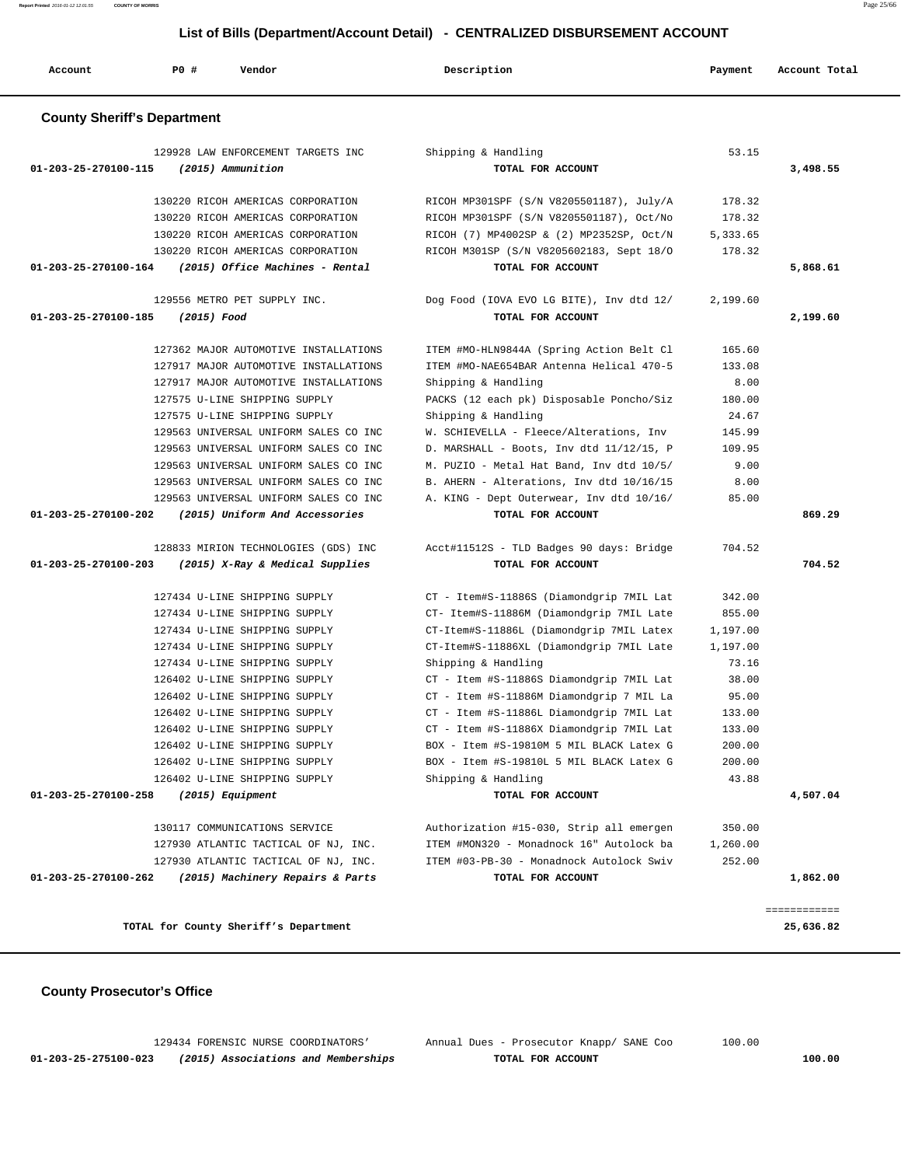**01-203-25-275100-023 (2015) Associations and Memberships TOTAL FOR ACCOUNT 100.00**

129434 FORENSIC NURSE COORDINATORS' Annual Dues - Prosecutor Knapp/ SANE Coo 100.00

**TOTAL for County Sheriff's Department 25,636.82**

 **County Prosecutor's Office**

| Account                            | <b>PO #</b> | Vendor                                                                 | Description                                                                          | Payment         | Account Total |
|------------------------------------|-------------|------------------------------------------------------------------------|--------------------------------------------------------------------------------------|-----------------|---------------|
| <b>County Sheriff's Department</b> |             |                                                                        |                                                                                      |                 |               |
|                                    |             | 129928 LAW ENFORCEMENT TARGETS INC                                     | Shipping & Handling                                                                  | 53.15           |               |
| 01-203-25-270100-115               |             | (2015) Ammunition                                                      | TOTAL FOR ACCOUNT                                                                    |                 | 3,498.55      |
|                                    |             | 130220 RICOH AMERICAS CORPORATION                                      |                                                                                      | 178.32          |               |
|                                    |             | 130220 RICOH AMERICAS CORPORATION                                      | RICOH MP301SPF (S/N V8205501187), July/A<br>RICOH MP301SPF (S/N V8205501187), Oct/No | 178.32          |               |
|                                    |             | 130220 RICOH AMERICAS CORPORATION                                      | RICOH (7) MP4002SP & (2) MP2352SP, Oct/N                                             | 5,333.65        |               |
|                                    |             | 130220 RICOH AMERICAS CORPORATION                                      | RICOH M301SP (S/N V8205602183, Sept 18/0                                             | 178.32          |               |
|                                    |             | 01-203-25-270100-164 (2015) Office Machines - Rental                   | TOTAL FOR ACCOUNT                                                                    |                 | 5,868.61      |
|                                    |             | 129556 METRO PET SUPPLY INC.                                           | Dog Food (IOVA EVO LG BITE), Inv dtd 12/                                             | 2,199.60        |               |
| 01-203-25-270100-185               | (2015) Food |                                                                        | TOTAL FOR ACCOUNT                                                                    |                 | 2,199.60      |
|                                    |             |                                                                        |                                                                                      |                 |               |
|                                    |             | 127362 MAJOR AUTOMOTIVE INSTALLATIONS                                  | ITEM #MO-HLN9844A (Spring Action Belt Cl                                             | 165.60          |               |
|                                    |             | 127917 MAJOR AUTOMOTIVE INSTALLATIONS                                  | ITEM #MO-NAE654BAR Antenna Helical 470-5                                             | 133.08          |               |
|                                    |             | 127917 MAJOR AUTOMOTIVE INSTALLATIONS                                  | Shipping & Handling                                                                  | 8.00            |               |
|                                    |             | 127575 U-LINE SHIPPING SUPPLY                                          | PACKS (12 each pk) Disposable Poncho/Siz                                             | 180.00<br>24.67 |               |
|                                    |             | 127575 U-LINE SHIPPING SUPPLY<br>129563 UNIVERSAL UNIFORM SALES CO INC | Shipping & Handling<br>W. SCHIEVELLA - Fleece/Alterations, Inv                       | 145.99          |               |
|                                    |             | 129563 UNIVERSAL UNIFORM SALES CO INC                                  | D. MARSHALL - Boots, Inv dtd 11/12/15, P                                             | 109.95          |               |
|                                    |             | 129563 UNIVERSAL UNIFORM SALES CO INC                                  | M. PUZIO - Metal Hat Band, Inv dtd 10/5/                                             | 9.00            |               |
|                                    |             | 129563 UNIVERSAL UNIFORM SALES CO INC                                  | B. AHERN - Alterations, Inv dtd 10/16/15                                             | 8.00            |               |
|                                    |             | 129563 UNIVERSAL UNIFORM SALES CO INC                                  | A. KING - Dept Outerwear, Inv dtd 10/16/                                             | 85.00           |               |
|                                    |             | 01-203-25-270100-202 (2015) Uniform And Accessories                    | TOTAL FOR ACCOUNT                                                                    |                 | 869.29        |
|                                    |             | 128833 MIRION TECHNOLOGIES (GDS) INC                                   | Acct#11512S - TLD Badges 90 days: Bridge                                             | 704.52          |               |
| 01-203-25-270100-203               |             | (2015) X-Ray & Medical Supplies                                        | TOTAL FOR ACCOUNT                                                                    |                 | 704.52        |
|                                    |             | 127434 U-LINE SHIPPING SUPPLY                                          | CT - Item#S-11886S (Diamondgrip 7MIL Lat                                             | 342.00          |               |
|                                    |             | 127434 U-LINE SHIPPING SUPPLY                                          | CT- Item#S-11886M (Diamondgrip 7MIL Late                                             | 855.00          |               |
|                                    |             | 127434 U-LINE SHIPPING SUPPLY                                          | CT-Item#S-11886L (Diamondgrip 7MIL Latex                                             | 1,197.00        |               |
|                                    |             | 127434 U-LINE SHIPPING SUPPLY                                          | CT-Item#S-11886XL (Diamondgrip 7MIL Late                                             | 1,197.00        |               |
|                                    |             | 127434 U-LINE SHIPPING SUPPLY                                          | Shipping & Handling                                                                  | 73.16           |               |
|                                    |             | 126402 U-LINE SHIPPING SUPPLY                                          | CT - Item #S-11886S Diamondgrip 7MIL Lat                                             | 38.00           |               |
|                                    |             | 126402 U-LINE SHIPPING SUPPLY                                          | CT - Item #S-11886M Diamondgrip 7 MIL La                                             | 95.00           |               |
|                                    |             | 126402 U-LINE SHIPPING SUPPLY                                          | CT - Item #S-11886L Diamondgrip 7MIL Lat                                             | 133.00          |               |
|                                    |             | 126402 U-LINE SHIPPING SUPPLY                                          | CT - Item #S-11886X Diamondgrip 7MIL Lat                                             | 133.00          |               |
|                                    |             | 126402 U-LINE SHIPPING SUPPLY                                          | BOX - Item #S-19810M 5 MIL BLACK Latex G                                             | 200.00          |               |
|                                    |             | 126402 U-LINE SHIPPING SUPPLY                                          | BOX - Item #S-19810L 5 MIL BLACK Latex G                                             | 200.00          |               |
|                                    |             | 126402 U-LINE SHIPPING SUPPLY                                          | Shipping & Handling                                                                  | 43.88           |               |
| 01-203-25-270100-258               |             | (2015) Equipment                                                       | TOTAL FOR ACCOUNT                                                                    |                 | 4,507.04      |
|                                    |             | 130117 COMMUNICATIONS SERVICE                                          | Authorization #15-030, Strip all emergen                                             | 350.00          |               |
|                                    |             | 127930 ATLANTIC TACTICAL OF NJ, INC.                                   | ITEM #MON320 - Monadnock 16" Autolock ba                                             | 1,260.00        |               |
|                                    |             | 127930 ATLANTIC TACTICAL OF NJ, INC.                                   | ITEM #03-PB-30 - Monadnock Autolock Swiv                                             | 252.00          |               |
| 01-203-25-270100-262               |             | (2015) Machinery Repairs & Parts                                       | TOTAL FOR ACCOUNT                                                                    |                 | 1,862.00      |
|                                    |             |                                                                        |                                                                                      |                 | ============  |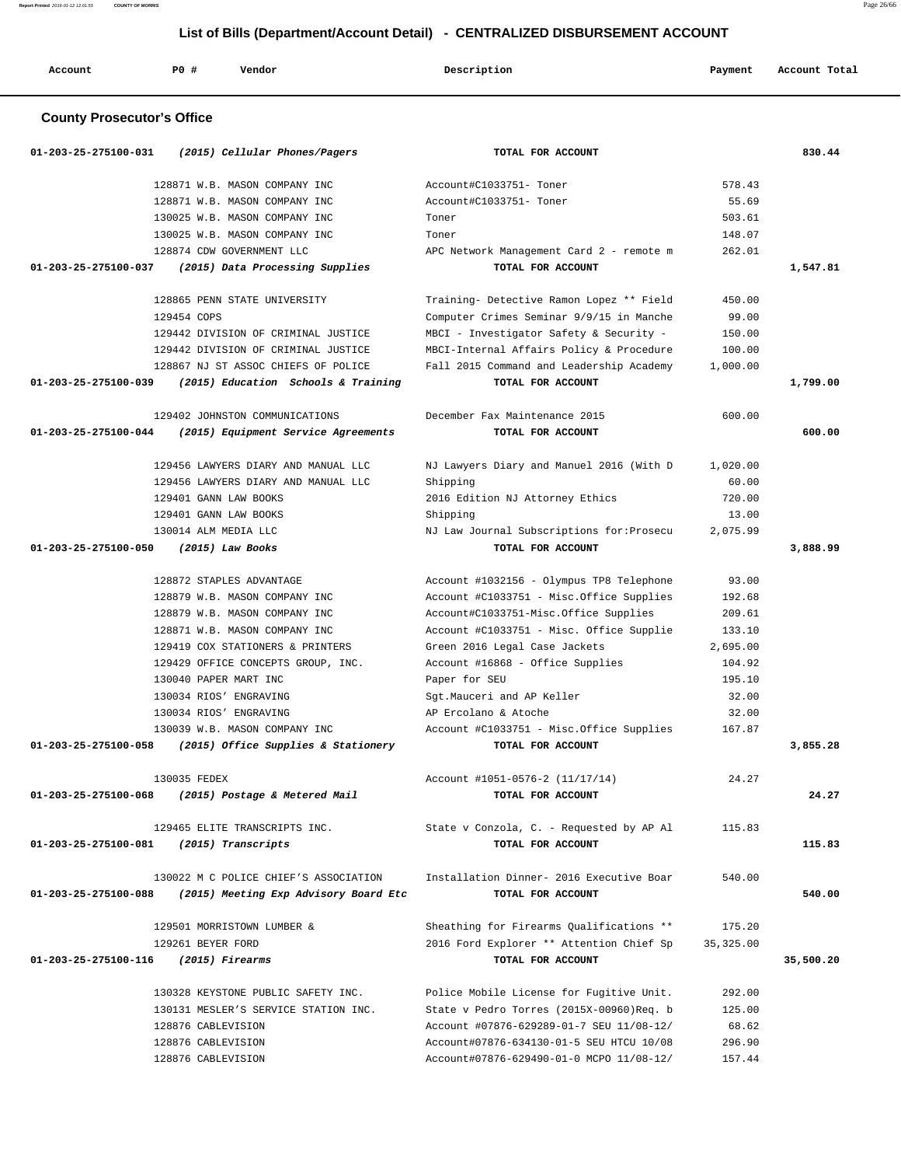**Report Printed** 2016-01-12 12:01:55 **COUNTY OF MORRIS** Page 26/66

#### **List of Bills (Department/Account Detail) - CENTRALIZED DISBURSEMENT ACCOUNT**

| Account                           | P0 #<br>Vendor                                           | Description                               | Payment   | Account Total |
|-----------------------------------|----------------------------------------------------------|-------------------------------------------|-----------|---------------|
| <b>County Prosecutor's Office</b> |                                                          |                                           |           |               |
| 01-203-25-275100-031              | (2015) Cellular Phones/Pagers                            | TOTAL FOR ACCOUNT                         |           | 830.44        |
|                                   | 128871 W.B. MASON COMPANY INC.                           | Account#C1033751- Toner                   | 578.43    |               |
|                                   | 128871 W.B. MASON COMPANY INC                            | Account#C1033751- Toner                   | 55.69     |               |
|                                   | 130025 W.B. MASON COMPANY INC                            | Toner                                     | 503.61    |               |
|                                   | 130025 W.B. MASON COMPANY INC                            | Toner                                     | 148.07    |               |
|                                   | 128874 CDW GOVERNMENT LLC                                | APC Network Management Card 2 - remote m  | 262.01    |               |
| 01-203-25-275100-037              | (2015) Data Processing Supplies                          | TOTAL FOR ACCOUNT                         |           | 1,547.81      |
|                                   | 128865 PENN STATE UNIVERSITY                             | Training- Detective Ramon Lopez ** Field  | 450.00    |               |
|                                   | 129454 COPS                                              | Computer Crimes Seminar 9/9/15 in Manche  | 99.00     |               |
|                                   | 129442 DIVISION OF CRIMINAL JUSTICE                      | MBCI - Investigator Safety & Security -   | 150.00    |               |
|                                   | 129442 DIVISION OF CRIMINAL JUSTICE                      | MBCI-Internal Affairs Policy & Procedure  | 100.00    |               |
|                                   | 128867 NJ ST ASSOC CHIEFS OF POLICE                      | Fall 2015 Command and Leadership Academy  | 1,000.00  |               |
| 01-203-25-275100-039              | (2015) Education Schools & Training                      | TOTAL FOR ACCOUNT                         |           | 1,799.00      |
|                                   | 129402 JOHNSTON COMMUNICATIONS                           | December Fax Maintenance 2015             | 600.00    |               |
| 01-203-25-275100-044              | (2015) Equipment Service Agreements                      | TOTAL FOR ACCOUNT                         |           | 600.00        |
|                                   | 129456 LAWYERS DIARY AND MANUAL LLC                      | NJ Lawyers Diary and Manuel 2016 (With D  | 1,020.00  |               |
|                                   | 129456 LAWYERS DIARY AND MANUAL LLC                      | Shipping                                  | 60.00     |               |
|                                   | 129401 GANN LAW BOOKS                                    | 2016 Edition NJ Attorney Ethics           | 720.00    |               |
|                                   | 129401 GANN LAW BOOKS                                    | Shipping                                  | 13.00     |               |
|                                   | 130014 ALM MEDIA LLC                                     | NJ Law Journal Subscriptions for: Prosecu | 2,075.99  |               |
| 01-203-25-275100-050              | $(2015)$ Law Books                                       | TOTAL FOR ACCOUNT                         |           | 3,888.99      |
|                                   | 128872 STAPLES ADVANTAGE                                 | Account #1032156 - Olympus TP8 Telephone  | 93.00     |               |
|                                   | 128879 W.B. MASON COMPANY INC                            | Account #C1033751 - Misc.Office Supplies  | 192.68    |               |
|                                   | 128879 W.B. MASON COMPANY INC                            | Account#C1033751-Misc.Office Supplies     | 209.61    |               |
|                                   | 128871 W.B. MASON COMPANY INC                            | Account #C1033751 - Misc. Office Supplie  | 133.10    |               |
|                                   | 129419 COX STATIONERS & PRINTERS                         | Green 2016 Legal Case Jackets             | 2,695.00  |               |
|                                   | 129429 OFFICE CONCEPTS GROUP, INC.                       | Account #16868 - Office Supplies          | 104.92    |               |
|                                   | 130040 PAPER MART INC                                    | Paper for SEU                             | 195.10    |               |
|                                   | 130034 RIOS' ENGRAVING                                   | Sqt.Mauceri and AP Keller                 | 32.00     |               |
|                                   | 130034 RIOS' ENGRAVING                                   | AP Ercolano & Atoche                      | 32.00     |               |
|                                   | 130039 W.B. MASON COMPANY INC                            | Account #C1033751 - Misc.Office Supplies  | 167.87    |               |
|                                   | 01-203-25-275100-058 (2015) Office Supplies & Stationery | TOTAL FOR ACCOUNT                         |           | 3,855.28      |
|                                   | 130035 FEDEX                                             | Account #1051-0576-2 (11/17/14)           | 24.27     |               |
|                                   | 01-203-25-275100-068 (2015) Postage & Metered Mail       | TOTAL FOR ACCOUNT                         |           | 24.27         |
|                                   | 129465 ELITE TRANSCRIPTS INC.                            | State v Conzola, C. - Requested by AP Al  | 115.83    |               |
|                                   | 01-203-25-275100-081 (2015) Transcripts                  | TOTAL FOR ACCOUNT                         |           | 115.83        |
|                                   | 130022 M C POLICE CHIEF'S ASSOCIATION                    | Installation Dinner- 2016 Executive Boar  | 540.00    |               |
| 01-203-25-275100-088              | (2015) Meeting Exp Advisory Board Etc                    | TOTAL FOR ACCOUNT                         |           | 540.00        |
|                                   | 129501 MORRISTOWN LUMBER &                               | Sheathing for Firearms Qualifications **  | 175.20    |               |
|                                   | 129261 BEYER FORD                                        | 2016 Ford Explorer ** Attention Chief Sp  | 35,325.00 |               |
| 01-203-25-275100-116              | (2015) Firearms                                          | TOTAL FOR ACCOUNT                         |           | 35,500.20     |
|                                   | 130328 KEYSTONE PUBLIC SAFETY INC.                       | Police Mobile License for Fugitive Unit.  | 292.00    |               |
|                                   | 130131 MESLER'S SERVICE STATION INC.                     | State v Pedro Torres (2015X-00960)Req. b  | 125.00    |               |
|                                   | 128876 CABLEVISION                                       | Account #07876-629289-01-7 SEU 11/08-12/  | 68.62     |               |

 128876 CABLEVISION Account#07876-634130-01-5 SEU HTCU 10/08 296.90 128876 CABLEVISION Account#07876-629490-01-0 MCPO 11/08-12/ 157.44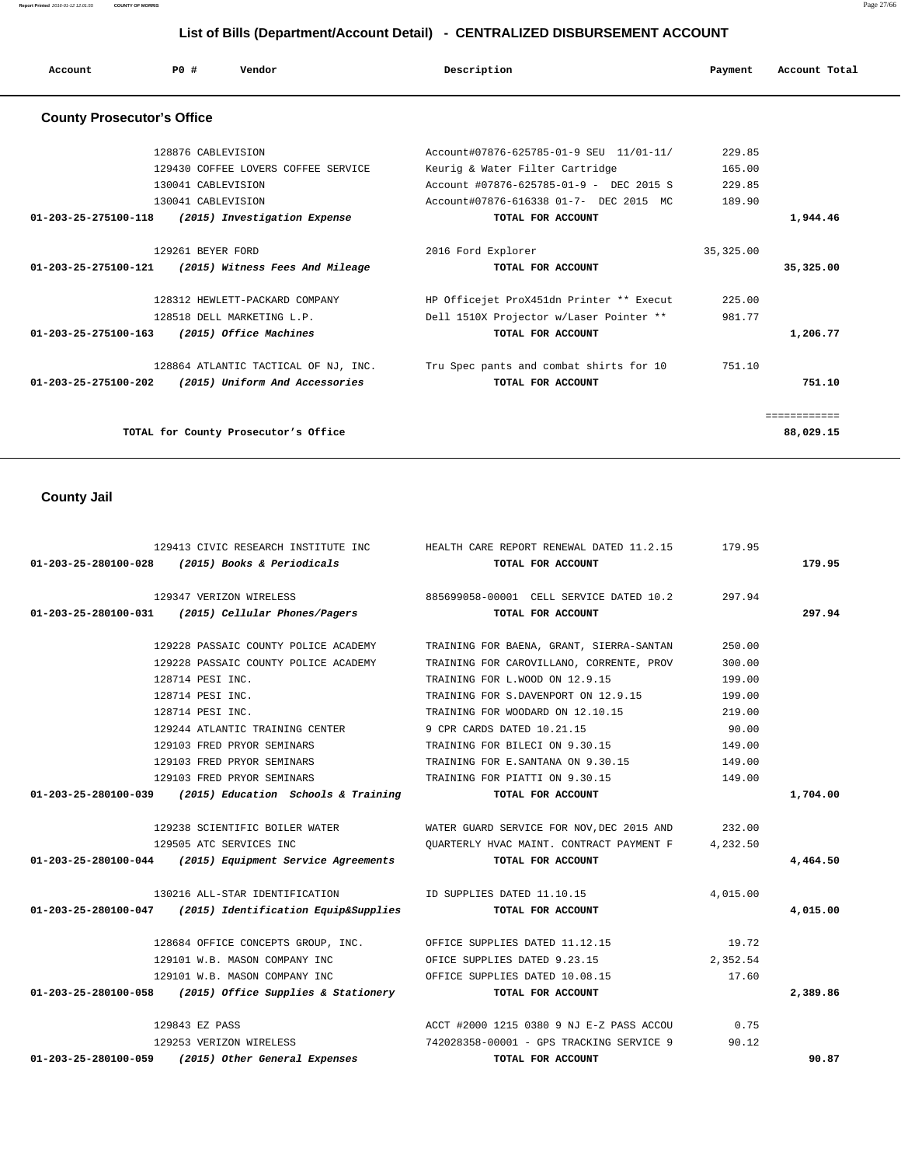**Report Printed** 2016-01-12 12:01:55 **COUNTY OF MORRIS** Page 27/66

# **List of Bills (Department/Account Detail) - CENTRALIZED DISBURSEMENT ACCOUNT**

| Account                           | PO#                | Vendor                               | Description                              | Payment    | Account Total |
|-----------------------------------|--------------------|--------------------------------------|------------------------------------------|------------|---------------|
| <b>County Prosecutor's Office</b> |                    |                                      |                                          |            |               |
|                                   | 128876 CABLEVISION |                                      | Account#07876-625785-01-9 SEU 11/01-11/  | 229.85     |               |
|                                   |                    | 129430 COFFEE LOVERS COFFEE SERVICE  | Keurig & Water Filter Cartridge          | 165.00     |               |
|                                   | 130041 CABLEVISION |                                      | Account #07876-625785-01-9 - DEC 2015 S  | 229.85     |               |
|                                   | 130041 CABLEVISION |                                      | Account#07876-616338 01-7- DEC 2015 MC   | 189.90     |               |
| 01-203-25-275100-118              |                    | (2015) Investigation Expense         | TOTAL FOR ACCOUNT                        |            | 1,944.46      |
|                                   | 129261 BEYER FORD  |                                      | 2016 Ford Explorer                       | 35, 325.00 |               |
| 01-203-25-275100-121              |                    | (2015) Witness Fees And Mileage      | TOTAL FOR ACCOUNT                        |            | 35,325.00     |
|                                   |                    | 128312 HEWLETT-PACKARD COMPANY       | HP Officejet ProX451dn Printer ** Execut | 225.00     |               |
|                                   |                    | 128518 DELL MARKETING L.P.           | Dell 1510X Projector w/Laser Pointer **  | 981.77     |               |
| 01-203-25-275100-163              |                    | (2015) Office Machines               | TOTAL FOR ACCOUNT                        |            | 1,206.77      |
|                                   |                    | 128864 ATLANTIC TACTICAL OF NJ, INC. | Tru Spec pants and combat shirts for 10  | 751.10     |               |
| $01 - 203 - 25 - 275100 - 202$    |                    | (2015) Uniform And Accessories       | TOTAL FOR ACCOUNT                        |            | 751.10        |
|                                   |                    |                                      |                                          |            | ============  |
|                                   |                    | TOTAL for County Prosecutor's Office |                                          |            | 88,029.15     |

# **County Jail**

|                      |                                                                | 129413 CIVIC RESEARCH INSTITUTE INC THEALTH CARE REPORT RENEWAL DATED 11.2.15 179.95  |          |          |
|----------------------|----------------------------------------------------------------|---------------------------------------------------------------------------------------|----------|----------|
|                      | 01-203-25-280100-028 (2015) Books & Periodicals                | TOTAL FOR ACCOUNT                                                                     |          | 179.95   |
|                      |                                                                | 129347 VERIZON WIRELESS 6885699058-00001 CELL SERVICE DATED 10.2 297.94               |          |          |
|                      | $01-203-25-280100-031$ (2015) Cellular Phones/Pagers           | TOTAL FOR ACCOUNT                                                                     |          | 297.94   |
|                      | 129228 PASSAIC COUNTY POLICE ACADEMY                           | TRAINING FOR BAENA, GRANT, SIERRA-SANTAN                                              | 250.00   |          |
|                      | 129228 PASSAIC COUNTY POLICE ACADEMY                           | TRAINING FOR CAROVILLANO, CORRENTE, PROV                                              | 300.00   |          |
|                      | 128714 PESI INC.                                               | TRAINING FOR L.WOOD ON 12.9.15                                                        | 199.00   |          |
|                      | 128714 PESI INC.                                               | TRAINING FOR S.DAVENPORT ON 12.9.15                                                   | 199.00   |          |
|                      | 128714 PESI INC.                                               | TRAINING FOR WOODARD ON 12.10.15                                                      | 219.00   |          |
|                      | 129244 ATLANTIC TRAINING CENTER                                | 9 CPR CARDS DATED 10.21.15                                                            | 90.00    |          |
|                      | 129103 FRED PRYOR SEMINARS                                     | TRAINING FOR BILECI ON 9.30.15                                                        | 149.00   |          |
|                      | 129103 FRED PRYOR SEMINARS                                     | TRAINING FOR E. SANTANA ON 9.30.15                                                    | 149.00   |          |
|                      |                                                                | 129103 FRED PRYOR SEMINARS TRAINING FOR PIATTI ON 9.30.15                             | 149.00   |          |
|                      | $01-203-25-280100-039$ (2015) Education Schools & Training     | TOTAL FOR ACCOUNT                                                                     |          | 1,704.00 |
|                      |                                                                | 129238 SCIENTIFIC BOILER WATER WATER WATER GUARD SERVICE FOR NOV, DEC 2015 AND 232.00 |          |          |
|                      | 129505 ATC SERVICES INC                                        | QUARTERLY HVAC MAINT. CONTRACT PAYMENT F                                              | 4,232.50 |          |
|                      | $01-203-25-280100-044$ (2015) Equipment Service Agreements     | TOTAL FOR ACCOUNT                                                                     |          | 4,464.50 |
|                      |                                                                | 130216 ALL-STAR IDENTIFICATION TO SUPPLIES DATED 11.10.15                             | 4,015.00 |          |
|                      | $01-203-25-280100-047$ (2015) Identification Equip&Supplies    | TOTAL FOR ACCOUNT                                                                     |          | 4,015.00 |
|                      |                                                                | 128684 OFFICE CONCEPTS GROUP, INC. OFFICE SUPPLIES DATED 11.12.15 19.72               |          |          |
|                      | 129101 W.B. MASON COMPANY INC THE OFICE SUPPLIES DATED 9.23.15 |                                                                                       | 2,352.54 |          |
|                      |                                                                | 129101 W.B. MASON COMPANY INC 60 OFFICE SUPPLIES DATED 10.08.15 17.60                 |          |          |
|                      | $01-203-25-280100-058$ (2015) Office Supplies & Stationery     | TOTAL FOR ACCOUNT                                                                     |          | 2,389.86 |
|                      | 129843 EZ PASS                                                 | ACCT #2000 1215 0380 9 NJ E-Z PASS ACCOU 0.75                                         |          |          |
|                      | 129253 VERIZON WIRELESS                                        | 742028358-00001 - GPS TRACKING SERVICE 9 90.12                                        |          |          |
| 01-203-25-280100-059 | (2015) Other General Expenses                                  | TOTAL FOR ACCOUNT                                                                     |          | 90.87    |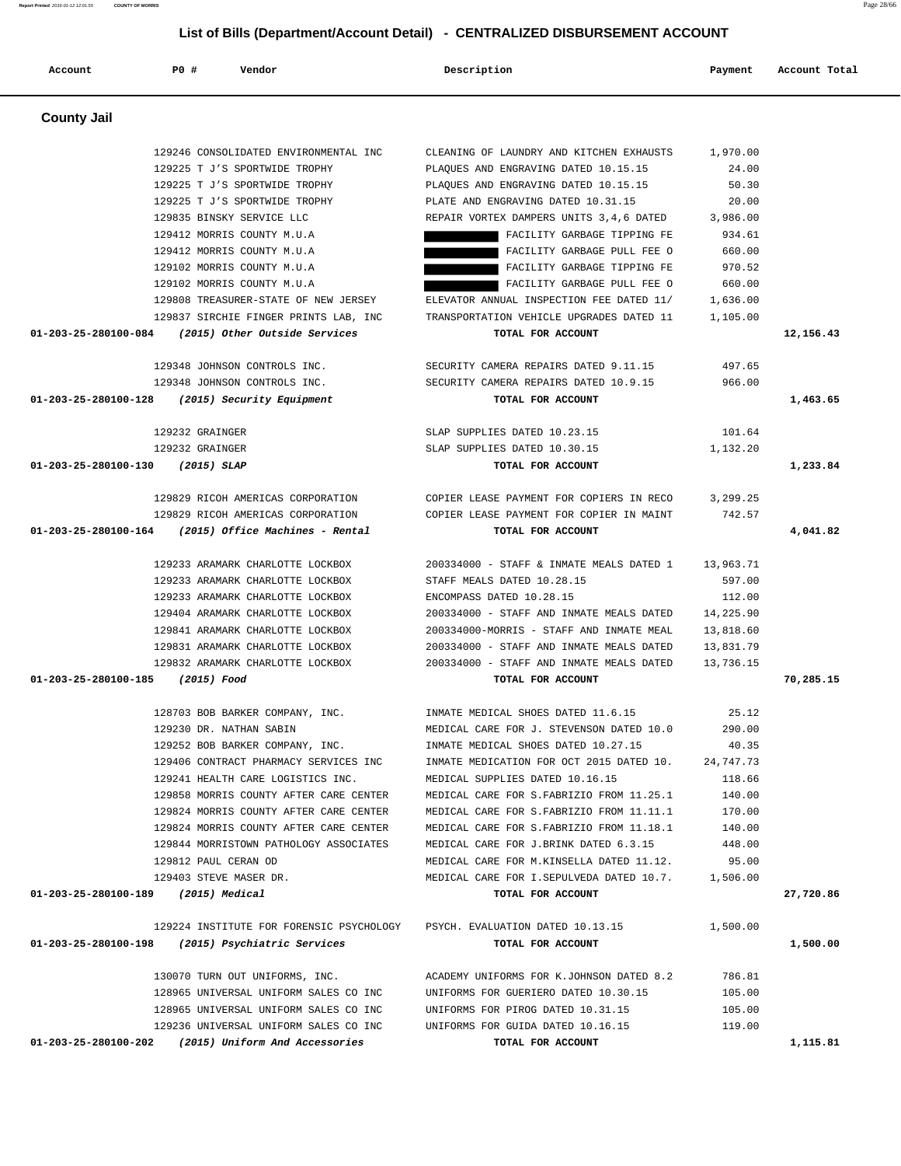| Account                             | P0 #            | Vendor                                              | Description                                                               | Payment   | Account Total |
|-------------------------------------|-----------------|-----------------------------------------------------|---------------------------------------------------------------------------|-----------|---------------|
| <b>County Jail</b>                  |                 |                                                     |                                                                           |           |               |
|                                     |                 | 129246 CONSOLIDATED ENVIRONMENTAL INC               | CLEANING OF LAUNDRY AND KITCHEN EXHAUSTS                                  | 1,970.00  |               |
|                                     |                 | 129225 T J'S SPORTWIDE TROPHY                       | PLAQUES AND ENGRAVING DATED 10.15.15                                      | 24.00     |               |
|                                     |                 | 129225 T J'S SPORTWIDE TROPHY                       | PLAQUES AND ENGRAVING DATED 10.15.15                                      | 50.30     |               |
|                                     |                 | 129225 T J'S SPORTWIDE TROPHY                       | PLATE AND ENGRAVING DATED 10.31.15                                        | 20.00     |               |
|                                     |                 | 129835 BINSKY SERVICE LLC                           | REPAIR VORTEX DAMPERS UNITS 3,4,6 DATED                                   | 3,986.00  |               |
|                                     |                 | 129412 MORRIS COUNTY M.U.A                          | FACILITY GARBAGE TIPPING FE                                               | 934.61    |               |
|                                     |                 | 129412 MORRIS COUNTY M.U.A                          | FACILITY GARBAGE PULL FEE O                                               | 660.00    |               |
|                                     |                 | 129102 MORRIS COUNTY M.U.A                          | FACILITY GARBAGE TIPPING FE                                               | 970.52    |               |
|                                     |                 | 129102 MORRIS COUNTY M.U.A                          | FACILITY GARBAGE PULL FEE O                                               | 660.00    |               |
|                                     |                 | 129808 TREASURER-STATE OF NEW JERSEY                | ELEVATOR ANNUAL INSPECTION FEE DATED 11/                                  | 1,636.00  |               |
|                                     |                 | 129837 SIRCHIE FINGER PRINTS LAB, INC               | TRANSPORTATION VEHICLE UPGRADES DATED 11                                  | 1,105.00  |               |
| 01-203-25-280100-084                |                 | (2015) Other Outside Services                       | TOTAL FOR ACCOUNT                                                         |           |               |
|                                     |                 |                                                     |                                                                           |           | 12,156.43     |
|                                     |                 | 129348 JOHNSON CONTROLS INC.                        | SECURITY CAMERA REPAIRS DATED 9.11.15                                     | 497.65    |               |
|                                     |                 | 129348 JOHNSON CONTROLS INC.                        | SECURITY CAMERA REPAIRS DATED 10.9.15                                     | 966.00    |               |
| 01-203-25-280100-128                |                 | (2015) Security Equipment                           | TOTAL FOR ACCOUNT                                                         |           | 1,463.65      |
|                                     |                 |                                                     |                                                                           |           |               |
|                                     | 129232 GRAINGER |                                                     | SLAP SUPPLIES DATED 10.23.15                                              | 101.64    |               |
|                                     | 129232 GRAINGER |                                                     | SLAP SUPPLIES DATED 10.30.15                                              | 1,132.20  |               |
| 01-203-25-280100-130                |                 | $(2015)$ SLAP                                       | TOTAL FOR ACCOUNT                                                         |           | 1,233.84      |
|                                     |                 |                                                     |                                                                           |           |               |
|                                     |                 | 129829 RICOH AMERICAS CORPORATION                   | COPIER LEASE PAYMENT FOR COPIERS IN RECO                                  | 3,299.25  |               |
|                                     |                 | 129829 RICOH AMERICAS CORPORATION                   | COPIER LEASE PAYMENT FOR COPIER IN MAINT                                  | 742.57    |               |
| 01-203-25-280100-164                |                 | (2015) Office Machines - Rental                     | TOTAL FOR ACCOUNT                                                         |           | 4,041.82      |
|                                     |                 | 129233 ARAMARK CHARLOTTE LOCKBOX                    | 200334000 - STAFF & INMATE MEALS DATED 1                                  | 13,963.71 |               |
|                                     |                 | 129233 ARAMARK CHARLOTTE LOCKBOX                    | STAFF MEALS DATED 10.28.15                                                | 597.00    |               |
|                                     |                 | 129233 ARAMARK CHARLOTTE LOCKBOX                    | ENCOMPASS DATED 10.28.15                                                  | 112.00    |               |
|                                     |                 | 129404 ARAMARK CHARLOTTE LOCKBOX                    | 200334000 - STAFF AND INMATE MEALS DATED                                  | 14,225.90 |               |
|                                     |                 | 129841 ARAMARK CHARLOTTE LOCKBOX                    | 200334000-MORRIS - STAFF AND INMATE MEAL                                  | 13,818.60 |               |
|                                     |                 | 129831 ARAMARK CHARLOTTE LOCKBOX                    | 200334000 - STAFF AND INMATE MEALS DATED                                  | 13,831.79 |               |
|                                     |                 | 129832 ARAMARK CHARLOTTE LOCKBOX                    | 200334000 - STAFF AND INMATE MEALS DATED                                  | 13,736.15 |               |
| 01-203-25-280100-185                |                 | (2015) Food                                         | TOTAL FOR ACCOUNT                                                         |           | 70,285.15     |
|                                     |                 |                                                     |                                                                           |           |               |
|                                     |                 | 128703 BOB BARKER COMPANY, INC.                     | INMATE MEDICAL SHOES DATED 11.6.15                                        | 25.12     |               |
|                                     |                 | 129230 DR. NATHAN SABIN                             | MEDICAL CARE FOR J. STEVENSON DATED 10.0                                  | 290.00    |               |
|                                     |                 | 129252 BOB BARKER COMPANY, INC.                     | INMATE MEDICAL SHOES DATED 10.27.15                                       | 40.35     |               |
|                                     |                 | 129406 CONTRACT PHARMACY SERVICES INC               | INMATE MEDICATION FOR OCT 2015 DATED 10.                                  | 24,747.73 |               |
|                                     |                 | 129241 HEALTH CARE LOGISTICS INC.                   | MEDICAL SUPPLIES DATED 10.16.15                                           | 118.66    |               |
|                                     |                 | 129858 MORRIS COUNTY AFTER CARE CENTER              | MEDICAL CARE FOR S.FABRIZIO FROM 11.25.1                                  | 140.00    |               |
|                                     |                 | 129824 MORRIS COUNTY AFTER CARE CENTER              | MEDICAL CARE FOR S. FABRIZIO FROM 11.11.1                                 | 170.00    |               |
|                                     |                 | 129824 MORRIS COUNTY AFTER CARE CENTER              | MEDICAL CARE FOR S. FABRIZIO FROM 11.18.1                                 | 140.00    |               |
|                                     |                 | 129844 MORRISTOWN PATHOLOGY ASSOCIATES              | MEDICAL CARE FOR J.BRINK DATED 6.3.15                                     | 448.00    |               |
|                                     |                 | 129812 PAUL CERAN OD                                | MEDICAL CARE FOR M.KINSELLA DATED 11.12.                                  | 95.00     |               |
|                                     |                 | 129403 STEVE MASER DR.                              | MEDICAL CARE FOR I.SEPULVEDA DATED 10.7.                                  | 1,506.00  |               |
| 01-203-25-280100-189 (2015) Medical |                 |                                                     | TOTAL FOR ACCOUNT                                                         |           | 27,720.86     |
|                                     |                 |                                                     | 129224 INSTITUTE FOR FORENSIC PSYCHOLOGY PSYCH. EVALUATION DATED 10.13.15 | 1,500.00  |               |
|                                     |                 | 01-203-25-280100-198 (2015) Psychiatric Services    | TOTAL FOR ACCOUNT                                                         |           | 1,500.00      |
|                                     |                 |                                                     |                                                                           |           |               |
|                                     |                 | 130070 TURN OUT UNIFORMS, INC.                      | ACADEMY UNIFORMS FOR K.JOHNSON DATED 8.2                                  | 786.81    |               |
|                                     |                 | 128965 UNIVERSAL UNIFORM SALES CO INC               | UNIFORMS FOR GUERIERO DATED 10.30.15                                      | 105.00    |               |
|                                     |                 | 128965 UNIVERSAL UNIFORM SALES CO INC               | UNIFORMS FOR PIROG DATED 10.31.15                                         | 105.00    |               |
|                                     |                 | 129236 UNIVERSAL UNIFORM SALES CO INC               | UNIFORMS FOR GUIDA DATED 10.16.15                                         | 119.00    |               |
|                                     |                 | 01-203-25-280100-202 (2015) Uniform And Accessories | TOTAL FOR ACCOUNT                                                         |           | 1,115.81      |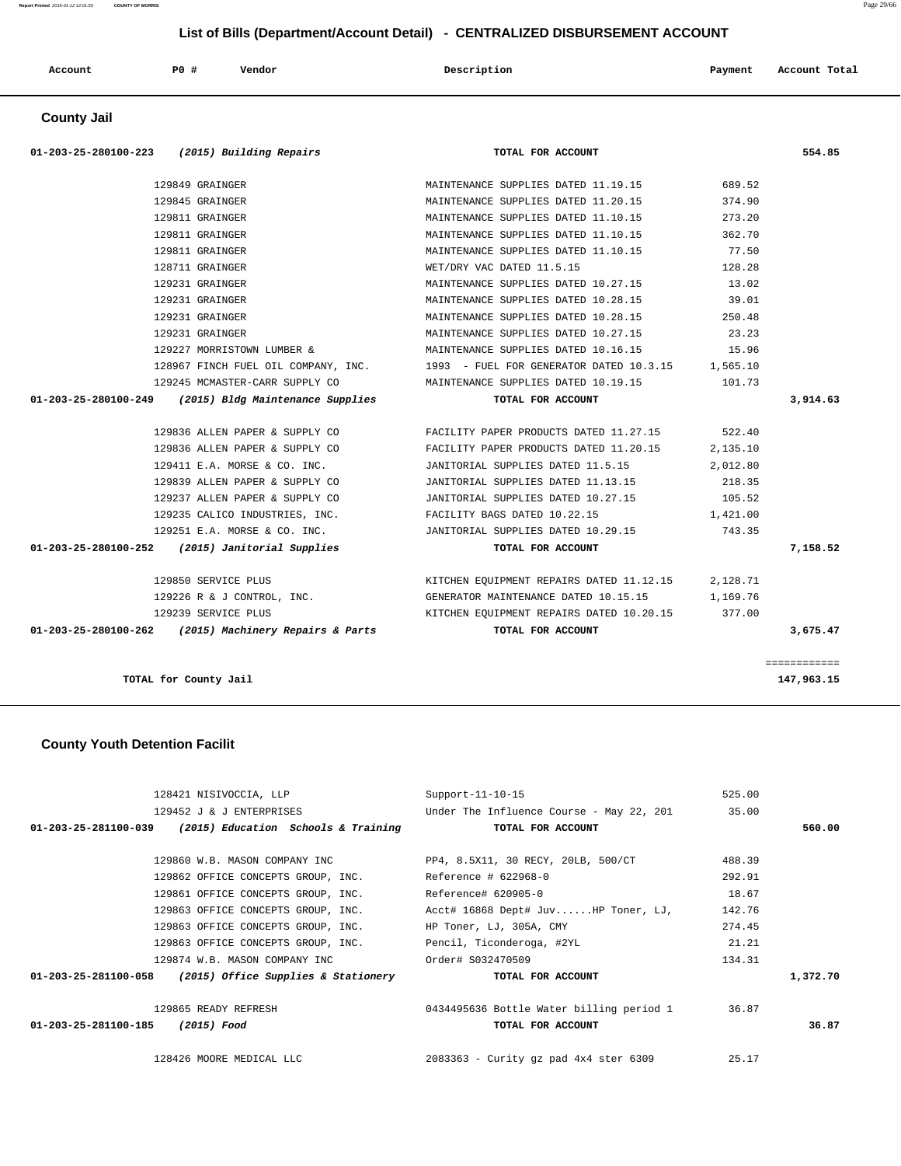**Report Printed** 2016-01-12 12:01:55 **COUNTY OF MORRIS** Page 29/66

#### **List of Bills (Department/Account Detail) - CENTRALIZED DISBURSEMENT ACCOUNT**

| Account | PO# | Vendor | Description | Payment | Account Total |
|---------|-----|--------|-------------|---------|---------------|
|         |     |        |             |         |               |

#### **County Jail**

| 01-203-25-280100-223 (2015) Building Repairs            | TOTAL FOR ACCOUNT                                                                      |          | 554.85       |
|---------------------------------------------------------|----------------------------------------------------------------------------------------|----------|--------------|
| 129849 GRAINGER                                         | MAINTENANCE SUPPLIES DATED 11.19.15                                                    | 689.52   |              |
| 129845 GRAINGER                                         | MAINTENANCE SUPPLIES DATED 11.20.15                                                    | 374.90   |              |
| 129811 GRAINGER                                         | MAINTENANCE SUPPLIES DATED 11.10.15                                                    | 273.20   |              |
| 129811 GRAINGER                                         | MAINTENANCE SUPPLIES DATED 11.10.15 362.70                                             |          |              |
| 129811 GRAINGER                                         | MAINTENANCE SUPPLIES DATED 11.10.15 77.50                                              |          |              |
| 128711 GRAINGER                                         | WET/DRY VAC DATED 11.5.15                                                              | 128.28   |              |
| 129231 GRAINGER                                         | MAINTENANCE SUPPLIES DATED 10.27.15                                                    | 13.02    |              |
| 129231 GRAINGER                                         | MAINTENANCE SUPPLIES DATED 10.28.15                                                    | 39.01    |              |
| 129231 GRAINGER                                         | MAINTENANCE SUPPLIES DATED 10.28.15                                                    | 250.48   |              |
| 129231 GRAINGER                                         | MAINTENANCE SUPPLIES DATED 10.27.15                                                    | 23.23    |              |
| 129227 MORRISTOWN LUMBER &                              | MAINTENANCE SUPPLIES DATED 10.16.15                                                    | 15.96    |              |
|                                                         | 128967 FINCH FUEL OIL COMPANY, INC. 1993 - FUEL FOR GENERATOR DATED 10.3.15 1,565.10   |          |              |
| 129245 MCMASTER-CARR SUPPLY CO                          | MAINTENANCE SUPPLIES DATED 10.19.15 101.73                                             |          |              |
| $01-203-25-280100-249$ (2015) Bldg Maintenance Supplies | TOTAL FOR ACCOUNT                                                                      |          | 3,914.63     |
|                                                         | 129836 ALLEN PAPER & SUPPLY CO FACILITY PAPER PRODUCTS DATED 11.27.15 522.40           |          |              |
|                                                         | 129836 ALLEN PAPER & SUPPLY CO FACILITY PAPER PRODUCTS DATED 11.20.15                  | 2,135.10 |              |
|                                                         | 129411 E.A. MORSE & CO. INC.         JANITORIAL SUPPLIES DATED 11.5.15                 | 2,012.80 |              |
| 129839 ALLEN PAPER & SUPPLY CO                          | JANITORIAL SUPPLIES DATED 11.13.15                                                     | 218.35   |              |
|                                                         | 129237 ALLEN PAPER & SUPPLY CO JANITORIAL SUPPLIES DATED 10.27.15 105.52               |          |              |
|                                                         | 129235 CALICO INDUSTRIES, INC. TACILITY BAGS DATED 10.22.15 1,421.00                   |          |              |
|                                                         | 129251 E.A. MORSE & CO. INC.         JANITORIAL SUPPLIES DATED 10.29.15         743.35 |          |              |
| 01-203-25-280100-252 (2015) Janitorial Supplies         | TOTAL FOR ACCOUNT                                                                      |          | 7,158.52     |
| 129850 SERVICE PLUS                                     | KITCHEN EQUIPMENT REPAIRS DATED 11.12.15 2, 128.71                                     |          |              |
|                                                         | 129226 R & J CONTROL, INC. 6ENERATOR MAINTENANCE DATED 10.15.15 15 1,169.76            |          |              |
| 129239 SERVICE PLUS                                     | KITCHEN EQUIPMENT REPAIRS DATED 10.20.15 377.00                                        |          |              |
| 01-203-25-280100-262 (2015) Machinery Repairs & Parts   | TOTAL FOR ACCOUNT                                                                      |          | 3,675.47     |
|                                                         |                                                                                        |          | ============ |
| TOTAL for County Jail                                   |                                                                                        |          | 147,963.15   |

#### **County Youth Detention Facilit**

|                                  | 128421 NISIVOCCIA, LLP                                     | $Support-11-10-15$                             | 525.00 |          |
|----------------------------------|------------------------------------------------------------|------------------------------------------------|--------|----------|
|                                  | 129452 J & J ENTERPRISES                                   | Under The Influence Course - May 22, 201       | 35.00  |          |
|                                  | $01-203-25-281100-039$ (2015) Education Schools & Training | TOTAL FOR ACCOUNT                              |        | 560.00   |
|                                  |                                                            |                                                |        |          |
|                                  | 129860 W.B. MASON COMPANY INC                              | PP4, 8.5X11, 30 RECY, 20LB, 500/CT             | 488.39 |          |
|                                  | 129862 OFFICE CONCEPTS GROUP, INC. Reference # 622968-0    |                                                | 292.91 |          |
|                                  | 129861 OFFICE CONCEPTS GROUP, INC. Reference# 620905-0     |                                                | 18.67  |          |
|                                  | 129863 OFFICE CONCEPTS GROUP, INC.                         | Acct# 16868 Dept# JuvHP Toner, LJ,             | 142.76 |          |
|                                  | 129863 OFFICE CONCEPTS GROUP, INC.                         | HP Toner, LJ, 305A, CMY                        | 274.45 |          |
|                                  | 129863 OFFICE CONCEPTS GROUP, INC.                         | Pencil, Ticonderoga, #2YL                      | 21.21  |          |
|                                  |                                                            |                                                | 134.31 |          |
|                                  | $01-203-25-281100-058$ (2015) Office Supplies & Stationery | TOTAL FOR ACCOUNT                              |        | 1,372.70 |
|                                  | 129865 READY REFRESH                                       |                                                |        |          |
| 01-203-25-281100-185 (2015) Food |                                                            | TOTAL FOR ACCOUNT                              |        | 36.87    |
|                                  | 128426 MOORE MEDICAL LLC                                   | $2083363$ - Curity qz pad $4x4$ ster 6309      | 25.17  |          |
|                                  |                                                            | 0434495636 Bottle Water billing period 1 36.87 |        |          |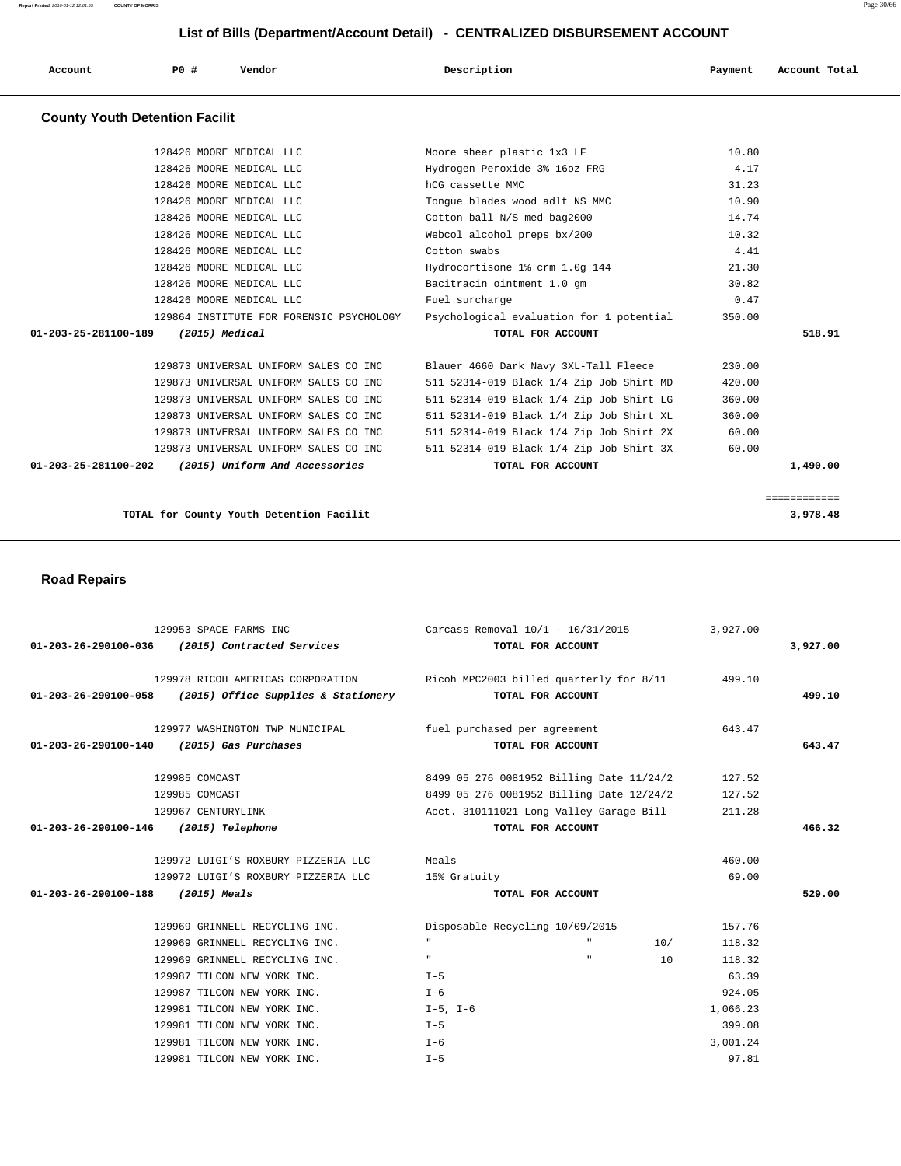| Account | P <sub>0</sub> | Vendor | Description | Payment | Account Total |
|---------|----------------|--------|-------------|---------|---------------|
| .       |                |        |             |         |               |

#### **County Youth Detention Facilit**

| 128426 MOORE MEDICAL LLC                               | Moore sheer plastic 1x3 LF               | 10.80  |              |
|--------------------------------------------------------|------------------------------------------|--------|--------------|
| 128426 MOORE MEDICAL LLC                               | Hydrogen Peroxide 3% 16oz FRG            | 4.17   |              |
| 128426 MOORE MEDICAL LLC                               | hCG cassette MMC                         | 31.23  |              |
| 128426 MOORE MEDICAL LLC                               | Tongue blades wood adlt NS MMC           | 10.90  |              |
| 128426 MOORE MEDICAL LLC                               | Cotton ball N/S med bag2000              | 14.74  |              |
| 128426 MOORE MEDICAL LLC                               | Webcol alcohol preps bx/200              | 10.32  |              |
| 128426 MOORE MEDICAL LLC                               | Cotton swabs                             | 4.41   |              |
| 128426 MOORE MEDICAL LLC                               | Hydrocortisone 1% crm 1.0q 144           | 21.30  |              |
| 128426 MOORE MEDICAL LLC                               | Bacitracin ointment 1.0 qm               | 30.82  |              |
| 128426 MOORE MEDICAL LLC                               | Fuel surcharge                           | 0.47   |              |
| 129864 INSTITUTE FOR FORENSIC PSYCHOLOGY               | Psychological evaluation for 1 potential | 350.00 |              |
| (2015) Medical<br>01-203-25-281100-189                 | TOTAL FOR ACCOUNT                        |        | 518.91       |
|                                                        |                                          |        |              |
| 129873 UNIVERSAL UNIFORM SALES CO INC                  | Blauer 4660 Dark Navy 3XL-Tall Fleece    | 230.00 |              |
| 129873 UNIVERSAL UNIFORM SALES CO INC                  | 511 52314-019 Black 1/4 Zip Job Shirt MD | 420.00 |              |
| 129873 UNIVERSAL UNIFORM SALES CO INC                  | 511 52314-019 Black 1/4 Zip Job Shirt LG | 360.00 |              |
| 129873 UNIVERSAL UNIFORM SALES CO INC                  | 511 52314-019 Black 1/4 Zip Job Shirt XL | 360.00 |              |
| 129873 UNIVERSAL UNIFORM SALES CO INC                  | 511 52314-019 Black 1/4 Zip Job Shirt 2X | 60.00  |              |
| 129873 UNIVERSAL UNIFORM SALES CO INC                  | 511 52314-019 Black 1/4 Zip Job Shirt 3X | 60.00  |              |
| 01-203-25-281100-202<br>(2015) Uniform And Accessories | TOTAL FOR ACCOUNT                        |        | 1,490.00     |
|                                                        |                                          |        |              |
|                                                        |                                          |        | ============ |
| TOTAL for County Youth Detention Facilit               |                                          |        | 3,978.48     |

#### **Road Repairs**

|                      | 129953 SPACE FARMS INC                                                           | Carcass Removal 10/1 - 10/31/2015        |                   |     | 3,927.00 |          |
|----------------------|----------------------------------------------------------------------------------|------------------------------------------|-------------------|-----|----------|----------|
| 01-203-26-290100-036 | (2015) Contracted Services                                                       |                                          | TOTAL FOR ACCOUNT |     |          | 3,927.00 |
|                      | 129978 RICOH AMERICAS CORPORATION Ricoh MPC2003 billed quarterly for 8/11 499.10 |                                          |                   |     |          |          |
|                      | $01-203-26-290100-058$ (2015) Office Supplies & Stationery                       |                                          | TOTAL FOR ACCOUNT |     |          | 499.10   |
|                      | 129977 WASHINGTON TWP MUNICIPAL fuel purchased per agreement                     |                                          |                   |     | 643.47   |          |
|                      | 01-203-26-290100-140 (2015) Gas Purchases                                        |                                          | TOTAL FOR ACCOUNT |     |          | 643.47   |
|                      | 129985 COMCAST                                                                   | 8499 05 276 0081952 Billing Date 11/24/2 |                   |     | 127.52   |          |
|                      | 129985 COMCAST                                                                   | 8499 05 276 0081952 Billing Date 12/24/2 |                   |     | 127.52   |          |
|                      | 129967 CENTURYLINK                                                               | Acct. 310111021 Long Valley Garage Bill  |                   |     | 211.28   |          |
|                      | 01-203-26-290100-146 (2015) Telephone                                            |                                          | TOTAL FOR ACCOUNT |     |          | 466.32   |
|                      | 129972 LUIGI'S ROXBURY PIZZERIA LLC                                              | Meals                                    |                   |     | 460.00   |          |
|                      | 129972 LUIGI'S ROXBURY PIZZERIA LLC 15% Gratuity                                 |                                          |                   |     | 69.00    |          |
| 01-203-26-290100-188 | (2015) Meals                                                                     |                                          | TOTAL FOR ACCOUNT |     |          | 529.00   |
|                      | 129969 GRINNELL RECYCLING INC.                                                   | Disposable Recycling 10/09/2015          |                   |     | 157.76   |          |
|                      | 129969 GRINNELL RECYCLING INC.                                                   | $\mathbf{H}$                             | $\mathbf{H}$      | 10/ | 118.32   |          |
|                      | 129969 GRINNELL RECYCLING INC.                                                   | $\mathbf{H}$ .                           | $\mathbf{H}$      | 10  | 118.32   |          |
|                      | 129987 TILCON NEW YORK INC.                                                      | $I-5$                                    |                   |     | 63.39    |          |
|                      | 129987 TILCON NEW YORK INC.                                                      | $I - 6$                                  |                   |     | 924.05   |          |
|                      | 129981 TILCON NEW YORK INC.                                                      | $I-5$ , $I-6$                            |                   |     | 1,066.23 |          |
|                      | 129981 TILCON NEW YORK INC.<br>$I - 5$                                           |                                          |                   |     | 399.08   |          |
|                      | 129981 TILCON NEW YORK INC.                                                      | $I - 6$                                  |                   |     | 3,001.24 |          |
|                      | 129981 TILCON NEW YORK INC.                                                      | $T - 5$                                  |                   |     | 97.81    |          |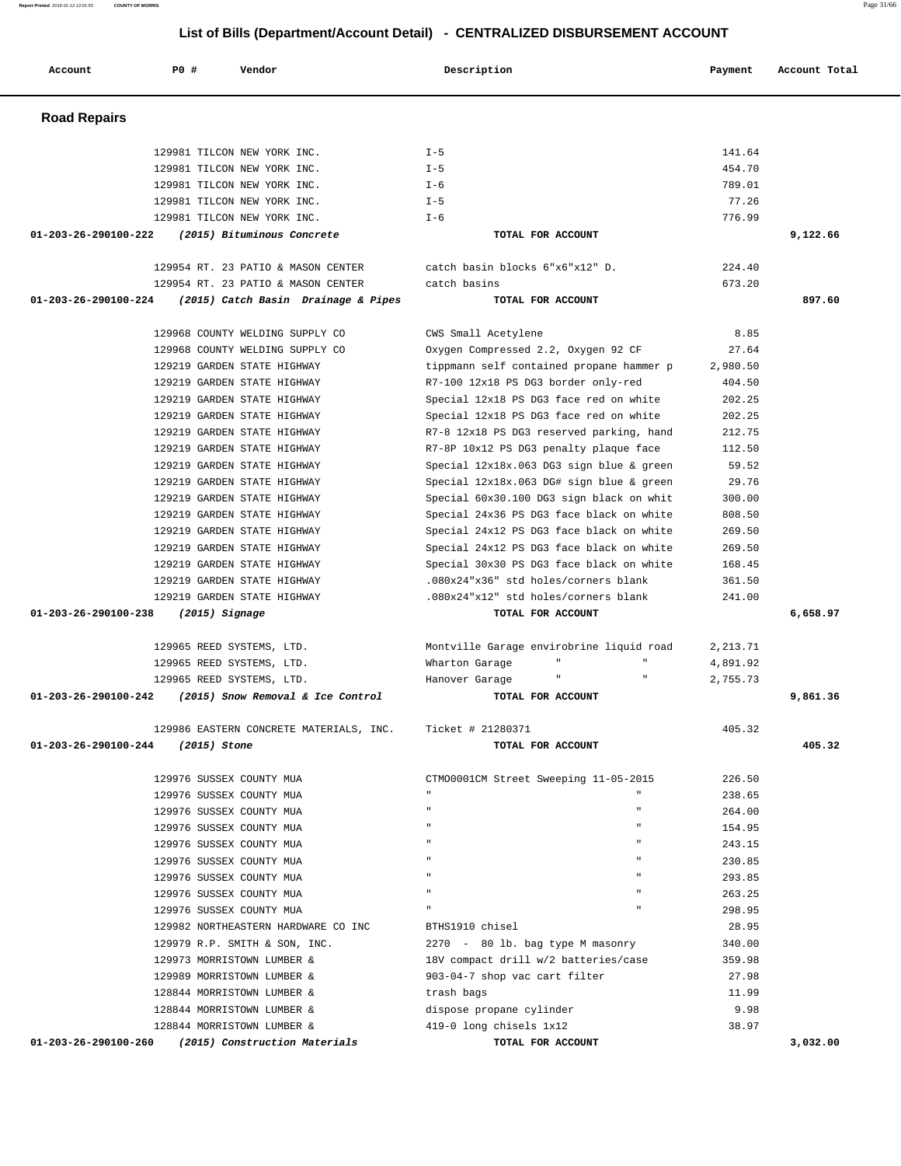| <b>Road Repairs</b>                                                                 |                                                            |                      |          |
|-------------------------------------------------------------------------------------|------------------------------------------------------------|----------------------|----------|
| 129981 TILCON NEW YORK INC.                                                         | $I - 5$                                                    | 141.64               |          |
| 129981 TILCON NEW YORK INC.                                                         | $I - 5$                                                    | 454.70               |          |
| 129981 TILCON NEW YORK INC.                                                         | $I - 6$                                                    | 789.01               |          |
| 129981 TILCON NEW YORK INC.                                                         | $I - 5$                                                    | 77.26                |          |
| 129981 TILCON NEW YORK INC.                                                         | $I - 6$                                                    | 776.99               |          |
| 01-203-26-290100-222<br>(2015) Bituminous Concrete                                  | TOTAL FOR ACCOUNT                                          |                      | 9,122.66 |
| 129954 RT. 23 PATIO & MASON CENTER                                                  | catch basin blocks 6"x6"x12" D.                            | 224.40               |          |
| 129954 RT. 23 PATIO & MASON CENTER                                                  | catch basins                                               | 673.20               |          |
| 01-203-26-290100-224<br>(2015) Catch Basin Drainage & Pipes                         | TOTAL FOR ACCOUNT                                          |                      | 897.60   |
| 129968 COUNTY WELDING SUPPLY CO                                                     | CWS Small Acetylene                                        | 8.85                 |          |
| 129968 COUNTY WELDING SUPPLY CO                                                     | Oxygen Compressed 2.2, Oxygen 92 CF                        | 27.64                |          |
| 129219 GARDEN STATE HIGHWAY                                                         | tippmann self contained propane hammer p                   | 2,980.50             |          |
| 129219 GARDEN STATE HIGHWAY                                                         | R7-100 12x18 PS DG3 border only-red                        | 404.50               |          |
| 129219 GARDEN STATE HIGHWAY                                                         | Special 12x18 PS DG3 face red on white                     | 202.25               |          |
| 129219 GARDEN STATE HIGHWAY                                                         | Special 12x18 PS DG3 face red on white                     | 202.25               |          |
| 129219 GARDEN STATE HIGHWAY                                                         | R7-8 12x18 PS DG3 reserved parking, hand                   | 212.75               |          |
| 129219 GARDEN STATE HIGHWAY                                                         | R7-8P 10x12 PS DG3 penalty plaque face                     | 112.50               |          |
| 129219 GARDEN STATE HIGHWAY                                                         | Special 12x18x.063 DG3 sign blue & green                   | 59.52                |          |
| 129219 GARDEN STATE HIGHWAY                                                         | Special 12x18x.063 DG# sign blue & green                   | 29.76                |          |
| 129219 GARDEN STATE HIGHWAY                                                         | Special 60x30.100 DG3 sign black on whit                   | 300.00               |          |
| 129219 GARDEN STATE HIGHWAY                                                         | Special 24x36 PS DG3 face black on white                   | 808.50               |          |
| 129219 GARDEN STATE HIGHWAY                                                         | Special 24x12 PS DG3 face black on white                   | 269.50               |          |
| 129219 GARDEN STATE HIGHWAY                                                         | Special 24x12 PS DG3 face black on white                   | 269.50               |          |
| 129219 GARDEN STATE HIGHWAY                                                         | Special 30x30 PS DG3 face black on white                   | 168.45               |          |
| 129219 GARDEN STATE HIGHWAY                                                         | .080x24"x36" std holes/corners blank                       | 361.50               |          |
| 129219 GARDEN STATE HIGHWAY<br>01-203-26-290100-238<br>$(2015)$ Signage             | .080x24"x12" std holes/corners blank<br>TOTAL FOR ACCOUNT  | 241.00               | 6,658.97 |
|                                                                                     |                                                            |                      |          |
| 129965 REED SYSTEMS, LTD.<br>129965 REED SYSTEMS, LTD.                              | Montville Garage envirobrine liquid road<br>Wharton Garage | 2,213.71<br>4,891.92 |          |
| 129965 REED SYSTEMS, LTD.                                                           | Hanover Garage                                             | 2,755.73             |          |
| (2015) Snow Removal & Ice Control<br>01-203-26-290100-242                           | TOTAL FOR ACCOUNT                                          |                      | 9,861.36 |
| 129986 EASTERN CONCRETE MATERIALS, INC.                                             | Ticket # 21280371                                          | 405.32               |          |
| 01-203-26-290100-244<br>(2015) Stone                                                | TOTAL FOR ACCOUNT                                          |                      | 405.32   |
| 129976 SUSSEX COUNTY MUA                                                            | CTM00001CM Street Sweeping 11-05-2015                      | 226.50               |          |
| 129976 SUSSEX COUNTY MUA                                                            |                                                            | 238.65               |          |
| 129976 SUSSEX COUNTY MUA                                                            | $\mathbf{u}$                                               | 264.00               |          |
| 129976 SUSSEX COUNTY MUA                                                            | $\mathbf{u}$                                               | 154.95               |          |
| 129976 SUSSEX COUNTY MUA                                                            |                                                            | 243.15               |          |
| 129976 SUSSEX COUNTY MUA                                                            |                                                            | 230.85               |          |
| 129976 SUSSEX COUNTY MUA                                                            | $\mathbf{u}$                                               | 293.85               |          |
| 129976 SUSSEX COUNTY MUA                                                            |                                                            | 263.25               |          |
| 129976 SUSSEX COUNTY MUA                                                            |                                                            | 298.95               |          |
| 129982 NORTHEASTERN HARDWARE CO INC                                                 | BTHS1910 chisel                                            | 28.95                |          |
| 129979 R.P. SMITH & SON, INC.                                                       | 2270 - 80 lb. bag type M masonry                           | 340.00               |          |
| 129973 MORRISTOWN LUMBER &                                                          | 18V compact drill w/2 batteries/case                       | 359.98               |          |
| 129989 MORRISTOWN LUMBER &                                                          | 903-04-7 shop vac cart filter                              | 27.98                |          |
| 128844 MORRISTOWN LUMBER &                                                          | trash bags                                                 | 11.99                |          |
| 128844 MORRISTOWN LUMBER &                                                          | dispose propane cylinder                                   | 9.98                 |          |
| 128844 MORRISTOWN LUMBER &<br>01-203-26-290100-260<br>(2015) Construction Materials | 419-0 long chisels 1x12<br>TOTAL FOR ACCOUNT               | 38.97                | 3,032.00 |

Account **PO #** Vendor **Description Description Payment** Account Total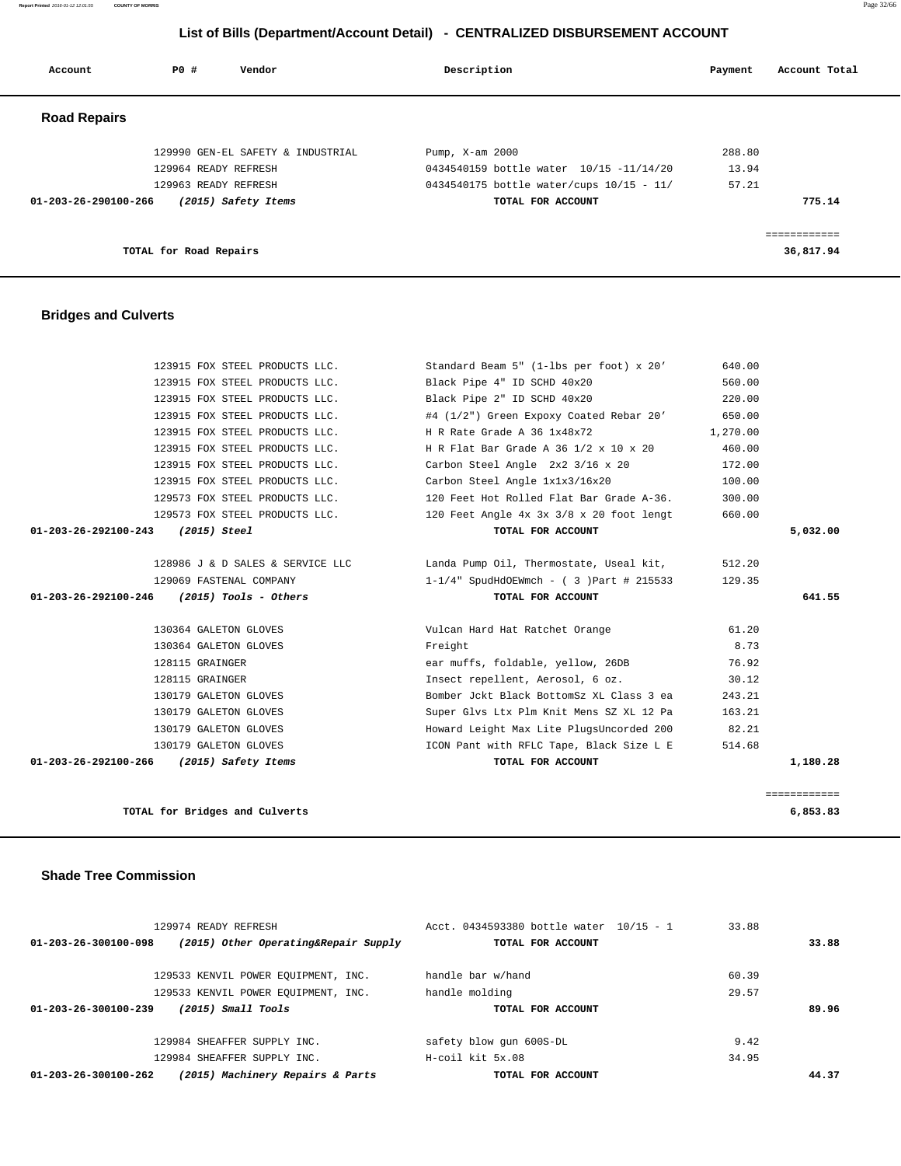**Report Printed** 2016-01-12 12:01:55 **COUNTY OF MORRIS** Page 32/66

#### **List of Bills (Department/Account Detail) - CENTRALIZED DISBURSEMENT ACCOUNT**

| Account                        | PO#                    | Vendor                            | Description     |                                          | Payment | Account Total |
|--------------------------------|------------------------|-----------------------------------|-----------------|------------------------------------------|---------|---------------|
| <b>Road Repairs</b>            |                        |                                   |                 |                                          |         |               |
|                                |                        | 129990 GEN-EL SAFETY & INDUSTRIAL | Pump, X-am 2000 |                                          | 288.80  |               |
|                                | 129964 READY REFRESH   |                                   |                 | 0434540159 bottle water 10/15 -11/14/20  | 13.94   |               |
|                                | 129963 READY REFRESH   |                                   |                 | 0434540175 bottle water/cups 10/15 - 11/ | 57.21   |               |
| $01 - 203 - 26 - 290100 - 266$ |                        | (2015) Safety Items               |                 | TOTAL FOR ACCOUNT                        |         | 775.14        |
|                                |                        |                                   |                 |                                          |         | ============  |
|                                | TOTAL for Road Repairs |                                   |                 |                                          |         | 36,817.94     |

#### **Bridges and Culverts**

| 123915 FOX STEEL PRODUCTS LLC.                | Standard Beam 5" (1-lbs per foot) x 20'  | 640.00   |              |
|-----------------------------------------------|------------------------------------------|----------|--------------|
| 123915 FOX STEEL PRODUCTS LLC.                | Black Pipe 4" ID SCHD 40x20              | 560.00   |              |
| 123915 FOX STEEL PRODUCTS LLC.                | Black Pipe 2" ID SCHD 40x20              | 220.00   |              |
| 123915 FOX STEEL PRODUCTS LLC.                | #4 (1/2") Green Expoxy Coated Rebar 20'  | 650.00   |              |
| 123915 FOX STEEL PRODUCTS LLC.                | H R Rate Grade A 36 1x48x72              | 1,270.00 |              |
| 123915 FOX STEEL PRODUCTS LLC.                | H R Flat Bar Grade A 36 1/2 x 10 x 20    | 460.00   |              |
| 123915 FOX STEEL PRODUCTS LLC.                | Carbon Steel Angle 2x2 3/16 x 20         | 172.00   |              |
| 123915 FOX STEEL PRODUCTS LLC.                | Carbon Steel Angle 1x1x3/16x20           | 100.00   |              |
| 129573 FOX STEEL PRODUCTS LLC.                | 120 Feet Hot Rolled Flat Bar Grade A-36. | 300.00   |              |
| 129573 FOX STEEL PRODUCTS LLC.                | 120 Feet Angle 4x 3x 3/8 x 20 foot lengt | 660.00   |              |
| 01-203-26-292100-243 (2015) Steel             | TOTAL FOR ACCOUNT                        |          | 5,032.00     |
|                                               |                                          |          |              |
| 128986 J & D SALES & SERVICE LLC              | Landa Pump Oil, Thermostate, Useal kit,  | 512.20   |              |
| 129069 FASTENAL COMPANY                       | 1-1/4" SpudHdOEWmch - ( 3 )Part # 215533 | 129.35   |              |
| 01-203-26-292100-246<br>(2015) Tools - Others | TOTAL FOR ACCOUNT                        |          | 641.55       |
|                                               |                                          |          |              |
| 130364 GALETON GLOVES                         | Vulcan Hard Hat Ratchet Orange           | 61.20    |              |
| 130364 GALETON GLOVES                         | Freight                                  | 8.73     |              |
| 128115 GRAINGER                               | ear muffs, foldable, yellow, 26DB        | 76.92    |              |
| 128115 GRAINGER                               | Insect repellent, Aerosol, 6 oz.         | 30.12    |              |
| 130179 GALETON GLOVES                         | Bomber Jckt Black BottomSz XL Class 3 ea | 243.21   |              |
| 130179 GALETON GLOVES                         | Super Glvs Ltx Plm Knit Mens SZ XL 12 Pa | 163.21   |              |
| 130179 GALETON GLOVES                         | Howard Leight Max Lite PlugsUncorded 200 | 82.21    |              |
| 130179 GALETON GLOVES                         | ICON Pant with RFLC Tape, Black Size L E | 514.68   |              |
| 01-203-26-292100-266<br>(2015) Safety Items   | TOTAL FOR ACCOUNT                        |          | 1,180.28     |
|                                               |                                          |          |              |
|                                               |                                          |          | ============ |

| TOTAL for Bridges and Culverts | 6,853.83 |
|--------------------------------|----------|
|                                |          |

#### **Shade Tree Commission**

|                      | 129974 READY REFRESH                 | Acct. 0434593380 bottle water 10/15 - 1 | 33.88 |       |  |
|----------------------|--------------------------------------|-----------------------------------------|-------|-------|--|
| 01-203-26-300100-098 | (2015) Other Operating&Repair Supply | TOTAL FOR ACCOUNT                       |       | 33.88 |  |
|                      | 129533 KENVIL POWER EQUIPMENT, INC.  | handle bar w/hand                       | 60.39 |       |  |
|                      | 129533 KENVIL POWER EQUIPMENT, INC.  | handle molding                          | 29.57 |       |  |
| 01-203-26-300100-239 | (2015) Small Tools                   | TOTAL FOR ACCOUNT                       |       | 89.96 |  |
|                      | 129984 SHEAFFER SUPPLY INC.          | safety blow gun 600S-DL                 | 9.42  |       |  |
|                      | 129984 SHEAFFER SUPPLY INC.          | H-coil kit 5x.08                        | 34.95 |       |  |
| 01-203-26-300100-262 | (2015) Machinery Repairs & Parts     | TOTAL FOR ACCOUNT                       |       | 44.37 |  |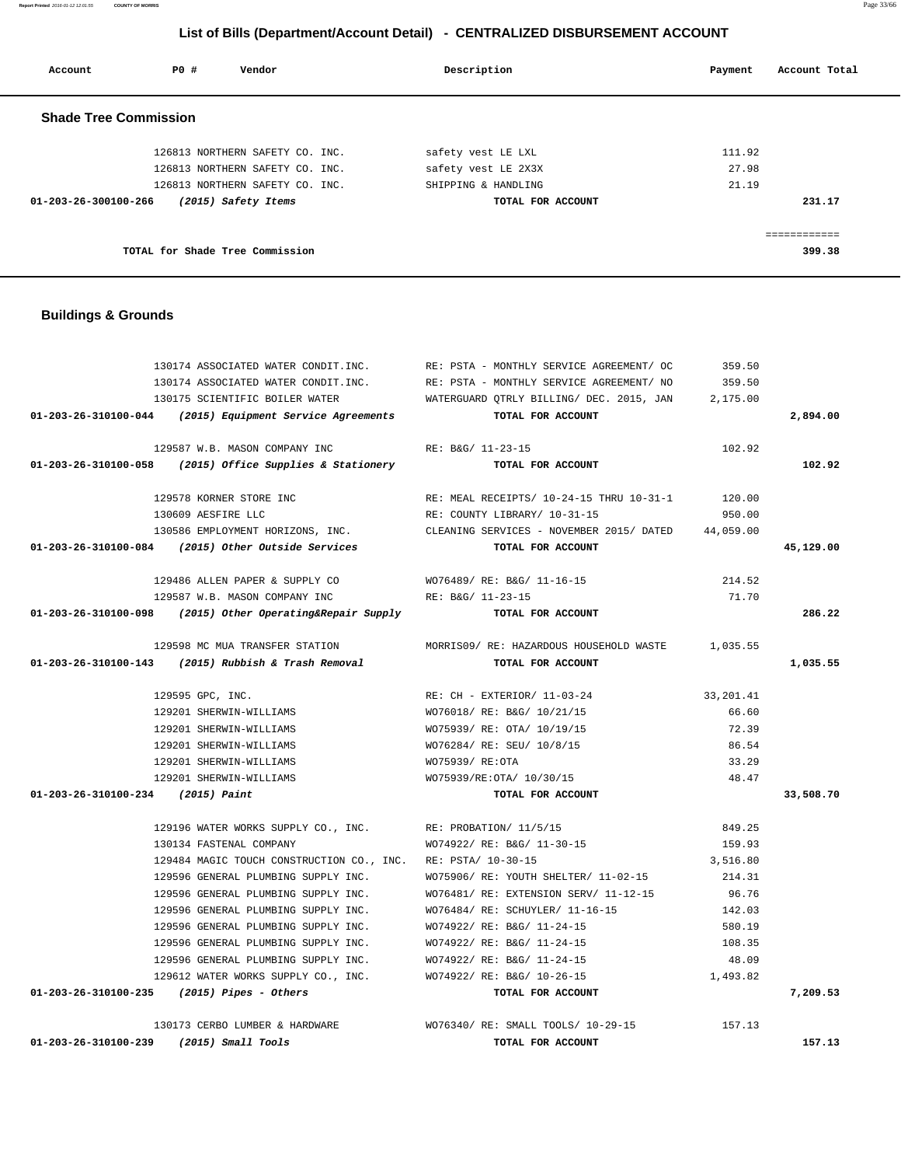**Report Printed** 2016-01-12 12:01:55 **COUNTY OF MORRIS** Page 33/66

#### **List of Bills (Department/Account Detail) - CENTRALIZED DISBURSEMENT ACCOUNT**

| Account                      | PO# | Vendor                          | Description         | Account Total<br>Payment |
|------------------------------|-----|---------------------------------|---------------------|--------------------------|
| <b>Shade Tree Commission</b> |     |                                 |                     |                          |
|                              |     | 126813 NORTHERN SAFETY CO. INC. | safety vest LE LXL  | 111.92                   |
|                              |     | 126813 NORTHERN SAFETY CO. INC. | safety vest LE 2X3X | 27.98                    |
|                              |     | 126813 NORTHERN SAFETY CO. INC. | SHIPPING & HANDLING | 21.19                    |
| 01-203-26-300100-266         |     | (2015) Safety Items             | TOTAL FOR ACCOUNT   | 231.17                   |
|                              |     |                                 |                     | ------------             |
|                              |     | TOTAL for Shade Tree Commission |                     | 399.38                   |

#### **Buildings & Grounds**

|                                              | 130174 ASSOCIATED WATER CONDIT.INC.                            | RE: PSTA - MONTHLY SERVICE AGREEMENT/ OC                                            | 359.50    |           |
|----------------------------------------------|----------------------------------------------------------------|-------------------------------------------------------------------------------------|-----------|-----------|
|                                              | 130174 ASSOCIATED WATER CONDIT.INC.                            | RE: PSTA - MONTHLY SERVICE AGREEMENT/ NO                                            | 359.50    |           |
|                                              | 130175 SCIENTIFIC BOILER WATER                                 | WATERGUARD QTRLY BILLING/ DEC. 2015, JAN 2,175.00                                   |           |           |
|                                              | $01-203-26-310100-044$ (2015) Equipment Service Agreements     | TOTAL FOR ACCOUNT                                                                   |           | 2,894.00  |
|                                              | 129587 W.B. MASON COMPANY INC                                  | RE: B&G/ 11-23-15                                                                   | 102.92    |           |
|                                              | $01-203-26-310100-058$ (2015) Office Supplies & Stationery     | TOTAL FOR ACCOUNT                                                                   |           | 102.92    |
|                                              | 129578 KORNER STORE INC                                        | RE: MEAL RECEIPTS/ 10-24-15 THRU 10-31-1                                            | 120.00    |           |
|                                              | 130609 AESFIRE LLC                                             | RE: COUNTY LIBRARY/ 10-31-15                                                        | 950.00    |           |
|                                              |                                                                | 130586 EMPLOYMENT HORIZONS, INC. CLEANING SERVICES - NOVEMBER 2015/ DATED 44,059.00 |           |           |
|                                              | 01-203-26-310100-084 (2015) Other Outside Services             | TOTAL FOR ACCOUNT                                                                   |           | 45,129.00 |
|                                              | 129486 ALLEN PAPER & SUPPLY CO                                 | WO76489/ RE: B&G/ 11-16-15                                                          | 214.52    |           |
|                                              | 129587 W.B. MASON COMPANY INC                                  | RE: B&G/ 11-23-15                                                                   | 71.70     |           |
|                                              | $01-203-26-310100-098$ (2015) Other Operating&Repair Supply    | TOTAL FOR ACCOUNT                                                                   |           | 286.22    |
|                                              | 129598 MC MUA TRANSFER STATION                                 | MORRIS09/ RE: HAZARDOUS HOUSEHOLD WASTE                                             | 1,035.55  |           |
|                                              | $01-203-26-310100-143$ (2015) Rubbish & Trash Removal          | TOTAL FOR ACCOUNT                                                                   |           | 1,035.55  |
|                                              | 129595 GPC, INC.                                               | RE: CH - EXTERIOR/ 11-03-24                                                         | 33,201.41 |           |
|                                              | 129201 SHERWIN-WILLIAMS                                        | WO76018/ RE: B&G/ 10/21/15                                                          | 66.60     |           |
|                                              | 129201 SHERWIN-WILLIAMS                                        | WO75939/ RE: OTA/ 10/19/15                                                          | 72.39     |           |
|                                              | 129201 SHERWIN-WILLIAMS                                        | WO76284/ RE: SEU/ 10/8/15                                                           | 86.54     |           |
|                                              | 129201 SHERWIN-WILLIAMS                                        | WO75939/ RE:OTA                                                                     | 33.29     |           |
|                                              | 129201 SHERWIN-WILLIAMS                                        | WO75939/RE:OTA/ 10/30/15                                                            | 48.47     |           |
| 01-203-26-310100-234 (2015) Paint            |                                                                | TOTAL FOR ACCOUNT                                                                   |           | 33,508.70 |
|                                              | 129196 WATER WORKS SUPPLY CO., INC. RE: PROBATION/ 11/5/15     |                                                                                     | 849.25    |           |
|                                              | 130134 FASTENAL COMPANY                                        | WO74922/ RE: B&G/ 11-30-15                                                          | 159.93    |           |
|                                              | 129484 MAGIC TOUCH CONSTRUCTION CO., INC. RE: PSTA/ 10-30-15   |                                                                                     | 3,516.80  |           |
|                                              | 129596 GENERAL PLUMBING SUPPLY INC.                            | WO75906/RE: YOUTH SHELTER/ 11-02-15                                                 | 214.31    |           |
|                                              | 129596 GENERAL PLUMBING SUPPLY INC.                            | WO76481/ RE: EXTENSION SERV/ 11-12-15                                               | 96.76     |           |
|                                              | 129596 GENERAL PLUMBING SUPPLY INC.                            | WO76484/ RE: SCHUYLER/ 11-16-15                                                     | 142.03    |           |
|                                              | 129596 GENERAL PLUMBING SUPPLY INC.                            | WO74922/ RE: B&G/ 11-24-15                                                          | 580.19    |           |
|                                              | 129596 GENERAL PLUMBING SUPPLY INC. WO74922/RE: B&G/ 11-24-15  |                                                                                     | 108.35    |           |
|                                              | 129596 GENERAL PLUMBING SUPPLY INC.                            | WO74922/ RE: B&G/ 11-24-15                                                          | 48.09     |           |
|                                              | 129612 WATER WORKS SUPPLY CO., INC. WO74922/ RE: B&G/ 10-26-15 |                                                                                     | 1,493.82  |           |
| $01-203-26-310100-235$ (2015) Pipes - Others |                                                                | TOTAL FOR ACCOUNT                                                                   |           | 7,209.53  |
|                                              |                                                                | 130173 CERBO LUMBER & HARDWARE WO76340/ RE: SMALL TOOLS/ 10-29-15 157.13            |           |           |
| 01-203-26-310100-239 (2015) Small Tools      |                                                                | TOTAL FOR ACCOUNT                                                                   |           | 157.13    |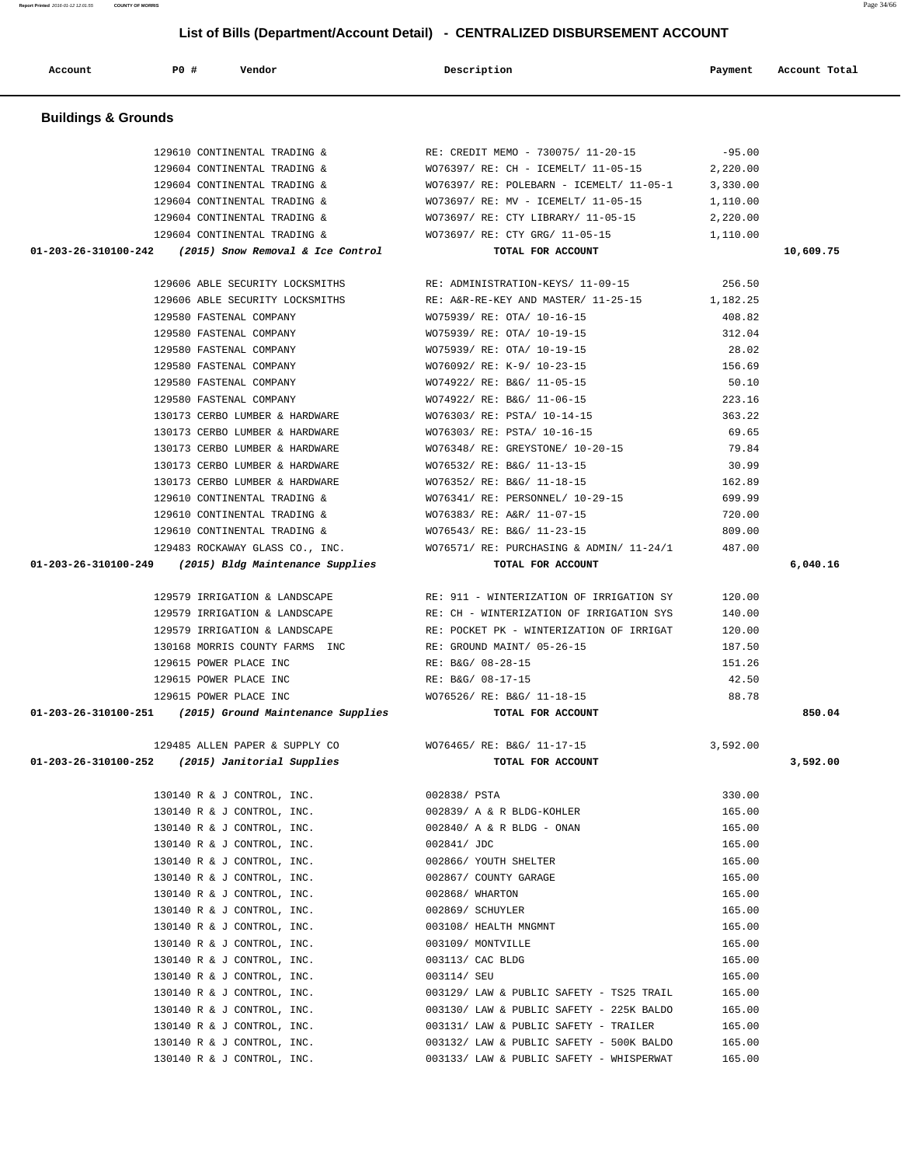**Account P0 # Vendor Description Payment Account Total**

 129610 CONTINENTAL TRADING & RE: CREDIT MEMO - 730075/ 11-20-15 -95.00 129604 CONTINENTAL TRADING & WO76397/ RE: CH - ICEMELT/ 11-05-15 2,220.00 129604 CONTINENTAL TRADING & WO76397/ RE: POLEBARN - ICEMELT/ 11-05-1 3,330.00 129604 CONTINENTAL TRADING & WO73697/ RE: MV - ICEMELT/ 11-05-15 1,110.00 129604 CONTINENTAL TRADING & WO73697/ RE: CTY LIBRARY/ 11-05-15 2,220.00 129604 CONTINENTAL TRADING & WO73697/ RE: CTY GRG/ 11-05-15 1,110.00  **01-203-26-310100-242 (2015) Snow Removal & Ice Control TOTAL FOR ACCOUNT 10,609.75**

> 129606 ABLE SECURITY LOCKSMITHS RE: ADMINISTRATION-KEYS/ 11-09-15 256.50 129606 ABLE SECURITY LOCKSMITHS RE: A&R-RE-KEY AND MASTER/ 11-25-15 1,182.25 129580 FASTENAL COMPANY WO75939/ RE: OTA/ 10-16-15 408.82 129580 FASTENAL COMPANY WO75939/ RE: OTA/ 10-19-15 312.04 129580 FASTENAL COMPANY WO75939/ RE: OTA/ 10-19-15 28.02 129580 FASTENAL COMPANY WO76092/ RE: K-9/ 10-23-15 156.69 129580 FASTENAL COMPANY WO74922/ RE: B&G/ 11-05-15 50.10 129580 FASTENAL COMPANY WO74922/ RE: B&G/ 11-06-15 223.16 130173 CERBO LUMBER & HARDWARE WO76303/ RE: PSTA/ 10-14-15 363.22 130173 CERBO LUMBER & HARDWARE WO76303/ RE: PSTA/ 10-16-15 69.65 130173 CERBO LUMBER & HARDWARE WO76348/ RE: GREYSTONE/ 10-20-15 79.84 130173 CERBO LUMBER & HARDWARE WO76532/ RE: B&G/ 11-13-15 30.99 130173 CERBO LUMBER & HARDWARE WO76352/ RE: B&G/ 11-18-15 162.89 129610 CONTINENTAL TRADING & WO76341/ RE: PERSONNEL/ 10-29-15 699.99 129610 CONTINENTAL TRADING & WO76383/ RE: A&R/ 11-07-15 720.00 129610 CONTINENTAL TRADING & WO76543/ RE: B&G/ 11-23-15 809.00

129483 ROCKAWAY GLASS CO., INC. WO76571/ RE: PURCHASING & ADMIN/ 11-24/1 487.00

 130140 R & J CONTROL, INC. 003130/ LAW & PUBLIC SAFETY - 225K BALDO 165.00 130140 R & J CONTROL, INC. 003131/ LAW & PUBLIC SAFETY - TRAILER 165.00

 **01-203-26-310100-249 (2015) Bldg Maintenance Supplies TOTAL FOR ACCOUNT 6,040.16**

 129579 IRRIGATION & LANDSCAPE RE: 911 - WINTERIZATION OF IRRIGATION SY 120.00 129579 IRRIGATION & LANDSCAPE RE: CH - WINTERIZATION OF IRRIGATION SYS 140.00 129579 IRRIGATION & LANDSCAPE RE: POCKET PK - WINTERIZATION OF IRRIGAT 120.00 130168 MORRIS COUNTY FARMS INC RE: GROUND MAINT/ 05-26-15 187.50 129615 POWER PLACE INC RE: B&G/ 08-28-15 151.26 129615 POWER PLACE INC RE: B&G/ 08-17-15 42.50 129615 POWER PLACE INC WO76526/ RE: B&G/ 11-18-15 88.78  **01-203-26-310100-251 (2015) Ground Maintenance Supplies TOTAL FOR ACCOUNT 850.04**

 129485 ALLEN PAPER & SUPPLY CO WO76465/ RE: B&G/ 11-17-15 3,592.00  **01-203-26-310100-252 (2015) Janitorial Supplies TOTAL FOR ACCOUNT 3,592.00**

> 130140 R & J CONTROL, INC. 002838/ PSTA 330.00 130140 R & J CONTROL, INC. 002839/ A & R BLDG-KOHLER 165.00 130140 R & J CONTROL, INC. 002840/ A & R BLDG - ONAN 165.00 130140 R & J CONTROL, INC. 002841/ JDC 165.00 130140 R & J CONTROL, INC. 002866/ YOUTH SHELTER 165.00 130140 R & J CONTROL, INC. 002867/ COUNTY GARAGE 165.00 130140 R & J CONTROL, INC. 002868/ WHARTON 165.00 130140 R & J CONTROL, INC. 002869/ SCHUYLER 165.00 130140 R & J CONTROL, INC. 003108/ HEALTH MNGMNT 165.00 130140 R & J CONTROL, INC. 003109/ MONTVILLE 165.00 130140 R & J CONTROL, INC. 003113/ CAC BLDG 165.00 130140 R & J CONTROL, INC. 003114/ SEU 165.00 130140 R & J CONTROL, INC. 003129/ LAW & PUBLIC SAFETY - TS25 TRAIL 165.00

> 130140 R & J CONTROL, INC. 003132/ LAW & PUBLIC SAFETY - 500K BALDO 165.00 130140 R & J CONTROL, INC. 003133/ LAW & PUBLIC SAFETY - WHISPERWAT 165.00

 **Buildings & Grounds**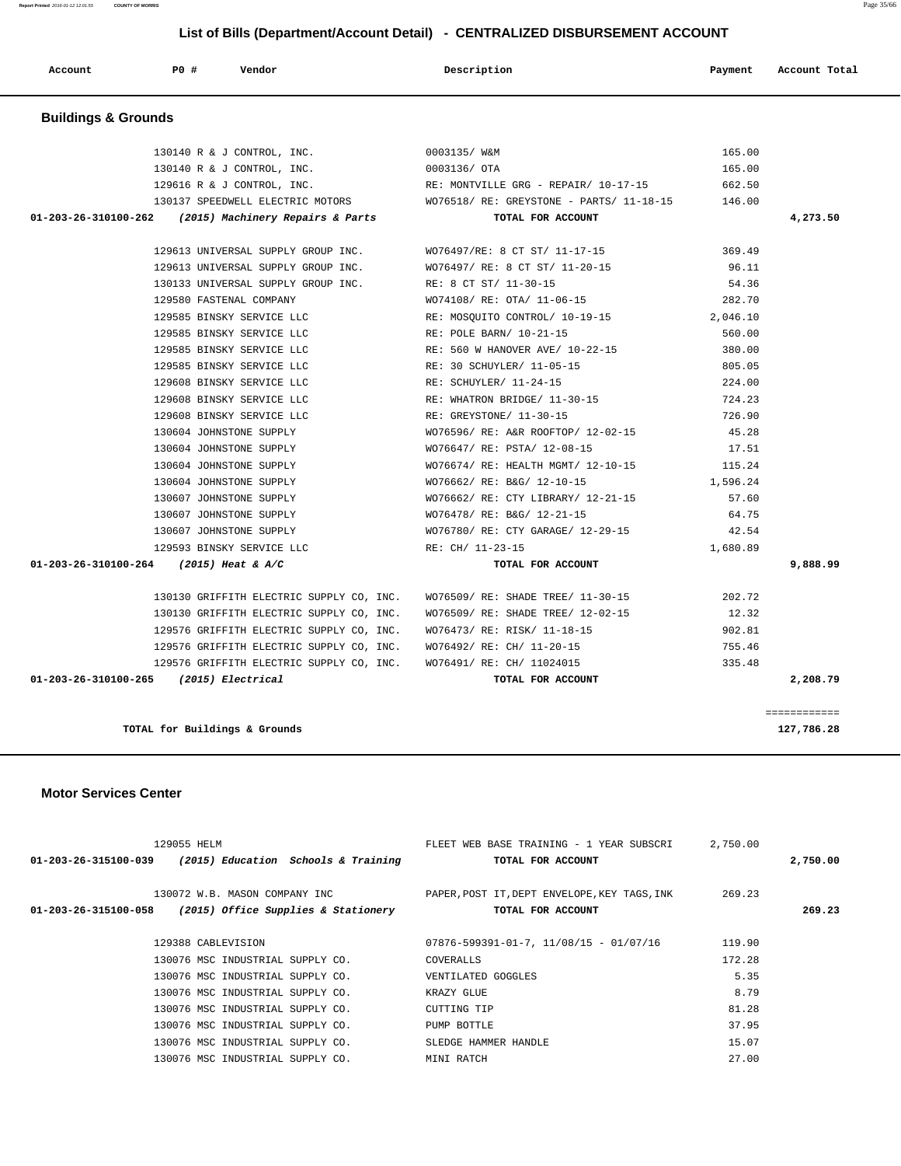129055 HELM FLEET WEB BASE TRAINING - 1 YEAR SUBSCRI 2,750.00  **01-203-26-315100-039 (2015) Education Schools & Training TOTAL FOR ACCOUNT 2,750.00** 130072 W.B. MASON COMPANY INC PAPER,POST IT,DEPT ENVELOPE,KEY TAGS,INK 269.23  **01-203-26-315100-058 (2015) Office Supplies & Stationery TOTAL FOR ACCOUNT 269.23** 129388 CABLEVISION 07876-599391-01-7, 11/08/15 - 01/07/16 119.90 130076 MSC INDUSTRIAL SUPPLY CO. COVERALLS 172.28 130076 MSC INDUSTRIAL SUPPLY CO. VENTILATED GOGGLES 5.35 130076 MSC INDUSTRIAL SUPPLY CO. KRAZY GLUE 8.79 130076 MSC INDUSTRIAL SUPPLY CO. CUTTING TIP 81.28 130076 MSC INDUSTRIAL SUPPLY CO. PUMP BOTTLE PUMP ON ST. 95 130076 MSC INDUSTRIAL SUPPLY CO. SLEDGE HAMMER HANDLE 15.07 130076 MSC INDUSTRIAL SUPPLY CO. MINI RATCH 27.00

**TOTAL for Buildings & Grounds 127,786.28**

#### **Motor Services Center**

| 130140 R & J CONTROL, INC.                               | 0003135/ W&M                                                                     | 165.00   |          |
|----------------------------------------------------------|----------------------------------------------------------------------------------|----------|----------|
| 130140 R & J CONTROL, INC. 0003136/ OTA                  |                                                                                  | 165.00   |          |
|                                                          | 129616 R & J CONTROL, INC. RE: MONTVILLE GRG - REPAIR/ $10-17-15$                | 662.50   |          |
|                                                          | 130137 SPEEDWELL ELECTRIC MOTORS WO76518/ RE: GREYSTONE - PARTS/ 11-18-15 146.00 |          |          |
| 01-203-26-310100-262 (2015) Machinery Repairs & Parts    | TOTAL FOR ACCOUNT                                                                |          | 4,273.50 |
|                                                          | 129613 UNIVERSAL SUPPLY GROUP INC. WO76497/RE: 8 CT ST/ 11-17-15 369.49          |          |          |
|                                                          | 129613 UNIVERSAL SUPPLY GROUP INC. WO76497/RE: 8 CT ST/ 11-20-15                 | 96.11    |          |
| 130133 UNIVERSAL SUPPLY GROUP INC. RE: 8 CT ST/ 11-30-15 |                                                                                  | 54.36    |          |
| 129580 FASTENAL COMPANY                                  | WO74108/ RE: OTA/ 11-06-15                                                       | 282.70   |          |
|                                                          | 129585 BINSKY SERVICE LLC RE: MOSQUITO CONTROL/ 10-19-15 2,046.10                |          |          |
|                                                          | 129585 BINSKY SERVICE LLC THE RE: POLE BARN/ 10-21-15                            | 560.00   |          |
|                                                          | 129585 BINSKY SERVICE LLC<br>RE: 560 W HANOVER AVE/ 10-22-15<br>380.00           |          |          |
|                                                          | 129585 BINSKY SERVICE LLC $RE: 30$ SCHUYLER/ $11-05-15$ 805.05 805.05            |          |          |
| 129608 BINSKY SERVICE LLC                                | RE: SCHUYLER/ 11-24-15                                                           | 224.00   |          |
| 129608 BINSKY SERVICE LLC                                | RE: WHATRON BRIDGE/ 11-30-15                                                     | 724.23   |          |
| 129608 BINSKY SERVICE LLC                                | RE: GREYSTONE/ 11-30-15                                                          | 726.90   |          |
| 130604 JOHNSTONE SUPPLY                                  | WO76596/ RE: A&R ROOFTOP/ 12-02-15 45.28                                         |          |          |
| 130604 JOHNSTONE SUPPLY                                  | WO76647/RE: PSTA/12-08-15 17.51                                                  |          |          |
| 130604 JOHNSTONE SUPPLY                                  | WO76674/ RE: HEALTH MGMT/ 12-10-15 115.24                                        |          |          |
| 130604 JOHNSTONE SUPPLY                                  | WO76662/ RE: B&G/ 12-10-15                                                       | 1,596.24 |          |
| 130607 JOHNSTONE SUPPLY                                  | WO76662/ RE: CTY LIBRARY/ 12-21-15                                               | 57.60    |          |
| 130607 JOHNSTONE SUPPLY                                  | WO76478/ RE: B&G/ 12-21-15                                                       | 64.75    |          |
| 130607 JOHNSTONE SUPPLY                                  | WO76780/ RE: CTY GARAGE/ 12-29-15 42.54                                          |          |          |
| 129593 BINSKY SERVICE LLC RE: CH/ 11-23-15               |                                                                                  | 1,680.89 |          |
| 01-203-26-310100-264 (2015) Heat & A/C                   | TOTAL FOR ACCOUNT                                                                |          | 9,888.99 |
|                                                          | 130130 GRIFFITH ELECTRIC SUPPLY CO, INC. WO76509/RE: SHADE TREE/ 11-30-15 202.72 |          |          |
| 130130 GRIFFITH ELECTRIC SUPPLY CO, INC.                 | WO76509/ RE: SHADE TREE/ 12-02-15                                                | 12.32    |          |
| 129576 GRIFFITH ELECTRIC SUPPLY CO, INC.                 | WO76473/RE: RISK/11-18-15 902.81                                                 |          |          |
|                                                          | 129576 GRIFFITH ELECTRIC SUPPLY CO, INC. WO76492/RE: CH/ 11-20-15 755.46         |          |          |
|                                                          | 129576 GRIFFITH ELECTRIC SUPPLY CO, INC. WO76491/ RE: CH/ 11024015 335.48        |          |          |
| $01-203-26-310100-265$ (2015) Electrical                 | TOTAL FOR ACCOUNT                                                                |          | 2,208.79 |

#### **Buildings & Grounds**

# **Account P0 # Vendor Description Payment Account Total**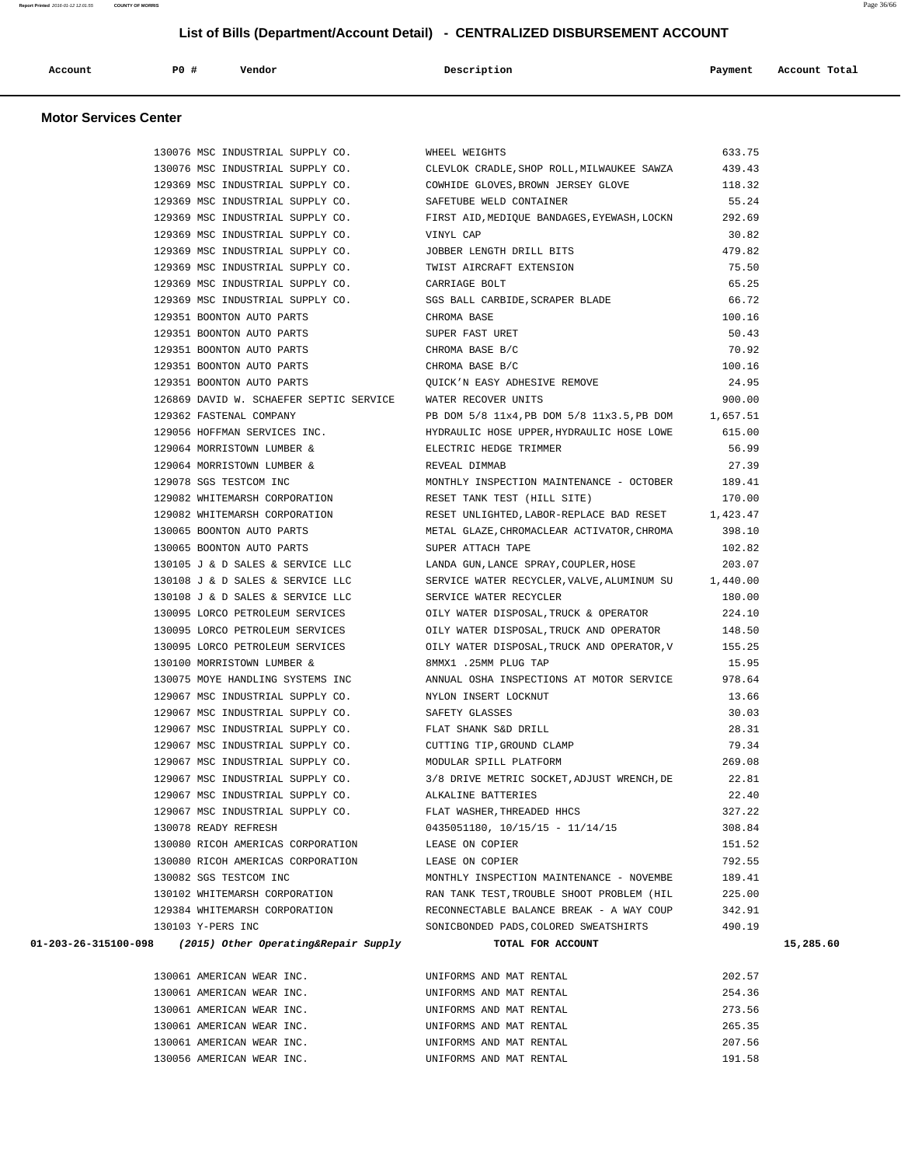| Account<br>. | PO# | Vendor<br>. | Description | Payment | Account Total<br>. |
|--------------|-----|-------------|-------------|---------|--------------------|
|              |     |             |             |         |                    |

#### **Motor Services Center**

| 130076 MSC INDUSTRIAL SUPPLY CO.                                 | WHEEL WEIGHTS                                                                        | 633.75 |           |
|------------------------------------------------------------------|--------------------------------------------------------------------------------------|--------|-----------|
|                                                                  | 130076 MSC INDUSTRIAL SUPPLY CO. CLEVLOK CRADLE, SHOP ROLL, MILWAUKEE SAWZA          | 439.43 |           |
|                                                                  | 129369 MSC INDUSTRIAL SUPPLY CO. COWHIDE GLOVES, BROWN JERSEY GLOVE                  | 118.32 |           |
| 129369 MSC INDUSTRIAL SUPPLY CO. SAFETUBE WELD CONTAINER         |                                                                                      | 55.24  |           |
|                                                                  | 129369 MSC INDUSTRIAL SUPPLY CO. FIRST AID, MEDIQUE BANDAGES, EYEWASH, LOCKN 292.69  |        |           |
| 129369 MSC INDUSTRIAL SUPPLY CO.                                 | VINYL CAP                                                                            | 30.82  |           |
| 129369 MSC INDUSTRIAL SUPPLY CO.                                 | JOBBER LENGTH DRILL BITS                                                             | 479.82 |           |
| 129369 MSC INDUSTRIAL SUPPLY CO.                                 | TWIST AIRCRAFT EXTENSION                                                             | 75.50  |           |
| 129369 MSC INDUSTRIAL SUPPLY CO.                                 | CARRIAGE BOLT                                                                        | 65.25  |           |
| 129369 MSC INDUSTRIAL SUPPLY CO. SGS BALL CARBIDE, SCRAPER BLADE |                                                                                      | 66.72  |           |
| 129351 BOONTON AUTO PARTS                                        | CHROMA BASE                                                                          | 100.16 |           |
| 129351 BOONTON AUTO PARTS                                        | SUPER FAST URET                                                                      | 50.43  |           |
| 129351 BOONTON AUTO PARTS                                        | CHROMA BASE B/C                                                                      | 70.92  |           |
| 129351 BOONTON AUTO PARTS                                        | CHROMA BASE B/C                                                                      | 100.16 |           |
| 129351 BOONTON AUTO PARTS                                        | OUICK'N EASY ADHESIVE REMOVE                                                         | 24.95  |           |
| 126869 DAVID W. SCHAEFER SEPTIC SERVICE WATER RECOVER UNITS      |                                                                                      | 900.00 |           |
| 129362 FASTENAL COMPANY                                          | PB DOM 5/8 11x4, PB DOM 5/8 11x3.5, PB DOM 1, 657.51                                 |        |           |
|                                                                  | 129056 HOFFMAN SERVICES INC. THE HYDRAULIC HOSE UPPER, HYDRAULIC HOSE LOWE 615.00    |        |           |
| 129064 MORRISTOWN LUMBER &                                       | ELECTRIC HEDGE TRIMMER                                                               | 56.99  |           |
| 129064 MORRISTOWN LUMBER &                                       | REVEAL DIMMAB                                                                        | 27.39  |           |
| 129078 SGS TESTCOM INC                                           |                                                                                      | 189.41 |           |
| 129082 WHITEMARSH CORPORATION                                    | MONTHLY INSPECTION MAINTENANCE - OCTOBER<br>RESET TANK TEST (HILL SITE)              | 170.00 |           |
| 129082 WHITEMARSH CORPORATION                                    | RESET UNLIGHTED, LABOR-REPLACE BAD RESET $1,423.47$                                  |        |           |
| 130065 BOONTON AUTO PARTS                                        | METAL GLAZE, CHROMACLEAR ACTIVATOR, CHROMA                                           | 398.10 |           |
| 130065 BOONTON AUTO PARTS                                        | SUPER ATTACH TAPE                                                                    | 102.82 |           |
|                                                                  | 130105 J & D SALES & SERVICE LLC LANDA GUN, LANCE SPRAY, COUPLER, HOSE               | 203.07 |           |
|                                                                  | 130108 J & D SALES & SERVICE LLC SERVICE WATER RECYCLER, VALVE, ALUMINUM SU 1,440.00 |        |           |
| 130108 J & D SALES & SERVICE LLC                                 | SERVICE WATER RECYCLER                                                               | 180.00 |           |
| 130095 LORCO PETROLEUM SERVICES                                  | OILY WATER DISPOSAL, TRUCK & OPERATOR                                                | 224.10 |           |
| 130095 LORCO PETROLEUM SERVICES                                  | OILY WATER DISPOSAL, TRUCK AND OPERATOR                                              | 148.50 |           |
| 130095 LORCO PETROLEUM SERVICES                                  | OILY WATER DISPOSAL, TRUCK AND OPERATOR, V                                           | 155.25 |           |
| 130100 MORRISTOWN LUMBER &                                       | 8MMX1 .25MM PLUG TAP                                                                 | 15.95  |           |
|                                                                  | 130075 MOYE HANDLING SYSTEMS INC ANNUAL OSHA INSPECTIONS AT MOTOR SERVICE            | 978.64 |           |
| 129067 MSC INDUSTRIAL SUPPLY CO. NYLON INSERT LOCKNUT            |                                                                                      | 13.66  |           |
| 129067 MSC INDUSTRIAL SUPPLY CO. SAFETY GLASSES                  |                                                                                      | 30.03  |           |
| 129067 MSC INDUSTRIAL SUPPLY CO. TLAT SHANK S&D DRILL            |                                                                                      | 28.31  |           |
| 129067 MSC INDUSTRIAL SUPPLY CO.                                 | CUTTING TIP, GROUND CLAMP                                                            | 79.34  |           |
| 129067 MSC INDUSTRIAL SUPPLY CO.                                 | MODULAR SPILL PLATFORM                                                               | 269.08 |           |
| 129067 MSC INDUSTRIAL SUPPLY CO.                                 | 3/8 DRIVE METRIC SOCKET, ADJUST WRENCH, DE                                           | 22.81  |           |
| 129067 MSC INDUSTRIAL SUPPLY CO. ALKALINE BATTERIES              |                                                                                      | 22.40  |           |
| 129067 MSC INDUSTRIAL SUPPLY CO.                                 | FLAT WASHER, THREADED HHCS                                                           | 327.22 |           |
| 130078 READY REFRESH                                             | $0435051180, 10/15/15 - 11/14/15$                                                    | 308.84 |           |
| 130080 RICOH AMERICAS CORPORATION                                | LEASE ON COPIER                                                                      | 151.52 |           |
| 130080 RICOH AMERICAS CORPORATION                                | LEASE ON COPIER                                                                      | 792.55 |           |
| 130082 SGS TESTCOM INC                                           | MONTHLY INSPECTION MAINTENANCE - NOVEMBE                                             | 189.41 |           |
| 130102 WHITEMARSH CORPORATION                                    | RAN TANK TEST, TROUBLE SHOOT PROBLEM (HIL                                            | 225.00 |           |
| 129384 WHITEMARSH CORPORATION                                    | RECONNECTABLE BALANCE BREAK - A WAY COUP                                             | 342.91 |           |
| 130103 Y-PERS INC                                                | SONICBONDED PADS, COLORED SWEATSHIRTS                                                | 490.19 |           |
| $01-203-26-315100-098$ (2015) Other Operating& Repair Supply     | TOTAL FOR ACCOUNT                                                                    |        | 15,285.60 |
|                                                                  |                                                                                      |        |           |
| 130061 AMERICAN WEAR INC.                                        | UNIFORMS AND MAT RENTAL                                                              | 202.57 |           |
|                                                                  |                                                                                      |        |           |

| 130061 AMERICAN WEAR INC. | UNIFORMS AND MAT RENTAL | 202.57 |
|---------------------------|-------------------------|--------|
| 130061 AMERICAN WEAR INC. | UNIFORMS AND MAT RENTAL | 254.36 |
| 130061 AMERICAN WEAR INC. | UNIFORMS AND MAT RENTAL | 273.56 |
| 130061 AMERICAN WEAR INC. | UNIFORMS AND MAT RENTAL | 265.35 |
| 130061 AMERICAN WEAR INC. | UNIFORMS AND MAT RENTAL | 207.56 |
| 130056 AMERICAN WEAR INC. | UNIFORMS AND MAT RENTAL | 191.58 |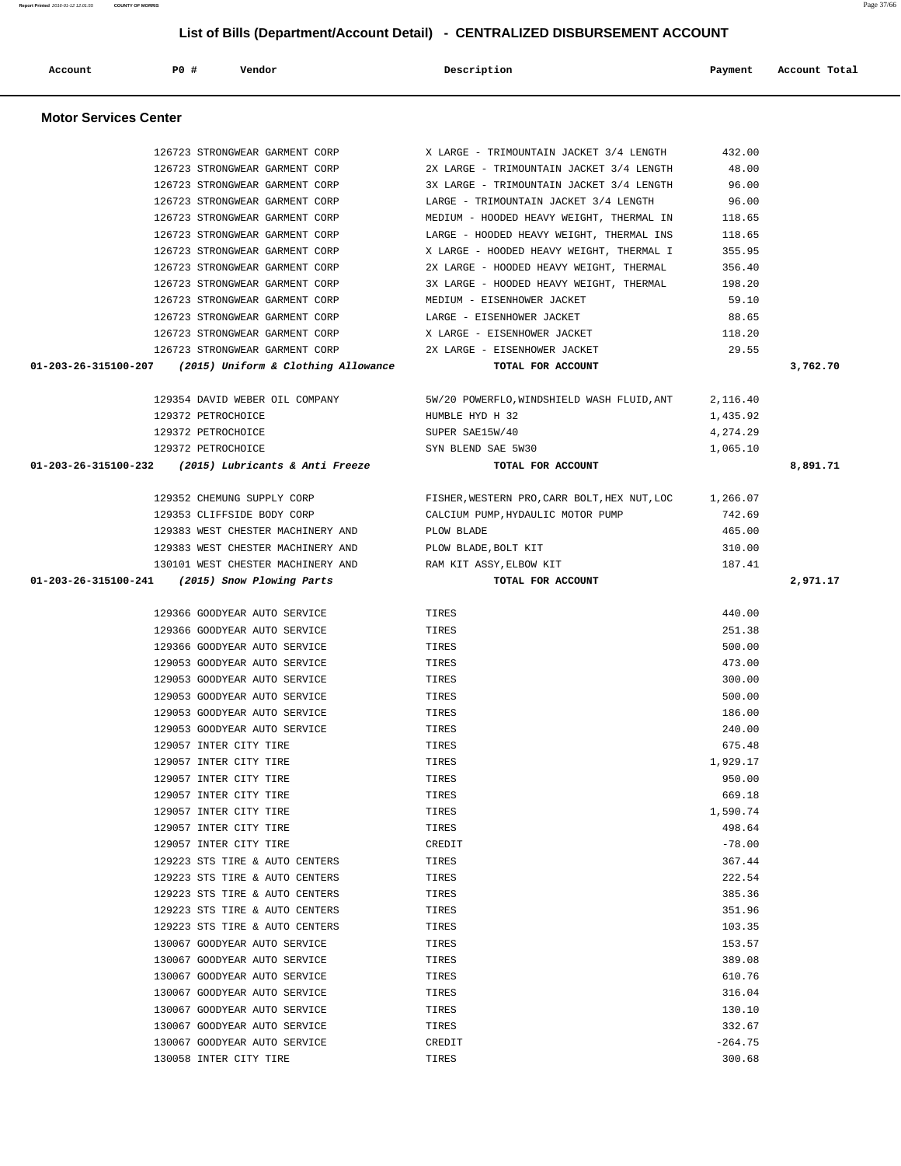126723 STRONGWEAR GARMENT CORP X LARGE - TRIMOUNTAIN JACKET 3/4 LENGTH 432.00 126723 STRONGWEAR GARMENT CORP 2X LARGE - TRIMOUNTAIN JACKET 3/4 LENGTH 48.00 126723 STRONGWEAR GARMENT CORP 3X LARGE - TRIMOUNTAIN JACKET 3/4 LENGTH 96.00 126723 STRONGWEAR GARMENT CORP LARGE - TRIMOUNTAIN JACKET 3/4 LENGTH 96.00 126723 STRONGWEAR GARMENT CORP MEDIUM - HOODED HEAVY WEIGHT, THERMAL IN 118.65 126723 STRONGWEAR GARMENT CORP LARGE - HOODED HEAVY WEIGHT, THERMAL INS 118.65 126723 STRONGWEAR GARMENT CORP X LARGE - HOODED HEAVY WEIGHT, THERMAL I 355.95 126723 STRONGWEAR GARMENT CORP 2X LARGE - HOODED HEAVY WEIGHT, THERMAL 356.40 126723 STRONGWEAR GARMENT CORP 3X LARGE - HOODED HEAVY WEIGHT, THERMAL 198.20 126723 STRONGWEAR GARMENT CORP MEDIUM - EISENHOWER JACKET 59.10 126723 STRONGWEAR GARMENT CORP LARGE - EISENHOWER JACKET 88.65 126723 STRONGWEAR GARMENT CORP X LARGE - EISENHOWER JACKET 118.20 126723 STRONGWEAR GARMENT CORP 2X LARGE - EISENHOWER JACKET 29.55 129354 DAVID WEBER OIL COMPANY 5W/20 POWERFLO,WINDSHIELD WASH FLUID,ANT 2,116.40 129372 PETROCHOICE HUMBLE HYD H 32 1,435.92 129372 PETROCHOICE SUPER SAE15W/40 4,274.29 129372 PETROCHOICE SYN BLEND SAE 5W30 1,065.10 129352 CHEMUNG SUPPLY CORP FISHER,WESTERN PRO,CARR BOLT,HEX NUT,LOC 1,266.07 129353 CLIFFSIDE BODY CORP CALCIUM PUMP,HYDAULIC MOTOR PUMP 742.69 129383 WEST CHESTER MACHINERY AND PLOW BLADE 465.00 129383 WEST CHESTER MACHINERY AND PLOW BLADE,BOLT KIT 310.00 130101 WEST CHESTER MACHINERY AND RAM KIT ASSY,ELBOW KIT 187.41 129366 GOODYEAR AUTO SERVICE TIRES 440.00 129366 GOODYEAR AUTO SERVICE TIRES 251.38 129366 GOODYEAR AUTO SERVICE TIRES 500.00 129053 GOODYEAR AUTO SERVICE TIRES 473.00 129053 GOODYEAR AUTO SERVICE TIRES 300.00 129053 GOODYEAR AUTO SERVICE TIRES 500.00 129053 GOODYEAR AUTO SERVICE TIRES 186.00 129053 GOODYEAR AUTO SERVICE TIRES 240.00 129057 INTER CITY TIRE **TIRES** TIRES 675.48 129057 INTER CITY TIRE TIRES 1,929.17 129057 INTER CITY TIRE TIRES 950.00 129057 INTER CITY TIRE TIRES 669.18 129057 INTER CITY TIRE TIRES 1,590.74 129057 INTER CITY TIRE TIRES 498.64 129057 INTER CITY TIRE CREDIT CREDIT CREDIT THE CREDIT CREDIT CREDIT CREDIT CREDIT CONTROLLER TO A LOCAL CREDIT

> 129223 STS TIRE & AUTO CENTERS TIRES TIRES 367.44 129223 STS TIRE & AUTO CENTERS TIRES TIRES 222.54 129223 STS TIRE & AUTO CENTERS TIRES TIRES 385.36 129223 STS TIRE & AUTO CENTERS TIRES TIRES 351.96 129223 STS TIRE & AUTO CENTERS TIRES TIRES TO A SAME TO A SERVERS THE SAME OF STATE OF STATE OF STATE OF STATE OF STATE OF STATE OF STATE OF STATE OF STATE OF STATE OF STATE OF STATE OF STATE OF STATE OF STATE OF STATE OF 130067 GOODYEAR AUTO SERVICE TIRES TIRES 153.57 130067 GOODYEAR AUTO SERVICE TIRES 389.08 130067 GOODYEAR AUTO SERVICE TIRES 610.76 130067 GOODYEAR AUTO SERVICE TIRES 316.04 130067 GOODYEAR AUTO SERVICE TIRES 130.10 130067 GOODYEAR AUTO SERVICE TIRES 332.67 130067 GOODYEAR AUTO SERVICE CREDIT CREDIT CONSERVED ASSAULT TO A 4.75 130058 INTER CITY TIRE TIRES 300.68

# **Account P0 # Vendor Description Payment Account Total Motor Services Center 01-203-26-315100-207 (2015) Uniform & Clothing Allowance TOTAL FOR ACCOUNT 3,762.70 01-203-26-315100-232 (2015) Lubricants & Anti Freeze TOTAL FOR ACCOUNT 8,891.71 01-203-26-315100-241 (2015) Snow Plowing Parts TOTAL FOR ACCOUNT 2,971.17**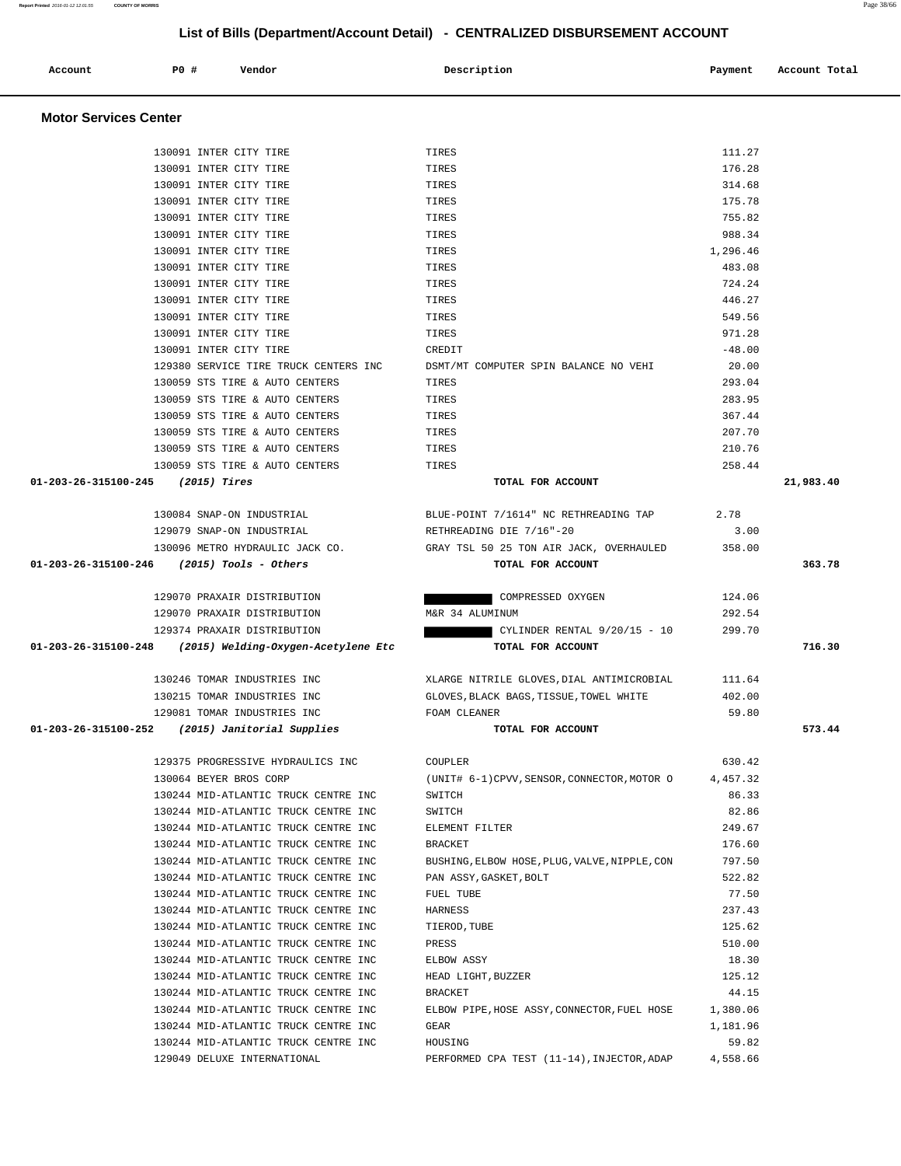| <b>Motor Services Center</b>               |                                                  |                                               |                    |           |
|--------------------------------------------|--------------------------------------------------|-----------------------------------------------|--------------------|-----------|
|                                            |                                                  |                                               |                    |           |
|                                            | 130091 INTER CITY TIRE                           | TIRES                                         | 111.27             |           |
|                                            | 130091 INTER CITY TIRE                           | TIRES                                         | 176.28             |           |
|                                            | 130091 INTER CITY TIRE                           | TIRES                                         | 314.68             |           |
|                                            | 130091 INTER CITY TIRE                           | TIRES                                         | 175.78             |           |
|                                            | 130091 INTER CITY TIRE                           | TIRES                                         | 755.82             |           |
|                                            | 130091 INTER CITY TIRE                           | TIRES                                         | 988.34             |           |
|                                            | 130091 INTER CITY TIRE<br>130091 INTER CITY TIRE | TIRES                                         | 1,296.46<br>483.08 |           |
|                                            | 130091 INTER CITY TIRE                           | TIRES<br>TIRES                                | 724.24             |           |
|                                            | 130091 INTER CITY TIRE                           | TIRES                                         | 446.27             |           |
|                                            | 130091 INTER CITY TIRE                           | TIRES                                         | 549.56             |           |
|                                            | 130091 INTER CITY TIRE                           | TIRES                                         | 971.28             |           |
|                                            | 130091 INTER CITY TIRE                           | CREDIT                                        | $-48.00$           |           |
|                                            | 129380 SERVICE TIRE TRUCK CENTERS INC            | DSMT/MT COMPUTER SPIN BALANCE NO VEHI         | 20.00              |           |
|                                            | 130059 STS TIRE & AUTO CENTERS                   | TIRES                                         | 293.04             |           |
|                                            | 130059 STS TIRE & AUTO CENTERS                   | TIRES                                         | 283.95             |           |
|                                            | 130059 STS TIRE & AUTO CENTERS                   | TIRES                                         | 367.44             |           |
|                                            | 130059 STS TIRE & AUTO CENTERS                   | TIRES                                         | 207.70             |           |
|                                            | 130059 STS TIRE & AUTO CENTERS                   | TIRES                                         | 210.76             |           |
|                                            | 130059 STS TIRE & AUTO CENTERS                   | TIRES                                         | 258.44             |           |
| 01-203-26-315100-245                       | (2015) Tires                                     | TOTAL FOR ACCOUNT                             |                    | 21,983.40 |
|                                            | 130084 SNAP-ON INDUSTRIAL                        | BLUE-POINT 7/16â 14" NC RETHREADING TAP       | 2.78               |           |
|                                            | 129079 SNAP-ON INDUSTRIAL                        | RETHREADING DIE 7/16"-20                      | 3.00               |           |
|                                            | 130096 METRO HYDRAULIC JACK CO.                  | GRAY TSL 50 25 TON AIR JACK, OVERHAULED       | 358.00             |           |
| 01-203-26-315100-246 (2015) Tools - Others |                                                  | TOTAL FOR ACCOUNT                             |                    | 363.78    |
|                                            | 129070 PRAXAIR DISTRIBUTION                      | COMPRESSED OXYGEN                             | 124.06             |           |
|                                            | 129070 PRAXAIR DISTRIBUTION                      | M&R 34 ALUMINUM                               | 292.54             |           |
|                                            | 129374 PRAXAIR DISTRIBUTION                      | CYLINDER RENTAL 9/20/15 - 10                  | 299.70             |           |
| 01-203-26-315100-248                       | (2015) Welding-Oxygen-Acetylene Etc              | TOTAL FOR ACCOUNT                             |                    | 716.30    |
|                                            | 130246 TOMAR INDUSTRIES INC                      | XLARGE NITRILE GLOVES, DIAL ANTIMICROBIAL     | 111.64             |           |
|                                            | 130215 TOMAR INDUSTRIES INC                      | GLOVES, BLACK BAGS, TISSUE, TOWEL WHITE       | 402.00             |           |
|                                            | 129081 TOMAR INDUSTRIES INC                      | FOAM CLEANER                                  | 59.80              |           |
| 01-203-26-315100-252                       | (2015) Janitorial Supplies                       | TOTAL FOR ACCOUNT                             |                    | 573.44    |
|                                            | 129375 PROGRESSIVE HYDRAULICS INC                | COUPLER                                       | 630.42             |           |
|                                            | 130064 BEYER BROS CORP                           | (UNIT# 6-1) CPVV, SENSOR, CONNECTOR, MOTOR 0  | 4,457.32           |           |
|                                            | 130244 MID-ATLANTIC TRUCK CENTRE INC             | SWITCH                                        | 86.33              |           |
|                                            | 130244 MID-ATLANTIC TRUCK CENTRE INC             | SWITCH                                        | 82.86              |           |
|                                            | 130244 MID-ATLANTIC TRUCK CENTRE INC             | ELEMENT FILTER                                | 249.67             |           |
|                                            | 130244 MID-ATLANTIC TRUCK CENTRE INC             | <b>BRACKET</b>                                | 176.60             |           |
|                                            | 130244 MID-ATLANTIC TRUCK CENTRE INC             | BUSHING, ELBOW HOSE, PLUG, VALVE, NIPPLE, CON | 797.50             |           |
|                                            | 130244 MID-ATLANTIC TRUCK CENTRE INC             | PAN ASSY, GASKET, BOLT                        | 522.82             |           |
|                                            | 130244 MID-ATLANTIC TRUCK CENTRE INC             | FUEL TUBE                                     | 77.50              |           |
|                                            | 130244 MID-ATLANTIC TRUCK CENTRE INC             | HARNESS                                       | 237.43             |           |
|                                            | 130244 MID-ATLANTIC TRUCK CENTRE INC             | TIEROD, TUBE                                  | 125.62             |           |
|                                            | 130244 MID-ATLANTIC TRUCK CENTRE INC             | PRESS                                         | 510.00             |           |
|                                            | 130244 MID-ATLANTIC TRUCK CENTRE INC             | ELBOW ASSY                                    | 18.30              |           |
|                                            | 130244 MID-ATLANTIC TRUCK CENTRE INC             | HEAD LIGHT, BUZZER                            | 125.12             |           |
|                                            | 130244 MID-ATLANTIC TRUCK CENTRE INC             | <b>BRACKET</b>                                | 44.15              |           |
|                                            | 130244 MID-ATLANTIC TRUCK CENTRE INC             | ELBOW PIPE, HOSE ASSY, CONNECTOR, FUEL HOSE   | 1,380.06           |           |
|                                            | 130244 MID-ATLANTIC TRUCK CENTRE INC             | GEAR                                          | 1,181.96           |           |
|                                            | 130244 MID-ATLANTIC TRUCK CENTRE INC             | HOUSING                                       | 59.82              |           |
|                                            | 129049 DELUXE INTERNATIONAL                      | PERFORMED CPA TEST (11-14), INJECTOR, ADAP    | 4,558.66           |           |

 **Account P0 # Vendor Description Payment Account Total**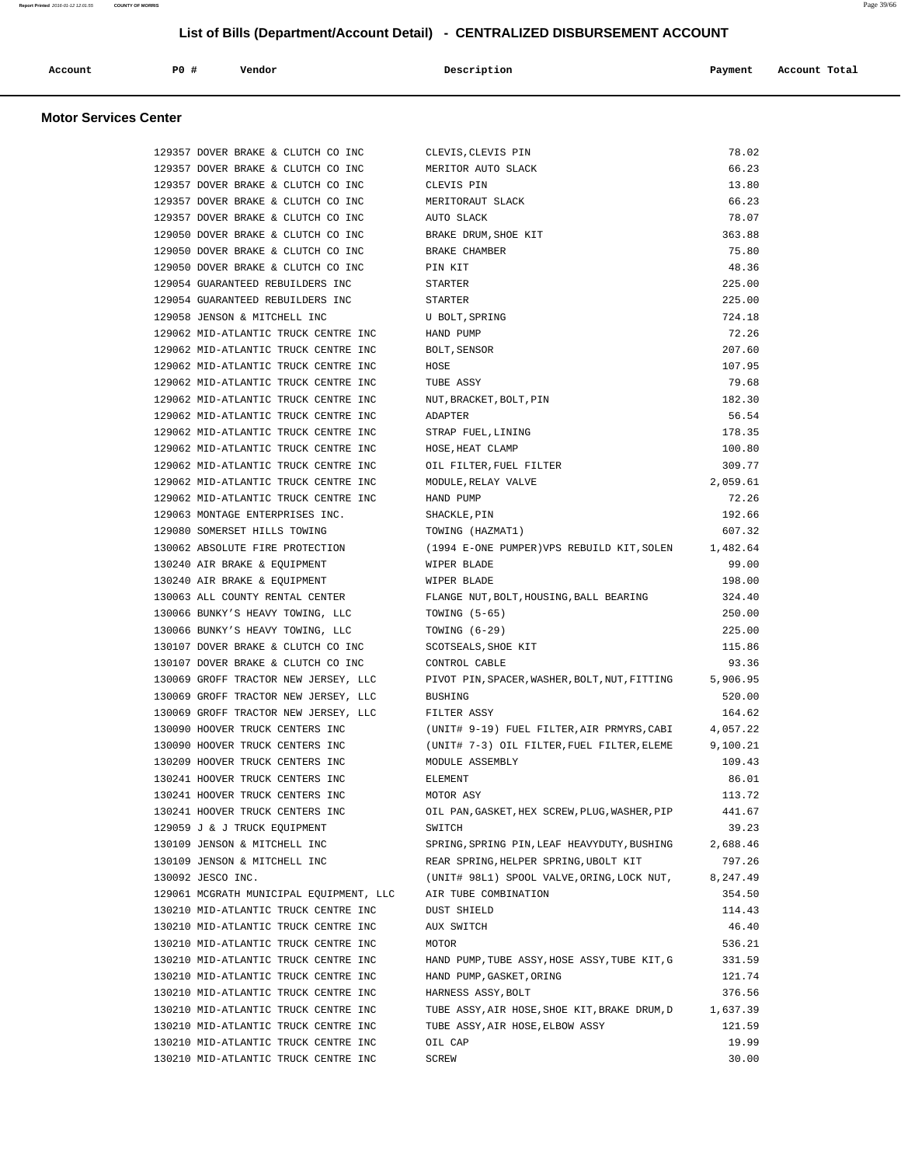| Account | P0 # | Vendor | Description | Payment | Account Total |
|---------|------|--------|-------------|---------|---------------|
|         |      |        |             |         |               |

#### **Motor Services Center**

| 129357 DOVER BRAKE & CLUTCH CO INC      | CLEVIS, CLEVIS PIN                            | 78.02           |
|-----------------------------------------|-----------------------------------------------|-----------------|
| 129357 DOVER BRAKE & CLUTCH CO INC      | MERITOR AUTO SLACK                            | 66.23           |
| 129357 DOVER BRAKE & CLUTCH CO INC      | CLEVIS PIN                                    | 13.80           |
| 129357 DOVER BRAKE & CLUTCH CO INC      | MERITORAUT SLACK                              | 66.23           |
| 129357 DOVER BRAKE & CLUTCH CO INC      | AUTO SLACK                                    | 78.07           |
| 129050 DOVER BRAKE & CLUTCH CO INC      | BRAKE DRUM, SHOE KIT                          | 363.88          |
| 129050 DOVER BRAKE & CLUTCH CO INC      | BRAKE CHAMBER                                 | 75.80           |
| 129050 DOVER BRAKE & CLUTCH CO INC      | PIN KIT                                       | 48.36           |
| 129054 GUARANTEED REBUILDERS INC        | STARTER                                       | 225.00          |
| 129054 GUARANTEED REBUILDERS INC        | STARTER                                       | 225.00          |
| 129058 JENSON & MITCHELL INC            | U BOLT, SPRING                                | 724.18          |
| 129062 MID-ATLANTIC TRUCK CENTRE INC    | HAND PUMP                                     | 72.26           |
| 129062 MID-ATLANTIC TRUCK CENTRE INC    | BOLT, SENSOR                                  | 207.60          |
| 129062 MID-ATLANTIC TRUCK CENTRE INC    | HOSE                                          | 107.95          |
| 129062 MID-ATLANTIC TRUCK CENTRE INC    | TUBE ASSY                                     | 79.68           |
| 129062 MID-ATLANTIC TRUCK CENTRE INC    | NUT, BRACKET, BOLT, PIN                       | 182.30          |
| 129062 MID-ATLANTIC TRUCK CENTRE INC    | ADAPTER                                       | 56.54           |
| 129062 MID-ATLANTIC TRUCK CENTRE INC    | STRAP FUEL, LINING                            | 178.35          |
| 129062 MID-ATLANTIC TRUCK CENTRE INC    | HOSE, HEAT CLAMP                              | 100.80          |
| 129062 MID-ATLANTIC TRUCK CENTRE INC    | OIL FILTER, FUEL FILTER                       | 309.77          |
| 129062 MID-ATLANTIC TRUCK CENTRE INC    | MODULE, RELAY VALVE                           | 2,059.61        |
| 129062 MID-ATLANTIC TRUCK CENTRE INC    | HAND PUMP                                     | 72.26           |
| 129063 MONTAGE ENTERPRISES INC.         | SHACKLE, PIN                                  | 192.66          |
| 129080 SOMERSET HILLS TOWING            | TOWING (HAZMAT1)                              | 607.32          |
| 130062 ABSOLUTE FIRE PROTECTION         | (1994 E-ONE PUMPER)VPS REBUILD KIT, SOLEN     | 1,482.64        |
| 130240 AIR BRAKE & EQUIPMENT            | WIPER BLADE                                   | 99.00           |
| 130240 AIR BRAKE & EQUIPMENT            | WIPER BLADE                                   | 198.00          |
| 130063 ALL COUNTY RENTAL CENTER         | FLANGE NUT, BOLT, HOUSING, BALL BEARING       | 324.40          |
| 130066 BUNKY'S HEAVY TOWING, LLC        | TOWING $(5-65)$                               | 250.00          |
| 130066 BUNKY'S HEAVY TOWING, LLC        | TOWING $(6-29)$                               | 225.00          |
| 130107 DOVER BRAKE & CLUTCH CO INC      | SCOTSEALS, SHOE KIT                           | 115.86          |
| 130107 DOVER BRAKE & CLUTCH CO INC      | CONTROL CABLE                                 | 93.36           |
| 130069 GROFF TRACTOR NEW JERSEY, LLC    | PIVOT PIN, SPACER, WASHER, BOLT, NUT, FITTING | 5,906.95        |
| 130069 GROFF TRACTOR NEW JERSEY, LLC    | <b>BUSHING</b>                                | 520.00          |
| 130069 GROFF TRACTOR NEW JERSEY, LLC    | FILTER ASSY                                   | 164.62          |
| 130090 HOOVER TRUCK CENTERS INC         | (UNIT# 9-19) FUEL FILTER, AIR PRMYRS, CABI    | 4,057.22        |
| 130090 HOOVER TRUCK CENTERS INC         | (UNIT# 7-3) OIL FILTER, FUEL FILTER, ELEME    | 9,100.21        |
| 130209 HOOVER TRUCK CENTERS INC         | MODULE ASSEMBLY                               | 109.43          |
| 130241 HOOVER TRUCK CENTERS INC         | ELEMENT                                       | 86.01           |
| 130241 HOOVER TRUCK CENTERS INC         | MOTOR ASY                                     | 113.72          |
| 130241 HOOVER TRUCK CENTERS INC         | OIL PAN, GASKET, HEX SCREW, PLUG, WASHER, PIP | 441.67          |
| 129059 J & J TRUCK EQUIPMENT            | SWITCH                                        | 39.23           |
| 130109 JENSON & MITCHELL INC            | SPRING, SPRING PIN, LEAF HEAVYDUTY, BUSHING   | 2,688.46        |
| 130109 JENSON & MITCHELL INC            | REAR SPRING, HELPER SPRING, UBOLT KIT         | 797.26          |
| 130092 JESCO INC.                       | (UNIT# 98L1) SPOOL VALVE, ORING, LOCK NUT,    | 8,247.49        |
| 129061 MCGRATH MUNICIPAL EQUIPMENT, LLC | AIR TUBE COMBINATION                          | 354.50          |
| 130210 MID-ATLANTIC TRUCK CENTRE INC    | DUST SHIELD                                   | 114.43          |
| 130210 MID-ATLANTIC TRUCK CENTRE INC    | AUX SWITCH                                    | 46.40           |
| 130210 MID-ATLANTIC TRUCK CENTRE INC    | MOTOR                                         | 536.21          |
| 130210 MID-ATLANTIC TRUCK CENTRE INC    | HAND PUMP, TUBE ASSY, HOSE ASSY, TUBE KIT, G  | 331.59          |
| 130210 MID-ATLANTIC TRUCK CENTRE INC    | HAND PUMP, GASKET, ORING                      | 121.74          |
| 130210 MID-ATLANTIC TRUCK CENTRE INC    | HARNESS ASSY, BOLT                            | 376.56          |
| 130210 MID-ATLANTIC TRUCK CENTRE INC    |                                               | 1,637.39        |
|                                         | TUBE ASSY, AIR HOSE, SHOE KIT, BRAKE DRUM, D  |                 |
| 130210 MID-ATLANTIC TRUCK CENTRE INC    | TUBE ASSY, AIR HOSE, ELBOW ASSY               | 121.59<br>19.99 |
| 130210 MID-ATLANTIC TRUCK CENTRE INC    | OIL CAP                                       |                 |
| 130210 MID-ATLANTIC TRUCK CENTRE INC    | SCREW                                         | 30.00           |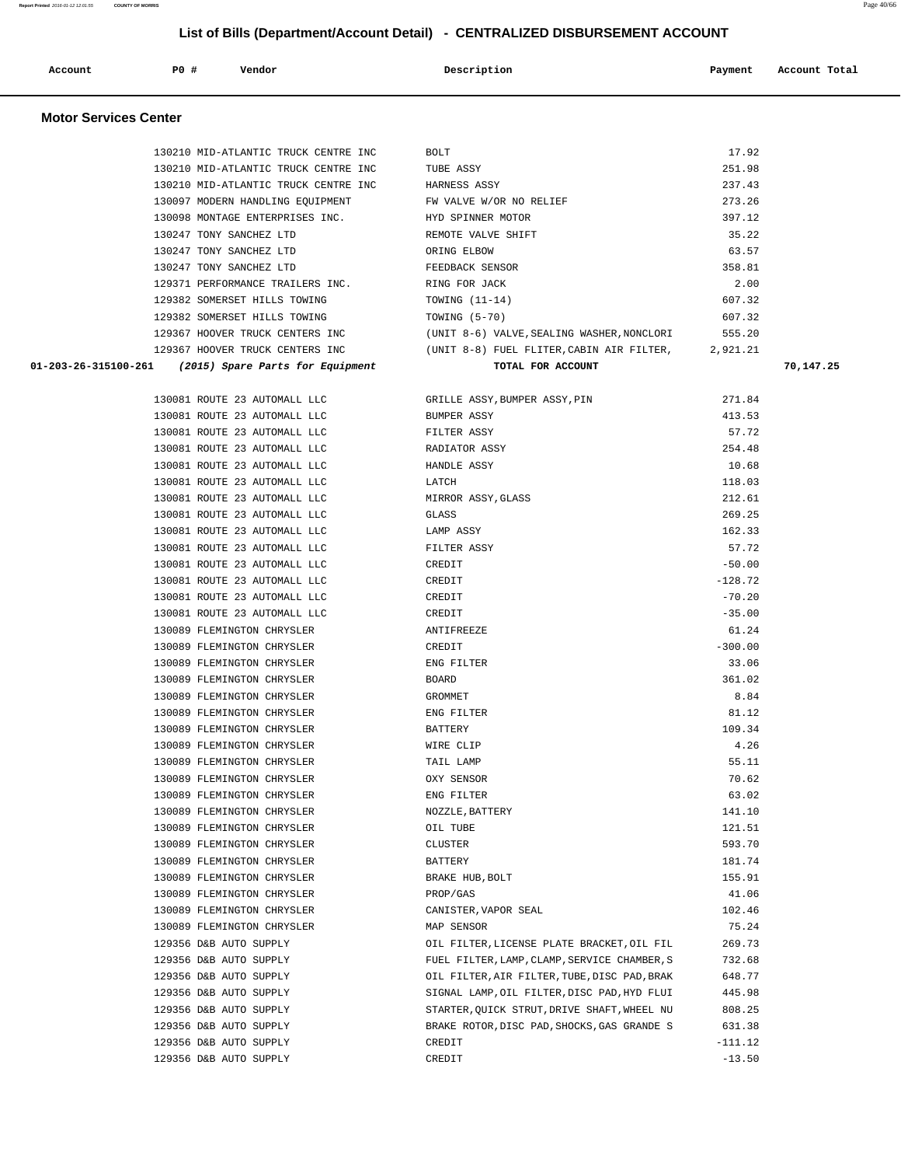| Report Printed 2016-01-12 12:01:55 COUNTY OF MORRIS | : 40/66<br>Page |
|-----------------------------------------------------|-----------------|
|                                                     |                 |

| List of Bills (Department/Account Detail) - CENTRALIZED DISBURSEMENT ACCOUNT |     |                                      |                         |         |               |
|------------------------------------------------------------------------------|-----|--------------------------------------|-------------------------|---------|---------------|
| Account                                                                      | PO# | Vendor                               | Description             | Payment | Account Total |
| <b>Motor Services Center</b>                                                 |     |                                      |                         |         |               |
|                                                                              |     | 130210 MID-ATLANTIC TRUCK CENTRE INC | BOLT                    | 17.92   |               |
|                                                                              |     | 130210 MID-ATLANTIC TRUCK CENTRE INC | TUBE ASSY               | 251.98  |               |
|                                                                              |     | 130210 MID-ATLANTIC TRUCK CENTRE INC | HARNESS ASSY            | 237.43  |               |
|                                                                              |     | 130097 MODERN HANDLING EQUIPMENT     | FW VALVE W/OR NO RELIEF | 273.26  |               |

 130098 MONTAGE ENTERPRISES INC. HYD SPINNER MOTOR 397.12 130247 TONY SANCHEZ LTD REMOTE VALVE SHIFT 35.22 130247 TONY SANCHEZ LTD ORING ELBOW 63.57 130247 TONY SANCHEZ LTD FEEDBACK SENSOR 358.81 129371 PERFORMANCE TRAILERS INC. RING FOR JACK 2.00 129382 SOMERSET HILLS TOWING TOWING (11-14) 607.32 129382 SOMERSET HILLS TOWING TOWING (5-70) 607.32 129367 HOOVER TRUCK CENTERS INC (UNIT 8-6) VALVE,SEALING WASHER,NONCLORI 555.20

 129367 HOOVER TRUCK CENTERS INC (UNIT 8-8) FUEL FLITER,CABIN AIR FILTER, 2,921.21  **01-203-26-315100-261 (2015) Spare Parts for Equipment TOTAL FOR ACCOUNT 70,147.25** 130081 ROUTE 23 AUTOMALL LLC 130081 ROUTE 23 AUTOMALL LLC 130081 ROUTE 23 AUTOMALL LLC 130081 ROUTE 23 AUTOMALL LLC 130081 ROUTE 23 AUTOMALL LLC 130081 ROUTE 23 AUTOMALL LLC 130081 ROUTE 23 AUTOMALL LLC 130081 ROUTE 23 AUTOMALL LLC 130081 ROUTE 23 AUTOMALL LLC 130081 ROUTE 23 AUTOMALL LLC 130081 ROUTE 23 AUTOMALL LLC 130081 ROUTE 23 AUTOMALL LLC 130081 ROUTE 23 AUTOMALL LLC 130081 ROUTE 23 AUTOMALL LLC 130089 FLEMINGTON CHRYSLER 130089 FLEMINGTON CHRYSLER 130089 FLEMINGTON CHRYSLER 130089 FLEMINGTON CHRYSLER 130089 FLEMINGTON CHRYSLER 130089 FLEMINGTON CHRYSLER 130089 FLEMINGTON CHRYSLER 130089 FLEMINGTON CHRYSLER 130089 FLEMINGTON CHRYSLER 130089 FLEMINGTON CHRYSLER 130089 FLEMINGTON CHRYSLER 130089 FLEMINGTON CHRYSLER 130089 FLEMINGTON CHRYSLER 130089 FLEMINGTON CHRYSLER 130089 FLEMINGTON CHRYSLER 130089 FLEMINGTON CHRYSLER 130089 FLEMINGTON CHRYSLER 130089 FLEMINGTON CHRYSLER 130089 FLEMINGTON CHRYSLER 129356 D&B AUTO SUPPLY 129356 D&B AUTO SUPPLY 129356 D&B AUTO SUPPLY 129356 D&B AUTO SUPPLY 129356 D&B AUTO SUPPLY 129356 D&B AUTO SUPPLY 129356 D&B AUTO SUPPLY  $129356$  D&B AUTO SUPPLY  $-13.50$ 

| GRILLE ASSY, BUMPER ASSY, PIN                | 271.84    |
|----------------------------------------------|-----------|
| <b>BUMPER ASSY</b>                           | 413.53    |
| FILTER ASSY                                  | 57.72     |
| RADIATOR ASSY                                | 254.48    |
| HANDLE ASSY                                  | 10.68     |
| LATCH                                        | 118.03    |
| MIRROR ASSY, GLASS                           | 212.61    |
| GLASS                                        | 269.25    |
| LAMP ASSY                                    | 162.33    |
| FILTER ASSY                                  | 57.72     |
| CREDIT                                       | $-50.00$  |
| CREDIT                                       | $-128.72$ |
| CREDIT                                       | $-70.20$  |
| CREDIT                                       | $-35.00$  |
| ANTIFREEZE                                   | 61.24     |
| CREDIT                                       | $-300.00$ |
| ENG FILTER                                   | 33.06     |
| <b>BOARD</b>                                 | 361.02    |
| <b>GROMMET</b>                               | 8.84      |
| ENG FILTER                                   | 81.12     |
| <b>BATTERY</b>                               | 109.34    |
| WIRE CLIP                                    | 4.26      |
| TAIL LAMP                                    | 55.11     |
| OXY SENSOR                                   | 70.62     |
| ENG FILTER                                   | 63.02     |
| NOZZLE, BATTERY                              | 141.10    |
| OIL TUBE                                     | 121.51    |
| <b>CLUSTER</b>                               | 593.70    |
| <b>BATTERY</b>                               | 181.74    |
| BRAKE HUB, BOLT                              | 155.91    |
| PROP/GAS                                     | 41.06     |
| CANISTER, VAPOR SEAL                         | 102.46    |
| MAP SENSOR                                   | 75.24     |
| OIL FILTER, LICENSE PLATE BRACKET, OIL FIL   | 269.73    |
| FUEL FILTER, LAMP, CLAMP, SERVICE CHAMBER, S | 732.68    |
| OIL FILTER, AIR FILTER, TUBE, DISC PAD, BRAK | 648.77    |
| SIGNAL LAMP, OIL FILTER, DISC PAD, HYD FLUI  | 445.98    |
| STARTER, OUICK STRUT, DRIVE SHAFT, WHEEL NU  | 808.25    |
| BRAKE ROTOR, DISC PAD, SHOCKS, GAS GRANDE S  | 631.38    |
| CREDIT                                       | $-111.12$ |
|                                              |           |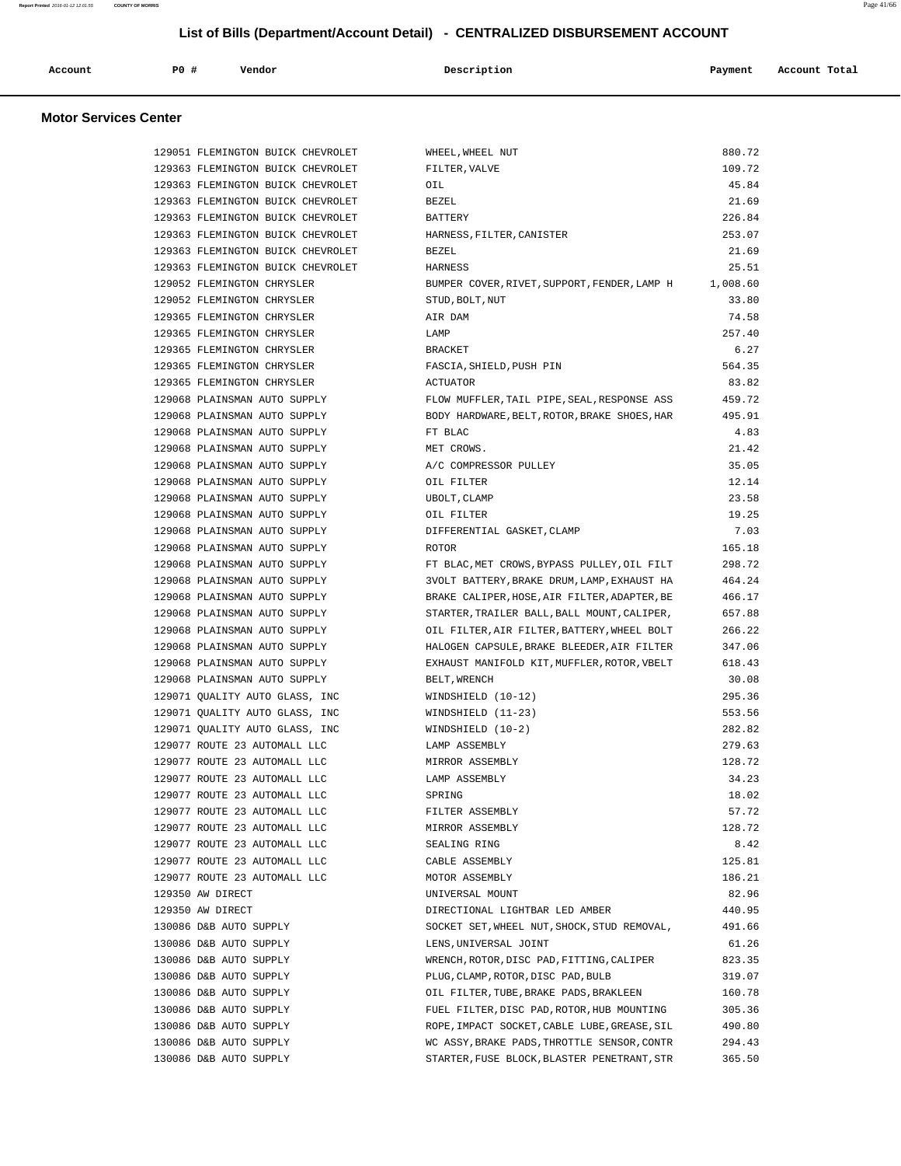|  | Account<br>. | P0 # | Vendor | Description | Payment | Account Total<br>. |
|--|--------------|------|--------|-------------|---------|--------------------|
|--|--------------|------|--------|-------------|---------|--------------------|

#### **Motor Services Center**

| 129051 FLEMINGTON BUICK CHEVROLET | WHEEL, WHEEL NUT                             | 880.72   |
|-----------------------------------|----------------------------------------------|----------|
| 129363 FLEMINGTON BUICK CHEVROLET | FILTER, VALVE                                | 109.72   |
| 129363 FLEMINGTON BUICK CHEVROLET | OIL                                          | 45.84    |
| 129363 FLEMINGTON BUICK CHEVROLET | <b>BEZEL</b>                                 | 21.69    |
| 129363 FLEMINGTON BUICK CHEVROLET | BATTERY                                      | 226.84   |
| 129363 FLEMINGTON BUICK CHEVROLET | HARNESS, FILTER, CANISTER                    | 253.07   |
| 129363 FLEMINGTON BUICK CHEVROLET | <b>BEZEL</b>                                 | 21.69    |
| 129363 FLEMINGTON BUICK CHEVROLET | HARNESS                                      | 25.51    |
| 129052 FLEMINGTON CHRYSLER        | BUMPER COVER, RIVET, SUPPORT, FENDER, LAMP H | 1,008.60 |
| 129052 FLEMINGTON CHRYSLER        | STUD, BOLT, NUT                              | 33.80    |
| 129365 FLEMINGTON CHRYSLER        | AIR DAM                                      | 74.58    |
| 129365 FLEMINGTON CHRYSLER        | LAMP                                         | 257.40   |
| 129365 FLEMINGTON CHRYSLER        | <b>BRACKET</b>                               | 6.27     |
| 129365 FLEMINGTON CHRYSLER        | FASCIA, SHIELD, PUSH PIN                     | 564.35   |
| 129365 FLEMINGTON CHRYSLER        | <b>ACTUATOR</b>                              | 83.82    |
| 129068 PLAINSMAN AUTO SUPPLY      | FLOW MUFFLER, TAIL PIPE, SEAL, RESPONSE ASS  | 459.72   |
| 129068 PLAINSMAN AUTO SUPPLY      | BODY HARDWARE, BELT, ROTOR, BRAKE SHOES, HAR | 495.91   |
| 129068 PLAINSMAN AUTO SUPPLY      | FT BLAC                                      | 4.83     |
| 129068 PLAINSMAN AUTO SUPPLY      | MET CROWS.                                   | 21.42    |
| 129068 PLAINSMAN AUTO SUPPLY      | A/C COMPRESSOR PULLEY                        | 35.05    |
| 129068 PLAINSMAN AUTO SUPPLY      | OIL FILTER                                   | 12.14    |
| 129068 PLAINSMAN AUTO SUPPLY      | UBOLT, CLAMP                                 | 23.58    |
| 129068 PLAINSMAN AUTO SUPPLY      | OIL FILTER                                   | 19.25    |
| 129068 PLAINSMAN AUTO SUPPLY      | DIFFERENTIAL GASKET, CLAMP                   | 7.03     |
| 129068 PLAINSMAN AUTO SUPPLY      | <b>ROTOR</b>                                 | 165.18   |
| 129068 PLAINSMAN AUTO SUPPLY      | FT BLAC, MET CROWS, BYPASS PULLEY, OIL FILT  | 298.72   |
| 129068 PLAINSMAN AUTO SUPPLY      | 3VOLT BATTERY, BRAKE DRUM, LAMP, EXHAUST HA  | 464.24   |
| 129068 PLAINSMAN AUTO SUPPLY      | BRAKE CALIPER, HOSE, AIR FILTER, ADAPTER, BE | 466.17   |
| 129068 PLAINSMAN AUTO SUPPLY      | STARTER, TRAILER BALL, BALL MOUNT, CALIPER,  | 657.88   |
| 129068 PLAINSMAN AUTO SUPPLY      | OIL FILTER, AIR FILTER, BATTERY, WHEEL BOLT  | 266.22   |
| 129068 PLAINSMAN AUTO SUPPLY      | HALOGEN CAPSULE, BRAKE BLEEDER, AIR FILTER   | 347.06   |
| 129068 PLAINSMAN AUTO SUPPLY      | EXHAUST MANIFOLD KIT, MUFFLER, ROTOR, VBELT  | 618.43   |
| 129068 PLAINSMAN AUTO SUPPLY      | BELT, WRENCH                                 | 30.08    |
| 129071 QUALITY AUTO GLASS, INC    | WINDSHIELD (10-12)                           | 295.36   |
| 129071 QUALITY AUTO GLASS, INC    | WINDSHIELD (11-23)                           | 553.56   |
| 129071 QUALITY AUTO GLASS, INC    | WINDSHIELD (10-2)                            | 282.82   |
| 129077 ROUTE 23 AUTOMALL LLC      | LAMP ASSEMBLY                                | 279.63   |
| 129077 ROUTE 23 AUTOMALL LLC      | MIRROR ASSEMBLY                              | 128.72   |
| 129077 ROUTE 23 AUTOMALL LLC      | LAMP ASSEMBLY                                | 34.23    |
| 129077 ROUTE 23 AUTOMALL LLC      | SPRING                                       | 18.02    |
| 129077 ROUTE 23 AUTOMALL LLC      | FILTER ASSEMBLY                              | 57.72    |
| 129077 ROUTE 23 AUTOMALL LLC      | MIRROR ASSEMBLY                              | 128.72   |
| 129077 ROUTE 23 AUTOMALL LLC      | SEALING RING                                 | 8.42     |
| 129077 ROUTE 23 AUTOMALL LLC      | CABLE ASSEMBLY                               | 125.81   |
| 129077 ROUTE 23 AUTOMALL LLC      | MOTOR ASSEMBLY                               | 186.21   |
| 129350 AW DIRECT                  | UNIVERSAL MOUNT                              | 82.96    |
| 129350 AW DIRECT                  | DIRECTIONAL LIGHTBAR LED AMBER               | 440.95   |
| 130086 D&B AUTO SUPPLY            | SOCKET SET, WHEEL NUT, SHOCK, STUD REMOVAL,  | 491.66   |
| 130086 D&B AUTO SUPPLY            | LENS, UNIVERSAL JOINT                        | 61.26    |
| 130086 D&B AUTO SUPPLY            | WRENCH, ROTOR, DISC PAD, FITTING, CALIPER    | 823.35   |
| 130086 D&B AUTO SUPPLY            | PLUG, CLAMP, ROTOR, DISC PAD, BULB           | 319.07   |
| 130086 D&B AUTO SUPPLY            | OIL FILTER, TUBE, BRAKE PADS, BRAKLEEN       | 160.78   |
| 130086 D&B AUTO SUPPLY            | FUEL FILTER, DISC PAD, ROTOR, HUB MOUNTING   | 305.36   |
| 130086 D&B AUTO SUPPLY            | ROPE, IMPACT SOCKET, CABLE LUBE, GREASE, SIL | 490.80   |
| 130086 D&B AUTO SUPPLY            | WC ASSY, BRAKE PADS, THROTTLE SENSOR, CONTR  | 294.43   |
| 130086 D&B AUTO SUPPLY            | STARTER, FUSE BLOCK, BLASTER PENETRANT, STR  | 365.50   |
|                                   |                                              |          |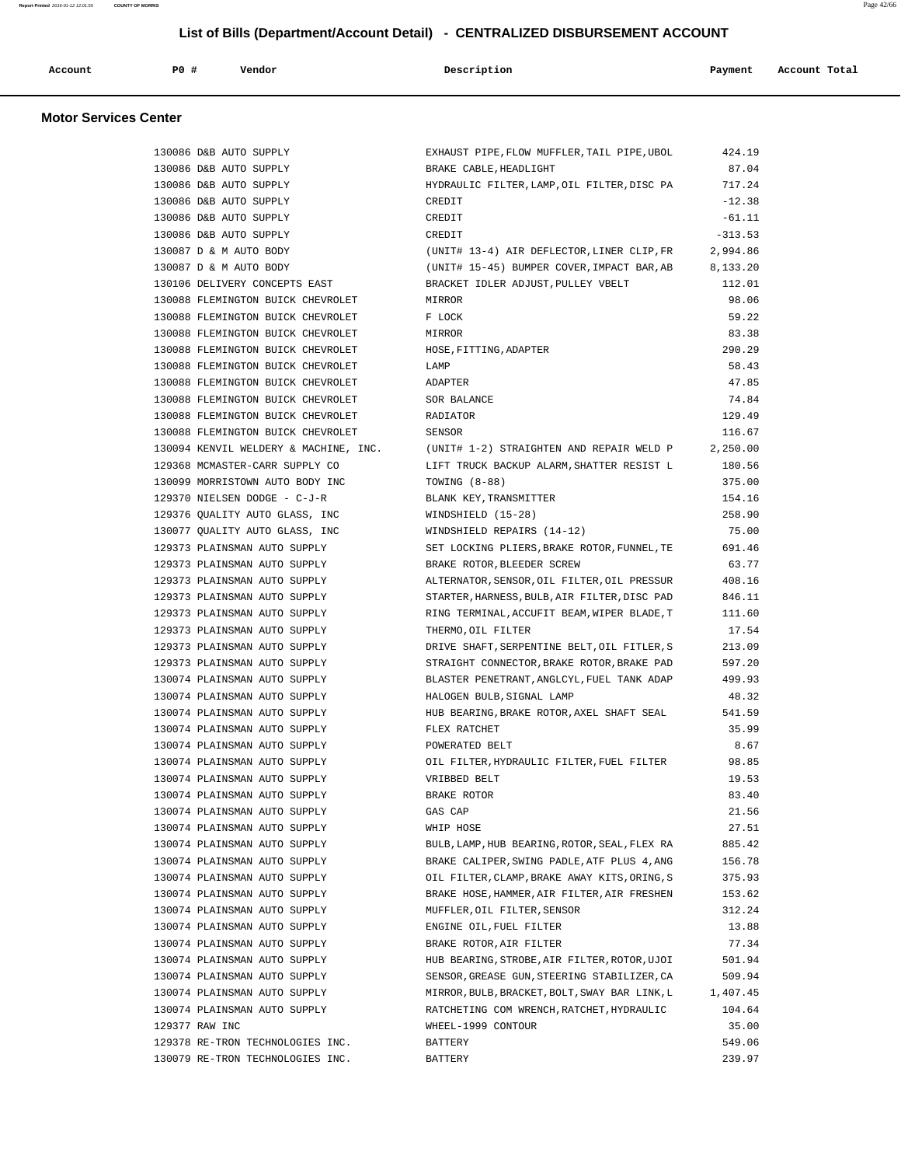| Account | P0 # | Vendor | Description | Payment | Account Total |
|---------|------|--------|-------------|---------|---------------|
|         |      |        |             |         |               |

#### **Motor Services Center**

| 130086 D&B AUTO SUPPLY                | EXHAUST PIPE, FLOW MUFFLER, TAIL PIPE, UBOL   | 424.19    |
|---------------------------------------|-----------------------------------------------|-----------|
| 130086 D&B AUTO SUPPLY                | BRAKE CABLE, HEADLIGHT                        | 87.04     |
| 130086 D&B AUTO SUPPLY                | HYDRAULIC FILTER, LAMP, OIL FILTER, DISC PA   | 717.24    |
| 130086 D&B AUTO SUPPLY                | CREDIT                                        | $-12.38$  |
| 130086 D&B AUTO SUPPLY                | CREDIT                                        | $-61.11$  |
| 130086 D&B AUTO SUPPLY                | CREDIT                                        | $-313.53$ |
| 130087 D & M AUTO BODY                | (UNIT# 13-4) AIR DEFLECTOR, LINER CLIP, FR    | 2,994.86  |
| 130087 D & M AUTO BODY                | (UNIT# 15-45) BUMPER COVER, IMPACT BAR, AB    | 8,133.20  |
| 130106 DELIVERY CONCEPTS EAST         | BRACKET IDLER ADJUST, PULLEY VBELT            | 112.01    |
| 130088 FLEMINGTON BUICK CHEVROLET     | MIRROR                                        | 98.06     |
| 130088 FLEMINGTON BUICK CHEVROLET     | F LOCK                                        | 59.22     |
| 130088 FLEMINGTON BUICK CHEVROLET     | MIRROR                                        | 83.38     |
| 130088 FLEMINGTON BUICK CHEVROLET     | HOSE, FITTING, ADAPTER                        | 290.29    |
| 130088 FLEMINGTON BUICK CHEVROLET     | LAMP                                          | 58.43     |
| 130088 FLEMINGTON BUICK CHEVROLET     | ADAPTER                                       | 47.85     |
| 130088 FLEMINGTON BUICK CHEVROLET     | SOR BALANCE                                   | 74.84     |
| 130088 FLEMINGTON BUICK CHEVROLET     | RADIATOR                                      | 129.49    |
| 130088 FLEMINGTON BUICK CHEVROLET     | SENSOR                                        | 116.67    |
| 130094 KENVIL WELDERY & MACHINE, INC. | (UNIT# 1-2) STRAIGHTEN AND REPAIR WELD P      | 2,250.00  |
| 129368 MCMASTER-CARR SUPPLY CO        | LIFT TRUCK BACKUP ALARM, SHATTER RESIST L     | 180.56    |
| 130099 MORRISTOWN AUTO BODY INC       | TOWING (8-88)                                 | 375.00    |
| 129370 NIELSEN DODGE - C-J-R          | BLANK KEY, TRANSMITTER                        | 154.16    |
| 129376 OUALITY AUTO GLASS, INC        | WINDSHIELD (15-28)                            | 258.90    |
| 130077 QUALITY AUTO GLASS, INC        | WINDSHIELD REPAIRS (14-12)                    | 75.00     |
| 129373 PLAINSMAN AUTO SUPPLY          | SET LOCKING PLIERS, BRAKE ROTOR, FUNNEL, TE   | 691.46    |
| 129373 PLAINSMAN AUTO SUPPLY          | BRAKE ROTOR, BLEEDER SCREW                    | 63.77     |
| 129373 PLAINSMAN AUTO SUPPLY          | ALTERNATOR, SENSOR, OIL FILTER, OIL PRESSUR   | 408.16    |
| 129373 PLAINSMAN AUTO SUPPLY          | STARTER, HARNESS, BULB, AIR FILTER, DISC PAD  | 846.11    |
| 129373 PLAINSMAN AUTO SUPPLY          | RING TERMINAL, ACCUFIT BEAM, WIPER BLADE, T   | 111.60    |
| 129373 PLAINSMAN AUTO SUPPLY          | THERMO, OIL FILTER                            | 17.54     |
| 129373 PLAINSMAN AUTO SUPPLY          | DRIVE SHAFT, SERPENTINE BELT, OIL FITLER, S   | 213.09    |
| 129373 PLAINSMAN AUTO SUPPLY          | STRAIGHT CONNECTOR, BRAKE ROTOR, BRAKE PAD    | 597.20    |
| 130074 PLAINSMAN AUTO SUPPLY          | BLASTER PENETRANT, ANGLCYL, FUEL TANK ADAP    | 499.93    |
| 130074 PLAINSMAN AUTO SUPPLY          | HALOGEN BULB, SIGNAL LAMP                     | 48.32     |
| 130074 PLAINSMAN AUTO SUPPLY          | HUB BEARING, BRAKE ROTOR, AXEL SHAFT SEAL     | 541.59    |
| 130074 PLAINSMAN AUTO SUPPLY          | FLEX RATCHET                                  | 35.99     |
| 130074 PLAINSMAN AUTO SUPPLY          | POWERATED BELT                                | 8.67      |
| 130074 PLAINSMAN AUTO SUPPLY          | OIL FILTER, HYDRAULIC FILTER, FUEL FILTER     | 98.85     |
| 130074 PLAINSMAN AUTO SUPPLY          | VRIBBED BELT                                  | 19.53     |
| 130074 PLAINSMAN AUTO SUPPLY          | BRAKE ROTOR                                   | 83.40     |
| 130074 PLAINSMAN AUTO SUPPLY          | GAS CAP                                       | 21.56     |
| 130074 PLAINSMAN AUTO SUPPLY          | WHIP HOSE                                     | 27.51     |
| 130074 PLAINSMAN AUTO SUPPLY          | BULB, LAMP, HUB BEARING, ROTOR, SEAL, FLEX RA | 885.42    |
| 130074 PLAINSMAN AUTO SUPPLY          | BRAKE CALIPER, SWING PADLE, ATF PLUS 4, ANG   | 156.78    |
| 130074 PLAINSMAN AUTO SUPPLY          | OIL FILTER, CLAMP, BRAKE AWAY KITS, ORING, S  | 375.93    |
| 130074 PLAINSMAN AUTO SUPPLY          | BRAKE HOSE, HAMMER, AIR FILTER, AIR FRESHEN   | 153.62    |
| 130074 PLAINSMAN AUTO SUPPLY          | MUFFLER, OIL FILTER, SENSOR                   | 312.24    |
| 130074 PLAINSMAN AUTO SUPPLY          | ENGINE OIL, FUEL FILTER                       | 13.88     |
| 130074 PLAINSMAN AUTO SUPPLY          | BRAKE ROTOR, AIR FILTER                       | 77.34     |
| 130074 PLAINSMAN AUTO SUPPLY          | HUB BEARING, STROBE, AIR FILTER, ROTOR, UJOI  | 501.94    |
| 130074 PLAINSMAN AUTO SUPPLY          | SENSOR, GREASE GUN, STEERING STABILIZER, CA   | 509.94    |
| 130074 PLAINSMAN AUTO SUPPLY          | MIRROR, BULB, BRACKET, BOLT, SWAY BAR LINK, L | 1,407.45  |
| 130074 PLAINSMAN AUTO SUPPLY          | RATCHETING COM WRENCH, RATCHET, HYDRAULIC     | 104.64    |
| 129377 RAW INC                        | WHEEL-1999 CONTOUR                            | 35.00     |
| 129378 RE-TRON TECHNOLOGIES INC.      | BATTERY                                       | 549.06    |
| 130079 RE-TRON TECHNOLOGIES INC.      | BATTERY                                       | 239.97    |
|                                       |                                               |           |

**Report Printed** 2016-01-12 12:01:55 **COUNTY OF MORRIS** Page 42/66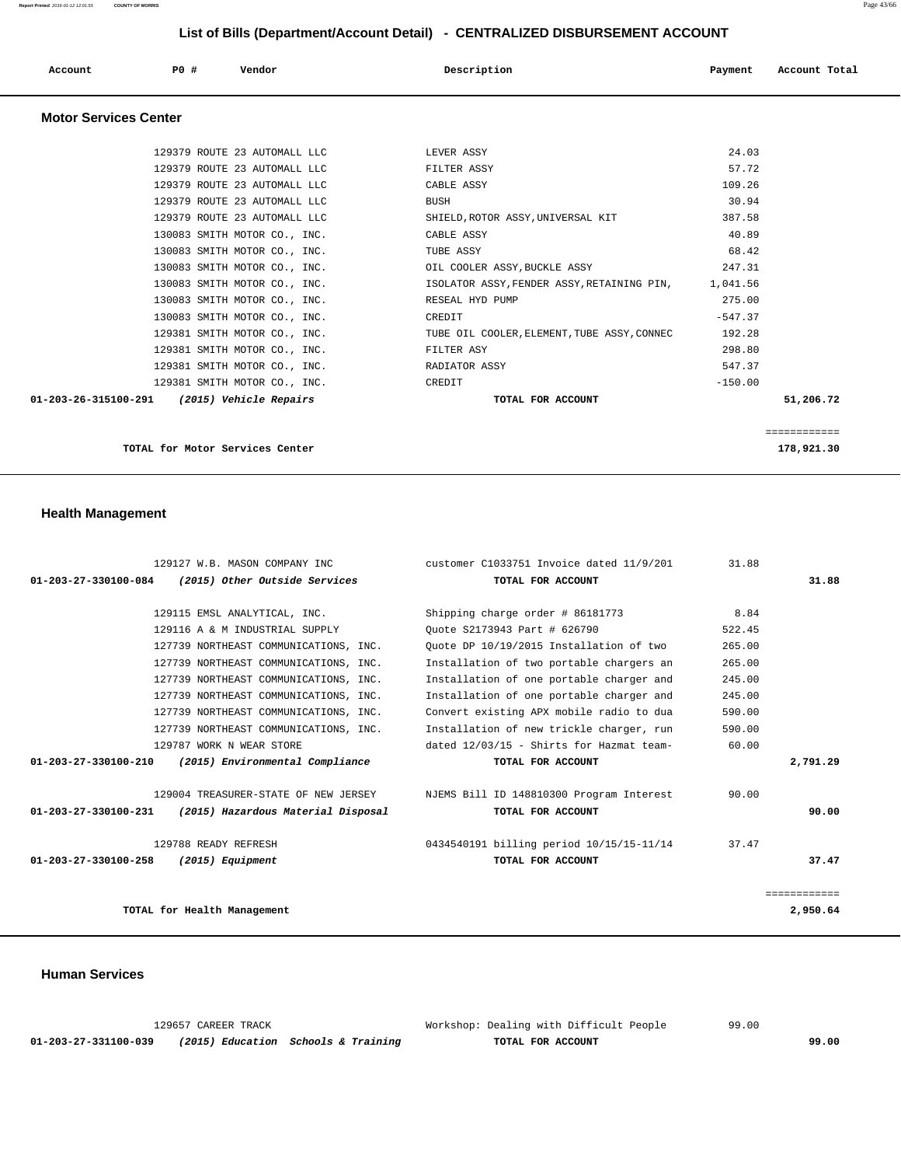| Account | P0 # | Vendor | Description | Payment | Account Total |  |
|---------|------|--------|-------------|---------|---------------|--|
|         |      |        |             |         |               |  |

#### **Motor Services Center**

| ============<br>178,921.30 |           |                                                     | TOTAL for Motor Services Center             |
|----------------------------|-----------|-----------------------------------------------------|---------------------------------------------|
|                            |           |                                                     |                                             |
| 51,206.72                  |           | TOTAL FOR ACCOUNT                                   | 01-203-26-315100-291 (2015) Vehicle Repairs |
|                            | $-150.00$ | CREDIT                                              | 129381 SMITH MOTOR CO., INC.                |
|                            | 547.37    | RADIATOR ASSY                                       | 129381 SMITH MOTOR CO., INC.                |
|                            | 298.80    | FILTER ASY                                          | 129381 SMITH MOTOR CO., INC.                |
|                            | 192.28    | TUBE OIL COOLER, ELEMENT, TUBE ASSY, CONNEC         | 129381 SMITH MOTOR CO., INC.                |
|                            | $-547.37$ | CREDIT                                              | 130083 SMITH MOTOR CO., INC.                |
|                            | 275.00    | RESEAL HYD PUMP                                     | 130083 SMITH MOTOR CO., INC.                |
|                            |           | ISOLATOR ASSY, FENDER ASSY, RETAINING PIN, 1,041.56 | 130083 SMITH MOTOR CO., INC.                |
|                            | 247.31    | OIL COOLER ASSY, BUCKLE ASSY                        | 130083 SMITH MOTOR CO., INC.                |
|                            | 68.42     | TUBE ASSY                                           | 130083 SMITH MOTOR CO., INC.                |
|                            | 40.89     | CABLE ASSY                                          | 130083 SMITH MOTOR CO., INC.                |
|                            | 387.58    | SHIELD, ROTOR ASSY, UNIVERSAL KIT                   | 129379 ROUTE 23 AUTOMALL LLC                |
|                            | 30.94     | <b>BUSH</b>                                         | 129379 ROUTE 23 AUTOMALL LLC                |
|                            | 109.26    | CABLE ASSY                                          | 129379 ROUTE 23 AUTOMALL LLC                |
|                            | 57.72     | FILTER ASSY                                         | 129379 ROUTE 23 AUTOMALL LLC                |
|                            | 24.03     | LEVER ASSY                                          | 129379 ROUTE 23 AUTOMALL LLC                |
|                            |           |                                                     |                                             |

 **Health Management** 

|                                | 129127 W.B. MASON COMPANY INC         | customer C1033751 Invoice dated 11/9/201 | 31.88  |              |
|--------------------------------|---------------------------------------|------------------------------------------|--------|--------------|
| 01-203-27-330100-084           | (2015) Other Outside Services         | TOTAL FOR ACCOUNT                        |        | 31.88        |
|                                |                                       |                                          |        |              |
|                                | 129115 EMSL ANALYTICAL, INC.          | Shipping charge order # 86181773         | 8.84   |              |
|                                | 129116 A & M INDUSTRIAL SUPPLY        | Ouote S2173943 Part # 626790             | 522.45 |              |
|                                | 127739 NORTHEAST COMMUNICATIONS, INC. | Ouote DP 10/19/2015 Installation of two  | 265.00 |              |
|                                | 127739 NORTHEAST COMMUNICATIONS, INC. | Installation of two portable chargers an | 265.00 |              |
|                                | 127739 NORTHEAST COMMUNICATIONS, INC. | Installation of one portable charger and | 245.00 |              |
|                                | 127739 NORTHEAST COMMUNICATIONS, INC. | Installation of one portable charger and | 245.00 |              |
|                                | 127739 NORTHEAST COMMUNICATIONS, INC. | Convert existing APX mobile radio to dua | 590.00 |              |
|                                | 127739 NORTHEAST COMMUNICATIONS, INC. | Installation of new trickle charger, run | 590.00 |              |
|                                | 129787 WORK N WEAR STORE              | dated 12/03/15 - Shirts for Hazmat team- | 60.00  |              |
| $01 - 203 - 27 - 330100 - 210$ | (2015) Environmental Compliance       | TOTAL FOR ACCOUNT                        |        | 2,791.29     |
|                                | 129004 TREASURER-STATE OF NEW JERSEY  | NJEMS Bill ID 148810300 Program Interest | 90.00  |              |
| 01-203-27-330100-231           |                                       | TOTAL FOR ACCOUNT                        |        | 90.00        |
|                                | (2015) Hazardous Material Disposal    |                                          |        |              |
|                                | 129788 READY REFRESH                  | 0434540191 billing period 10/15/15-11/14 | 37.47  |              |
| $01 - 203 - 27 - 330100 - 258$ | (2015) Equipment                      | TOTAL FOR ACCOUNT                        |        | 37.47        |
|                                |                                       |                                          |        |              |
|                                |                                       |                                          |        | ============ |
|                                | TOTAL for Health Management           |                                          |        | 2,950.64     |
|                                |                                       |                                          |        |              |

 **Human Services** 

| 129657 CAREER TRACK  |  |                                     | Workshop: Dealing with Difficult People | 99.00 |
|----------------------|--|-------------------------------------|-----------------------------------------|-------|
| 01-203-27-331100-039 |  | (2015) Education Schools & Training | TOTAL FOR ACCOUNT                       | 99.00 |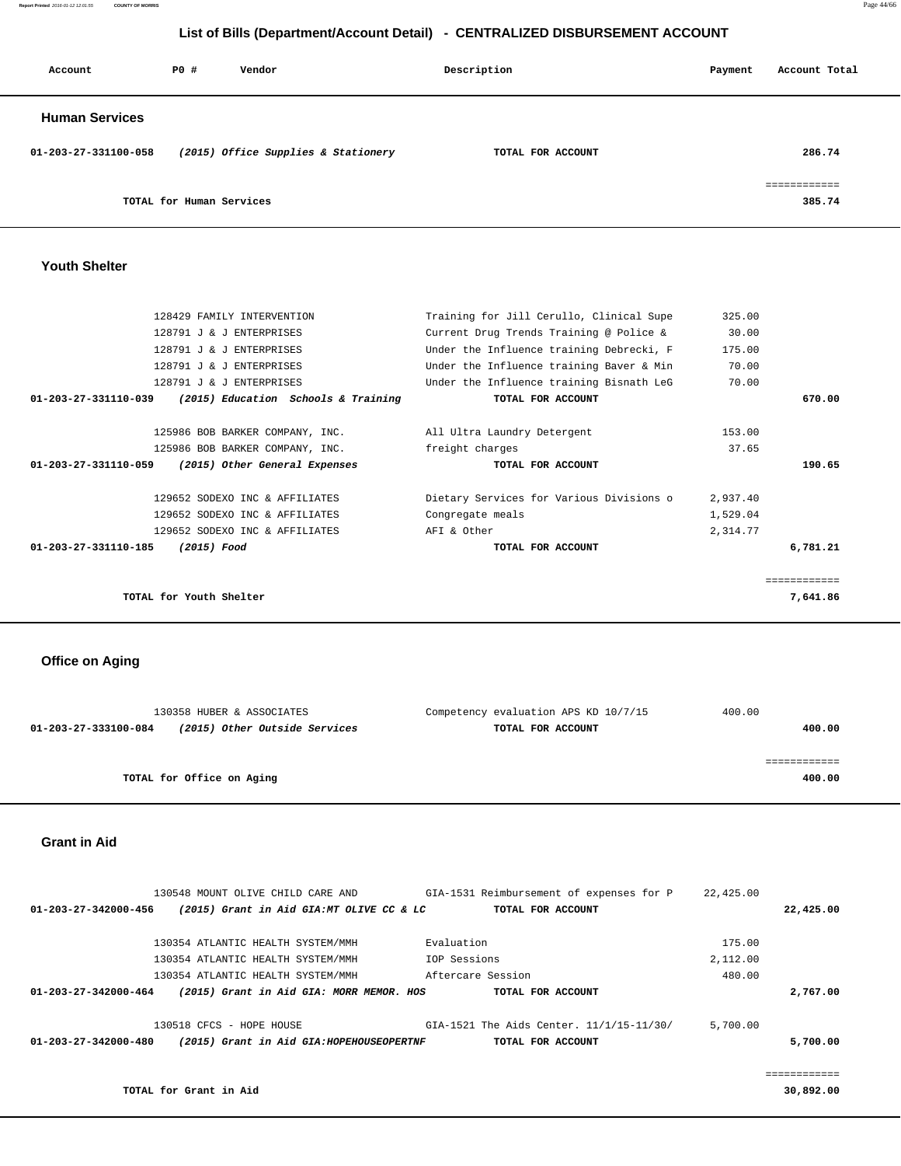**Report Printed** 2016-01-12 12:01:55 **COUNTY OF MORRIS** Page 44/66

#### **List of Bills (Department/Account Detail) - CENTRALIZED DISBURSEMENT ACCOUNT**

| Account               | P0 #                     | Vendor                              | Description       | Payment | Account Total          |
|-----------------------|--------------------------|-------------------------------------|-------------------|---------|------------------------|
| <b>Human Services</b> |                          |                                     |                   |         |                        |
| 01-203-27-331100-058  |                          | (2015) Office Supplies & Stationery | TOTAL FOR ACCOUNT |         | 286.74                 |
|                       | TOTAL for Human Services |                                     |                   |         | ============<br>385.74 |

#### **Youth Shelter**

| 128429 FAMILY INTERVENTION                                            | Training for Jill Cerullo, Clinical Supe | 325.00   |              |
|-----------------------------------------------------------------------|------------------------------------------|----------|--------------|
| 128791 J & J ENTERPRISES                                              | Current Drug Trends Training @ Police &  | 30.00    |              |
| 128791 J & J ENTERPRISES                                              | Under the Influence training Debrecki, F | 175.00   |              |
| 128791 J & J ENTERPRISES                                              | Under the Influence training Baver & Min | 70.00    |              |
| 128791 J & J ENTERPRISES                                              | Under the Influence training Bisnath LeG | 70.00    |              |
| $01 - 203 - 27 - 331110 - 039$<br>(2015) Education Schools & Training | TOTAL FOR ACCOUNT                        |          | 670.00       |
|                                                                       |                                          |          |              |
| 125986 BOB BARKER COMPANY, INC.                                       | All Ultra Laundry Detergent              | 153.00   |              |
| 125986 BOB BARKER COMPANY, INC.                                       | freight charges                          | 37.65    |              |
| $01 - 203 - 27 - 331110 - 059$<br>(2015) Other General Expenses       | TOTAL FOR ACCOUNT                        |          | 190.65       |
| 129652 SODEXO INC & AFFILIATES                                        | Dietary Services for Various Divisions o | 2,937.40 |              |
| 129652 SODEXO INC & AFFILIATES                                        | Congregate meals                         | 1,529.04 |              |
| 129652 SODEXO INC & AFFILIATES                                        | AFI & Other                              | 2,314.77 |              |
| $01 - 203 - 27 - 331110 - 185$<br>(2015) Food                         | TOTAL FOR ACCOUNT                        |          | 6,781.21     |
|                                                                       |                                          |          | ------------ |
| TOTAL for Youth Shelter                                               |                                          |          | 7,641.86     |
|                                                                       |                                          |          |              |

#### **Office on Aging**

| 130358 HUBER & ASSOCIATES                             | Competency evaluation APS KD 10/7/15 | 400.00 |
|-------------------------------------------------------|--------------------------------------|--------|
| (2015) Other Outside Services<br>01-203-27-333100-084 | TOTAL FOR ACCOUNT                    | 400.00 |
|                                                       |                                      |        |
|                                                       |                                      |        |
| TOTAL for Office on Aging                             |                                      | 400.00 |
|                                                       |                                      |        |

#### **Grant in Aid**

|           | 22,425.00 | GIA-1531 Reimbursement of expenses for P | 130548 MOUNT OLIVE CHILD CARE AND         |                                |
|-----------|-----------|------------------------------------------|-------------------------------------------|--------------------------------|
| 22,425.00 |           | TOTAL FOR ACCOUNT                        | (2015) Grant in Aid GIA:MT OLIVE CC & LC  | 01-203-27-342000-456           |
|           | 175.00    | Evaluation                               | 130354 ATLANTIC HEALTH SYSTEM/MMH         |                                |
|           | 2,112.00  | IOP Sessions                             | 130354 ATLANTIC HEALTH SYSTEM/MMH         |                                |
|           | 480.00    | Aftercare Session                        | 130354 ATLANTIC HEALTH SYSTEM/MMH         |                                |
| 2,767.00  |           | TOTAL FOR ACCOUNT                        | (2015) Grant in Aid GIA: MORR MEMOR. HOS  | $01 - 203 - 27 - 342000 - 464$ |
|           | 5,700.00  | GIA-1521 The Aids Center. 11/1/15-11/30/ | $130518$ CFCS - HOPE HOUSE                |                                |
| 5,700.00  |           | TOTAL FOR ACCOUNT                        | (2015) Grant in Aid GIA: HOPEHOUSEOPERTNF | $01 - 203 - 27 - 342000 - 480$ |
|           |           |                                          |                                           |                                |
|           |           |                                          |                                           |                                |

**TOTAL for Grant in Aid** 30,892.00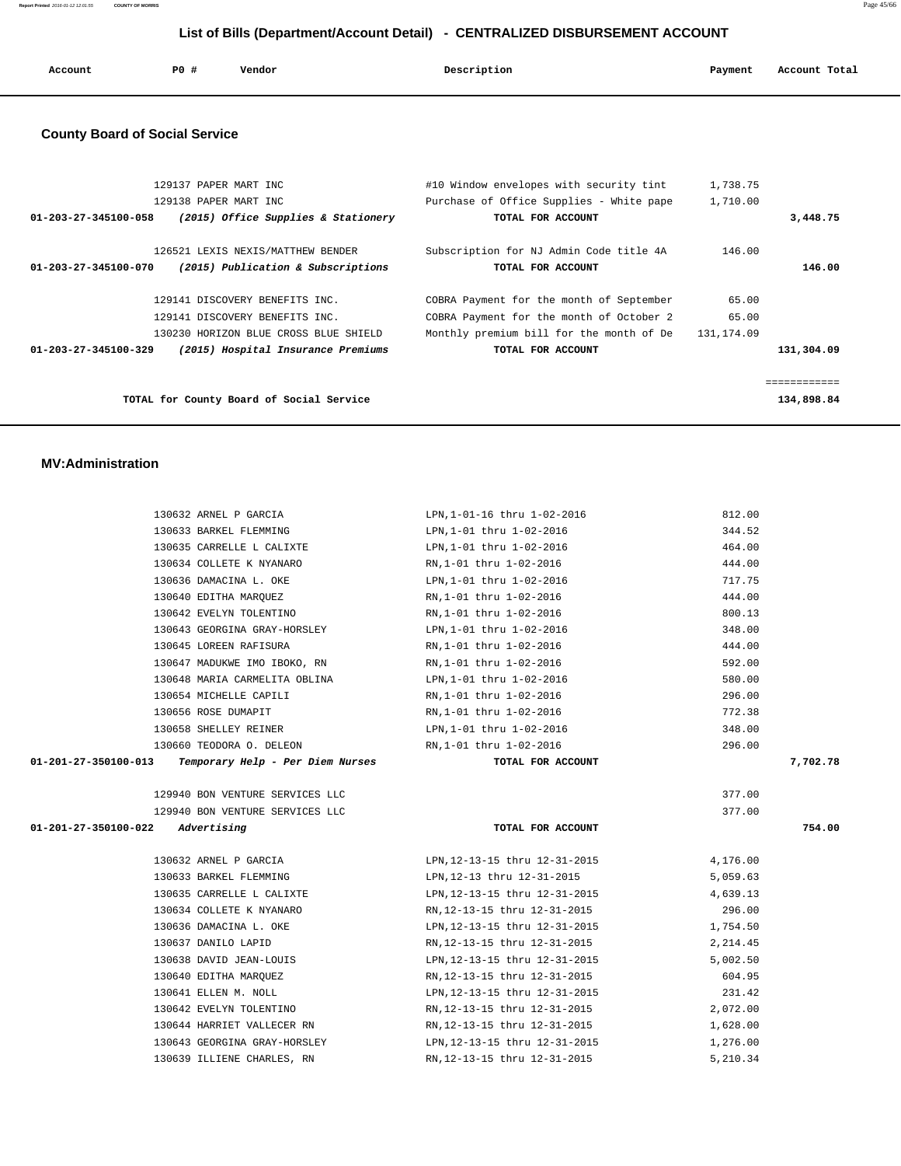| Account | P0 # | Vendor | Description | Payment | Account Total |
|---------|------|--------|-------------|---------|---------------|
|         |      |        |             |         |               |

#### **County Board of Social Service**

| 129137 PAPER MART INC<br>129138 PAPER MART INC<br>01-203-27-345100-058<br>(2015) Office Supplies & Stationery                                                           | #10 Window envelopes with security tint<br>Purchase of Office Supplies - White pape<br>TOTAL FOR ACCOUNT                                              | 1,738.75<br>1,710.00         | 3,448.75                   |
|-------------------------------------------------------------------------------------------------------------------------------------------------------------------------|-------------------------------------------------------------------------------------------------------------------------------------------------------|------------------------------|----------------------------|
| 126521 LEXIS NEXIS/MATTHEW BENDER<br>01-203-27-345100-070<br>(2015) Publication & Subscriptions                                                                         | Subscription for NJ Admin Code title 4A<br>TOTAL FOR ACCOUNT                                                                                          | 146.00                       | 146.00                     |
| 129141 DISCOVERY BENEFITS INC.<br>129141 DISCOVERY BENEFITS INC.<br>130230 HORIZON BLUE CROSS BLUE SHIELD<br>01-203-27-345100-329<br>(2015) Hospital Insurance Premiums | COBRA Payment for the month of September<br>COBRA Payment for the month of October 2<br>Monthly premium bill for the month of De<br>TOTAL FOR ACCOUNT | 65.00<br>65.00<br>131,174.09 | 131,304.09                 |
| TOTAL for County Board of Social Service                                                                                                                                |                                                                                                                                                       |                              | ============<br>134,898.84 |

#### **MV:Administration**

|                      | 130632 ARNEL P GARCIA                                  | LPN, 1-01-16 thru 1-02-2016                                          | 812.00   |
|----------------------|--------------------------------------------------------|----------------------------------------------------------------------|----------|
|                      | 130633 BARKEL FLEMMING                                 | LPN,1-01 thru 1-02-2016                                              | 344.52   |
|                      | 130635 CARRELLE L CALIXTE                              | LPN,1-01 thru 1-02-2016                                              | 464.00   |
|                      | 130634 COLLETE K NYANARO RN, 1-01 thru 1-02-2016       |                                                                      | 444.00   |
|                      | 130636 DAMACINA L. OKE                                 | LPN, 1-01 thru 1-02-2016                                             | 717.75   |
|                      | 130640 EDITHA MARQUEZ                                  | RN,1-01 thru 1-02-2016                                               | 444.00   |
|                      | 130642 EVELYN TOLENTINO                                | RN,1-01 thru 1-02-2016                                               | 800.13   |
|                      | 130643 GEORGINA GRAY-HORSLEY                           | LPN,1-01 thru 1-02-2016                                              | 348.00   |
|                      | 130645 LOREEN RAFISURA                                 | RN,1-01 thru 1-02-2016                                               | 444.00   |
|                      | 130647 MADUKWE IMO IBOKO, RN RN, 1-01 thru 1-02-2016   |                                                                      | 592.00   |
|                      | 130648 MARIA CARMELITA OBLINA LPN, 1-01 thru 1-02-2016 |                                                                      | 580.00   |
|                      | 130654 MICHELLE CAPILI                                 | RN,1-01 thru 1-02-2016                                               | 296.00   |
|                      | 130656 ROSE DUMAPIT                                    | RN,1-01 thru 1-02-2016                                               | 772.38   |
|                      | 130658 SHELLEY REINER                                  | LPN,1-01 thru 1-02-2016                                              | 348.00   |
|                      | 130660 TEODORA O. DELEON                               | RN,1-01 thru 1-02-2016                                               | 296.00   |
| 01-201-27-350100-013 | Temporary Help - Per Diem Nurses                       | TOTAL FOR ACCOUNT                                                    | 7,702.78 |
|                      |                                                        |                                                                      |          |
|                      | 129940 BON VENTURE SERVICES LLC                        |                                                                      | 377.00   |
|                      | 129940 BON VENTURE SERVICES LLC                        |                                                                      | 377.00   |
|                      | $01 - 201 - 27 - 350100 - 022$ Advertising             | TOTAL FOR ACCOUNT                                                    | 754.00   |
|                      |                                                        | 130632 ARNEL P GARCIA 176.00 LPN, 12-13-15 thru 12-31-2015 4, 176.00 |          |
|                      | 130633 BARKEL FLEMMING                                 | LPN,12-13 thru 12-31-2015                                            | 5,059.63 |
|                      | 130635 CARRELLE L CALIXTE                              | LPN, 12-13-15 thru 12-31-2015                                        | 4,639.13 |
|                      | 130634 COLLETE K NYANARO                               | RN, 12-13-15 thru 12-31-2015                                         | 296.00   |
|                      |                                                        | 130636 DAMACINA L. OKE LPN, 12-13-15 thru 12-31-2015 1,754.50        |          |
|                      | 130637 DANILO LAPID                                    | RN, 12-13-15 thru 12-31-2015 2, 214.45                               |          |
|                      | 130638 DAVID JEAN-LOUIS                                | LPN, 12-13-15 thru 12-31-2015                                        | 5,002.50 |
|                      | 130640 EDITHA MARQUEZ                                  | RN,12-13-15 thru 12-31-2015                                          | 604.95   |
|                      | 130641 ELLEN M. NOLL                                   | LPN, 12-13-15 thru 12-31-2015                                        | 231.42   |
|                      | 130642 EVELYN TOLENTINO                                | RN, 12-13-15 thru 12-31-2015 2, 072.00                               |          |
|                      |                                                        | 1,628.00 RN,12-13-15 thru 12-31-2015 1,628.00                        |          |
|                      |                                                        | 130643 GEORGINA GRAY-HORSLEY LPN, 12-13-15 thru 12-31-2015 1, 276.00 |          |
|                      | 130639 ILLIENE CHARLES, RN                             | RN, 12-13-15 thru 12-31-2015                                         | 5,210.34 |
|                      |                                                        |                                                                      |          |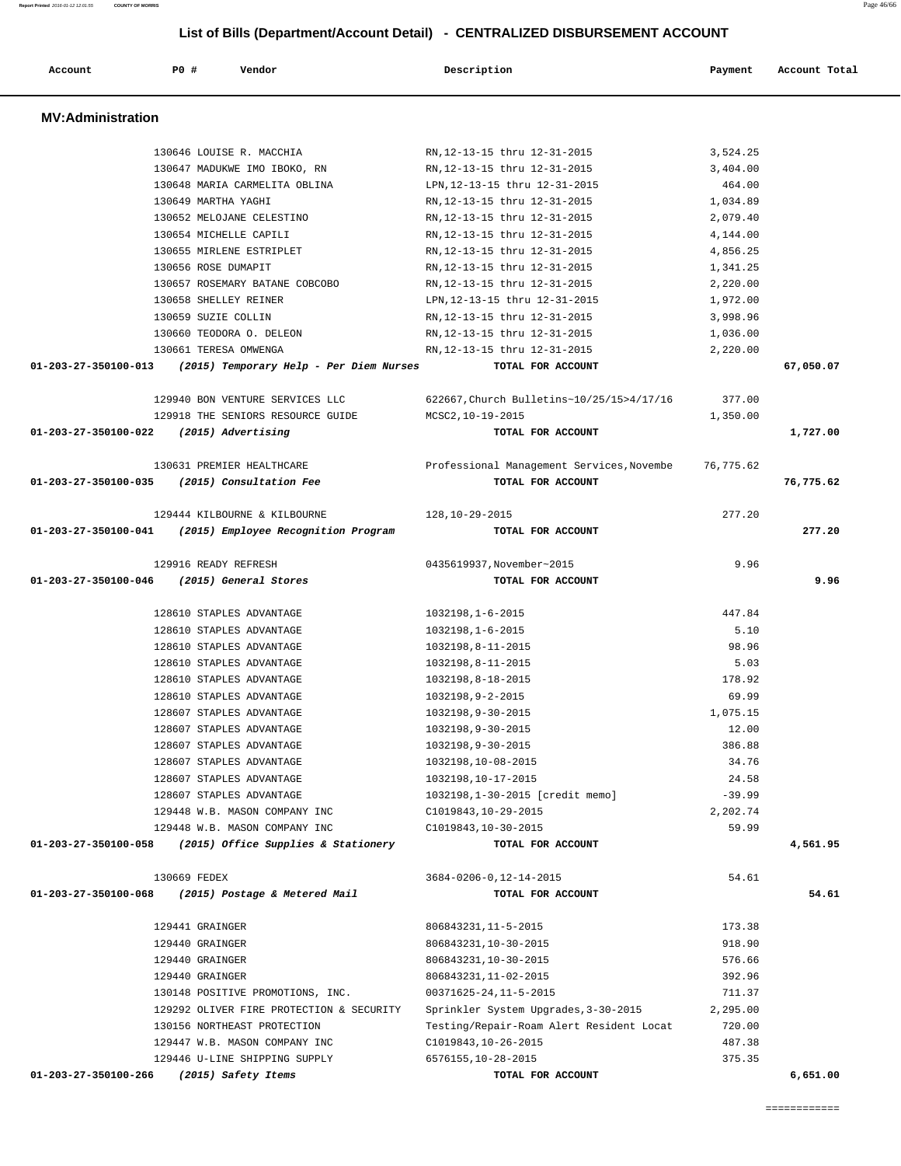| <b>MV:Administration</b>                                        |                                                               |                      |           |
|-----------------------------------------------------------------|---------------------------------------------------------------|----------------------|-----------|
|                                                                 |                                                               |                      |           |
| 130646 LOUISE R. MACCHIA                                        | RN, 12-13-15 thru 12-31-2015                                  | 3,524.25             |           |
| 130647 MADUKWE IMO IBOKO, RN<br>130648 MARIA CARMELITA OBLINA   | RN, 12-13-15 thru 12-31-2015                                  | 3,404.00<br>464.00   |           |
| 130649 MARTHA YAGHI                                             | LPN, 12-13-15 thru 12-31-2015<br>RN.12-13-15 thru 12-31-2015  | 1,034.89             |           |
| 130652 MELOJANE CELESTINO                                       |                                                               | 2,079.40             |           |
| 130654 MICHELLE CAPILI                                          | RN, 12-13-15 thru 12-31-2015                                  |                      |           |
| 130655 MIRLENE ESTRIPLET                                        | RN, 12-13-15 thru 12-31-2015                                  | 4,144.00<br>4,856.25 |           |
| 130656 ROSE DUMAPIT                                             | RN, 12-13-15 thru 12-31-2015<br>RN, 12-13-15 thru 12-31-2015  |                      |           |
|                                                                 |                                                               | 1,341.25<br>2,220.00 |           |
| 130657 ROSEMARY BATANE COBCOBO                                  | RN, 12-13-15 thru 12-31-2015<br>LPN, 12-13-15 thru 12-31-2015 |                      |           |
| 130658 SHELLEY REINER<br>130659 SUZIE COLLIN                    |                                                               | 1,972.00<br>3,998.96 |           |
| 130660 TEODORA O. DELEON                                        | RN, 12-13-15 thru 12-31-2015                                  |                      |           |
| 130661 TERESA OMWENGA                                           | RN, 12-13-15 thru 12-31-2015<br>RN, 12-13-15 thru 12-31-2015  | 1,036.00             |           |
|                                                                 |                                                               | 2,220.00             |           |
| 01-203-27-350100-013<br>(2015) Temporary Help – Per Diem Nurses | TOTAL FOR ACCOUNT                                             |                      | 67,050.07 |
| 129940 BON VENTURE SERVICES LLC                                 | 622667, Church Bulletins~10/25/15>4/17/16                     | 377.00               |           |
| 129918 THE SENIORS RESOURCE GUIDE                               | MCSC2,10-19-2015                                              | 1,350.00             |           |
| 01-203-27-350100-022<br>(2015) Advertising                      | TOTAL FOR ACCOUNT                                             |                      | 1,727.00  |
|                                                                 |                                                               |                      |           |
| 130631 PREMIER HEALTHCARE                                       | Professional Management Services, Novembe                     | 76,775.62            |           |
| (2015) Consultation Fee<br>01-203-27-350100-035                 | TOTAL FOR ACCOUNT                                             |                      | 76,775.62 |
| 129444 KILBOURNE & KILBOURNE                                    | 128,10-29-2015                                                | 277.20               |           |
| 01-203-27-350100-041<br>(2015) Employee Recognition Program     | TOTAL FOR ACCOUNT                                             |                      | 277.20    |
|                                                                 |                                                               |                      |           |
| 129916 READY REFRESH                                            | 0435619937, November~2015                                     | 9.96                 |           |
| 01-203-27-350100-046<br>(2015) General Stores                   | TOTAL FOR ACCOUNT                                             |                      | 9.96      |
| 128610 STAPLES ADVANTAGE                                        | $1032198, 1 - 6 - 2015$                                       | 447.84               |           |
| 128610 STAPLES ADVANTAGE                                        | 1032198, 1-6-2015                                             | 5.10                 |           |
| 128610 STAPLES ADVANTAGE                                        | 1032198,8-11-2015                                             | 98.96                |           |
| 128610 STAPLES ADVANTAGE                                        | 1032198,8-11-2015                                             | 5.03                 |           |
| 128610 STAPLES ADVANTAGE                                        | 1032198,8-18-2015                                             | 178.92               |           |
| 128610 STAPLES ADVANTAGE                                        | 1032198,9-2-2015                                              | 69.99                |           |
| 128607 STAPLES ADVANTAGE                                        | 1032198,9-30-2015                                             | 1,075.15             |           |
| 128607 STAPLES ADVANTAGE                                        | 1032198,9-30-2015                                             |                      |           |
|                                                                 |                                                               | 12.00                |           |
| 128607 STAPLES ADVANTAGE                                        | 1032198.9-30-2015                                             | 386.88               |           |
|                                                                 |                                                               |                      |           |
| 128607 STAPLES ADVANTAGE<br>128607 STAPLES ADVANTAGE            | 1032198,10-08-2015                                            | 34.76                |           |
| 128607 STAPLES ADVANTAGE                                        | 1032198,10-17-2015                                            | 24.58<br>$-39.99$    |           |
|                                                                 | 1032198, 1-30-2015 [credit memo]<br>C1019843, 10-29-2015      |                      |           |
| 129448 W.B. MASON COMPANY INC<br>129448 W.B. MASON COMPANY INC  | C1019843, 10-30-2015                                          | 2,202.74<br>59.99    |           |
| (2015) Office Supplies & Stationery<br>01-203-27-350100-058     | TOTAL FOR ACCOUNT                                             |                      | 4,561.95  |
|                                                                 |                                                               |                      |           |
| 130669 FEDEX                                                    | 3684-0206-0, 12-14-2015                                       | 54.61                |           |
| 01-203-27-350100-068<br>(2015) Postage & Metered Mail           | TOTAL FOR ACCOUNT                                             |                      | 54.61     |
| 129441 GRAINGER                                                 | 806843231, 11-5-2015                                          | 173.38               |           |
| 129440 GRAINGER                                                 | 806843231, 10-30-2015                                         | 918.90               |           |
| 129440 GRAINGER                                                 | 806843231, 10-30-2015                                         | 576.66               |           |
| 129440 GRAINGER                                                 | 806843231, 11-02-2015                                         | 392.96               |           |
| 130148 POSITIVE PROMOTIONS, INC.                                | 00371625-24, 11-5-2015                                        | 711.37               |           |
| 129292 OLIVER FIRE PROTECTION & SECURITY                        | Sprinkler System Upgrades, 3-30-2015                          | 2,295.00             |           |
| 130156 NORTHEAST PROTECTION                                     | Testing/Repair-Roam Alert Resident Locat                      | 720.00               |           |
| 129447 W.B. MASON COMPANY INC                                   | C1019843, 10-26-2015                                          | 487.38               |           |
| 129446 U-LINE SHIPPING SUPPLY                                   | 6576155,10-28-2015                                            | 375.35               |           |

 **Account P0 # Vendor Description Payment Account Total**

**Report Printed** 2016-01-12 12:01:55 **COUNTY OF MORRIS** Page 46/66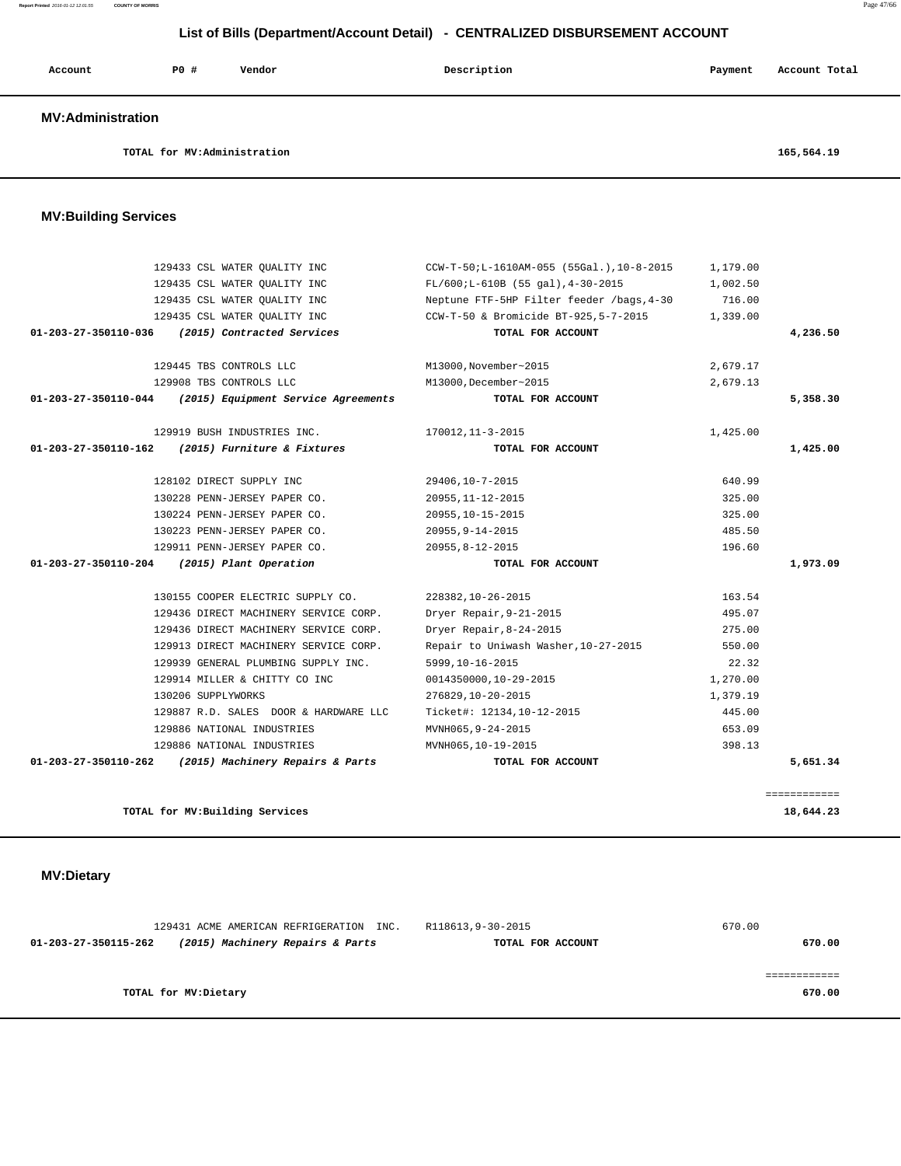# **Account P0 # Vendor Description Payment Account Total MV:Administration TOTAL for MV:Administration 165,564.19 MV:Building Services**  129433 CSL WATER QUALITY INC CCW-T-50;L-1610AM-055 (55Gal.),10-8-2015 1,179.00 129435 CSL WATER QUALITY INC FL/600;L-610B (55 gal),4-30-2015 1,002.50 129435 CSL WATER QUALITY INC Neptune FTF-5HP Filter feeder /bags,4-30 716.00 129435 CSL WATER QUALITY INC CCW-T-50 & Bromicide BT-925,5-7-2015 1,339.00  **01-203-27-350110-036 (2015) Contracted Services TOTAL FOR ACCOUNT 4,236.50** 129445 TBS CONTROLS LLC M13000,November~2015 2,679.17 129908 TBS CONTROLS LLC M13000,December~2015 2,679.13  **01-203-27-350110-044 (2015) Equipment Service Agreements TOTAL FOR ACCOUNT 5,358.30** 129919 BUSH INDUSTRIES INC. 170012,11-3-2015 1,425.00  **01-203-27-350110-162 (2015) Furniture & Fixtures TOTAL FOR ACCOUNT 1,425.00** 128102 DIRECT SUPPLY INC 29406,10-7-2015 640.99 130228 PENN-JERSEY PAPER CO. 20955,11-12-2015 325.00 130224 PENN-JERSEY PAPER CO. 20955,10-15-2015 325.00 130223 PENN-JERSEY PAPER CO. 20955,9-14-2015 485.50 129911 PENN-JERSEY PAPER CO. 20955,8-12-2015 196.60  **01-203-27-350110-204 (2015) Plant Operation TOTAL FOR ACCOUNT 1,973.09** 130155 COOPER ELECTRIC SUPPLY CO. 228382,10-26-2015 163.54 129436 DIRECT MACHINERY SERVICE CORP. Dryer Repair,9-21-2015 495.07 129436 DIRECT MACHINERY SERVICE CORP. Dryer Repair,8-24-2015 275.00 129913 DIRECT MACHINERY SERVICE CORP. Repair to Uniwash Washer,10-27-2015 550.00 129939 GENERAL PLUMBING SUPPLY INC. 5999,10-16-2015 22.32 129914 MILLER & CHITTY CO INC 0014350000,10-29-2015 1,270.00 130206 SUPPLYWORKS 276829,10-20-2015 1,379.19 129887 R.D. SALES DOOR & HARDWARE LLC Ticket#: 12134,10-12-2015 445.00 129886 NATIONAL INDUSTRIES MVNH065,9-24-2015 653.09 129886 NATIONAL INDUSTRIES MVNH065,10-19-2015 398.13  **01-203-27-350110-262 (2015) Machinery Repairs & Parts TOTAL FOR ACCOUNT 5,651.34** ============ **TOTAL for MV:Building Services 18,644.23 MV:Dietary**  129431 ACME AMERICAN REFRIGERATION INC. R118613,9-30-2015 670.00

**TOTAL for MV:Dietary 670.00**

 **01-203-27-350115-262 (2015) Machinery Repairs & Parts TOTAL FOR ACCOUNT 670.00**

============

 **List of Bills (Department/Account Detail) - CENTRALIZED DISBURSEMENT ACCOUNT**

**Report Printed** 2016-01-12 12:01:55 **COUNTY OF MORRIS** Page 47/66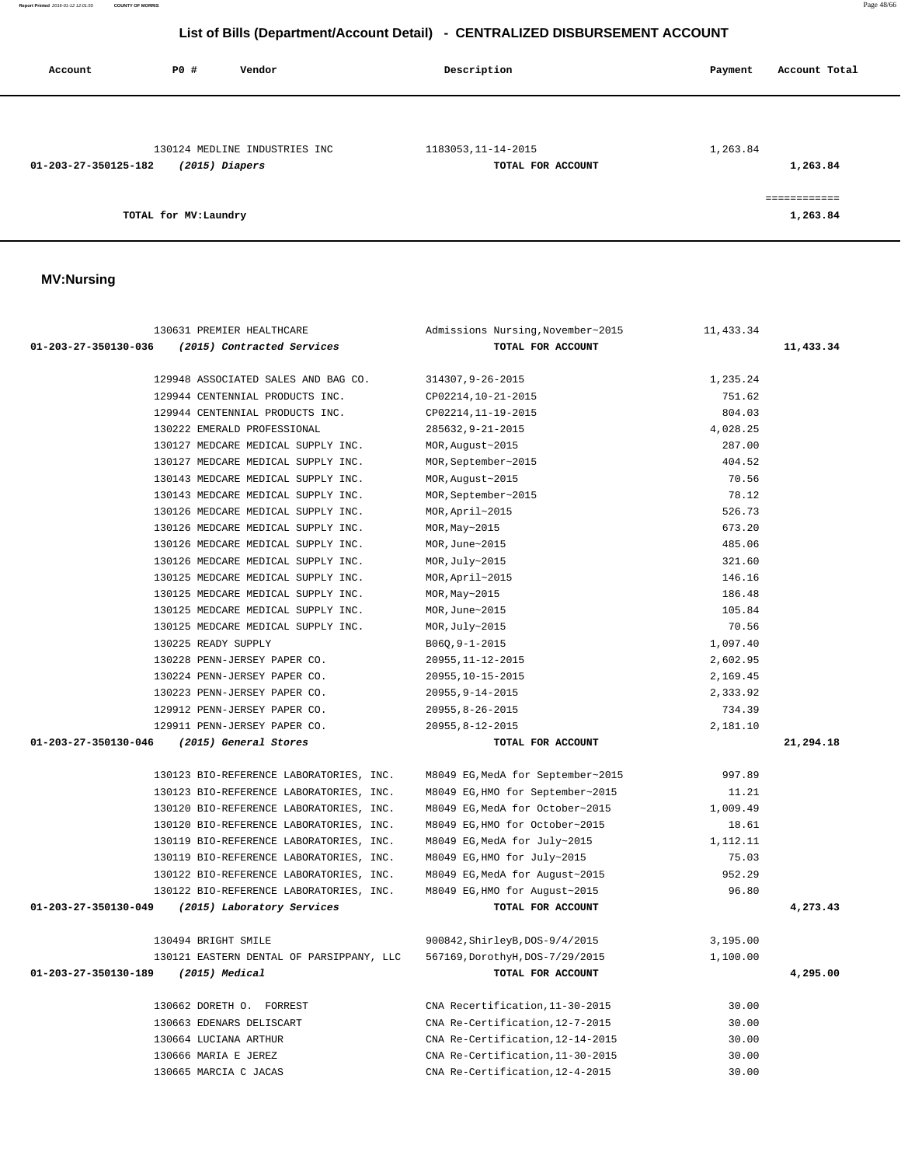**Report Printed** 2016-01-12 12:01:55 **COUNTY OF MORRIS** Page 48/66

#### **List of Bills (Department/Account Detail) - CENTRALIZED DISBURSEMENT ACCOUNT**

| Account              | P0 #                  | Vendor                        | Description         | Account Total<br>Payment |
|----------------------|-----------------------|-------------------------------|---------------------|--------------------------|
|                      |                       |                               |                     |                          |
|                      |                       | 130124 MEDLINE INDUSTRIES INC | 1183053, 11-14-2015 | 1,263.84                 |
| 01-203-27-350125-182 |                       | $(2015)$ Diapers              | TOTAL FOR ACCOUNT   | 1,263.84                 |
|                      |                       |                               |                     | ============             |
|                      | TOTAL for MV: Laundry |                               |                     | 1,263.84                 |

#### **MV:Nursing**

| 130631 PREMIER HEALTHCARE                          | Admissions Nursing, November~2015 | 11,433.34 |           |
|----------------------------------------------------|-----------------------------------|-----------|-----------|
| 01-203-27-350130-036<br>(2015) Contracted Services | TOTAL FOR ACCOUNT                 |           | 11,433.34 |
|                                                    |                                   |           |           |
| 129948 ASSOCIATED SALES AND BAG CO.                | 314307, 9-26-2015                 | 1,235.24  |           |
| 129944 CENTENNIAL PRODUCTS INC.                    | CP02214, 10-21-2015               | 751.62    |           |
| 129944 CENTENNIAL PRODUCTS INC.                    | CP02214, 11-19-2015               | 804.03    |           |
| 130222 EMERALD PROFESSIONAL                        | 285632, 9-21-2015                 | 4,028.25  |           |
| 130127 MEDCARE MEDICAL SUPPLY INC.                 | MOR, August~2015                  | 287.00    |           |
| 130127 MEDCARE MEDICAL SUPPLY INC.                 | MOR, September~2015               | 404.52    |           |
| 130143 MEDCARE MEDICAL SUPPLY INC.                 | MOR, August~2015                  | 70.56     |           |
| 130143 MEDCARE MEDICAL SUPPLY INC.                 | MOR, September~2015               | 78.12     |           |
| 130126 MEDCARE MEDICAL SUPPLY INC.                 | MOR, April~2015                   | 526.73    |           |
| 130126 MEDCARE MEDICAL SUPPLY INC.                 | MOR, May~2015                     | 673.20    |           |
| 130126 MEDCARE MEDICAL SUPPLY INC.                 | MOR, June~2015                    | 485.06    |           |
| 130126 MEDCARE MEDICAL SUPPLY INC.                 | MOR, July~2015                    | 321.60    |           |
| 130125 MEDCARE MEDICAL SUPPLY INC.                 | MOR, April~2015                   | 146.16    |           |
| 130125 MEDCARE MEDICAL SUPPLY INC.                 | MOR, May~2015                     | 186.48    |           |
| 130125 MEDCARE MEDICAL SUPPLY INC.                 | MOR, June~2015                    | 105.84    |           |
| 130125 MEDCARE MEDICAL SUPPLY INC.                 | MOR, July~2015                    | 70.56     |           |
| 130225 READY SUPPLY                                | $B06Q, 9-1-2015$                  | 1,097.40  |           |
| 130228 PENN-JERSEY PAPER CO.                       | 20955, 11-12-2015                 | 2,602.95  |           |
| 130224 PENN-JERSEY PAPER CO.                       | 20955, 10-15-2015                 | 2,169.45  |           |
| 130223 PENN-JERSEY PAPER CO.                       | $20955, 9 - 14 - 2015$            | 2,333.92  |           |
| 129912 PENN-JERSEY PAPER CO.                       | $20955, 8 - 26 - 2015$            | 734.39    |           |
| 129911 PENN-JERSEY PAPER CO.                       | $20955, 8 - 12 - 2015$            | 2,181.10  |           |
| 01-203-27-350130-046<br>(2015) General Stores      | TOTAL FOR ACCOUNT                 |           | 21,294.18 |
|                                                    |                                   |           |           |
| 130123 BIO-REFERENCE LABORATORIES, INC.            | M8049 EG, MedA for September~2015 | 997.89    |           |
| 130123 BIO-REFERENCE LABORATORIES, INC.            | M8049 EG, HMO for September~2015  | 11.21     |           |
| 130120 BIO-REFERENCE LABORATORIES, INC.            | M8049 EG, MedA for October~2015   | 1,009.49  |           |
| 130120 BIO-REFERENCE LABORATORIES, INC.            | M8049 EG, HMO for October~2015    | 18.61     |           |
| 130119 BIO-REFERENCE LABORATORIES, INC.            | M8049 EG, MedA for July~2015      | 1,112.11  |           |
| 130119 BIO-REFERENCE LABORATORIES, INC.            | M8049 EG, HMO for July~2015       | 75.03     |           |
| 130122 BIO-REFERENCE LABORATORIES, INC.            | M8049 EG, MedA for August~2015    | 952.29    |           |
| 130122 BIO-REFERENCE LABORATORIES, INC.            | M8049 EG, HMO for August~2015     | 96.80     |           |
| 01-203-27-350130-049<br>(2015) Laboratory Services | TOTAL FOR ACCOUNT                 |           | 4,273.43  |
|                                                    |                                   |           |           |
| 130494 BRIGHT SMILE                                | 900842, ShirleyB, DOS-9/4/2015    | 3,195.00  |           |
| 130121 EASTERN DENTAL OF PARSIPPANY, LLC           | 567169, DorothyH, DOS-7/29/2015   | 1,100.00  |           |
| 01-203-27-350130-189<br>(2015) Medical             | TOTAL FOR ACCOUNT                 |           | 4,295.00  |
|                                                    |                                   |           |           |
| 130662 DORETH O. FORREST                           | CNA Recertification, 11-30-2015   | 30.00     |           |
| 130663 EDENARS DELISCART                           | CNA Re-Certification, 12-7-2015   | 30.00     |           |
| 130664 LUCIANA ARTHUR                              | CNA Re-Certification, 12-14-2015  | 30.00     |           |
| 130666 MARIA E JEREZ                               | CNA Re-Certification, 11-30-2015  | 30.00     |           |
| 130665 MARCIA C JACAS                              | CNA Re-Certification, 12-4-2015   | 30.00     |           |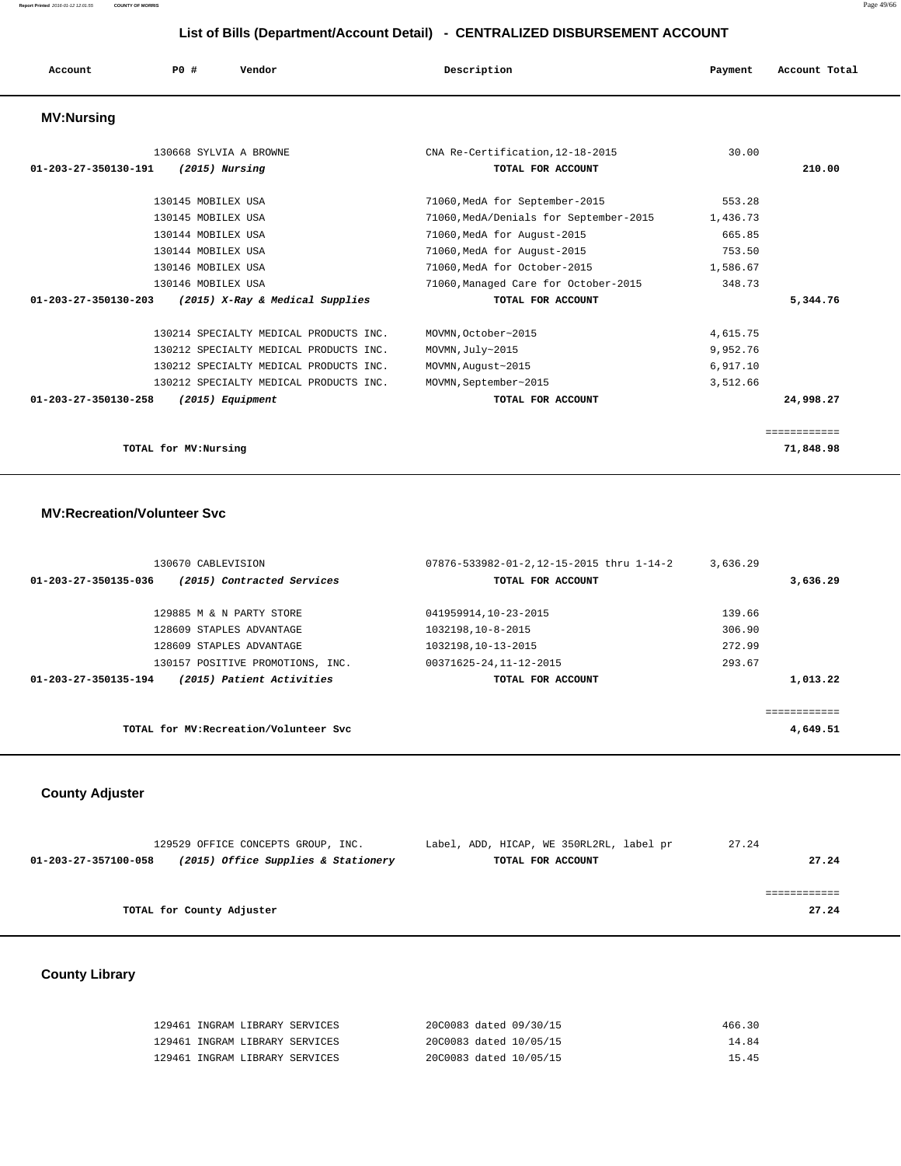**Report Printed** 2016-01-12 12:01:55 **COUNTY OF MORRIS** Page 49/66

#### **List of Bills (Department/Account Detail) - CENTRALIZED DISBURSEMENT ACCOUNT**

| Account                        | PO#                   | Vendor                                 | Description                            | Payment  | Account Total |
|--------------------------------|-----------------------|----------------------------------------|----------------------------------------|----------|---------------|
| <b>MV:Nursing</b>              |                       |                                        |                                        |          |               |
|                                |                       | 130668 SYLVIA A BROWNE                 | CNA Re-Certification, 12-18-2015       | 30.00    |               |
| $01 - 203 - 27 - 350130 - 191$ |                       | $(2015)$ Nursing                       | TOTAL FOR ACCOUNT                      |          | 210.00        |
|                                | 130145 MOBILEX USA    |                                        | 71060, MedA for September-2015         | 553.28   |               |
|                                | 130145 MOBILEX USA    |                                        | 71060, MedA/Denials for September-2015 | 1,436.73 |               |
|                                | 130144 MOBILEX USA    |                                        | 71060, MedA for August-2015            | 665.85   |               |
|                                | 130144 MOBILEX USA    |                                        | 71060, MedA for August-2015            | 753.50   |               |
|                                | 130146 MOBILEX USA    |                                        | 71060.MedA for October-2015            | 1,586.67 |               |
|                                | 130146 MOBILEX USA    |                                        | 71060, Managed Care for October-2015   | 348.73   |               |
| $01 - 203 - 27 - 350130 - 203$ |                       | (2015) X-Ray & Medical Supplies        | TOTAL FOR ACCOUNT                      |          | 5,344.76      |
|                                |                       | 130214 SPECIALTY MEDICAL PRODUCTS INC. | MOVMN, October~2015                    | 4,615.75 |               |
|                                |                       | 130212 SPECIALTY MEDICAL PRODUCTS INC. | MOVMN, July~2015                       | 9,952.76 |               |
|                                |                       | 130212 SPECIALTY MEDICAL PRODUCTS INC. | MOVMN, August~2015                     | 6,917.10 |               |
|                                |                       | 130212 SPECIALTY MEDICAL PRODUCTS INC. | MOVMN, September~2015                  | 3,512.66 |               |
| $01 - 203 - 27 - 350130 - 258$ |                       | $(2015)$ Equipment                     | TOTAL FOR ACCOUNT                      |          | 24,998.27     |
|                                |                       |                                        |                                        |          | ============  |
|                                | TOTAL for MV: Nursing |                                        |                                        |          | 71,848.98     |

#### **MV:Recreation/Volunteer Svc**

| 130670 CABLEVISION   |                                        | 07876-533982-01-2,12-15-2015 thru 1-14-2 | 3,636.29 |          |
|----------------------|----------------------------------------|------------------------------------------|----------|----------|
| 01-203-27-350135-036 | (2015) Contracted Services             | TOTAL FOR ACCOUNT                        |          | 3,636.29 |
|                      |                                        |                                          |          |          |
|                      | 129885 M & N PARTY STORE               | 041959914,10-23-2015                     | 139.66   |          |
|                      | 128609 STAPLES ADVANTAGE               | 1032198,10-8-2015                        | 306.90   |          |
|                      | 128609 STAPLES ADVANTAGE               | 1032198,10-13-2015                       | 272.99   |          |
|                      | 130157 POSITIVE PROMOTIONS, INC.       | 00371625-24,11-12-2015                   | 293.67   |          |
| 01-203-27-350135-194 | (2015) Patient Activities              | TOTAL FOR ACCOUNT                        |          | 1,013.22 |
|                      |                                        |                                          |          |          |
|                      |                                        |                                          |          |          |
|                      | TOTAL for MV: Recreation/Volunteer Svc |                                          |          | 4,649.51 |
|                      |                                        |                                          |          |          |

#### **County Adjuster**

| 129529 OFFICE CONCEPTS GROUP, INC.                          | Label, ADD, HICAP, WE 350RL2RL, label pr | 27.24 |
|-------------------------------------------------------------|------------------------------------------|-------|
| (2015) Office Supplies & Stationery<br>01-203-27-357100-058 | TOTAL FOR ACCOUNT                        | 27.24 |
|                                                             |                                          |       |
|                                                             |                                          |       |
| TOTAL for County Adjuster                                   |                                          | 27.24 |
|                                                             |                                          |       |

# **County Library**

| 129461 INGRAM LIBRARY SERVICES | 20C0083 dated 09/30/15 | 466.30 |
|--------------------------------|------------------------|--------|
| 129461 INGRAM LIBRARY SERVICES | 20C0083 dated 10/05/15 | 14.84  |
| 129461 INGRAM LIBRARY SERVICES | 20C0083 dated 10/05/15 | 15.45  |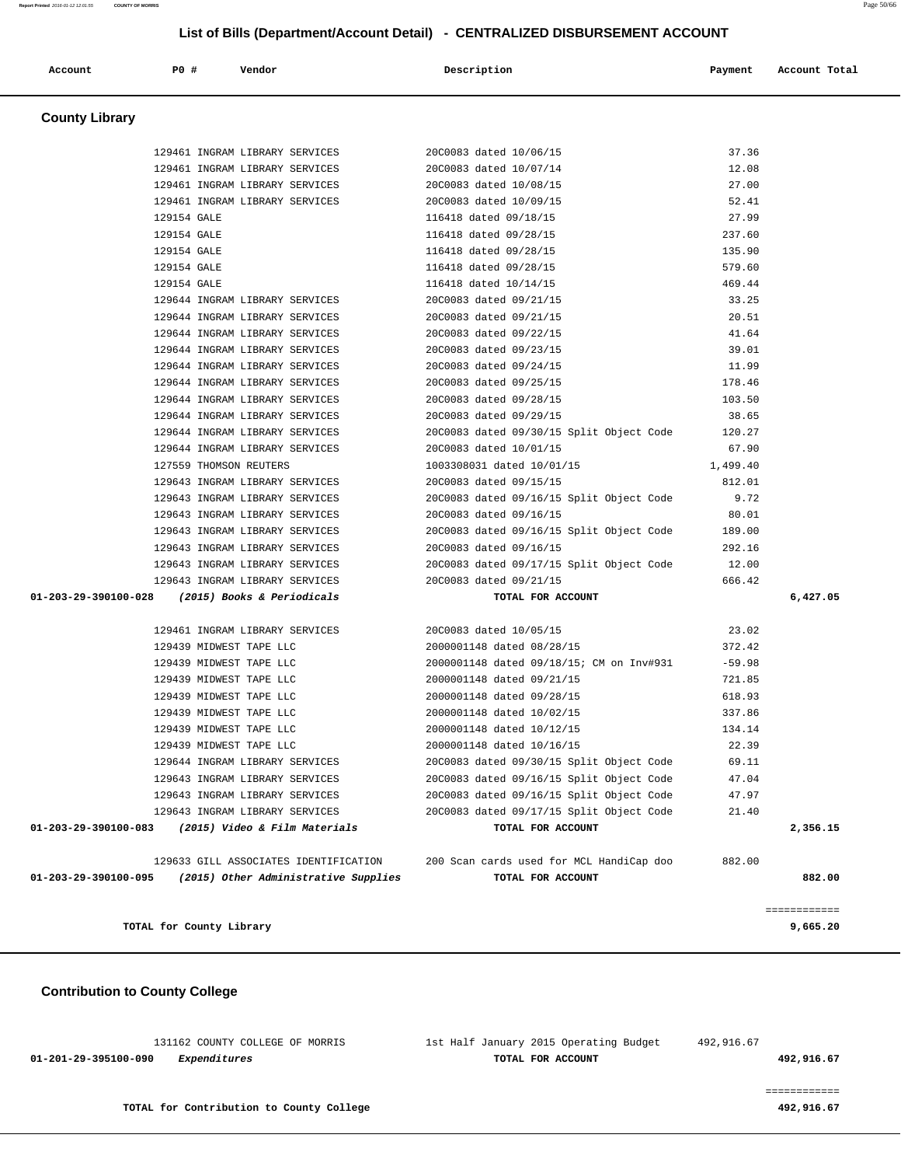131162 COUNTY COLLEGE OF MORRIS 1st Half January 2015 Operating Budget 492,916.67  **01-201-29-395100-090 Expenditures TOTAL FOR ACCOUNT 492,916.67**

#### **Contribution to County College**

|                      | TOTAL for County Library                                 |                                                                               |                   | ============<br>9,665.20 |
|----------------------|----------------------------------------------------------|-------------------------------------------------------------------------------|-------------------|--------------------------|
| 01-203-29-390100-095 | (2015) Other Administrative Supplies                     | TOTAL FOR ACCOUNT                                                             |                   | 882.00                   |
|                      | 129633 GILL ASSOCIATES IDENTIFICATION                    | 200 Scan cards used for MCL HandiCap doo                                      | 882.00            |                          |
| 01-203-29-390100-083 | (2015) Video & Film Materials                            | TOTAL FOR ACCOUNT                                                             |                   | 2,356.15                 |
|                      | 129643 INGRAM LIBRARY SERVICES                           | 20C0083 dated 09/17/15 Split Object Code                                      | 21.40             |                          |
|                      | 129643 INGRAM LIBRARY SERVICES                           | 20C0083 dated 09/16/15 Split Object Code                                      | 47.97             |                          |
|                      | 129643 INGRAM LIBRARY SERVICES                           | 20C0083 dated 09/16/15 Split Object Code                                      | 47.04             |                          |
|                      |                                                          | 129644 INGRAM LIBRARY SERVICES 20C0083 dated 09/30/15 Split Object Code 69.11 |                   |                          |
|                      | 129439 MIDWEST TAPE LLC                                  | 2000001148 dated 10/16/15                                                     | 22.39             |                          |
|                      | 129439 MIDWEST TAPE LLC                                  | 2000001148 dated 10/12/15                                                     | 134.14            |                          |
|                      | 129439 MIDWEST TAPE LLC                                  | 2000001148 dated 10/02/15                                                     | 337.86            |                          |
|                      | 129439 MIDWEST TAPE LLC                                  | 2000001148 dated 09/28/15                                                     | 618.93            |                          |
|                      | 129439 MIDWEST TAPE LLC                                  | 2000001148 dated 09/21/15                                                     | 721.85            |                          |
|                      | 129439 MIDWEST TAPE LLC                                  | 2000001148 dated 09/18/15; CM on Inv#931                                      | $-59.98$          |                          |
|                      | 129439 MIDWEST TAPE LLC                                  | 2000001148 dated 08/28/15                                                     | 372.42            |                          |
|                      | 129461 INGRAM LIBRARY SERVICES                           | 20C0083 dated 10/05/15                                                        | 23.02             |                          |
|                      | 01-203-29-390100-028 (2015) Books & Periodicals          | TOTAL FOR ACCOUNT                                                             |                   | 6,427.05                 |
|                      | 129643 INGRAM LIBRARY SERVICES                           | 20C0083 dated 09/21/15                                                        | 666.42            |                          |
|                      | 129643 INGRAM LIBRARY SERVICES                           | 20C0083 dated 09/17/15 Split Object Code                                      | 12.00             |                          |
|                      | 129643 INGRAM LIBRARY SERVICES                           | 20C0083 dated 09/16/15                                                        | 292.16            |                          |
|                      | 129643 INGRAM LIBRARY SERVICES                           | 20C0083 dated 09/16/15 Split Object Code 189.00                               |                   |                          |
|                      | 129643 INGRAM LIBRARY SERVICES                           | 20C0083 dated 09/16/15                                                        | 80.01             |                          |
|                      |                                                          | 129643 INGRAM LIBRARY SERVICES 2000083 dated 09/16/15 Split Object Code       | 9.72              |                          |
|                      | 129643 INGRAM LIBRARY SERVICES 2000083 dated 09/15/15    | 1003308031 dated 10/01/15                                                     | 812.01            |                          |
|                      | 129644 INGRAM LIBRARY SERVICES<br>127559 THOMSON REUTERS | 20C0083 dated 10/01/15                                                        | 67.90<br>1,499.40 |                          |
|                      | 129644 INGRAM LIBRARY SERVICES                           | 20C0083 dated 09/30/15 Split Object Code                                      | 120.27            |                          |
|                      | 129644 INGRAM LIBRARY SERVICES                           | 20C0083 dated 09/29/15                                                        | 38.65             |                          |
|                      | 129644 INGRAM LIBRARY SERVICES                           | 20C0083 dated 09/28/15                                                        | 103.50            |                          |
|                      | 129644 INGRAM LIBRARY SERVICES 20C0083 dated 09/25/15    |                                                                               | 178.46            |                          |
|                      | 129644 INGRAM LIBRARY SERVICES 20C0083 dated 09/24/15    |                                                                               | 11.99             |                          |
|                      | 129644 INGRAM LIBRARY SERVICES 20C0083 dated 09/23/15    |                                                                               | 39.01             |                          |
|                      | 129644 INGRAM LIBRARY SERVICES                           | 20C0083 dated 09/22/15                                                        | 41.64             |                          |
|                      | 129644 INGRAM LIBRARY SERVICES                           | 20C0083 dated 09/21/15                                                        | 20.51             |                          |
|                      | 129644 INGRAM LIBRARY SERVICES                           | 20C0083 dated 09/21/15                                                        | 33.25             |                          |
|                      | 129154 GALE                                              | 116418 dated 10/14/15                                                         | 469.44            |                          |
|                      | 129154 GALE                                              | 116418 dated 09/28/15                                                         | 579.60            |                          |
|                      | 129154 GALE                                              | 116418 dated 09/28/15                                                         | 135.90            |                          |
|                      | 129154 GALE                                              | 116418 dated 09/28/15                                                         | 237.60            |                          |
|                      | 129154 GALE                                              | 116418 dated 09/18/15                                                         | 27.99             |                          |
|                      | 129461 INGRAM LIBRARY SERVICES                           | 20C0083 dated 10/09/15                                                        | 52.41             |                          |
|                      | 129461 INGRAM LIBRARY SERVICES                           | 20C0083 dated 10/08/15                                                        | 27.00             |                          |
|                      | 129461 INGRAM LIBRARY SERVICES                           | 20C0083 dated 10/07/14                                                        | 12.08             |                          |
|                      | 129461 INGRAM LIBRARY SERVICES                           | 20C0083 dated 10/06/15                                                        | 37.36             |                          |

# ============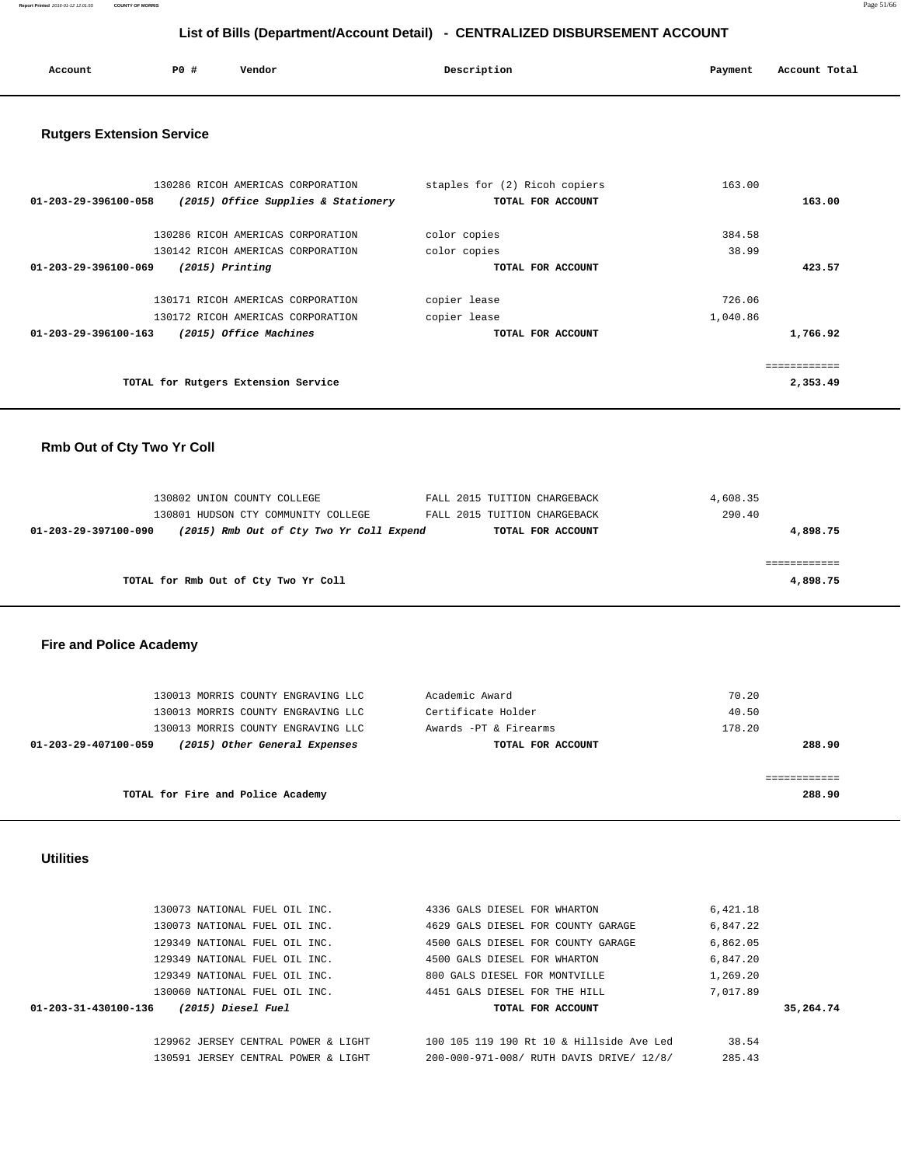**Report Printed** 2016-01-12 12:01:55 **COUNTY OF MORRIS** Page 51/66

#### **List of Bills (Department/Account Detail) - CENTRALIZED DISBURSEMENT ACCOUNT**

| Account | P0 # | Vendor | Description | Payment | Account Total |
|---------|------|--------|-------------|---------|---------------|
|         |      |        |             |         |               |

#### **Rutgers Extension Service**

| 130286 RICOH AMERICAS CORPORATION<br>01-203-29-396100-058<br>(2015) Office Supplies & Stationery | staples for (2) Ricoh copiers<br>TOTAL FOR ACCOUNT | 163.00<br>163.00 |
|--------------------------------------------------------------------------------------------------|----------------------------------------------------|------------------|
| 130286 RICOH AMERICAS CORPORATION                                                                | color copies                                       | 384.58           |
| 130142 RICOH AMERICAS CORPORATION                                                                | color copies                                       | 38.99            |
| 01-203-29-396100-069<br>$(2015)$ Printing                                                        | TOTAL FOR ACCOUNT                                  | 423.57           |
| 130171 RICOH AMERICAS CORPORATION                                                                | copier lease                                       | 726.06           |
| 130172 RICOH AMERICAS CORPORATION                                                                | copier lease                                       | 1,040.86         |
| (2015) Office Machines<br>01-203-29-396100-163                                                   | TOTAL FOR ACCOUNT                                  | 1,766.92         |
|                                                                                                  |                                                    |                  |
| TOTAL for Rutgers Extension Service                                                              |                                                    | 2,353.49         |

#### **Rmb Out of Cty Two Yr Coll**

|                      | 130802 UNION COUNTY COLLEGE              | FALL 2015 TUITION CHARGEBACK | 4,608.35 |          |
|----------------------|------------------------------------------|------------------------------|----------|----------|
|                      | 130801 HUDSON CTY COMMUNITY COLLEGE      | FALL 2015 TUITION CHARGEBACK | 290.40   |          |
| 01-203-29-397100-090 | (2015) Rmb Out of Cty Two Yr Coll Expend | TOTAL FOR ACCOUNT            |          | 4,898.75 |
|                      |                                          |                              |          |          |
|                      |                                          |                              |          |          |
|                      | TOTAL for Rmb Out of Cty Two Yr Coll     |                              |          | 4,898.75 |
|                      |                                          |                              |          |          |

#### **Fire and Police Academy**

| 130013 MORRIS COUNTY ENGRAVING LLC                    | Academic Award        | 70.20  |
|-------------------------------------------------------|-----------------------|--------|
| 130013 MORRIS COUNTY ENGRAVING LLC                    | Certificate Holder    | 40.50  |
| 130013 MORRIS COUNTY ENGRAVING LLC                    | Awards -PT & Firearms | 178.20 |
| (2015) Other General Expenses<br>01-203-29-407100-059 | TOTAL FOR ACCOUNT     | 288.90 |
|                                                       |                       |        |
|                                                       |                       |        |
| TOTAL for Fire and Police Academy                     |                       | 288.90 |
|                                                       |                       |        |

#### **Utilities**

|                      | 130073 NATIONAL FUEL OIL INC.       | 4336 GALS DIESEL FOR WHARTON             | 6,421.18  |
|----------------------|-------------------------------------|------------------------------------------|-----------|
|                      | 130073 NATIONAL FUEL OIL INC.       | 4629 GALS DIESEL FOR COUNTY GARAGE       | 6,847.22  |
|                      | 129349 NATIONAL FUEL OIL INC.       | 4500 GALS DIESEL FOR COUNTY GARAGE       | 6,862.05  |
|                      | 129349 NATIONAL FUEL OIL INC.       | 4500 GALS DIESEL FOR WHARTON             | 6,847.20  |
|                      | 129349 NATIONAL FUEL OIL INC.       | 800 GALS DIESEL FOR MONTVILLE            | 1,269.20  |
|                      | 130060 NATIONAL FUEL OIL INC.       | 4451 GALS DIESEL FOR THE HILL            | 7,017.89  |
| 01-203-31-430100-136 | (2015) Diesel Fuel                  | TOTAL FOR ACCOUNT                        | 35,264.74 |
|                      | 129962 JERSEY CENTRAL POWER & LIGHT | 100 105 119 190 Rt 10 & Hillside Ave Led | 38.54     |
|                      | 130591 JERSEY CENTRAL POWER & LIGHT | 200-000-971-008/ RUTH DAVIS DRIVE/ 12/8/ | 285.43    |
|                      |                                     |                                          |           |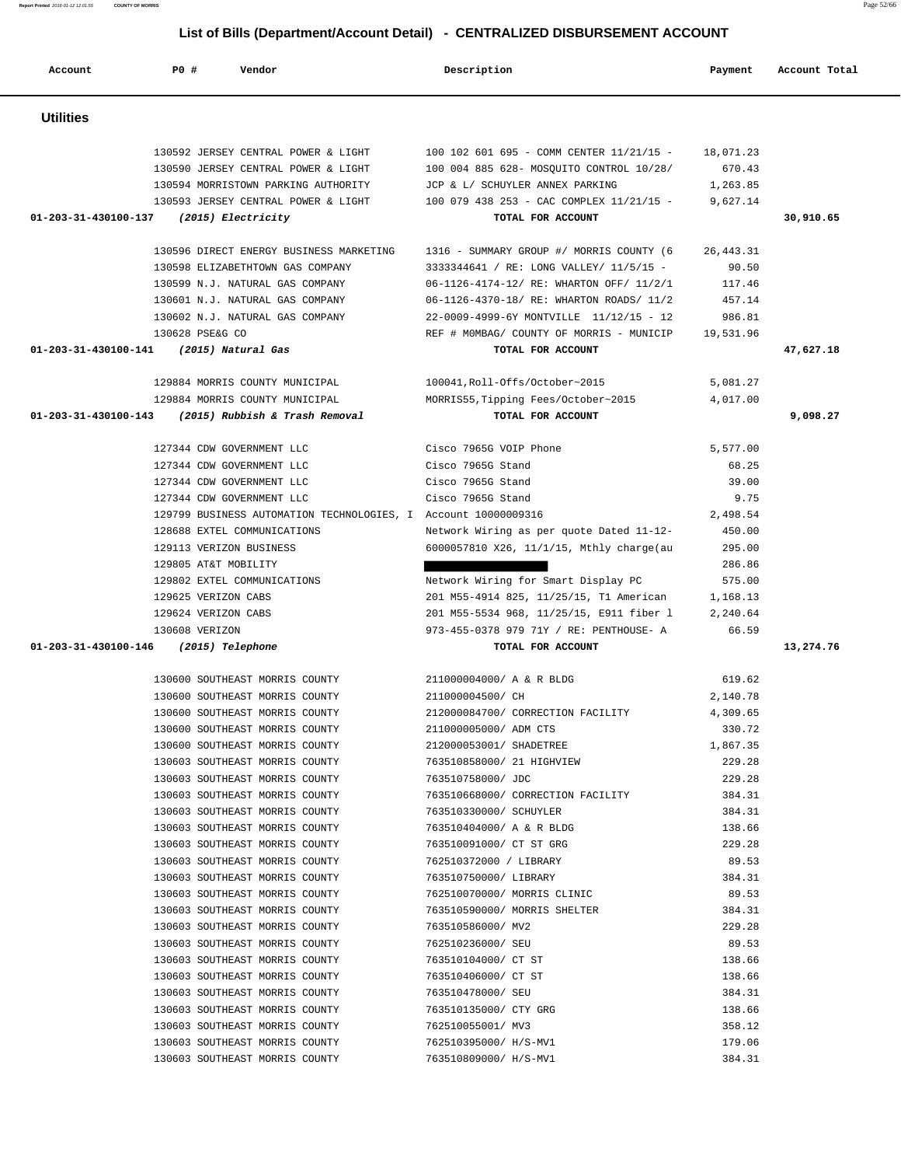| Account                                 | P0 #                                                                                                            | Vendor                                                                                                                                                                                                                                                                                                                                                                                                                                                                                                                                                                                                                                                                                                                                                                                                                         | Description                                                                                                                                                                                                                                                                                                                                                                                                                                                                                                                                                                                                                              | Payment                                                                                                                                                                                                                               | Account Total |
|-----------------------------------------|-----------------------------------------------------------------------------------------------------------------|--------------------------------------------------------------------------------------------------------------------------------------------------------------------------------------------------------------------------------------------------------------------------------------------------------------------------------------------------------------------------------------------------------------------------------------------------------------------------------------------------------------------------------------------------------------------------------------------------------------------------------------------------------------------------------------------------------------------------------------------------------------------------------------------------------------------------------|------------------------------------------------------------------------------------------------------------------------------------------------------------------------------------------------------------------------------------------------------------------------------------------------------------------------------------------------------------------------------------------------------------------------------------------------------------------------------------------------------------------------------------------------------------------------------------------------------------------------------------------|---------------------------------------------------------------------------------------------------------------------------------------------------------------------------------------------------------------------------------------|---------------|
| <b>Utilities</b>                        |                                                                                                                 |                                                                                                                                                                                                                                                                                                                                                                                                                                                                                                                                                                                                                                                                                                                                                                                                                                |                                                                                                                                                                                                                                                                                                                                                                                                                                                                                                                                                                                                                                          |                                                                                                                                                                                                                                       |               |
| 01-203-31-430100-137                    |                                                                                                                 | 130592 JERSEY CENTRAL POWER & LIGHT<br>130590 JERSEY CENTRAL POWER & LIGHT<br>130594 MORRISTOWN PARKING AUTHORITY<br>130593 JERSEY CENTRAL POWER & LIGHT<br>(2015) Electricity                                                                                                                                                                                                                                                                                                                                                                                                                                                                                                                                                                                                                                                 | 100 102 601 695 - COMM CENTER 11/21/15 -<br>100 004 885 628- MOSQUITO CONTROL 10/28/<br>JCP & L/ SCHUYLER ANNEX PARKING<br>100 079 438 253 - CAC COMPLEX 11/21/15 -<br>TOTAL FOR ACCOUNT                                                                                                                                                                                                                                                                                                                                                                                                                                                 | 18,071.23<br>670.43<br>1,263.85<br>9,627.14                                                                                                                                                                                           | 30,910.65     |
| 01-203-31-430100-141 (2015) Natural Gas | 130628 PSE&G CO                                                                                                 | 130596 DIRECT ENERGY BUSINESS MARKETING<br>130598 ELIZABETHTOWN GAS COMPANY<br>130599 N.J. NATURAL GAS COMPANY<br>130601 N.J. NATURAL GAS COMPANY<br>130602 N.J. NATURAL GAS COMPANY                                                                                                                                                                                                                                                                                                                                                                                                                                                                                                                                                                                                                                           | 1316 - SUMMARY GROUP #/ MORRIS COUNTY (6<br>3333344641 / RE: LONG VALLEY/ 11/5/15 -<br>06-1126-4174-12/ RE: WHARTON OFF/ 11/2/1<br>06-1126-4370-18/ RE: WHARTON ROADS/ 11/2<br>22-0009-4999-6Y MONTVILLE 11/12/15 - 12<br>REF # MOMBAG/ COUNTY OF MORRIS - MUNICIP<br>TOTAL FOR ACCOUNT                                                                                                                                                                                                                                                                                                                                                  | 26, 443.31<br>90.50<br>117.46<br>457.14<br>986.81<br>19,531.96                                                                                                                                                                        | 47,627.18     |
| 01-203-31-430100-143                    |                                                                                                                 | 129884 MORRIS COUNTY MUNICIPAL<br>129884 MORRIS COUNTY MUNICIPAL<br>(2015) Rubbish & Trash Removal                                                                                                                                                                                                                                                                                                                                                                                                                                                                                                                                                                                                                                                                                                                             | 100041, Roll-Offs/October~2015<br>MORRIS55, Tipping Fees/October~2015<br>TOTAL FOR ACCOUNT                                                                                                                                                                                                                                                                                                                                                                                                                                                                                                                                               | 5,081.27<br>4,017.00                                                                                                                                                                                                                  | 9,098.27      |
|                                         | 129113 VERIZON BUSINESS<br>129805 AT&T MOBILITY<br>129625 VERIZON CABS<br>129624 VERIZON CABS<br>130608 VERIZON | 127344 CDW GOVERNMENT LLC<br>127344 CDW GOVERNMENT LLC<br>127344 CDW GOVERNMENT LLC<br>127344 CDW GOVERNMENT LLC<br>128688 EXTEL COMMUNICATIONS<br>129802 EXTEL COMMUNICATIONS                                                                                                                                                                                                                                                                                                                                                                                                                                                                                                                                                                                                                                                 | Cisco 7965G VOIP Phone<br>Cisco 7965G Stand<br>Cisco 7965G Stand<br>Cisco 7965G Stand<br>129799 BUSINESS AUTOMATION TECHNOLOGIES, I Account 10000009316<br>Network Wiring as per quote Dated 11-12-<br>6000057810 X26, 11/1/15, Mthly charge(au<br>Network Wiring for Smart Display PC<br>201 M55-4914 825, 11/25/15, T1 American<br>201 M55-5534 968, 11/25/15, E911 fiber 1<br>973-455-0378 979 71Y / RE: PENTHOUSE- A                                                                                                                                                                                                                 | 5,577.00<br>68.25<br>39.00<br>9.75<br>2,498.54<br>450.00<br>295.00<br>286.86<br>575.00<br>1,168.13<br>2,240.64<br>66.59                                                                                                               |               |
| 01-203-31-430100-146                    |                                                                                                                 | (2015) Telephone<br>130600 SOUTHEAST MORRIS COUNTY<br>130600 SOUTHEAST MORRIS COUNTY<br>130600 SOUTHEAST MORRIS COUNTY<br>130600 SOUTHEAST MORRIS COUNTY<br>130600 SOUTHEAST MORRIS COUNTY<br>130603 SOUTHEAST MORRIS COUNTY<br>130603 SOUTHEAST MORRIS COUNTY<br>130603 SOUTHEAST MORRIS COUNTY<br>130603 SOUTHEAST MORRIS COUNTY<br>130603 SOUTHEAST MORRIS COUNTY<br>130603 SOUTHEAST MORRIS COUNTY<br>130603 SOUTHEAST MORRIS COUNTY<br>130603 SOUTHEAST MORRIS COUNTY<br>130603 SOUTHEAST MORRIS COUNTY<br>130603 SOUTHEAST MORRIS COUNTY<br>130603 SOUTHEAST MORRIS COUNTY<br>130603 SOUTHEAST MORRIS COUNTY<br>130603 SOUTHEAST MORRIS COUNTY<br>130603 SOUTHEAST MORRIS COUNTY<br>130603 SOUTHEAST MORRIS COUNTY<br>130603 SOUTHEAST MORRIS COUNTY<br>130603 SOUTHEAST MORRIS COUNTY<br>130603 SOUTHEAST MORRIS COUNTY | TOTAL FOR ACCOUNT<br>211000004000/ A & R BLDG<br>211000004500/ CH<br>212000084700/ CORRECTION FACILITY<br>211000005000/ ADM CTS<br>212000053001/ SHADETREE<br>763510858000/ 21 HIGHVIEW<br>763510758000/ JDC<br>763510668000/ CORRECTION FACILITY<br>763510330000/ SCHUYLER<br>763510404000/ A & R BLDG<br>763510091000/ CT ST GRG<br>762510372000 / LIBRARY<br>763510750000/ LIBRARY<br>762510070000/ MORRIS CLINIC<br>763510590000/ MORRIS SHELTER<br>763510586000/ MV2<br>762510236000/ SEU<br>763510104000/ CT ST<br>763510406000/ CT ST<br>763510478000/ SEU<br>763510135000/ CTY GRG<br>762510055001/ MV3<br>762510395000/ H/S-MV1 | 619.62<br>2,140.78<br>4,309.65<br>330.72<br>1,867.35<br>229.28<br>229.28<br>384.31<br>384.31<br>138.66<br>229.28<br>89.53<br>384.31<br>89.53<br>384.31<br>229.28<br>89.53<br>138.66<br>138.66<br>384.31<br>138.66<br>358.12<br>179.06 | 13,274.76     |

**Report Printed** 2016-01-12 12:01:55 **COUNTY OF MORRIS** Page 52/66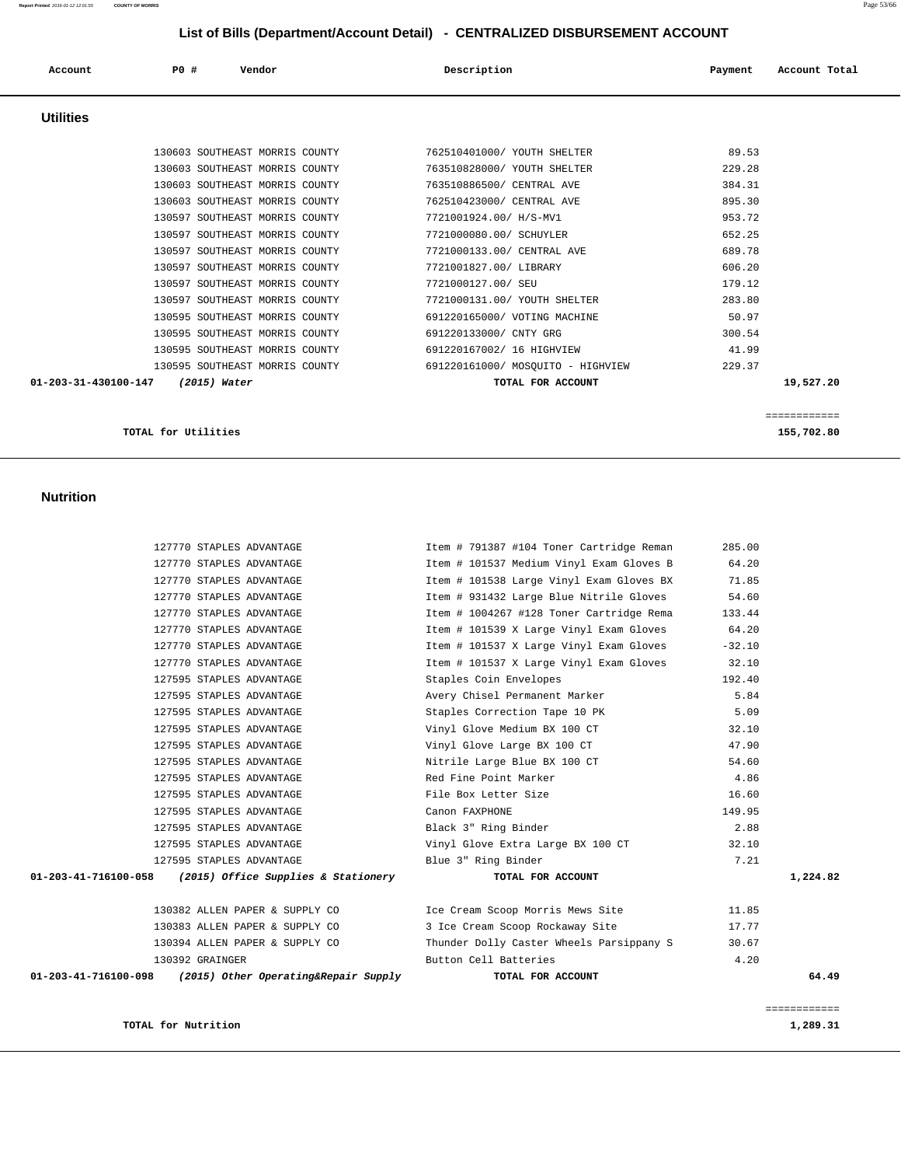| TOTAL for Nutrition                                          |                                          |          | 1,289.31     |
|--------------------------------------------------------------|------------------------------------------|----------|--------------|
|                                                              |                                          |          | ============ |
| $01-203-41-716100-098$ (2015) Other Operating& Repair Supply | TOTAL FOR ACCOUNT                        |          | 64.49        |
| 130392 GRAINGER                                              | Button Cell Batteries                    | 4.20     |              |
| 130394 ALLEN PAPER & SUPPLY CO                               | Thunder Dolly Caster Wheels Parsippany S | 30.67    |              |
| 130383 ALLEN PAPER & SUPPLY CO                               | 3 Ice Cream Scoop Rockaway Site          | 17.77    |              |
| 130382 ALLEN PAPER & SUPPLY CO                               | Ice Cream Scoop Morris Mews Site         | 11.85    |              |
| 01-203-41-716100-058 (2015) Office Supplies & Stationery     | TOTAL FOR ACCOUNT                        |          | 1,224.82     |
| 127595 STAPLES ADVANTAGE                                     | Blue 3" Ring Binder                      | 7.21     |              |
| 127595 STAPLES ADVANTAGE                                     | Vinyl Glove Extra Large BX 100 CT        | 32.10    |              |
| 127595 STAPLES ADVANTAGE                                     | Black 3" Ring Binder                     | 2.88     |              |
| 127595 STAPLES ADVANTAGE                                     | Canon FAXPHONE                           | 149.95   |              |
| 127595 STAPLES ADVANTAGE                                     | File Box Letter Size                     | 16.60    |              |
| 127595 STAPLES ADVANTAGE                                     | Red Fine Point Marker                    | 4.86     |              |
| 127595 STAPLES ADVANTAGE                                     | Nitrile Large Blue BX 100 CT             | 54.60    |              |
| 127595 STAPLES ADVANTAGE                                     | Vinyl Glove Large BX 100 CT              | 47.90    |              |
| 127595 STAPLES ADVANTAGE                                     | Vinyl Glove Medium BX 100 CT             | 32.10    |              |
| 127595 STAPLES ADVANTAGE                                     | Staples Correction Tape 10 PK            | 5.09     |              |
| 127595 STAPLES ADVANTAGE                                     | Avery Chisel Permanent Marker            | 5.84     |              |
| 127595 STAPLES ADVANTAGE                                     | Staples Coin Envelopes                   | 192.40   |              |
| 127770 STAPLES ADVANTAGE                                     | Item # 101537 X Large Vinyl Exam Gloves  | 32.10    |              |
| 127770 STAPLES ADVANTAGE                                     | Item # 101537 X Large Vinyl Exam Gloves  | $-32.10$ |              |
| 127770 STAPLES ADVANTAGE                                     | Item # 101539 X Large Vinyl Exam Gloves  | 64.20    |              |

127770 STAPLES ADVANTAGE 10 11 10 11 11 11 127770 STAPLES ADVANTAGE 127770 STAPLES ADVANTAGE Item # 1004267 #128 Toner Cartridge Rema 133.44

 127770 STAPLES ADVANTAGE Item # 791387 #104 Toner Cartridge Reman 285.00 127770 STAPLES ADVANTAGE 11 101537 Medium Vinyl Exam Gloves B 64.20 127770 STAPLES ADVANTAGE Item # 101538 Large Vinyl Exam Gloves BX 71.85

#### **Nutrition**

| Account              | P0#                 | Vendor                                                                                                                               | Description                                                                                                  | Payment                              | Account Total             |
|----------------------|---------------------|--------------------------------------------------------------------------------------------------------------------------------------|--------------------------------------------------------------------------------------------------------------|--------------------------------------|---------------------------|
| <b>Utilities</b>     |                     |                                                                                                                                      |                                                                                                              |                                      |                           |
|                      |                     | 130603 SOUTHEAST MORRIS COUNTY<br>130603 SOUTHEAST MORRIS COUNTY<br>130603 SOUTHEAST MORRIS COUNTY                                   | 762510401000/ YOUTH SHELTER<br>763510828000/ YOUTH SHELTER<br>763510886500/ CENTRAL AVE                      | 89.53<br>229.28<br>384.31            |                           |
|                      |                     | 130603 SOUTHEAST MORRIS COUNTY<br>130597 SOUTHEAST MORRIS COUNTY<br>130597 SOUTHEAST MORRIS COUNTY<br>130597 SOUTHEAST MORRIS COUNTY | 762510423000/ CENTRAL AVE<br>7721001924.00/ H/S-MV1<br>7721000080.00/ SCHUYLER<br>7721000133.00/ CENTRAL AVE | 895.30<br>953.72<br>652.25<br>689.78 |                           |
|                      |                     | 130597 SOUTHEAST MORRIS COUNTY<br>130597 SOUTHEAST MORRIS COUNTY<br>130597 SOUTHEAST MORRIS COUNTY                                   | 7721001827.00/ LIBRARY<br>7721000127.00/ SEU<br>7721000131.00/ YOUTH SHELTER                                 | 606.20<br>179.12<br>283.80           |                           |
|                      |                     | 130595 SOUTHEAST MORRIS COUNTY<br>130595 SOUTHEAST MORRIS COUNTY<br>130595 SOUTHEAST MORRIS COUNTY                                   | 691220165000/ VOTING MACHINE<br>691220133000/ CNTY GRG<br>691220167002/ 16 HIGHVIEW                          | 50.97<br>300.54<br>41.99             |                           |
| 01-203-31-430100-147 |                     | 130595 SOUTHEAST MORRIS COUNTY<br>(2015) Water                                                                                       | 691220161000/ MOSOUITO - HIGHVIEW<br>TOTAL FOR ACCOUNT                                                       | 229.37                               | 19,527.20<br>============ |
|                      | TOTAL for Utilities |                                                                                                                                      |                                                                                                              |                                      | 155,702.80                |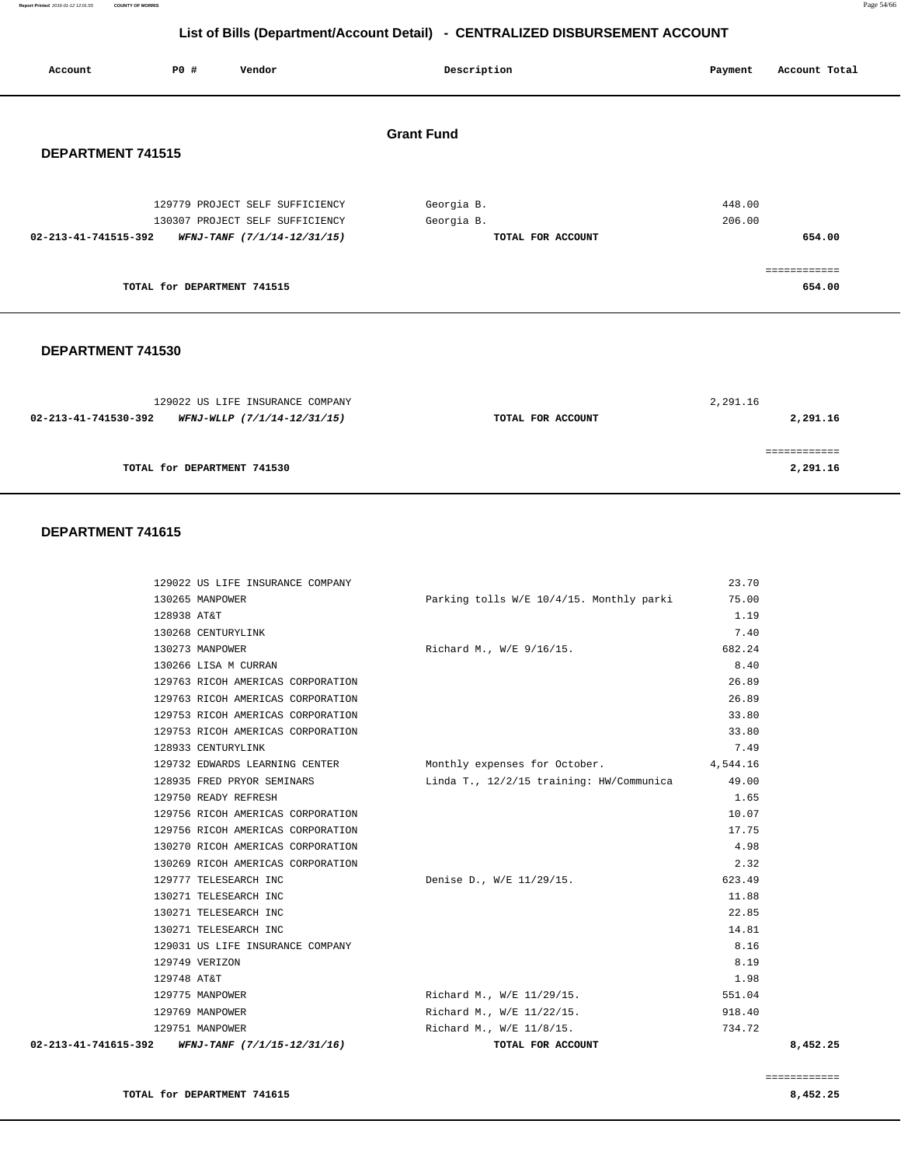**Report Printed** 2016-01-12 12:01:55 **COUNTY OF MORRIS** Page 54/66

#### **List of Bills (Department/Account Detail) - CENTRALIZED DISBURSEMENT ACCOUNT**

| Account              | <b>PO #</b>                 | Vendor                                                         | Description                     | Account Total<br>Payment |  |
|----------------------|-----------------------------|----------------------------------------------------------------|---------------------------------|--------------------------|--|
| DEPARTMENT 741515    |                             |                                                                | <b>Grant Fund</b>               |                          |  |
|                      |                             | 129779 PROJECT SELF SUFFICIENCY                                | Georgia B.                      | 448.00                   |  |
| 02-213-41-741515-392 |                             | 130307 PROJECT SELF SUFFICIENCY<br>WFNJ-TANF (7/1/14-12/31/15) | Georgia B.<br>TOTAL FOR ACCOUNT | 206.00<br>654.00         |  |
|                      | TOTAL for DEPARTMENT 741515 |                                                                |                                 | ===========<br>654.00    |  |
|                      |                             |                                                                |                                 |                          |  |

#### **DEPARTMENT 741530**

| 129022 US LIFE INSURANCE COMPANY                    |                   | 2,291.16 |
|-----------------------------------------------------|-------------------|----------|
| 02-213-41-741530-392<br>WFNJ-WLLP (7/1/14-12/31/15) | TOTAL FOR ACCOUNT | 2,291.16 |
|                                                     |                   |          |
|                                                     |                   |          |
| TOTAL for DEPARTMENT 741530                         |                   | 2,291.16 |
|                                                     |                   |          |

| 02-213-41-741615-392 | WFNJ-TANF (7/1/15-12/31/16)       | TOTAL FOR ACCOUNT                        |          | 8.452.25 |
|----------------------|-----------------------------------|------------------------------------------|----------|----------|
|                      | 129751 MANPOWER                   | Richard M., W/E 11/8/15.                 | 734.72   |          |
|                      | 129769 MANPOWER                   | Richard M., W/E 11/22/15.                | 918.40   |          |
|                      | 129775 MANPOWER                   | Richard M., W/E 11/29/15.                | 551.04   |          |
| 129748 AT&T          |                                   |                                          | 1.98     |          |
|                      | 129749 VERIZON                    |                                          | 8.19     |          |
|                      | 129031 US LIFE INSURANCE COMPANY  |                                          | 8.16     |          |
|                      | 130271 TELESEARCH INC             |                                          | 14.81    |          |
|                      | 130271 TELESEARCH INC             |                                          | 22.85    |          |
|                      | 130271 TELESEARCH INC             |                                          | 11.88    |          |
|                      | 129777 TELESEARCH INC             | Denise D., W/E 11/29/15.                 | 623.49   |          |
|                      | 130269 RICOH AMERICAS CORPORATION |                                          | 2.32     |          |
|                      | 130270 RICOH AMERICAS CORPORATION |                                          | 4.98     |          |
|                      | 129756 RICOH AMERICAS CORPORATION |                                          | 17.75    |          |
|                      | 129756 RICOH AMERICAS CORPORATION |                                          | 10.07    |          |
|                      | 129750 READY REFRESH              |                                          | 1.65     |          |
|                      | 128935 FRED PRYOR SEMINARS        | Linda T., 12/2/15 training: HW/Communica | 49.00    |          |
|                      | 129732 EDWARDS LEARNING CENTER    | Monthly expenses for October.            | 4,544.16 |          |
|                      | 128933 CENTURYLINK                |                                          | 7.49     |          |
|                      | 129753 RICOH AMERICAS CORPORATION |                                          | 33.80    |          |
|                      | 129753 RICOH AMERICAS CORPORATION |                                          | 33.80    |          |
|                      | 129763 RICOH AMERICAS CORPORATION |                                          | 26.89    |          |
|                      | 129763 RICOH AMERICAS CORPORATION |                                          | 26.89    |          |
|                      | 130266 LISA M CURRAN              |                                          | 8.40     |          |
|                      | 130273 MANPOWER                   | Richard M., W/E 9/16/15.                 | 682.24   |          |
|                      | 130268 CENTURYLINK                |                                          | 7.40     |          |
| 128938 AT&T          |                                   |                                          | 1.19     |          |
|                      | 130265 MANPOWER                   | Parking tolls W/E 10/4/15. Monthly parki | 75.00    |          |
|                      | 129022 US LIFE INSURANCE COMPANY  |                                          | 23.70    |          |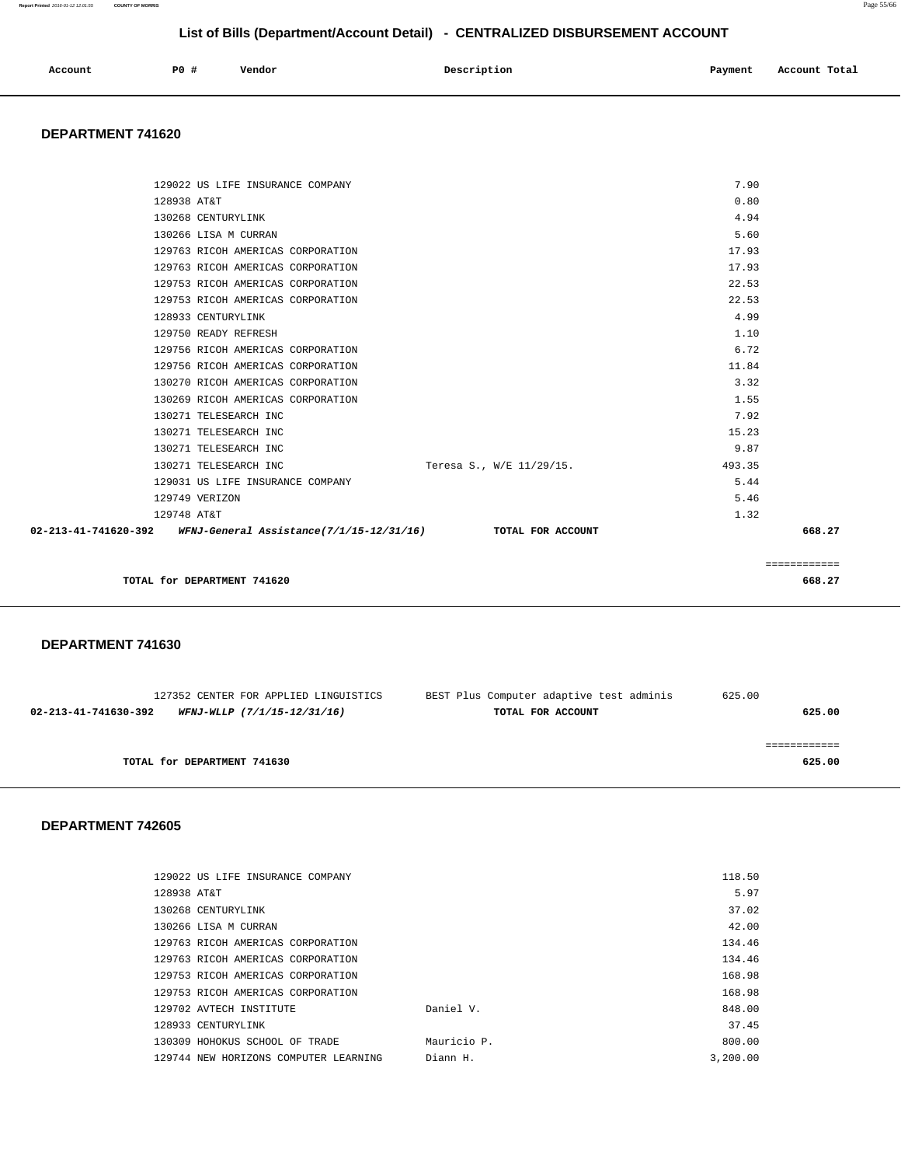| Account | PO# | Vendor | Description | Payment | Account Total |
|---------|-----|--------|-------------|---------|---------------|
|         |     |        |             |         |               |

#### **DEPARTMENT 741620**

| 02-213-41-741620-392 WFNJ-General Assistance(7/1/15-12/31/16) TOTAL FOR ACCOUNT |                          |        | 668.27 |
|---------------------------------------------------------------------------------|--------------------------|--------|--------|
| 129748 AT&T                                                                     |                          | 1.32   |        |
| 129749 VERIZON                                                                  |                          | 5.46   |        |
| 129031 US LIFE INSURANCE COMPANY                                                |                          | 5.44   |        |
| 130271 TELESEARCH INC                                                           | Teresa S., W/E 11/29/15. | 493.35 |        |
| 130271 TELESEARCH INC                                                           |                          | 9.87   |        |
| 130271 TELESEARCH INC                                                           |                          | 15.23  |        |
| 130271 TELESEARCH INC                                                           |                          | 7.92   |        |
| 130269 RICOH AMERICAS CORPORATION                                               |                          | 1.55   |        |
| 130270 RICOH AMERICAS CORPORATION                                               |                          | 3.32   |        |
| 129756 RICOH AMERICAS CORPORATION                                               |                          | 11.84  |        |
| 129756 RICOH AMERICAS CORPORATION                                               |                          | 6.72   |        |
| 129750 READY REFRESH                                                            |                          | 1.10   |        |
| 128933 CENTURYLINK                                                              |                          | 4.99   |        |
| 129753 RICOH AMERICAS CORPORATION                                               |                          | 22.53  |        |
| 129753 RICOH AMERICAS CORPORATION                                               |                          | 22.53  |        |
| 129763 RICOH AMERICAS CORPORATION                                               |                          | 17.93  |        |
| 129763 RICOH AMERICAS CORPORATION                                               |                          | 17.93  |        |
| 130266 LISA M CURRAN                                                            |                          | 5.60   |        |
| 130268 CENTURYLINK                                                              |                          | 4.94   |        |
| 128938 AT&T                                                                     |                          | 0.80   |        |
| 129022 US LIFE INSURANCE COMPANY                                                |                          | 7.90   |        |
|                                                                                 |                          |        |        |

|                             | _____________<br>____________ |
|-----------------------------|-------------------------------|
| TOTAL for DEPARTMENT 741620 | 668.27                        |
|                             | .                             |

#### **DEPARTMENT 741630**

|                             | 127352 CENTER FOR APPLIED LINGUISTICS | BEST Plus Computer adaptive test adminis | 625.00 |
|-----------------------------|---------------------------------------|------------------------------------------|--------|
| 02-213-41-741630-392        | WFNJ-WLLP (7/1/15-12/31/16)           | TOTAL FOR ACCOUNT                        | 625.00 |
|                             |                                       |                                          |        |
|                             |                                       |                                          |        |
| TOTAL for DEPARTMENT 741630 |                                       |                                          | 625.00 |
|                             |                                       |                                          |        |

| 129022 US LIFE INSURANCE COMPANY      |             | 118.50   |
|---------------------------------------|-------------|----------|
| 128938 AT&T                           |             | 5.97     |
| 130268 CENTURYLINK                    |             | 37.02    |
| 130266 LISA M CURRAN                  |             | 42.00    |
| 129763 RICOH AMERICAS CORPORATION     |             | 134.46   |
| 129763 RICOH AMERICAS CORPORATION     |             | 134.46   |
| 129753 RICOH AMERICAS CORPORATION     |             | 168.98   |
| 129753 RICOH AMERICAS CORPORATION     |             | 168.98   |
| 129702 AVTECH INSTITUTE               | Daniel V.   | 848.00   |
| 128933 CENTURYLINK                    |             | 37.45    |
| 130309 HOHOKUS SCHOOL OF TRADE        | Mauricio P. | 800.00   |
| 129744 NEW HORIZONS COMPUTER LEARNING | Diann H.    | 3,200.00 |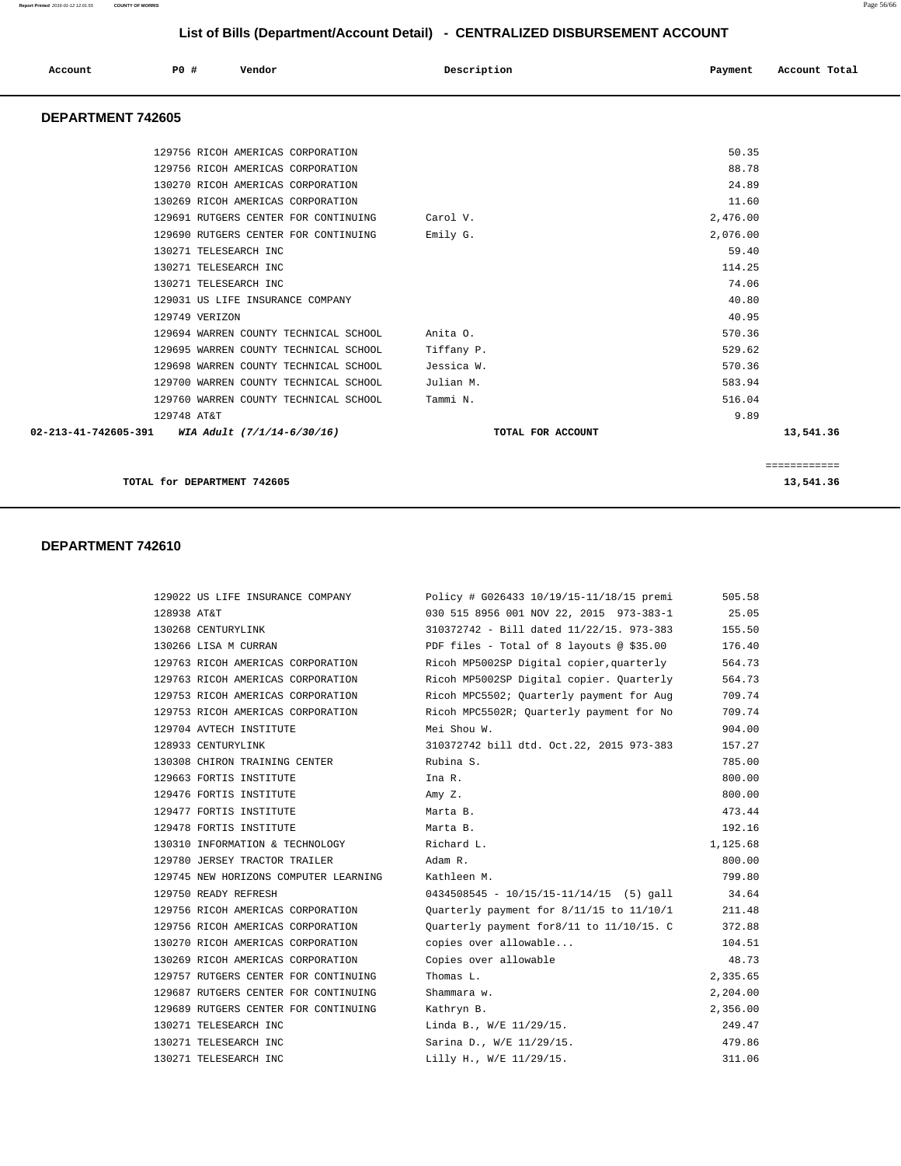| Account                  | PO# | Vendor                            | Description | Payment | Account Total |
|--------------------------|-----|-----------------------------------|-------------|---------|---------------|
| <b>DEPARTMENT 742605</b> |     |                                   |             |         |               |
|                          |     | 129756 RICOH AMERICAS CORPORATION |             | 50.35   |               |

| TOTAL for DEPARTMENT 742605                       |                   |              | 13,541.36    |
|---------------------------------------------------|-------------------|--------------|--------------|
|                                                   |                   |              | ============ |
| 02-213-41-742605-391 WIA Adult $(7/1/14-6/30/16)$ | TOTAL FOR ACCOUNT |              | 13,541.36    |
| 129748 AT&T                                       |                   | 9.89         |              |
| 129760 WARREN COUNTY TECHNICAL SCHOOL             | Tammi N.          | 516.04       |              |
| 129700 WARREN COUNTY TECHNICAL SCHOOL             | Julian M.         | 583.94       |              |
| 129698 WARREN COUNTY TECHNICAL SCHOOL             | Jessica W.        | 570.36       |              |
| 129695 WARREN COUNTY TECHNICAL SCHOOL             | Tiffany P.        | 529.62       |              |
| 129694 WARREN COUNTY TECHNICAL SCHOOL             | Anita O.          | 570.36       |              |
| 129749 VERIZON                                    |                   | 40.95        |              |
| 129031 US LIFE INSURANCE COMPANY                  |                   | 40.80        |              |
| 130271 TELESEARCH INC                             |                   | 74.06        |              |
| 130271 TELESEARCH INC                             |                   | 114.25       |              |
| 130271 TELESEARCH INC                             |                   | 59.40        |              |
| 129690 RUTGERS CENTER FOR CONTINUING              | Emily G.          | 2,076.00     |              |
| 129691 RUTGERS CENTER FOR CONTINUING              | Carol V.          | 2,476.00     |              |
| 130269 RICOH AMERICAS CORPORATION                 |                   | 11.60        |              |
| 130270 RICOH AMERICAS CORPORATION                 |                   | 24.89        |              |
| 129756 RICOH AMERICAS CORPORATION                 |                   | 88.78        |              |
| 143730 NICOM AMBNICAS CONFONAIION                 |                   | <u>JU.JJ</u> |              |

| 129022 US LIFE INSURANCE COMPANY                  | Policy # G026433 10/19/15-11/18/15 premi    | 505.58   |
|---------------------------------------------------|---------------------------------------------|----------|
| 128938 AT&T                                       | 030 515 8956 001 NOV 22, 2015 973-383-1     | 25.05    |
| 130268 CENTURYLINK                                | 310372742 - Bill dated 11/22/15. 973-383    | 155.50   |
| 130266 LISA M CURRAN                              | PDF files - Total of 8 layouts @ \$35.00    | 176.40   |
| 129763 RICOH AMERICAS CORPORATION                 | Ricoh MP5002SP Digital copier, quarterly    | 564.73   |
| 129763 RICOH AMERICAS CORPORATION                 | Ricoh MP5002SP Digital copier. Quarterly    | 564.73   |
| 129753 RICOH AMERICAS CORPORATION                 | Ricoh MPC5502; Ouarterly payment for Aug    | 709.74   |
| 129753 RICOH AMERICAS CORPORATION                 | Ricoh MPC5502R; Quarterly payment for No    | 709.74   |
| 129704 AVTECH INSTITUTE                           | Mei Shou W.                                 | 904.00   |
| 128933 CENTURYLINK                                | 310372742 bill dtd. Oct.22, 2015 973-383    | 157.27   |
| 130308 CHIRON TRAINING CENTER                     | Rubina S.                                   | 785.00   |
| 129663 FORTIS INSTITUTE                           | Ina R.                                      | 800.00   |
| 129476 FORTIS INSTITUTE                           | Amy Z.                                      | 800.00   |
| 129477 FORTIS INSTITUTE                           | Marta B.                                    | 473.44   |
| 129478 FORTIS INSTITUTE                           | Marta B.                                    | 192.16   |
| 130310 INFORMATION & TECHNOLOGY                   | Richard L.                                  | 1,125.68 |
| 129780 JERSEY TRACTOR TRAILER                     | Adam R.                                     | 800.00   |
| 129745 NEW HORIZONS COMPUTER LEARNING Kathleen M. |                                             | 799.80   |
| 129750 READY REFRESH                              | $0434508545 - 10/15/15 - 11/14/15$ (5) gall | 34.64    |
| 129756 RICOH AMERICAS CORPORATION                 | Quarterly payment for 8/11/15 to 11/10/1    | 211.48   |
| 129756 RICOH AMERICAS CORPORATION                 | Ouarterly payment for8/11 to 11/10/15. C    | 372.88   |
| 130270 RICOH AMERICAS CORPORATION                 | copies over allowable                       | 104.51   |
| 130269 RICOH AMERICAS CORPORATION                 | Copies over allowable                       | 48.73    |
| 129757 RUTGERS CENTER FOR CONTINUING              | Thomas L.                                   | 2,335.65 |
| 129687 RUTGERS CENTER FOR CONTINUING              | Shammara w.                                 | 2,204.00 |
| 129689 RUTGERS CENTER FOR CONTINUING              | Kathryn B.                                  | 2,356.00 |
| 130271 TELESEARCH INC                             | Linda B., W/E 11/29/15.                     | 249.47   |
| 130271 TELESEARCH INC                             | Sarina D., W/E 11/29/15.                    | 479.86   |
| 130271 TELESEARCH INC                             | Lilly H., W/E 11/29/15.                     | 311.06   |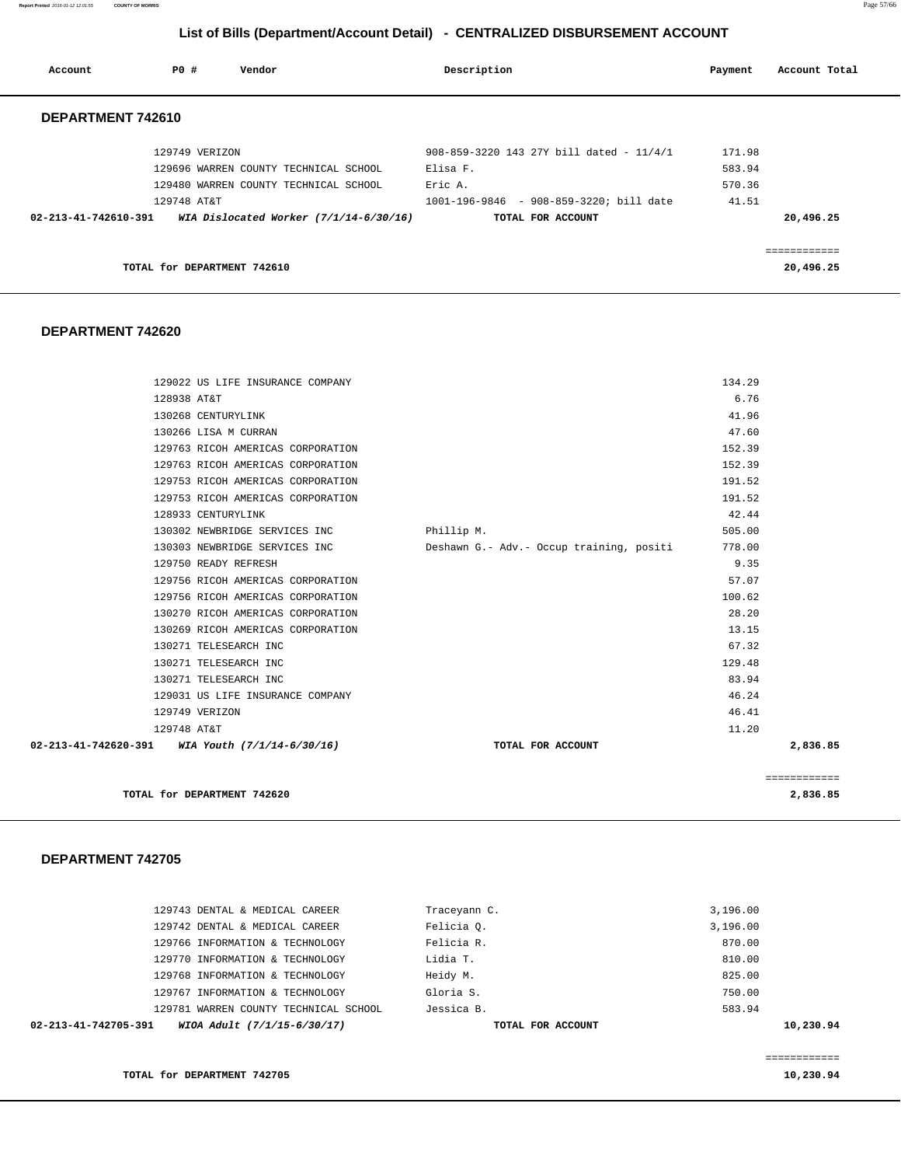**Report Printed** 2016-01-12 12:01:55 **COUNTY OF MORRIS** Page 57/66

#### **List of Bills (Department/Account Detail) - CENTRALIZED DISBURSEMENT ACCOUNT**

| Account                        | PO#            | Vendor                                   | Description                              | Payment | Account Total |
|--------------------------------|----------------|------------------------------------------|------------------------------------------|---------|---------------|
| DEPARTMENT 742610              |                |                                          |                                          |         |               |
|                                | 129749 VERIZON |                                          | 908-859-3220 143 27Y bill dated - 11/4/1 | 171.98  |               |
|                                |                | 129696 WARREN COUNTY TECHNICAL SCHOOL    | Elisa F.                                 | 583.94  |               |
|                                |                | 129480 WARREN COUNTY TECHNICAL SCHOOL    | Eric A.                                  | 570.36  |               |
|                                | 129748 AT&T    |                                          | 1001-196-9846 - 908-859-3220; bill date  | 41.51   |               |
| $02 - 213 - 41 - 742610 - 391$ |                | WIA Dislocated Worker $(7/1/14-6/30/16)$ | TOTAL FOR ACCOUNT                        |         | 20,496.25     |
|                                |                |                                          |                                          |         | eeeeeeeeeee   |
|                                |                | TOTAL for DEPARTMENT 742610              |                                          |         | 20,496.25     |

#### **DEPARTMENT 742620**

|                                                               | TOTAL for DEPARTMENT 742620       |                                          |        | 2,836.85     |
|---------------------------------------------------------------|-----------------------------------|------------------------------------------|--------|--------------|
|                                                               |                                   |                                          |        | ============ |
| $02 - 213 - 41 - 742620 - 391$ WIA Youth $(7/1/14 - 6/30/16)$ |                                   | TOTAL FOR ACCOUNT                        |        | 2,836.85     |
| 129748 AT&T                                                   |                                   |                                          | 11.20  |              |
|                                                               | 129749 VERIZON                    |                                          | 46.41  |              |
|                                                               | 129031 US LIFE INSURANCE COMPANY  |                                          | 46.24  |              |
|                                                               | 130271 TELESEARCH INC             |                                          | 83.94  |              |
|                                                               | 130271 TELESEARCH INC             |                                          | 129.48 |              |
|                                                               | 130271 TELESEARCH INC             |                                          | 67.32  |              |
|                                                               | 130269 RICOH AMERICAS CORPORATION |                                          | 13.15  |              |
|                                                               | 130270 RICOH AMERICAS CORPORATION |                                          | 28.20  |              |
|                                                               | 129756 RICOH AMERICAS CORPORATION |                                          | 100.62 |              |
|                                                               | 129756 RICOH AMERICAS CORPORATION |                                          | 57.07  |              |
|                                                               | 129750 READY REFRESH              |                                          | 9.35   |              |
|                                                               | 130303 NEWBRIDGE SERVICES INC     | Deshawn G.- Adv.- Occup training, positi | 778.00 |              |
|                                                               | 130302 NEWBRIDGE SERVICES INC     | Phillip M.                               | 505.00 |              |
|                                                               | 128933 CENTURYLINK                |                                          | 42.44  |              |
|                                                               | 129753 RICOH AMERICAS CORPORATION |                                          | 191.52 |              |
|                                                               | 129753 RICOH AMERICAS CORPORATION |                                          | 191.52 |              |
|                                                               | 129763 RICOH AMERICAS CORPORATION |                                          | 152.39 |              |
|                                                               | 129763 RICOH AMERICAS CORPORATION |                                          | 152.39 |              |
|                                                               | 130266 LISA M CURRAN              |                                          | 47.60  |              |
|                                                               | 130268 CENTURYLINK                |                                          | 41.96  |              |
| 128938 AT&T                                                   |                                   |                                          | 6.76   |              |
|                                                               | 129022 US LIFE INSURANCE COMPANY  |                                          | 134.29 |              |

#### **DEPARTMENT 742705**

| WIOA Adult (7/1/15-6/30/17)<br>02-213-41-742705-391 | TOTAL FOR ACCOUNT | 10,230.94 |
|-----------------------------------------------------|-------------------|-----------|
| 129781 WARREN COUNTY TECHNICAL SCHOOL               | Jessica B.        | 583.94    |
| 129767 INFORMATION & TECHNOLOGY                     | Gloria S.         | 750.00    |
| 129768 INFORMATION & TECHNOLOGY                     | Heidy M.          | 825.00    |
| 129770 INFORMATION & TECHNOLOGY                     | Lidia T.          | 810.00    |
| 129766 INFORMATION & TECHNOLOGY                     | Felicia R.        | 870.00    |
| 129742 DENTAL & MEDICAL CAREER                      | Felicia O.        | 3,196.00  |
| 129743 DENTAL & MEDICAL CAREER                      | Traceyann C.      | 3,196.00  |
|                                                     |                   |           |

============

**TOTAL for DEPARTMENT 742705** 10,230.94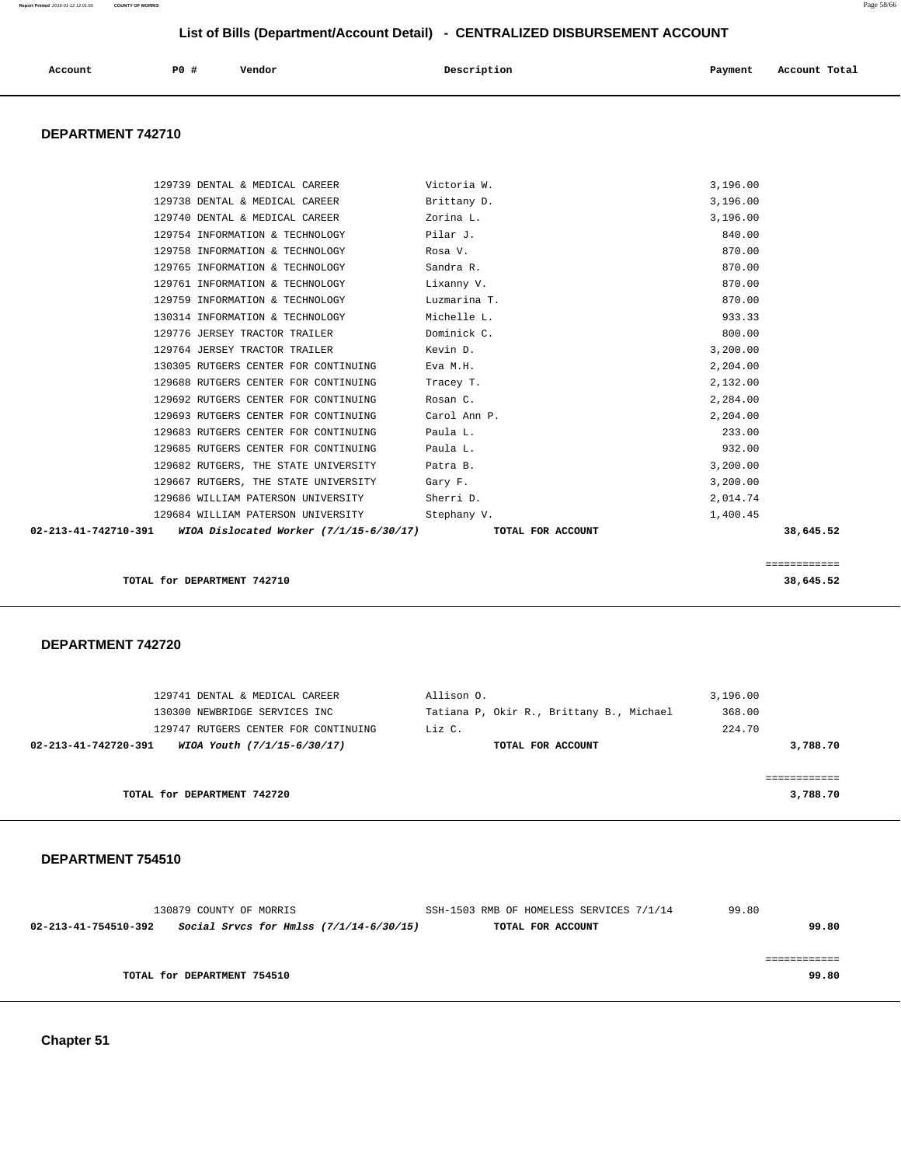| Account | <b>PO #</b> | Vendor | Description | Payment | Account Total |
|---------|-------------|--------|-------------|---------|---------------|
|         |             |        |             |         |               |

#### **DEPARTMENT 742710**

|                      | 129739 DENTAL & MEDICAL CAREER            | Victoria W.       | 3,196.00     |
|----------------------|-------------------------------------------|-------------------|--------------|
|                      | 129738 DENTAL & MEDICAL CAREER            | Brittany D.       | 3,196.00     |
|                      | 129740 DENTAL & MEDICAL CAREER            | Zorina L.         | 3,196.00     |
|                      | 129754 INFORMATION & TECHNOLOGY           | Pilar J.          | 840.00       |
|                      | 129758 INFORMATION & TECHNOLOGY           | Rosa V.           | 870.00       |
|                      | 129765 INFORMATION & TECHNOLOGY           | Sandra R.         | 870.00       |
|                      | 129761 INFORMATION & TECHNOLOGY           | Lixanny V.        | 870.00       |
|                      | 129759 INFORMATION & TECHNOLOGY           | Luzmarina T.      | 870.00       |
|                      | 130314 INFORMATION & TECHNOLOGY           | Michelle L.       | 933.33       |
|                      | 129776 JERSEY TRACTOR TRAILER             | Dominick C.       | 800.00       |
|                      | 129764 JERSEY TRACTOR TRAILER             | Kevin D.          | 3,200.00     |
|                      | 130305 RUTGERS CENTER FOR CONTINUING      | Eva M.H.          | 2,204.00     |
|                      | 129688 RUTGERS CENTER FOR CONTINUING      | Tracey T.         | 2,132.00     |
|                      | 129692 RUTGERS CENTER FOR CONTINUING      | Rosan C.          | 2,284.00     |
|                      | 129693 RUTGERS CENTER FOR CONTINUING      | Carol Ann P.      | 2,204.00     |
|                      | 129683 RUTGERS CENTER FOR CONTINUING      | Paula L.          | 233.00       |
|                      | 129685 RUTGERS CENTER FOR CONTINUING      | Paula L.          | 932.00       |
|                      | 129682 RUTGERS, THE STATE UNIVERSITY      | Patra B.          | 3,200.00     |
|                      | 129667 RUTGERS, THE STATE UNIVERSITY      | Gary F.           | 3,200.00     |
|                      | 129686 WILLIAM PATERSON UNIVERSITY        | Sherri D.         | 2,014.74     |
|                      | 129684 WILLIAM PATERSON UNIVERSITY        | Stephany V.       | 1,400.45     |
| 02-213-41-742710-391 | WIOA Dislocated Worker $(7/1/15-6/30/17)$ | TOTAL FOR ACCOUNT | 38,645.52    |
|                      |                                           |                   |              |
|                      |                                           |                   | ============ |
|                      | TOTAL for DEPARTMENT 742710               |                   | 38,645.52    |

 **DEPARTMENT 742720** 

| 129741 DENTAL & MEDICAL CAREER                                | Allison O.                               | 3,196.00 |
|---------------------------------------------------------------|------------------------------------------|----------|
| 130300 NEWBRIDGE SERVICES INC                                 | Tatiana P, Okir R., Brittany B., Michael | 368.00   |
| 129747 RUTGERS CENTER FOR CONTINUING                          | Liz C.                                   | 224.70   |
| $02 - 213 - 41 - 742720 - 391$<br>WIOA Youth (7/1/15-6/30/17) | TOTAL FOR ACCOUNT                        | 3,788.70 |
|                                                               |                                          |          |
|                                                               |                                          |          |
| TOTAL for DEPARTMENT 742720                                   |                                          | 3,788.70 |
|                                                               |                                          |          |

#### **DEPARTMENT 754510**

| 130879 COUNTY OF MORRIS     |                                           | SSH-1503 RMB OF HOMELESS SERVICES 7/1/14 | 99.80 |
|-----------------------------|-------------------------------------------|------------------------------------------|-------|
| 02-213-41-754510-392        | Social Srvcs for Hmlss $(7/1/14-6/30/15)$ | TOTAL FOR ACCOUNT                        | 99.80 |
|                             |                                           |                                          |       |
|                             |                                           |                                          |       |
| TOTAL for DEPARTMENT 754510 |                                           |                                          | 99.80 |
|                             |                                           |                                          |       |

 **Chapter 51**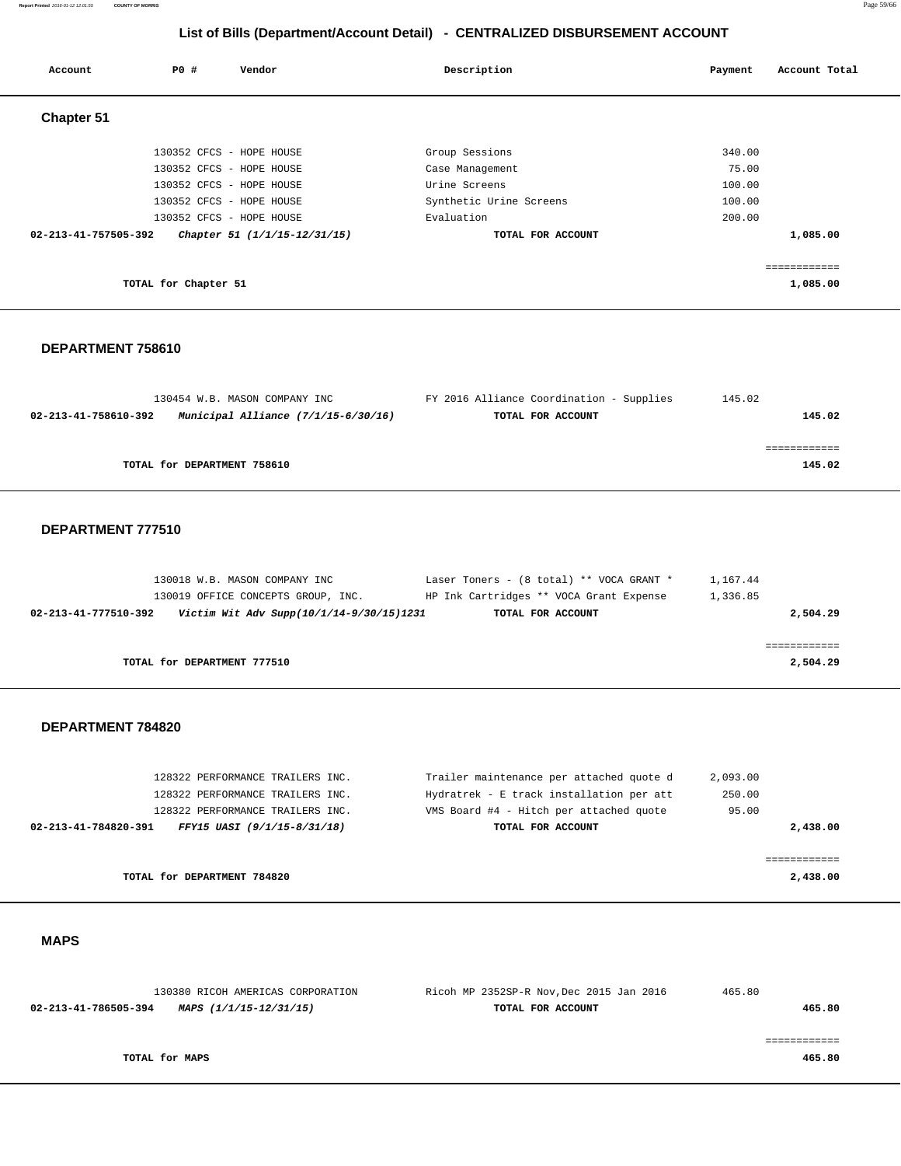#### **Report Printed** 2016-01-12 12:01:55 **COUNTY OF MORRIS** Page 59/66

 **List of Bills (Department/Account Detail) - CENTRALIZED DISBURSEMENT ACCOUNT**

| Account              | PO#                  | Vendor                       | Description             | Account Total<br>Payment |
|----------------------|----------------------|------------------------------|-------------------------|--------------------------|
| <b>Chapter 51</b>    |                      |                              |                         |                          |
|                      |                      | 130352 CFCS - HOPE HOUSE     | Group Sessions          | 340.00                   |
|                      |                      | 130352 CFCS - HOPE HOUSE     | Case Management         | 75.00                    |
|                      |                      | 130352 CFCS - HOPE HOUSE     | Urine Screens           | 100.00                   |
|                      |                      | 130352 CFCS - HOPE HOUSE     | Synthetic Urine Screens | 100.00                   |
|                      |                      | 130352 CFCS - HOPE HOUSE     | Evaluation              | 200.00                   |
| 02-213-41-757505-392 |                      | Chapter 51 (1/1/15-12/31/15) | TOTAL FOR ACCOUNT       | 1,085.00                 |
|                      |                      |                              |                         |                          |
|                      |                      |                              |                         | ------------             |
|                      | TOTAL for Chapter 51 |                              |                         | 1,085.00                 |

#### **DEPARTMENT 758610**

| 130454 W.B. MASON COMPANY INC                               | FY 2016 Alliance Coordination - Supplies | 145.02 |
|-------------------------------------------------------------|------------------------------------------|--------|
| Municipal Alliance (7/1/15-6/30/16)<br>02-213-41-758610-392 | TOTAL FOR ACCOUNT                        | 145.02 |
|                                                             |                                          |        |
|                                                             |                                          |        |
| TOTAL for DEPARTMENT 758610                                 |                                          | 145.02 |

#### **DEPARTMENT 777510**

| 130018 W.B. MASON COMPANY INC                                    | Laser Toners - (8 total) ** VOCA GRANT * | 1,167.44 |
|------------------------------------------------------------------|------------------------------------------|----------|
| 130019 OFFICE CONCEPTS GROUP, INC.                               | HP Ink Cartridges ** VOCA Grant Expense  | 1,336.85 |
| Victim Wit Adv Supp(10/1/14-9/30/15)1231<br>02-213-41-777510-392 | TOTAL FOR ACCOUNT                        | 2,504.29 |
|                                                                  |                                          |          |
|                                                                  |                                          |          |
| TOTAL for DEPARTMENT 777510                                      |                                          | 2,504.29 |

#### **DEPARTMENT 784820**

|                      | 128322 PERFORMANCE TRAILERS INC. | Trailer maintenance per attached quote d | 2,093.00 |
|----------------------|----------------------------------|------------------------------------------|----------|
|                      | 128322 PERFORMANCE TRAILERS INC. | Hydratrek - E track installation per att | 250.00   |
|                      | 128322 PERFORMANCE TRAILERS INC. | VMS Board #4 - Hitch per attached quote  | 95.00    |
| 02-213-41-784820-391 | FFY15 UASI (9/1/15-8/31/18)      | TOTAL FOR ACCOUNT                        | 2,438.00 |
|                      |                                  |                                          |          |
|                      |                                  |                                          |          |
|                      | TOTAL for DEPARTMENT 784820      |                                          | 2,438.00 |
|                      |                                  |                                          |          |

#### **MAPS**

| 130380 RICOH AMERICAS CORPORATION              | Ricoh MP 2352SP-R Nov, Dec 2015 Jan 2016 | 465.80 |
|------------------------------------------------|------------------------------------------|--------|
| 02-213-41-786505-394<br>MAPS (1/1/15-12/31/15) | TOTAL FOR ACCOUNT                        | 465.80 |
|                                                |                                          |        |
|                                                |                                          |        |
| TOTAL for MAPS                                 |                                          | 465.80 |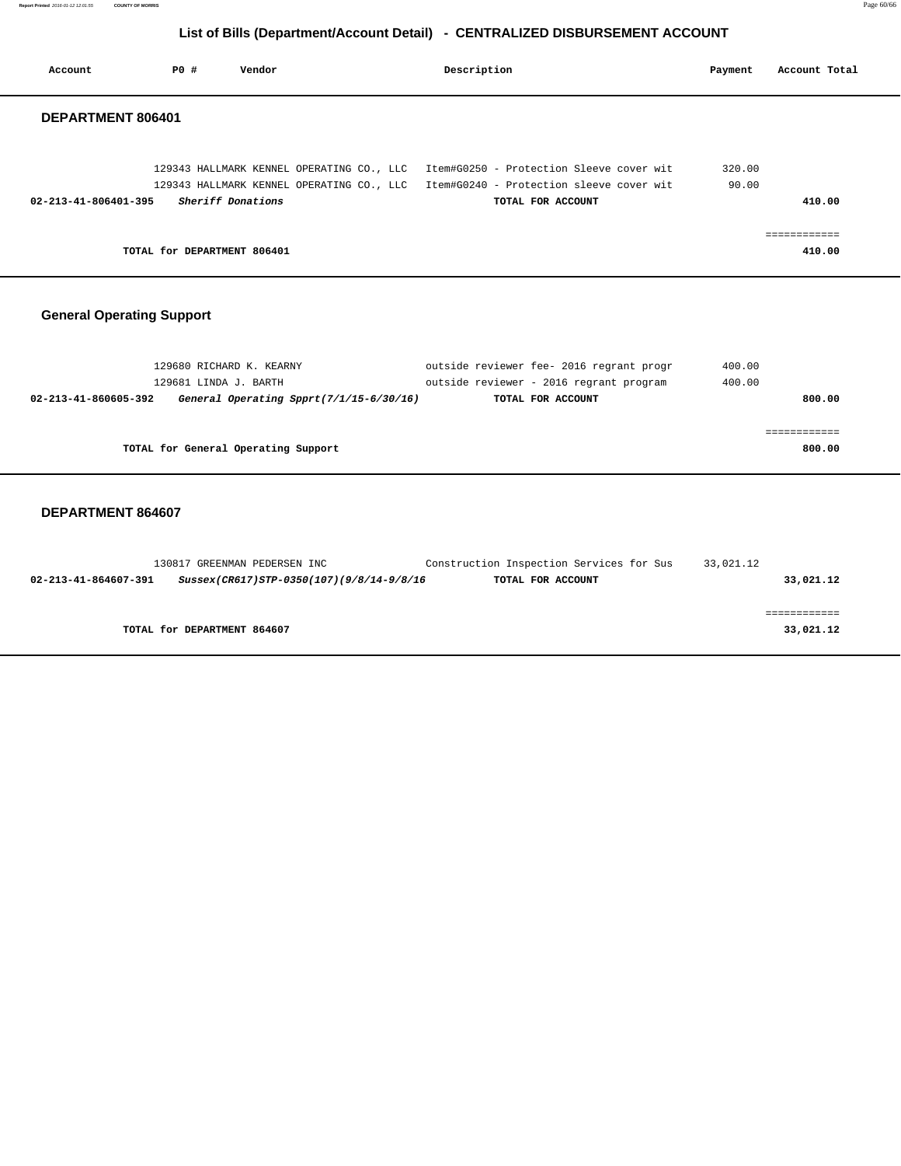**Report Printed** 2016-01-12 12:01:55 **COUNTY OF MORRIS** Page 60/66

#### **List of Bills (Department/Account Detail) - CENTRALIZED DISBURSEMENT ACCOUNT**

| Account                          | PO#<br>Vendor                                                                                | Description                                                                                                                                                                                   | Account Total<br>Payment    |
|----------------------------------|----------------------------------------------------------------------------------------------|-----------------------------------------------------------------------------------------------------------------------------------------------------------------------------------------------|-----------------------------|
| DEPARTMENT 806401                |                                                                                              |                                                                                                                                                                                               |                             |
| $02 - 213 - 41 - 806401 - 395$   | Sheriff Donations                                                                            | 129343 HALLMARK KENNEL OPERATING CO., LLC Item#G0250 - Protection Sleeve cover wit<br>129343 HALLMARK KENNEL OPERATING CO., LLC Item#G0240 - Protection sleeve cover wit<br>TOTAL FOR ACCOUNT | 320.00<br>90.00<br>410.00   |
|                                  | TOTAL for DEPARTMENT 806401                                                                  |                                                                                                                                                                                               | ============<br>410.00      |
| <b>General Operating Support</b> |                                                                                              |                                                                                                                                                                                               |                             |
| 02-213-41-860605-392             | 129680 RICHARD K. KEARNY<br>129681 LINDA J. BARTH<br>General Operating Spprt(7/1/15-6/30/16) | outside reviewer fee- 2016 regrant progr<br>outside reviewer - 2016 regrant program<br>TOTAL FOR ACCOUNT                                                                                      | 400.00<br>400.00<br>800.00  |
|                                  | TOTAL for General Operating Support                                                          |                                                                                                                                                                                               | ============<br>800.00      |
| DEPARTMENT 864607                |                                                                                              |                                                                                                                                                                                               |                             |
| $\overline{\phantom{a}}$         | 130817 GREENMAN PEDERSEN INC                                                                 | Construction Inspection Services for Sus 33,021.12                                                                                                                                            | $\sim$ $\sim$ $\sim$ $\sim$ |

| Sussex(CR617)STP-0350(107)(9/8/14-9/8/16 | TOTAL FOR ACCOUNT | 33,021.12 |
|------------------------------------------|-------------------|-----------|
|                                          |                   |           |
|                                          |                   |           |
| TOTAL for DEPARTMENT 864607              |                   | 33,021.12 |
|                                          |                   |           |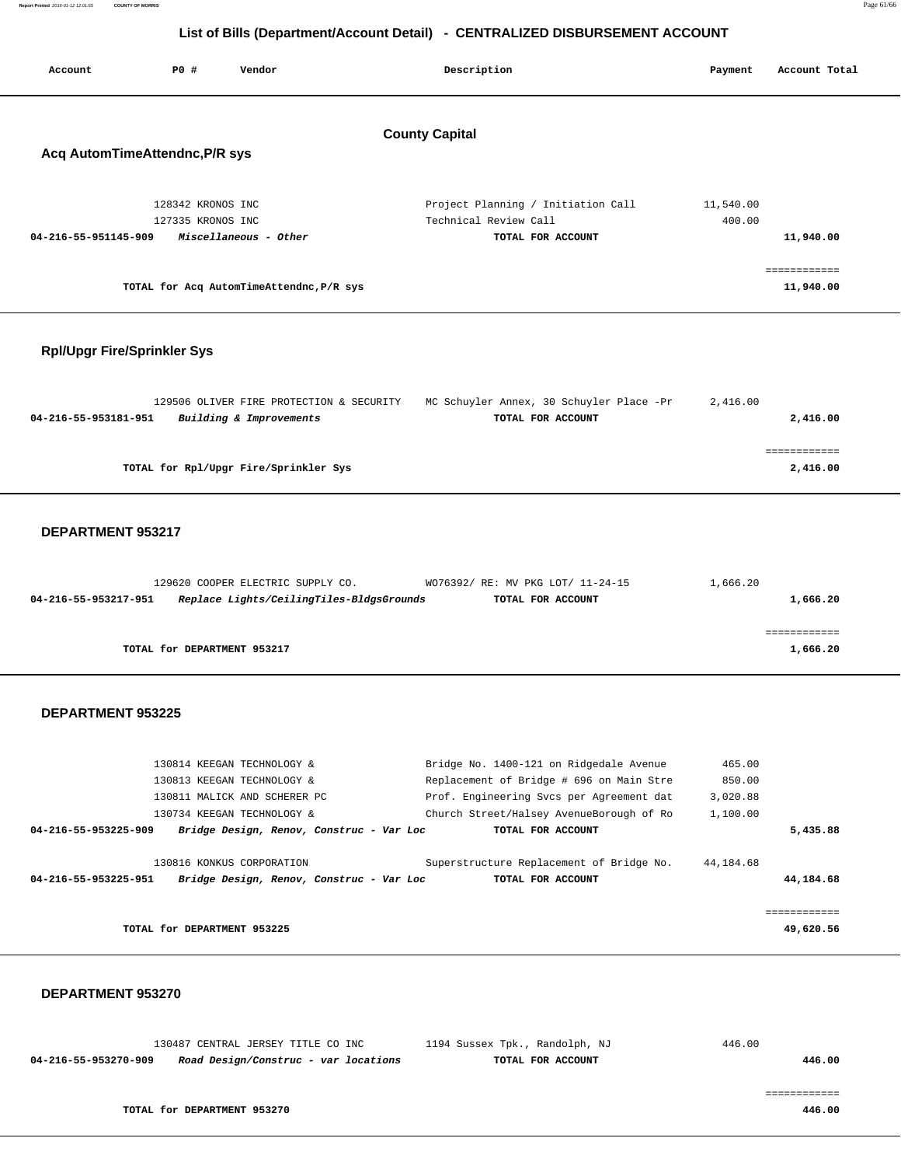| Report Printed 2016-01-12 12:01:55<br><b>COUNTY OF MORRIS</b> | Page 61/66 |
|---------------------------------------------------------------|------------|
|                                                               |            |

| <b>PO #</b><br>Account         | Vendor                                   | Description                        | Account Total<br>Payment |  |
|--------------------------------|------------------------------------------|------------------------------------|--------------------------|--|
| Acq AutomTimeAttendnc, P/R sys |                                          | <b>County Capital</b>              |                          |  |
|                                | 128342 KRONOS INC                        | Project Planning / Initiation Call | 11,540.00                |  |
|                                | 127335 KRONOS INC                        | Technical Review Call              | 400.00                   |  |
| 04-216-55-951145-909           | Miscellaneous - Other                    | TOTAL FOR ACCOUNT                  | 11,940.00                |  |
|                                |                                          |                                    | ============             |  |
|                                | TOTAL for Acq AutomTimeAttendnc, P/R sys |                                    | 11,940.00                |  |

#### **Rpl/Upgr Fire/Sprinkler Sys**

|                      | 129506 OLIVER FIRE PROTECTION & SECURITY | MC Schuyler Annex, 30 Schuyler Place -Pr | 2,416.00 |
|----------------------|------------------------------------------|------------------------------------------|----------|
| 04-216-55-953181-951 | Building & Improvements                  | TOTAL FOR ACCOUNT                        | 2,416.00 |
|                      |                                          |                                          |          |
|                      |                                          |                                          |          |
|                      | TOTAL for Rpl/Upgr Fire/Sprinkler Sys    |                                          | 2,416.00 |

#### **DEPARTMENT 953217**

|                      | 129620 COOPER ELECTRIC SUPPLY CO.        | WO76392/ RE: MV PKG LOT/ 11-24-15 | 1,666.20 |
|----------------------|------------------------------------------|-----------------------------------|----------|
| 04-216-55-953217-951 | Replace Lights/CeilingTiles-BldgsGrounds | TOTAL FOR ACCOUNT                 | 1,666.20 |
|                      |                                          |                                   |          |
|                      |                                          |                                   |          |
|                      | TOTAL for DEPARTMENT 953217              |                                   | 1,666.20 |

#### **DEPARTMENT 953225**

| 130814 KEEGAN TECHNOLOGY &                                                                    | Bridge No. 1400-121 on Ridgedale Avenue                       | 465.00                 |
|-----------------------------------------------------------------------------------------------|---------------------------------------------------------------|------------------------|
| 130813 KEEGAN TECHNOLOGY &                                                                    | Replacement of Bridge # 696 on Main Stre                      | 850.00                 |
| 130811 MALICK AND SCHERER PC                                                                  | Prof. Engineering Svcs per Agreement dat                      | 3,020.88               |
| 130734 KEEGAN TECHNOLOGY &                                                                    | Church Street/Halsey AvenueBorough of Ro                      | 1,100.00               |
| Bridge Design, Renov, Construc - Var Loc<br>04-216-55-953225-909                              | TOTAL FOR ACCOUNT                                             | 5,435.88               |
| 130816 KONKUS CORPORATION<br>Bridge Design, Renov, Construc - Var Loc<br>04-216-55-953225-951 | Superstructure Replacement of Bridge No.<br>TOTAL FOR ACCOUNT | 44,184.68<br>44,184.68 |
|                                                                                               |                                                               |                        |
|                                                                                               |                                                               | ------------           |
| TOTAL for DEPARTMENT 953225                                                                   |                                                               | 49,620.56              |

#### **DEPARTMENT 953270**

 130487 CENTRAL JERSEY TITLE CO INC 1194 Sussex Tpk., Randolph, NJ 446.00  **04-216-55-953270-909 Road Design/Construc - var locations TOTAL FOR ACCOUNT 446.00**

============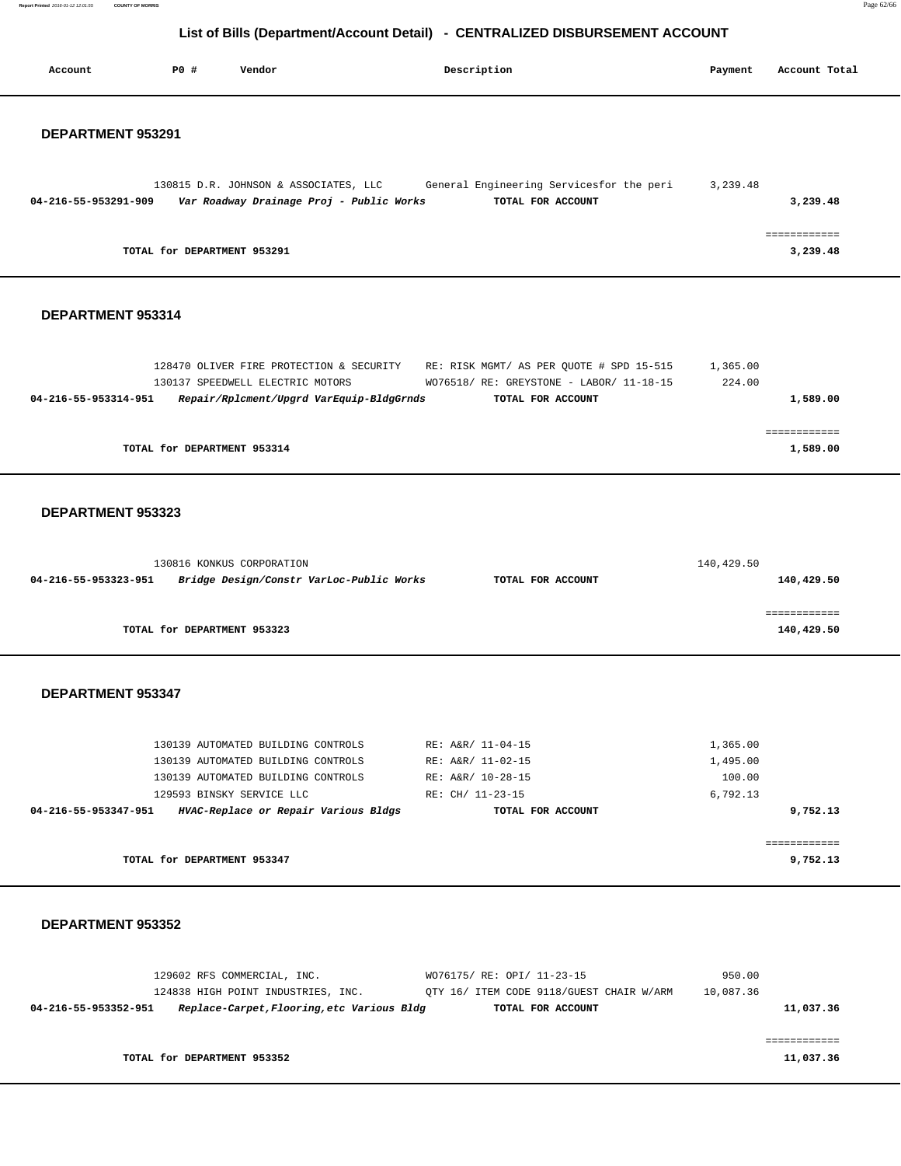**Report Printed** 2016-01-12 12:01:55 **COUNTY OF MORRIS** Page 62/66

#### **List of Bills (Department/Account Detail) - CENTRALIZED DISBURSEMENT ACCOUNT**

| Account                                                         | P0 #                        | Vendor                                                                                                                                      | Description                                                                                                                                        | Payment                                    | Account Total              |
|-----------------------------------------------------------------|-----------------------------|---------------------------------------------------------------------------------------------------------------------------------------------|----------------------------------------------------------------------------------------------------------------------------------------------------|--------------------------------------------|----------------------------|
| DEPARTMENT 953291                                               |                             |                                                                                                                                             |                                                                                                                                                    |                                            |                            |
| 04-216-55-953291-909                                            |                             | 130815 D.R. JOHNSON & ASSOCIATES, LLC<br>Var Roadway Drainage Proj - Public Works                                                           | General Engineering Servicesfor the peri<br>TOTAL FOR ACCOUNT                                                                                      | 3,239.48                                   | 3,239.48                   |
|                                                                 | TOTAL for DEPARTMENT 953291 |                                                                                                                                             |                                                                                                                                                    |                                            | ============<br>3,239.48   |
| DEPARTMENT 953314                                               |                             |                                                                                                                                             |                                                                                                                                                    |                                            |                            |
| 04-216-55-953314-951                                            |                             | 130137 SPEEDWELL ELECTRIC MOTORS<br>Repair/Rplcment/Upgrd VarEquip-BldgGrnds                                                                | 128470 OLIVER FIRE PROTECTION & SECURITY RE: RISK MGMT/ AS PER QUOTE # SPD 15-515<br>WO76518/ RE: GREYSTONE - LABOR/ 11-18-15<br>TOTAL FOR ACCOUNT | 1,365.00<br>224.00                         | 1,589.00                   |
|                                                                 | TOTAL for DEPARTMENT 953314 |                                                                                                                                             |                                                                                                                                                    |                                            | ============<br>1,589.00   |
| DEPARTMENT 953323                                               |                             |                                                                                                                                             |                                                                                                                                                    |                                            |                            |
| 04-216-55-953323-951                                            |                             | 130816 KONKUS CORPORATION<br>Bridge Design/Constr VarLoc-Public Works                                                                       | TOTAL FOR ACCOUNT                                                                                                                                  | 140,429.50                                 | 140,429.50                 |
|                                                                 | TOTAL for DEPARTMENT 953323 |                                                                                                                                             |                                                                                                                                                    |                                            | ============<br>140,429.50 |
| DEPARTMENT 953347                                               |                             |                                                                                                                                             |                                                                                                                                                    |                                            |                            |
|                                                                 |                             | 130139 AUTOMATED BUILDING CONTROLS<br>130139 AUTOMATED BUILDING CONTROLS<br>130139 AUTOMATED BUILDING CONTROLS<br>129593 BINSKY SERVICE LLC | RE: A&R/ 11-04-15<br>RE: A&R/ 11-02-15<br>RE: A&R/ 10-28-15<br>RE: CH/ 11-23-15                                                                    | 1,365.00<br>1,495.00<br>100.00<br>6,792.13 |                            |
| 04-216-55-953347-951   HVAC-Replace or Repair Various Bldgs     |                             |                                                                                                                                             | TOTAL FOR ACCOUNT                                                                                                                                  |                                            | 9,752.13<br>============   |
|                                                                 | TOTAL for DEPARTMENT 953347 |                                                                                                                                             |                                                                                                                                                    |                                            | 9,752.13                   |
| DEPARTMENT 953352                                               |                             |                                                                                                                                             |                                                                                                                                                    |                                            |                            |
| 04-216-55-953352-951 Replace-Carpet, Flooring, etc Various Bldg |                             | 129602 RFS COMMERCIAL, INC.                                                                                                                 | WO76175/ RE: OPI/ 11-23-15<br>124838 HIGH POINT INDUSTRIES, INC. QTY 16/ ITEM CODE 9118/GUEST CHAIR W/ARM<br>TOTAL FOR ACCOUNT                     | 950.00<br>10,087.36                        | 11,037.36                  |
|                                                                 | TOTAL for DEPARTMENT 953352 |                                                                                                                                             |                                                                                                                                                    |                                            | ------------<br>11,037.36  |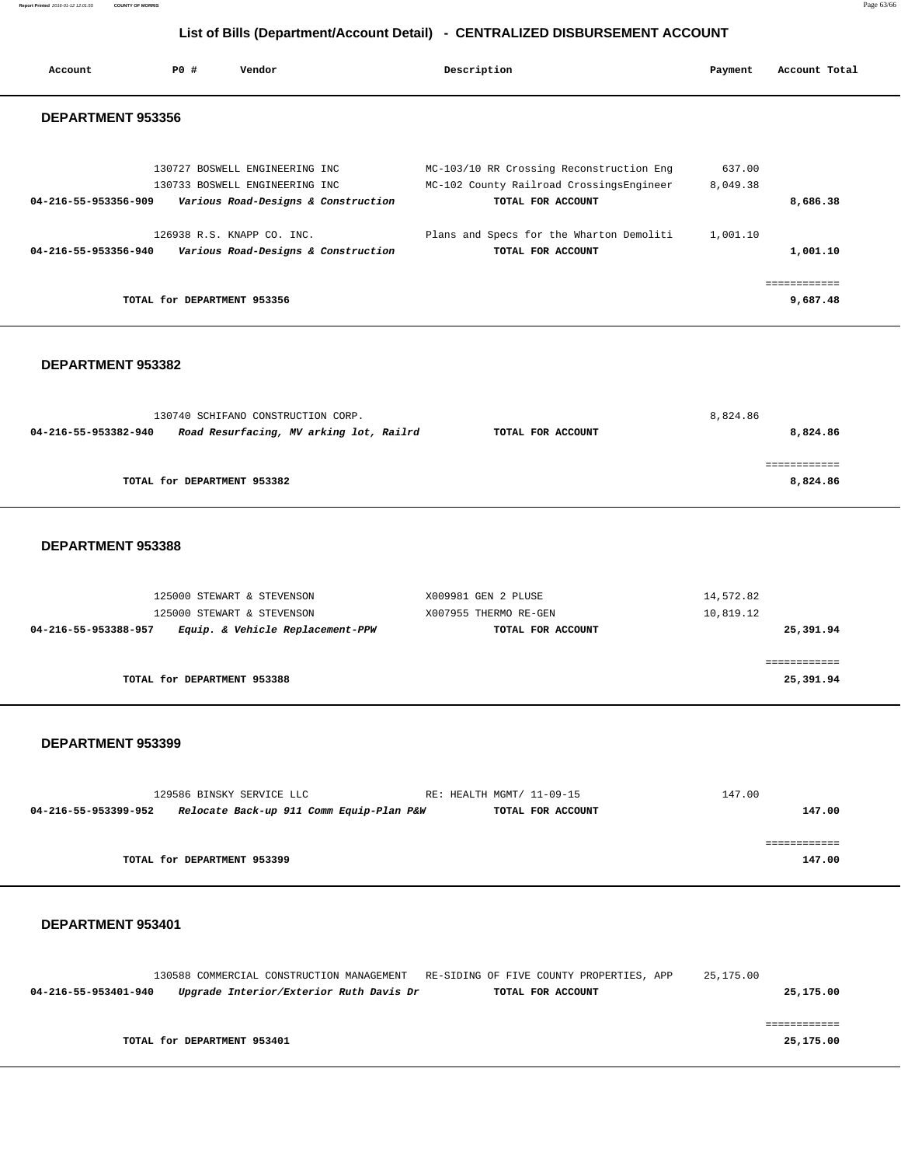**Report Printed** 2016-01-12 12:01:55 **COUNTY OF MORRIS** Page 63/66

#### **List of Bills (Department/Account Detail) - CENTRALIZED DISBURSEMENT ACCOUNT**

| Account                  | PO#                         | Vendor                                                                                                  | Description                                                                                               | Payment            | Account Total         |
|--------------------------|-----------------------------|---------------------------------------------------------------------------------------------------------|-----------------------------------------------------------------------------------------------------------|--------------------|-----------------------|
| <b>DEPARTMENT 953356</b> |                             |                                                                                                         |                                                                                                           |                    |                       |
| 04-216-55-953356-909     |                             | 130727 BOSWELL ENGINEERING INC<br>130733 BOSWELL ENGINEERING INC<br>Various Road-Designs & Construction | MC-103/10 RR Crossing Reconstruction Eng<br>MC-102 County Railroad CrossingsEngineer<br>TOTAL FOR ACCOUNT | 637.00<br>8,049.38 | 8,686.38              |
| 04-216-55-953356-940     |                             | 126938 R.S. KNAPP CO. INC.<br>Various Road-Designs & Construction                                       | Plans and Specs for the Wharton Demoliti<br>TOTAL FOR ACCOUNT                                             | 1,001.10           | 1,001.10              |
|                          | TOTAL for DEPARTMENT 953356 |                                                                                                         |                                                                                                           |                    | ---------<br>9,687.48 |

#### **DEPARTMENT 953382**

| 130740 SCHIFANO CONSTRUCTION CORP. |                                         |                   | 8,824.86 |
|------------------------------------|-----------------------------------------|-------------------|----------|
| 04-216-55-953382-940               | Road Resurfacing, MV arking lot, Railrd | TOTAL FOR ACCOUNT | 8,824.86 |
|                                    |                                         |                   |          |
|                                    |                                         |                   |          |
|                                    | TOTAL for DEPARTMENT 953382             |                   | 8,824.86 |
|                                    |                                         |                   |          |

#### **DEPARTMENT 953388**

| 125000 STEWART & STEVENSON<br>125000 STEWART & STEVENSON | X009981 GEN 2 PLUSE<br>X007955 THERMO RE-GEN | 14,572.82<br>10,819.12 |
|----------------------------------------------------------|----------------------------------------------|------------------------|
| Equip. & Vehicle Replacement-PPW<br>04-216-55-953388-957 | TOTAL FOR ACCOUNT                            | 25,391.94              |
| TOTAL for DEPARTMENT 953388                              |                                              | 25,391.94              |

#### **DEPARTMENT 953399**

|                      | 129586 BINSKY SERVICE LLC                | RE: HEALTH MGMT/ 11-09-15 | 147.00 |
|----------------------|------------------------------------------|---------------------------|--------|
| 04-216-55-953399-952 | Relocate Back-up 911 Comm Equip-Plan P&W | TOTAL FOR ACCOUNT         | 147.00 |
|                      |                                          |                           |        |
|                      |                                          |                           |        |
|                      | TOTAL for DEPARTMENT 953399              |                           | 147.00 |

|                      | 130588 COMMERCIAL CONSTRUCTION MANAGEMENT RE-SIDING OF FIVE COUNTY PROPERTIES, APP |                   | 25,175.00 |
|----------------------|------------------------------------------------------------------------------------|-------------------|-----------|
| 04-216-55-953401-940 | Upgrade Interior/Exterior Ruth Davis Dr                                            | TOTAL FOR ACCOUNT | 25,175.00 |
|                      |                                                                                    |                   |           |
|                      |                                                                                    |                   |           |
|                      | TOTAL for DEPARTMENT 953401                                                        |                   | 25,175.00 |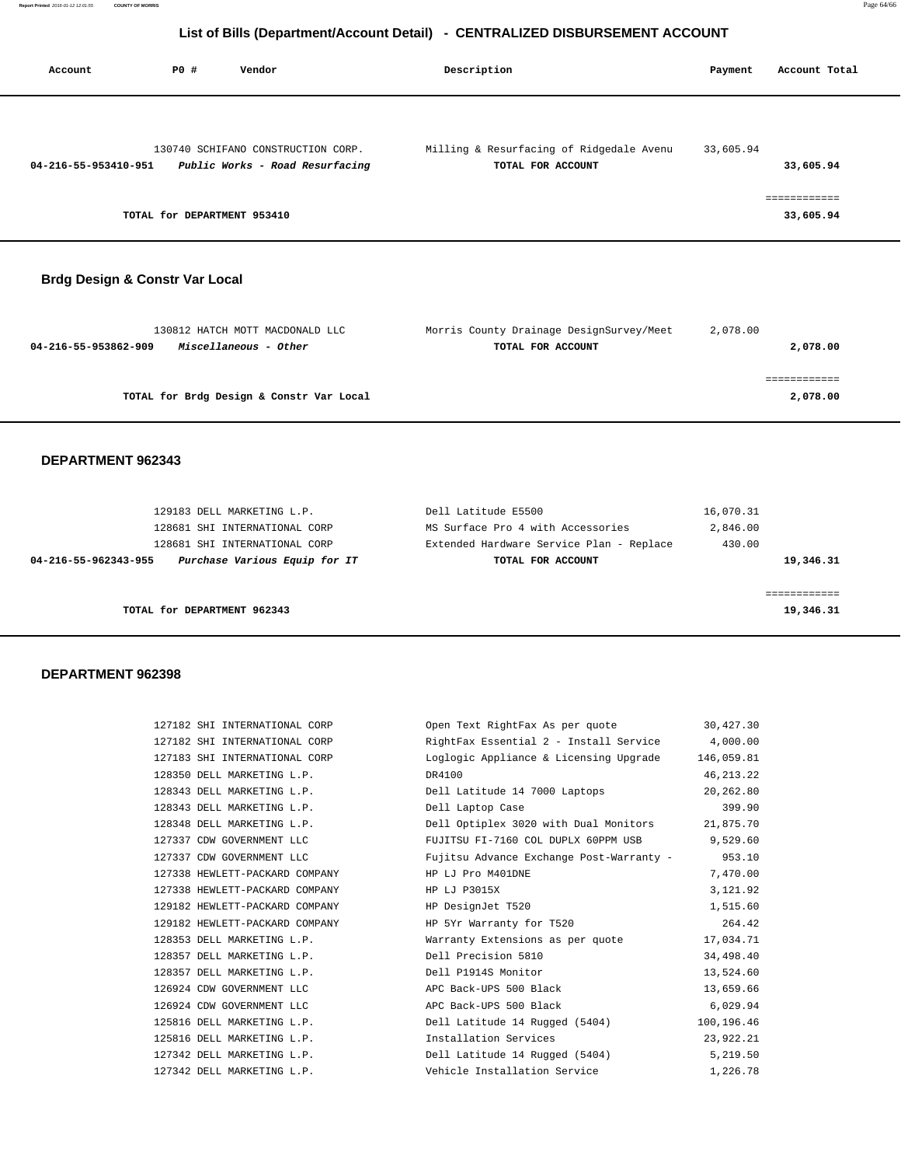| Account              | PO#                         | Vendor                                                                | Description                                                   | Payment   | Account Total             |
|----------------------|-----------------------------|-----------------------------------------------------------------------|---------------------------------------------------------------|-----------|---------------------------|
| 04-216-55-953410-951 |                             | 130740 SCHIFANO CONSTRUCTION CORP.<br>Public Works - Road Resurfacing | Milling & Resurfacing of Ridgedale Avenu<br>TOTAL FOR ACCOUNT | 33,605.94 | 33,605.94                 |
|                      | TOTAL for DEPARTMENT 953410 |                                                                       |                                                               |           | ============<br>33,605.94 |

#### **Brdg Design & Constr Var Local**

| 130812 HATCH MOTT MACDONALD LLC               | Morris County Drainage DesignSurvey/Meet | 2,078.00 |
|-----------------------------------------------|------------------------------------------|----------|
| 04-216-55-953862-909<br>Miscellaneous - Other | TOTAL FOR ACCOUNT                        | 2,078.00 |
|                                               |                                          |          |
|                                               |                                          |          |
| TOTAL for Brdg Design & Constr Var Local      |                                          | 2,078.00 |
|                                               |                                          |          |

#### **DEPARTMENT 962343**

|                             | 129183 DELL MARKETING L.P.    | Dell Latitude E5500                      | 16,070.31 |
|-----------------------------|-------------------------------|------------------------------------------|-----------|
|                             | 128681 SHI INTERNATIONAL CORP | MS Surface Pro 4 with Accessories        | 2,846.00  |
|                             | 128681 SHI INTERNATIONAL CORP | Extended Hardware Service Plan - Replace | 430.00    |
| 04-216-55-962343-955        | Purchase Various Equip for IT | TOTAL FOR ACCOUNT                        | 19,346.31 |
|                             |                               |                                          |           |
|                             |                               |                                          |           |
| TOTAL for DEPARTMENT 962343 |                               |                                          | 19,346.31 |
|                             |                               |                                          |           |

| 127182 SHI INTERNATIONAL CORP  | Open Text RightFax As per quote 30,427.30       |             |
|--------------------------------|-------------------------------------------------|-------------|
| 127182 SHI INTERNATIONAL CORP  | RightFax Essential 2 - Install Service 4,000.00 |             |
| 127183 SHI INTERNATIONAL CORP  | Loglogic Appliance & Licensing Upgrade          | 146,059.81  |
| 128350 DELL MARKETING L.P.     | DR4100                                          | 46, 213. 22 |
| 128343 DELL MARKETING L.P.     | Dell Latitude 14 7000 Laptops                   | 20,262.80   |
| 128343 DELL MARKETING L.P.     | Dell Laptop Case                                | 399.90      |
| 128348 DELL MARKETING L.P.     | Dell Optiplex 3020 with Dual Monitors 21,875.70 |             |
| 127337 CDW GOVERNMENT LLC      | FUJITSU FI-7160 COL DUPLX 60PPM USB             | 9,529.60    |
| 127337 CDW GOVERNMENT LLC      | Fujitsu Advance Exchange Post-Warranty - 953.10 |             |
| 127338 HEWLETT-PACKARD COMPANY | HP LJ Pro M401DNE                               | 7,470.00    |
| 127338 HEWLETT-PACKARD COMPANY | HP LJ P3015X                                    | 3,121.92    |
| 129182 HEWLETT-PACKARD COMPANY | HP DesignJet T520                               | 1,515.60    |
| 129182 HEWLETT-PACKARD COMPANY | HP 5Yr Warranty for T520                        | 264.42      |
| 128353 DELL MARKETING L.P.     | Warranty Extensions as per quote 17,034.71      |             |
| 128357 DELL MARKETING L.P.     | Dell Precision 5810                             | 34,498.40   |
| 128357 DELL MARKETING L.P.     | Dell P1914S Monitor                             | 13,524.60   |
| 126924 CDW GOVERNMENT LLC      | APC Back-UPS 500 Black                          | 13,659.66   |
| 126924 CDW GOVERNMENT LLC      | APC Back-UPS 500 Black                          | 6,029.94    |
| 125816 DELL MARKETING L.P.     | Dell Latitude 14 Rugged (5404)                  | 100,196.46  |
| 125816 DELL MARKETING L.P.     | Installation Services                           | 23,922.21   |
| 127342 DELL MARKETING L.P.     | Dell Latitude 14 Rugged (5404)                  | 5,219.50    |
| 127342 DELL MARKETING L.P.     | Vehicle Installation Service                    | 1,226.78    |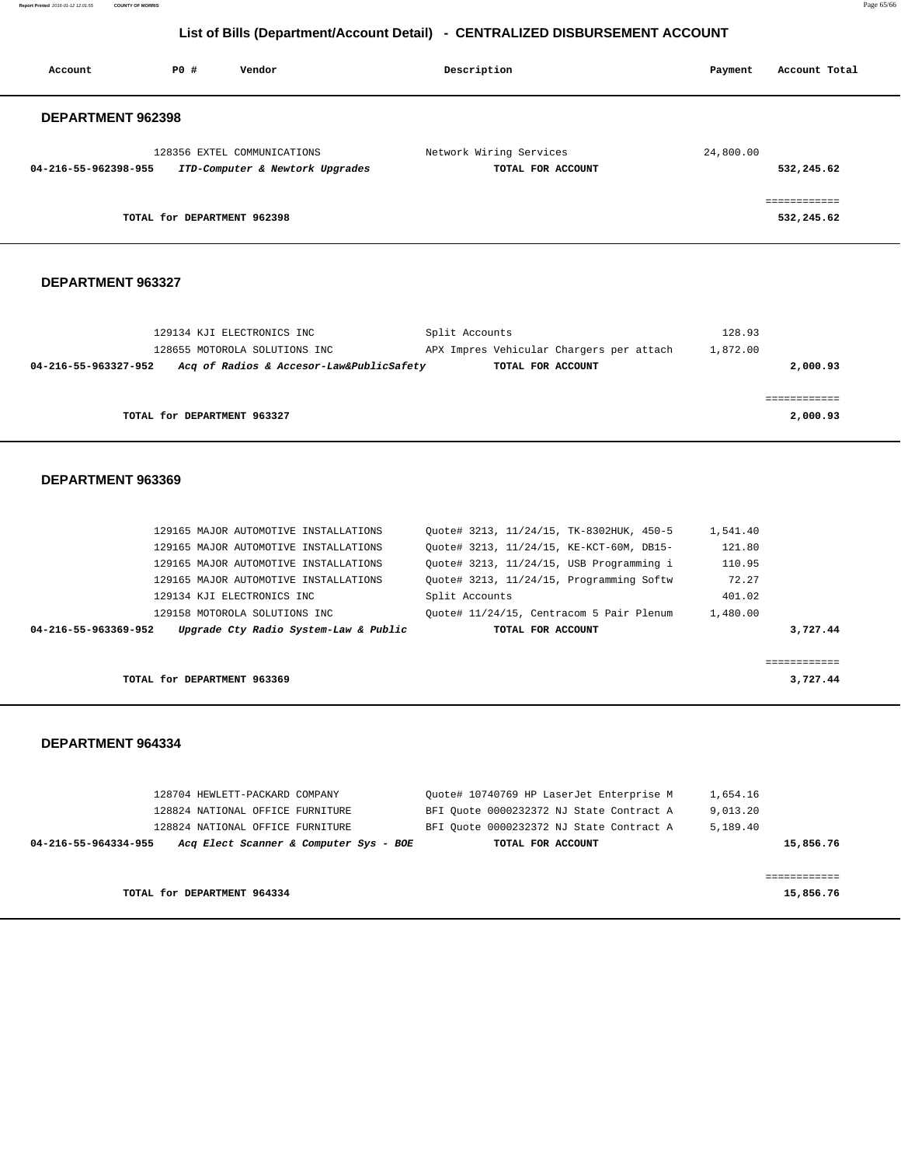**Report Printed** 2016-01-12 12:01:55 **COUNTY OF MORRIS** Page 65/66

#### **List of Bills (Department/Account Detail) - CENTRALIZED DISBURSEMENT ACCOUNT**

| Account                     | PO#<br>Vendor                                                                                                                                                                                                                                                            | Description                                                                                                                                                                                                                                                     | Payment                                                     | Account Total            |
|-----------------------------|--------------------------------------------------------------------------------------------------------------------------------------------------------------------------------------------------------------------------------------------------------------------------|-----------------------------------------------------------------------------------------------------------------------------------------------------------------------------------------------------------------------------------------------------------------|-------------------------------------------------------------|--------------------------|
| DEPARTMENT 962398           |                                                                                                                                                                                                                                                                          |                                                                                                                                                                                                                                                                 |                                                             |                          |
| 04-216-55-962398-955        | 128356 EXTEL COMMUNICATIONS<br>ITD-Computer & Newtork Upgrades                                                                                                                                                                                                           | Network Wiring Services<br>TOTAL FOR ACCOUNT                                                                                                                                                                                                                    | 24,800.00                                                   | 532,245.62               |
|                             | TOTAL for DEPARTMENT 962398                                                                                                                                                                                                                                              |                                                                                                                                                                                                                                                                 |                                                             | 532,245.62               |
| DEPARTMENT 963327           |                                                                                                                                                                                                                                                                          |                                                                                                                                                                                                                                                                 |                                                             |                          |
| 04-216-55-963327-952        | 129134 KJI ELECTRONICS INC<br>128655 MOTOROLA SOLUTIONS INC<br>Acq of Radios & Accesor-Law&PublicSafety                                                                                                                                                                  | Split Accounts<br>APX Impres Vehicular Chargers per attach<br>TOTAL FOR ACCOUNT                                                                                                                                                                                 | 128.93<br>1,872.00                                          | 2,000.93                 |
|                             | TOTAL for DEPARTMENT 963327                                                                                                                                                                                                                                              |                                                                                                                                                                                                                                                                 |                                                             | ============<br>2,000.93 |
| DEPARTMENT 963369           |                                                                                                                                                                                                                                                                          |                                                                                                                                                                                                                                                                 |                                                             |                          |
| 04-216-55-963369-952        | 129165 MAJOR AUTOMOTIVE INSTALLATIONS<br>129165 MAJOR AUTOMOTIVE INSTALLATIONS<br>129165 MAJOR AUTOMOTIVE INSTALLATIONS<br>129165 MAJOR AUTOMOTIVE INSTALLATIONS<br>129134 KJI ELECTRONICS INC<br>129158 MOTOROLA SOLUTIONS INC<br>Upgrade Cty Radio System-Law & Public | Quote# 3213, 11/24/15, TK-8302HUK, 450-5<br>Quote# 3213, 11/24/15, KE-KCT-60M, DB15-<br>Quote# 3213, 11/24/15, USB Programming i<br>Quote# 3213, 11/24/15, Programming Softw<br>Split Accounts<br>Quote# 11/24/15, Centracom 5 Pair Plenum<br>TOTAL FOR ACCOUNT | 1,541.40<br>121.80<br>110.95<br>72.27<br>401.02<br>1,480.00 | 3,727.44                 |
|                             | TOTAL for DEPARTMENT 963369                                                                                                                                                                                                                                              |                                                                                                                                                                                                                                                                 |                                                             | essessessess<br>3,727.44 |
| DEPARTMENT 964334           |                                                                                                                                                                                                                                                                          |                                                                                                                                                                                                                                                                 |                                                             |                          |
| 04-216-55-964334-955        | 128704 HEWLETT-PACKARD COMPANY<br>128824 NATIONAL OFFICE FURNITURE<br>128824 NATIONAL OFFICE FURNITURE<br>Acq Elect Scanner & Computer Sys - BOE                                                                                                                         | Quote# 10740769 HP LaserJet Enterprise M<br>BFI Ouote 0000232372 NJ State Contract A<br>BFI Quote 0000232372 NJ State Contract A<br>TOTAL FOR ACCOUNT                                                                                                           | 1,654.16<br>9,013.20<br>5,189.40                            | 15,856.76                |
| TOTAL for DEPARTMENT 964334 |                                                                                                                                                                                                                                                                          |                                                                                                                                                                                                                                                                 | ============<br>15,856.76                                   |                          |
|                             |                                                                                                                                                                                                                                                                          |                                                                                                                                                                                                                                                                 |                                                             |                          |